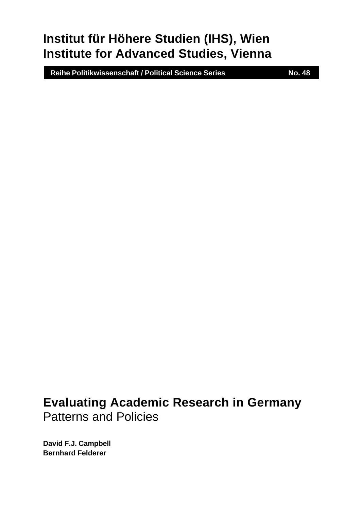# **Institut für Höhere Studien (IHS), Wien Institute for Advanced Studies, Vienna**

 **Reihe Politikwissenschaft / Political Science Series No. 48**

# **Evaluating Academic Research in Germany** Patterns and Policies

**David F.J. Campbell Bernhard Felderer**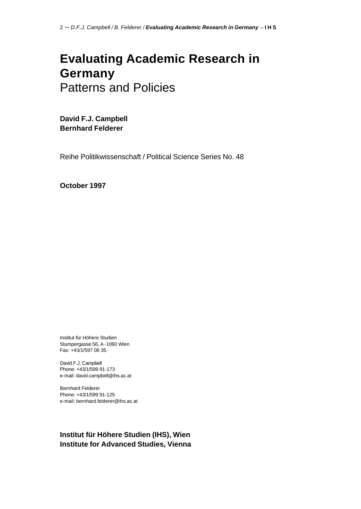# **Evaluating Academic Research in Germany** Patterns and Policies

**David F.J. Campbell Bernhard Felderer**

Reihe Politikwissenschaft / Political Science Series No. 48

**October 1997**

Institut für Höhere Studien Stumpergasse 56, A -1060 Wien Fax: +43/1/597 06 35

David F.J. Campbell Phone: +43/1/599 91-173 e-mail: david.campbell@ihs.ac.at

Bernhard Felderer Phone: +43/1/599 91-125 e-mail: bernhard.felderer@ihs.ac.at

### **Institut für Höhere Studien (IHS), Wien Institute for Advanced Studies, Vienna**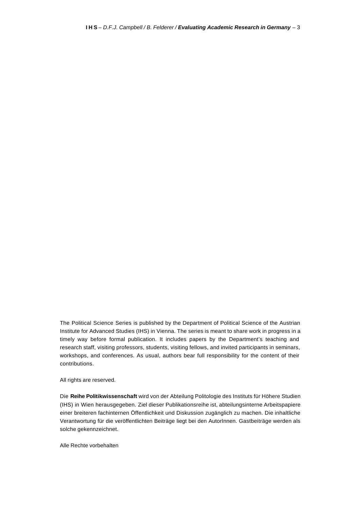The Political Science Series is published by the Department of Political Science of the Austrian Institute for Advanced Studies (IHS) in Vienna. The series is meant to share work in progress in a timely way before formal publication. It includes papers by the Department's teaching and research staff, visiting professors, students, visiting fellows, and invited participants in seminars, workshops, and conferences. As usual, authors bear full responsibility for the content of their contributions.

All rights are reserved.

Die **Reihe Politikwissenschaft** wird von der Abteilung Politologie des Instituts für Höhere Studien (IHS) in Wien herausgegeben. Ziel dieser Publikationsreihe ist, abteilungsinterne Arbeitspapiere einer breiteren fachinternen Öffentlichkeit und Diskussion zugänglich zu machen. Die inhaltliche Verantwortung für die veröffentlichten Beiträge liegt bei den AutorInnen. Gastbeiträge werden als solche gekennzeichnet.

Alle Rechte vorbehalten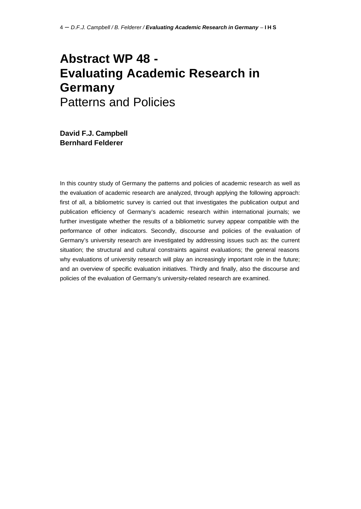# **Abstract WP 48 - Evaluating Academic Research in Germany** Patterns and Policies

**David F.J. Campbell Bernhard Felderer**

In this country study of Germany the patterns and policies of academic research as well as the evaluation of academic research are analyzed, through applying the following approach: first of all, a bibliometric survey is carried out that investigates the publication output and publication efficiency of Germany's academic research within international journals; we further investigate whether the results of a bibliometric survey appear compatible with the performance of other indicators. Secondly, discourse and policies of the evaluation of Germany's university research are investigated by addressing issues such as: the current situation; the structural and cultural constraints against evaluations; the general reasons why evaluations of university research will play an increasingly important role in the future; and an overview of specific evaluation initiatives. Thirdly and finally, also the discourse and policies of the evaluation of Germany's university-related research are examined.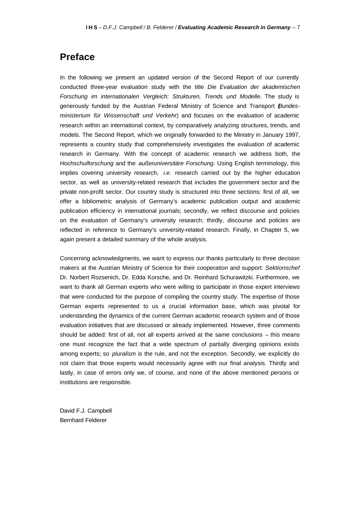## **Preface**

In the following we present an updated version of the Second Report of our currently conducted three-year evaluation study with the title *Die Evaluation der akademischen Forschung im internationalen Vergleich: Strukturen, Trends und Modelle*. The study is generously funded by the Austrian Federal Ministry of Science and Transport (*Bundesministerium für Wissenschaft und Verkehr*) and focuses on the evaluation of academic research within an international context, by comparatively analyzing structures, trends, and models. The Second Report, which we originally forwarded to the Ministry in January 1997, represents a country study that comprehensively investigates the evaluation of academic research in Germany. With the concept of academic research we address both, the *Hochschulforschung* and the *außeruniversitäre Forschung*. Using English terminology, this implies covering university research, *i.e.* research carried out by the higher education sector, as well as university-related research that includes the government sector and the private non-profit sector. Our country study is structured into three sections: first of all, we offer a bibliometric analysis of Germany's academic publication output and academic publication efficiency in international journals; secondly, we reflect discourse and policies on the evaluation of Germany's university research; thirdly, discourse and policies are reflected in reference to Germany's university-related research. Finally, in Chapter 5, we again present a detailed summary of the whole analysis.

Concerning acknowledgments, we want to express our thanks particularly to three decision makers at the Austrian Ministry of Science for their cooperation and support: *Sektionschef* Dr. Norbert Rozsenich, Dr. Edda Korsche, and Dr. Reinhard Schurawitzki. Furthermore, we want to thank all German experts who were willing to participate in those expert interviews that were conducted for the purpose of compiling the country study. The expertise of those German experts represented to us a crucial information base, which was pivotal for understanding the dynamics of the current German academic research system and of those evaluation initiatives that are discussed or already implemented. However, three comments should be added: first of all, not all experts arrived at the same conclusions – this means one must recognize the fact that a wide spectrum of partially diverging opinions exists among experts; so *pluralism* is the rule, and not the exception. Secondly, we explicitly do not claim that those experts would necessarily agree with our final analysis. Thirdly and lastly, in case of errors only we, of course, and none of the above mentioned persons or institutions are responsible.

David F.J. Campbell Bernhard Felderer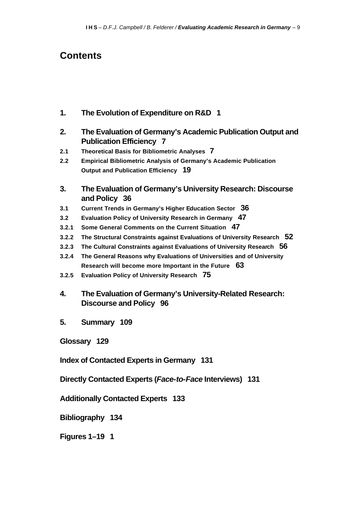## **Contents**

- **1. The Evolution of Expenditure on R&D 1**
- **2. The Evaluation of Germany's Academic Publication Output and Publication Efficiency 7**
- **2.1 Theoretical Basis for Bibliometric Analyses 7**
- **2.2 Empirical Bibliometric Analysis of Germany's Academic Publication Output and Publication Efficiency 19**
- **3. The Evaluation of Germany's University Research: Discourse and Policy 36**
- **3.1 Current Trends in Germany's Higher Education Sector 36**
- **3.2 Evaluation Policy of University Research in Germany 47**
- **3.2.1 Some General Comments on the Current Situation 47**
- **3.2.2 The Structural Constraints against Evaluations of University Research 52**
- **3.2.3 The Cultural Constraints against Evaluations of University Research 56**
- **3.2.4 The General Reasons why Evaluations of Universities and of University Research will become more Important in the Future 63**
- **3.2.5 Evaluation Policy of University Research 75**
- **4. The Evaluation of Germany's University-Related Research: Discourse and Policy 96**
- **5. Summary 109**

**Glossary 129**

**Index of Contacted Experts in Germany 131**

**Directly Contacted Experts (***Face-to-Face* **Interviews) 131**

**Additionally Contacted Experts 133**

**Bibliography 134**

**Figures 1–19 1**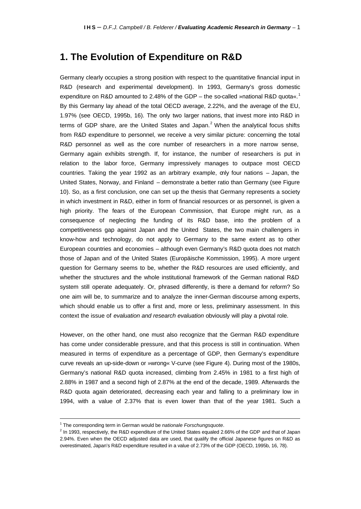## **1. The Evolution of Expenditure on R&D**

Germany clearly occupies a strong position with respect to the quantitative financial input in R&D (research and experimental development). In 1993, Germany's gross domestic expenditure on R&D amounted to 2.48% of the GDP – the so-called »national R&D quota«.<sup>1</sup> By this Germany lay ahead of the total OECD average, 2.22%, and the average of the EU, 1.97% (see OECD, 1995b, 16). The only two larger nations, that invest more into R&D in terms of GDP share, are the United States and Japan.<sup>2</sup> When the analytical focus shifts from R&D expenditure to personnel, we receive a very similar picture: concerning the total R&D personnel as well as the core number of researchers in a more narrow sense, Germany again exhibits strength. If, for instance, the number of researchers is put in relation to the labor force, Germany impressively manages to outpace most OECD countries. Taking the year 1992 as an arbitrary example, only four nations – Japan, the United States, Norway, and Finland – demonstrate a better ratio than Germany (see Figure 10). So, as a first conclusion, one can set up the thesis that Germany represents a society in which investment in R&D, either in form of financial resources or as personnel, is given a high priority. The fears of the European Commission, that Europe might run, as a consequence of neglecting the funding of its R&D base, into the problem of a competitiveness gap against Japan and the United States, the two main challengers in know-how and technology, do not apply to Germany to the same extent as to other European countries and economies – although even Germany's R&D quota does not match those of Japan and of the United States (Europäische Kommission, 1995). A more urgent question for Germany seems to be, whether the R&D resources are used efficiently, and whether the structures and the whole institutional framework of the German national R&D system still operate adequately. Or, phrased differently, is there a demand for reform? So one aim will be, to summarize and to analyze the inner-German discourse among experts, which should enable us to offer a first and, more or less, preliminary assessment. In this context the issue of *evaluation and research evaluation* obviously will play a pivotal role.

However, on the other hand, one must also recognize that the German R&D expenditure has come under considerable pressure, and that this process is still in continuation. When measured in terms of expenditure as a percentage of GDP, then Germany's expenditure curve reveals an up-side-down or »wrong« V-curve (see Figure 4). During most of the 1980s, Germany's national R&D quota increased, climbing from 2.45% in 1981 to a first high of 2.88% in 1987 and a second high of 2.87% at the end of the decade, 1989. Afterwards the R&D quota again deteriorated, decreasing each year and falling to a preliminary low in 1994, with a value of 2.37% that is even lower than that of the year 1981. Such a

 $\overline{a}$ 

<sup>&</sup>lt;sup>1</sup> The corresponding term in German would be *nationale Forschungsquote*.

<sup>&</sup>lt;sup>2</sup> In 1993, respectively, the R&D expenditure of the United States equaled 2.66% of the GDP and that of Japan 2.94%. Even when the OECD adjusted data are used, that qualify the official Japanese figures on R&D as overestimated, Japan's R&D expenditure resulted in a value of 2.73% of the GDP (OECD, 1995b, 16, 78).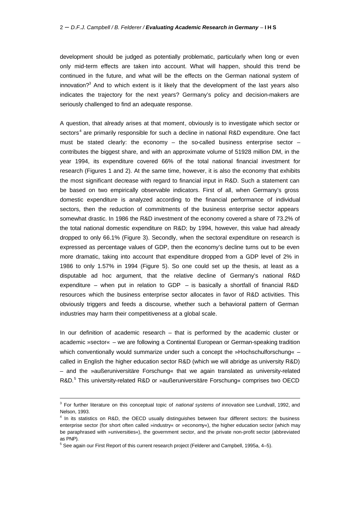development should be judged as potentially problematic, particularly when long or even only mid-term effects are taken into account. What will happen, should this trend be continued in the future, and what will be the effects on the German national system of innovation?<sup>3</sup> And to which extent is it likely that the development of the last years also indicates the trajectory for the next years? Germany's policy and decision-makers are seriously challenged to find an adequate response.

A question, that already arises at that moment, obviously is to investigate which sector or sectors<sup>4</sup> are primarily responsible for such a decline in national R&D expenditure. One fact must be stated clearly: the economy  $-$  the so-called business enterprise sector  $$ contributes the biggest share, and with an approximate volume of 51928 million DM, in the year 1994, its expenditure covered 66% of the total national financial investment for research (Figures 1 and 2). At the same time, however, it is also the economy that exhibits the most significant decrease with regard to financial input in R&D. Such a statement can be based on two empirically observable indicators. First of all, when Germany's gross domestic expenditure is analyzed according to the financial performance of individual sectors, then the reduction of commitments of the business enterprise sector appears somewhat drastic. In 1986 the R&D investment of the economy covered a share of 73.2% of the total national domestic expenditure on R&D; by 1994, however, this value had already dropped to only 66.1% (Figure 3). Secondly, when the sectoral expenditure on research is expressed as percentage values of GDP, then the economy's decline turns out to be even more dramatic, taking into account that expenditure dropped from a GDP level of 2% in 1986 to only 1.57% in 1994 (Figure 5). So one could set up the thesis, at least as a disputable ad hoc argument, that the relative decline of Germany's national R&D expenditure – when put in relation to GDP – is basically a shortfall of financial R&D resources which the business enterprise sector allocates in favor of R&D activities. This obviously triggers and feeds a discourse, whether such a behavioral pattern of German industries may harm their competitiveness at a global scale.

In our definition of academic research – that is performed by the academic cluster or academic »sector« – we are following a Continental European or German-speaking tradition which conventionally would summarize under such a concept the »Hochschulforschung« called in English the higher education sector R&D (which we will abridge as university R&D) – and the »außeruniversitäre Forschung« that we again translated as university-related R&D.<sup>5</sup> This university-related R&D or »außeruniversitäre Forschung« comprises two OECD

<sup>3</sup> For further literature on this conceptual topic of *national systems of innovation* see Lundvall, 1992, and Nelson, 1993.

<sup>&</sup>lt;sup>4</sup> In its statistics on R&D, the OECD usually distinguishes between four different sectors: the business enterprise sector (for short often called »industry« or »economy«), the higher education sector (which may be paraphrased with »universities«), the government sector, and the private non-profit sector (abbreviated as PNP).

<sup>&</sup>lt;sup>5</sup> See again our First Report of this current research project (Felderer and Campbell, 1995a, 4–5).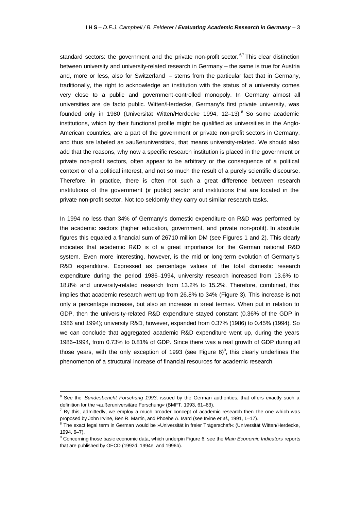standard sectors: the government and the private non-profit sector. <sup>6,7</sup> This clear distinction between university and university-related research in Germany – the same is true for Austria and, more or less, also for Switzerland – stems from the particular fact that in Germany, traditionally, the right to acknowledge an institution with the status of a university comes very close to a public and government-controlled monopoly. In Germany almost all universities are de facto public. Witten/Herdecke, Germany's first private university, was founded only in 1980 (Universität Witten/Herdecke 1994, 12–13).<sup>8</sup> So some academic institutions, which by their functional profile might be qualified as universities in the Anglo-American countries, are a part of the government or private non-profit sectors in Germany, and thus are labeled as »außeruniversitär«, that means university-related. We should also add that the reasons, why now a specific research institution is placed in the government or private non-profit sectors, often appear to be arbitrary or the consequence of a political context or of a political interest, and not so much the result of a purely scientific discourse. Therefore, in practice, there is often not such a great difference between research institutions of the government (or public) sector and institutions that are located in the private non-profit sector. Not too seldomly they carry out similar research tasks.

In 1994 no less than 34% of Germany's domestic expenditure on R&D was performed by the academic sectors (higher education, government, and private non-profit). In absolute figures this equaled a financial sum of 26710 million DM (see Figures 1 and 2). This clearly indicates that academic R&D is of a great importance for the German national R&D system. Even more interesting, however, is the mid or long-term evolution of Germany's R&D expenditure. Expressed as percentage values of the total domestic research expenditure during the period 1986–1994, university research increased from 13.6% to 18.8% and university-related research from 13.2% to 15.2%. Therefore, combined, this implies that academic research went up from 26.8% to 34% (Figure 3). This increase is not only a percentage increase, but also an increase in »real terms«. When put in relation to GDP, then the university-related R&D expenditure stayed constant (0.36% of the GDP in 1986 and 1994); university R&D, however, expanded from 0.37% (1986) to 0.45% (1994). So we can conclude that aggregated academic R&D expenditure went up, during the years 1986–1994, from 0.73% to 0.81% of GDP. Since there was a real growth of GDP during all those years, with the only exception of 1993 (see Figure 6)<sup>9</sup>, this clearly underlines the phenomenon of a structural increase of financial resources for academic research.

<sup>6</sup> See the *Bundesbericht Forschung 1993,* issued by the German authorities, that offers exactly such a definition for the »außeruniversitäre Forschung« (BMFT, 1993, 61–63).

 $^7$  By this, admittedly, we employ a much broader concept of academic research then the one which was proposed by John Irvine, Ben R. Martin, and Phoebe A. Isard (see Irvine *et al.*, 1991, 1–17).

<sup>&</sup>lt;sup>8</sup> The exact legal term in German would be »Universität in freier Trägerschaft« (Universität Witten/Herdecke, 1994, 6–7).

<sup>9</sup> Concerning those basic economic data, which underpin Figure 6, see the *Main Economic Indicators* reports that are published by OECD (1992d, 1994e, and 1996b).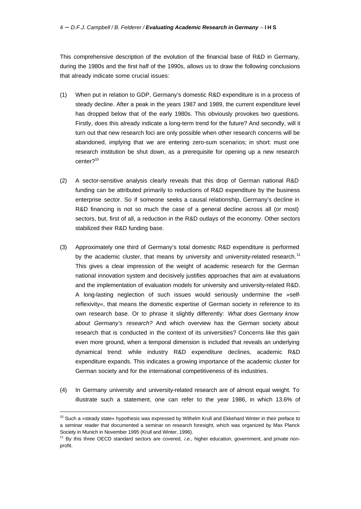#### 4 – *D.F.J. Campbell / B. Felderer / Evaluating Academic Research in Germany* – **I H S**

This comprehensive description of the evolution of the financial base of R&D in Germany, during the 1980s and the first half of the 1990s, allows us to draw the following conclusions that already indicate some crucial issues:

- (1) When put in relation to GDP, Germany's domestic R&D expenditure is in a process of steady decline. After a peak in the years 1987 and 1989, the current expenditure level has dropped below that of the early 1980s. This obviously provokes two questions. Firstly, does this already indicate a long-term trend for the future? And secondly, will it turn out that new research foci are only possible when other research concerns will be abandoned, implying that we are entering zero-sum scenarios; in short: must one research institution be shut down, as a prerequisite for opening up a new research center?<sup>10</sup>
- (2) A sector-sensitive analysis clearly reveals that this drop of German national R&D funding can be attributed primarily to reductions of R&D expenditure by the business enterprise sector. So if someone seeks a causal relationship, Germany's decline in R&D financing is not so much the case of a general decline across all (or most) sectors, but, first of all, a reduction in the R&D outlays of the economy. Other sectors stabilized their R&D funding base.
- (3) Approximately one third of Germany's total domestic R&D expenditure is performed by the academic cluster, that means by university and university-related research.<sup>11</sup> This gives a clear impression of the weight of academic research for the German national innovation system and decisively justifies approaches that aim at evaluations and the implementation of evaluation models for university and university-related R&D. A long-lasting neglection of such issues would seriously undermine the »selfreflexivity«, that means the domestic expertise of German society in reference to its own research base. Or to phrase it slightly differently: *What does Germany know about Germany's research?* And which overview has the German society about research that is conducted in the context of its universities? Concerns like this gain even more ground, when a temporal dimension is included that reveals an underlying dynamical trend: while industry R&D expenditure declines, academic R&D expenditure expands. This indicates a growing importance of the academic cluster for German society and for the international competitiveness of its industries.
- (4) In Germany university and university-related research are of almost equal weight. To illustrate such a statement, one can refer to the year 1986, in which 13.6% of

<sup>&</sup>lt;sup>10</sup> Such a »steady state« hypothesis was expressed by Wilhelm Krull and Ekkehard Winter in their preface to a seminar reader that documented a seminar on research foresight, which was organized by Max Planck Society in Munich in November 1995 (Krull and Winter, 1996).

<sup>11</sup> By this three OECD standard sectors are covered, *i.e.,* higher education, government, and private nonprofit.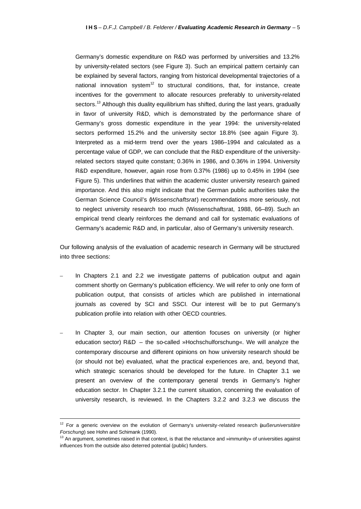Germany's domestic expenditure on R&D was performed by universities and 13.2% by university-related sectors (see Figure 3). Such an empirical pattern certainly can be explained by several factors, ranging from historical developmental trajectories of a national innovation system<sup>12</sup> to structural conditions, that, for instance, create incentives for the government to allocate resources preferably to university-related sectors.<sup>13</sup> Although this duality equilibrium has shifted, during the last years, gradually in favor of university R&D, which is demonstrated by the performance share of Germany's gross domestic expenditure in the year 1994: the university-related sectors performed 15.2% and the university sector 18.8% (see again Figure 3). Interpreted as a mid-term trend over the years 1986–1994 and calculated as a percentage value of GDP, we can conclude that the R&D expenditure of the universityrelated sectors stayed quite constant; 0.36% in 1986, and 0.36% in 1994. University R&D expenditure, however, again rose from 0.37% (1986) up to 0.45% in 1994 (see Figure 5). This underlines that within the academic cluster university research gained importance. And this also might indicate that the German public authorities take the German Science Council's (*Wissenschaftsrat*) recommendations more seriously, not to neglect university research too much (Wissenschaftsrat, 1988, 66–89). Such an empirical trend clearly reinforces the demand and call for systematic evaluations of Germany's academic R&D and, in particular, also of Germany's university research.

Our following analysis of the evaluation of academic research in Germany will be structured into three sections:

- In Chapters 2.1 and 2.2 we investigate patterns of publication output and again comment shortly on Germany's publication efficiency. We will refer to only one form of publication output, that consists of articles which are published in international journals as covered by SCI and SSCI. Our interest will be to put Germany's publication profile into relation with other OECD countries.
- In Chapter 3, our main section, our attention focuses on university (or higher education sector) R&D – the so-called »Hochschulforschung«. We will analyze the contemporary discourse and different opinions on how university research should be (or should not be) evaluated, what the practical experiences are, and, beyond that, which strategic scenarios should be developed for the future. In Chapter 3.1 we present an overview of the contemporary general trends in Germany's higher education sector. In Chapter 3.2.1 the current situation, concerning the evaluation of university research, is reviewed. In the Chapters 3.2.2 and 3.2.3 we discuss the

 $\overline{a}$ 

<sup>12</sup> For a generic overview on the evolution of Germany's university-related research (*außeruniversitäre Forschung*) see Hohn and Schimank (1990).

 $13$  An argument, sometimes raised in that context, is that the reluctance and »immunity» of universities against influences from the outside also deterred potential (public) funders.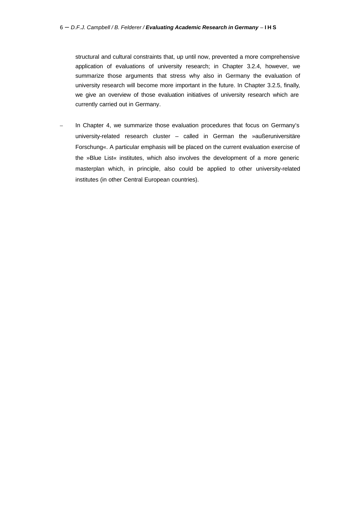structural and cultural constraints that, up until now, prevented a more comprehensive application of evaluations of university research; in Chapter 3.2.4, however, we summarize those arguments that stress why also in Germany the evaluation of university research will become more important in the future. In Chapter 3.2.5, finally, we give an overview of those evaluation initiatives of university research which are currently carried out in Germany.

In Chapter 4, we summarize those evaluation procedures that focus on Germany's university-related research cluster – called in German the »außeruniversitäre Forschung«. A particular emphasis will be placed on the current evaluation exercise of the »Blue List« institutes, which also involves the development of a more generic masterplan which, in principle, also could be applied to other university-related institutes (in other Central European countries).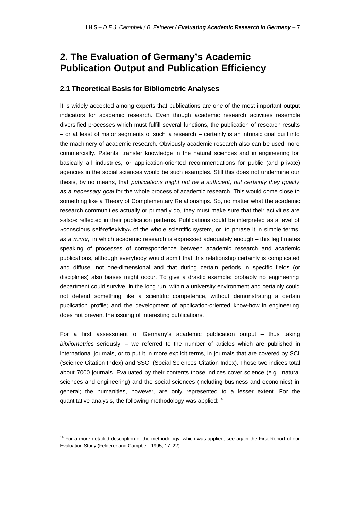## **2. The Evaluation of Germany's Academic Publication Output and Publication Efficiency**

### **2.1 Theoretical Basis for Bibliometric Analyses**

It is widely accepted among experts that publications are one of the most important output indicators for academic research. Even though academic research activities resemble diversified processes which must fulfill several functions, the publication of research results – or at least of major segments of such a research – certainly is an intrinsic goal built into the machinery of academic research. Obviously academic research also can be used more commercially. Patents, transfer knowledge in the natural sciences and in engineering for basically all industries, or application-oriented recommendations for public (and private) agencies in the social sciences would be such examples. Still this does not undermine our thesis, by no means, that *publications might not be a sufficient, but certainly they qualify as a necessary goal* for the whole process of academic research. This would come close to something like a Theory of Complementary Relationships. So, no matter what the academic research communities actually or primarily do, they must make sure that their activities are »also« reflected in their publication patterns. Publications could be interpreted as a level of »conscious self-reflexivity« of the whole scientific system, or, to phrase it in simple terms, *as a mirror,* in which academic research is expressed adequately enough – this legitimates speaking of processes of correspondence between academic research and academic publications, although everybody would admit that this relationship certainly is complicated and diffuse, not one-dimensional and that during certain periods in specific fields (or disciplines) also biases might occur. To give a drastic example: probably no engineering department could survive, in the long run, within a university environment and certainly could not defend something like a scientific competence, without demonstrating a certain publication profile; and the development of application-oriented know-how in engineering does not prevent the issuing of interesting publications.

For a first assessment of Germany's academic publication output – thus taking *bibliometrics* seriously – we referred to the number of articles which are published in international journals, or to put it in more explicit terms, in journals that are covered by SCI (Science Citation Index) and SSCI (Social Sciences Citation Index). Those two indices total about 7000 journals. Evaluated by their contents those indices cover science (e.g., natural sciences and engineering) and the social sciences (including business and economics) in general; the humanities, however, are only represented to a lesser extent. For the quantitative analysis, the following methodology was applied:  $14$ 

<sup>&</sup>lt;sup>14</sup> For a more detailed description of the methodology, which was applied, see again the First Report of our Evaluation Study (Felderer and Campbell, 1995, 17–22).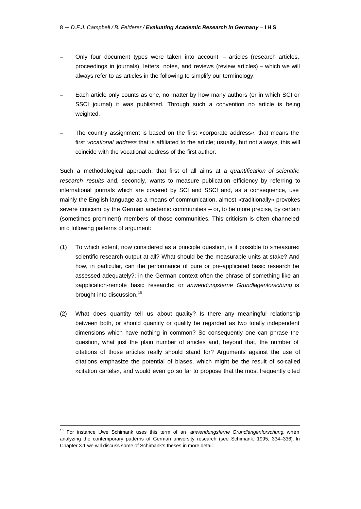- Only four document types were taken into account articles (research articles, proceedings in journals), letters, notes, and reviews (review articles) – which we will always refer to as articles in the following to simplify our terminology.
- Each article only counts as one, no matter by how many authors (or in which SCI or SSCI journal) it was published. Through such a convention no article is being weighted.
- The country assignment is based on the first »corporate address«, that means the first *vocational address* that is affiliated to the article; usually, but not always, this will coincide with the vocational address of the first author.

Such a methodological approach, that first of all aims at a *quantification of scientific research results* and, secondly, wants to measure publication efficiency by referring to international journals which are covered by SCI and SSCI and, as a consequence, use mainly the English language as a means of communication, almost »traditionally« provokes severe criticism by the German academic communities – or, to be more precise, by certain (sometimes prominent) members of those communities. This criticism is often channeled into following patterns of argument:

- (1) To which extent, now considered as a principle question, is it possible to »measure« scientific research output at all? What should be the measurable units at stake? And how, in particular, can the performance of pure or pre-applicated basic research be assessed adequately?; in the German context often the phrase of something like an »application-remote basic research« or *anwendungsferne Grundlagenforschung* is brought into discussion.<sup>15</sup>
- (2) What does quantity tell us about quality? Is there any meaningful relationship between both, or should quantity or quality be regarded as two totally independent dimensions which have nothing in common? So consequently one can phrase the question, what just the plain number of articles and, beyond that, the number of citations of those articles really should stand for? Arguments against the use of citations emphasize the potential of biases, which might be the result of so-called »citation cartels«, and would even go so far to propose that the most frequently cited

<sup>15</sup> For instance Uwe Schimank uses this term of an *anwendungsferne Grundlangenforschung,* when analyzing the contemporary patterns of German university research (see Schimank, 1995, 334–336). In Chapter 3.1 we will discuss some of Schimank's theses in more detail.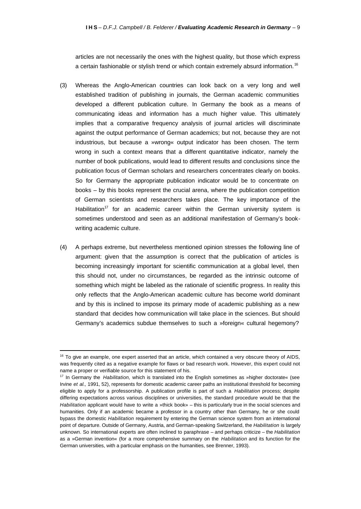articles are not necessarily the ones with the highest quality, but those which express a certain fashionable or stylish trend or which contain extremely absurd information.<sup>16</sup>

- (3) Whereas the Anglo-American countries can look back on a very long and well established tradition of publishing in journals, the German academic communities developed a different publication culture. In Germany the book as a means of communicating ideas and information has a much higher value. This ultimately implies that a comparative frequency analysis of journal articles will discriminate against the output performance of German academics; but not, because they are not industrious, but because a »wrong« output indicator has been chosen. The term wrong in such a context means that a different quantitative indicator, namely the number of book publications, would lead to different results and conclusions since the publication focus of German scholars and researchers concentrates clearly on books. So for Germany the appropriate publication indicator would be to concentrate on books – by this books represent the crucial arena, where the publication competition of German scientists and researchers takes place. The key importance of the Habilitation<sup>17</sup> for an academic career within the German university system is sometimes understood and seen as an additional manifestation of Germany's bookwriting academic culture.
- (4) A perhaps extreme, but nevertheless mentioned opinion stresses the following line of argument: given that the assumption is correct that the publication of articles is becoming increasingly important for scientific communication at a global level, then this should not, under no circumstances, be regarded as the intrinsic outcome of something which might be labeled as the rationale of scientific progress. In reality this only reflects that the Anglo-American academic culture has become world dominant and by this is inclined to impose its primary mode of academic publishing as a new standard that decides how communication will take place in the sciences. But should Germany's academics subdue themselves to such a »foreign« cultural hegemony?

 $16$  To give an example, one expert asserted that an article, which contained a very obscure theory of AIDS, was frequently cited as a negative example for flaws or bad research work. However, this expert could not name a proper or verifiable source for this statement of his.

<sup>17</sup> In Germany the *Habilitation,* which is translated into the English sometimes as »higher doctorate« (see Irvine *et al.,* 1991, 52), represents for domestic academic career paths an institutional threshold for becoming eligible to apply for a professorship. A publication profile is part of such a *Habilitation* process; despite differing expectations across various disciplines or universities, the standard procedure would be that the *Habilitation* applicant would have to write a »thick book» – this is particularly true in the social sciences and humanities. Only if an academic became a professor in a country other than Germany, he or she could bypass the domestic *Habilitation* requirement by entering the German science system from an international point of departure. Outside of Germany, Austria, and German-speaking Switzerland, the *Habilitation* is largely unknown. So international experts are often inclined to paraphrase – and perhaps criticize – the *Habilitation* as a »German invention« (for a more comprehensive summary on the *Habilitation* and its function for the German universities, with a particular emphasis on the humanities, see Brenner, 1993).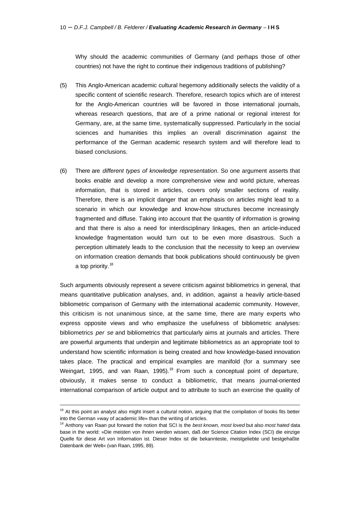Why should the academic communities of Germany (and perhaps those of other countries) not have the right to continue their indigenous traditions of publishing?

- (5) This Anglo-American academic cultural hegemony additionally selects the validity of a specific content of scientific research. Therefore, research topics which are of interest for the Anglo-American countries will be favored in those international journals, whereas research questions, that are of a prime national or regional interest for Germany, are, at the same time, systematically suppressed. Particularly in the social sciences and humanities this implies an overall discrimination against the performance of the German academic research system and will therefore lead to biased conclusions.
- (6) There are *different types of knowledge representation*. So one argument asserts that books enable and develop a more comprehensive view and world picture, whereas information, that is stored in articles, covers only smaller sections of reality. Therefore, there is an implicit danger that an emphasis on articles might lead to a scenario in which our knowledge and know-how structures become increasingly fragmented and diffuse. Taking into account that the quantity of information is growing and that there is also a need for interdisciplinary linkages, then an article-induced knowledge fragmentation would turn out to be even more disastrous. Such a perception ultimately leads to the conclusion that the necessity to keep an overview on information creation demands that book publications should continuously be given a top priority.<sup>18</sup>

Such arguments obviously represent a severe criticism against bibliometrics in general, that means quantitative publication analyses, and, in addition, against a heavily article-based bibliometric comparison of Germany with the international academic community. However, this criticism is not unanimous since, at the same time, there are many experts who express opposite views and who emphasize the usefulness of bibliometric analyses: bibliometrics *per se* and bibliometrics that particularly aims at journals and articles. There are powerful arguments that underpin and legitimate bibliometrics as an appropriate tool to understand how scientific information is being created and how knowledge-based innovation takes place. The practical and empirical examples are manifold (for a summary see Weingart, 1995, and van Raan, 1995).<sup>19</sup> From such a conceptual point of departure, obviously, it makes sense to conduct a bibliometric, that means journal-oriented international comparison of article output and to attribute to such an exercise the quality of

 $18$  At this point an analyst also might insert a cultural notion, arguing that the compilation of books fits better into the German »way of academic life» than the writing of articles.

<sup>19</sup> Anthony van Raan put forward the notion that SCI is the *best known, most loved* but also *most hated* data base in the world: »Die meisten von ihnen werden wissen, daß der Science Citation Index (SCI) die einzige Quelle für diese Art von Information ist. Dieser Index ist die bekannteste, meistgeliebte und bestgehaßte Datenbank der Welt« (van Raan, 1995, 89).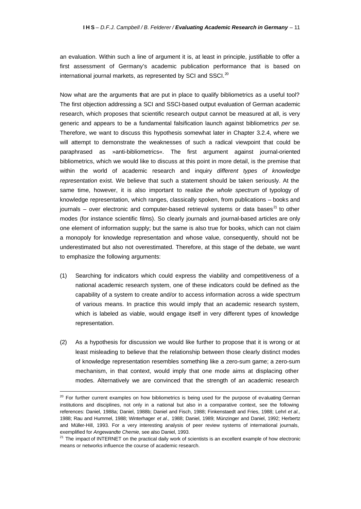an evaluation. Within such a line of argument it is, at least in principle, justifiable to offer a first assessment of Germany's academic publication performance that is based on international journal markets, as represented by SCI and SSCI.<sup>20</sup>

Now what are the arguments that are put in place to qualify bibliometrics as a useful tool? The first objection addressing a SCI and SSCI-based output evaluation of German academic research, which proposes that scientific research output cannot be measured at all, is very generic and appears to be a fundamental falsification launch against bibliometrics *per se*. Therefore, we want to discuss this hypothesis somewhat later in Chapter 3.2.4, where we will attempt to demonstrate the weaknesses of such a radical viewpoint that could be paraphrased as »anti-bibliometrics«. The first argument against journal-oriented bibliometrics, which we would like to discuss at this point in more detail, is the premise that within the world of academic research and inquiry *different types of knowledge representation* exist. We believe that such a statement should be taken seriously. At the same time, however, it is also important to realize *the whole spectrum* of typology of knowledge representation, which ranges, classically spoken, from publications – books and journals – over electronic and computer-based retrieval systems or data bases<sup>21</sup> to other modes (for instance scientific films). So clearly journals and journal-based articles are only one element of information supply; but the same is also true for books, which can not claim a monopoly for knowledge representation and whose value, consequently, should not be underestimated but also not overestimated. Therefore, at this stage of the debate, we want to emphasize the following arguments:

- (1) Searching for indicators which could express the viability and competitiveness of a national academic research system, one of these indicators could be defined as the capability of a system to create and/or to access information across a wide spectrum of various means. In practice this would imply that an academic research system, which is labeled as viable, would engage itself in very different types of knowledge representation.
- (2) As a hypothesis for discussion we would like further to propose that it is wrong or at least misleading to believe that the relationship between those clearly distinct modes of knowledge representation resembles something like a zero-sum game; a zero-sum mechanism, in that context, would imply that one mode aims at displacing other modes. Alternatively we are convinced that the strength of an academic research

<sup>&</sup>lt;sup>20</sup> For further current examples on how bibliometrics is being used for the purpose of evaluating German institutions and disciplines, not only in a national but also in a comparative context, see the following references: Daniel, 1988a; Daniel, 1988b; Daniel and Fisch, 1988; Finkenstaedt and Fries, 1988; Lehrl *et al.,* 1988; Rau and Hummel, 1988; Winterhager *et al.,* 1988; Daniel, 1989; Münzinger and Daniel, 1992; Herbertz and Müller-Hill, 1993. For a very interesting analysis of peer review systems of international journals, exemplified for *Angewandte Chemie,* see also Daniel, 1993.

<sup>&</sup>lt;sup>21</sup> The impact of INTERNET on the practical daily work of scientists is an excellent example of how electronic means or networks influence the course of academic research.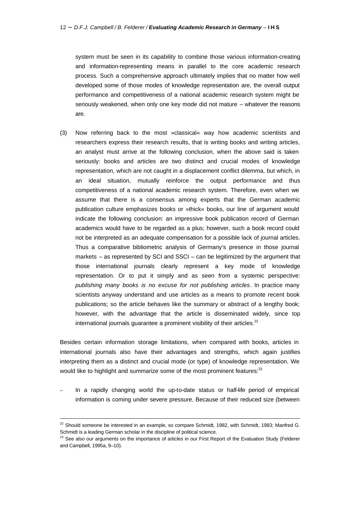system must be seen in its capability to combine those various information-creating and information-representing means in parallel to the core academic research process. Such a comprehensive approach ultimately implies that no matter how well developed some of those modes of knowledge representation are, the overall output performance and competitiveness of a national academic research system might be seriously weakened, when only one key mode did not mature – whatever the reasons are.

(3) Now referring back to the most »classical« way how academic scientists and researchers express their research results, that is writing books and writing articles, an analyst must arrive at the following conclusion, when the above said is taken seriously: books and articles are two distinct and crucial modes of knowledge representation, which are not caught in a displacement conflict dilemma, but which, in an ideal situation, mutually reinforce the output performance and thus competitiveness of a national academic research system. Therefore, even when we assume that there is a consensus among experts that the German academic publication culture emphasizes books or »thick« books, our line of argument would indicate the following conclusion: an impressive book publication record of German academics would have to be regarded as a plus; however, such a book record could not be interpreted as an adequate compensation for a possible lack of journal articles. Thus a comparative bibliometric analysis of Germany's presence in those journal markets – as represented by SCI and SSCI – can be legitimized by the argument that those international journals clearly represent a key mode of knowledge representation. Or to put it simply and as seen from a systemic perspective: *publishing many books is no excuse for not publishing articles*. In practice many scientists anyway understand and use articles as a means to promote recent book publications; so the article behaves like the summary or abstract of a lengthy book; however, with the advantage that the article is disseminated widely, since top international journals guarantee a prominent visibility of their articles.<sup>22</sup>

Besides certain information storage limitations, when compared with books, articles in international journals also have their advantages and strengths, which again justifies interpreting them as a distinct and crucial mode (or type) of knowledge representation. We would like to highlight and summarize some of the most prominent features:<sup>23</sup>

– In a rapidly changing world the up-to-date status or half-life period of empirical information is coming under severe pressure. Because of their reduced size (between

 $\overline{a}$ 

<sup>&</sup>lt;sup>22</sup> Should someone be interested in an example, so compare Schmidt, 1982, with Schmidt, 1983; Manfred G. Schmidt is a leading German scholar in the discipline of political science.

 $23$  See also our arguments on the importance of articles in our First Report of the Evaluation Study (Felderer and Campbell, 1995a, 9–10).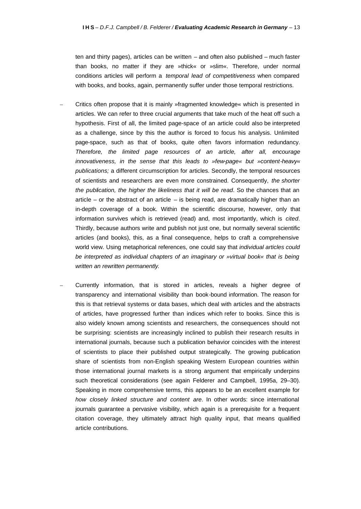ten and thirty pages), articles can be written – and often also published – much faster than books, no matter if they are »thick« or »slim«. Therefore, under normal conditions articles will perform a *temporal lead of competitiveness* when compared with books, and books, again, permanently suffer under those temporal restrictions.

- Critics often propose that it is mainly »fragmented knowledge« which is presented in articles. We can refer to three crucial arguments that take much of the heat off such a hypothesis. First of all, the limited page-space of an article could also be interpreted as a challenge, since by this the author is forced to focus his analysis. Unlimited page-space, such as that of books, quite often favors information redundancy. *Therefore, the limited page resources of an article, after all, encourage innovativeness, in the sense that this leads to »few-page« but »content-heavy« publications;* a different circumscription for articles. Secondly, the temporal resources of scientists and researchers are even more constrained. Consequently, *the shorter the publication, the higher the likeliness that it will be read*. So the chances that an article – or the abstract of an article – is being read, are dramatically higher than an in-depth coverage of a book. Within the scientific discourse, however, only that information survives which is retrieved (read) and, most importantly, which is *cited*. Thirdly, because authors write and publish not just one, but normally several scientific articles (and books), this, as a final consequence, helps to craft a comprehensive world view. Using metaphorical references, one could say that *individual articles could be interpreted as individual chapters of an imaginary or »virtual book« that is being written an rewritten permanently*.
- Currently information, that is stored in articles, reveals a higher degree of transparency and international visibility than book-bound information. The reason for this is that retrieval systems or data bases, which deal with articles and the abstracts of articles, have progressed further than indices which refer to books. Since this is also widely known among scientists and researchers, the consequences should not be surprising: scientists are increasingly inclined to publish their research results in international journals, because such a publication behavior coincides with the interest of scientists to place their published output strategically. The growing publication share of scientists from non-English speaking Western European countries within those international journal markets is a strong argument that empirically underpins such theoretical considerations (see again Felderer and Campbell, 1995a, 29–30). Speaking in more comprehensive terms, this appears to be an excellent example for *how closely linked structure and content are*. In other words: since international journals guarantee a pervasive visibility, which again is a prerequisite for a frequent citation coverage, they ultimately attract high quality input, that means qualified article contributions.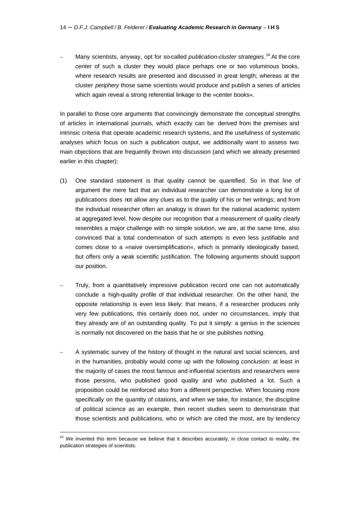– Many scientists, anyway, opt for so-called *publication-cluster strategies*. <sup>24</sup> At the core *center* of such a cluster they would place perhaps one or two voluminous books, where research results are presented and discussed in great length; whereas at the cluster *periphery* those same scientists would produce and publish a series of articles which again reveal a strong referential linkage to the »center books«.

In parallel to those core arguments that convincingly demonstrate the conceptual strengths of articles in international journals, which exactly can be derived from the premises and intrinsic criteria that operate academic research systems, and the usefulness of systematic analyses which focus on such a publication output, we additionally want to assess two main objections that are frequently thrown into discussion (and which we already presented earlier in this chapter):

- (1) One standard statement is that quality cannot be quantified. So in that line of argument the mere fact that an individual researcher can demonstrate a long list of publications does not allow any clues as to the quality of his or her writings; and from the individual researcher often an analogy is drawn for the national academic system at aggregated level. Now despite our recognition that a measurement of quality clearly resembles a major challenge with no simple solution, we are, at the same time, also convinced that a total condemnation of such attempts is even less justifiable and comes close to a »naive oversimplification«, which is primarily ideologically based, but offers only a weak scientific justification. The following arguments should support our position.
- Truly, from a quantitatively impressive publication record one can not automatically conclude a high-quality profile of that individual researcher. On the other hand, the opposite relationship is even less likely: that means, if a researcher produces only very few publications, this certainly does not, under no circumstances, imply that they already are of an outstanding quality. To put it simply: a genius in the sciences is normally not discovered on the basis that he or she publishes nothing.
- A systematic survey of the history of thought in the natural and social sciences, and in the humanities, probably would come up with the following conclusion: at least in the majority of cases the most famous and influential scientists and researchers were those persons, who published good quality and who published a lot. Such a proposition could be reinforced also from a different perspective. When focusing more specifically on the quantity of citations, and when we take, for instance, the discipline of political science as an example, then recent studies seem to demonstrate that those scientists and publications, who or which are cited the most, are by tendency

 $24$  We invented this term because we believe that it describes accurately, in close contact to reality, the publication strategies of scientists.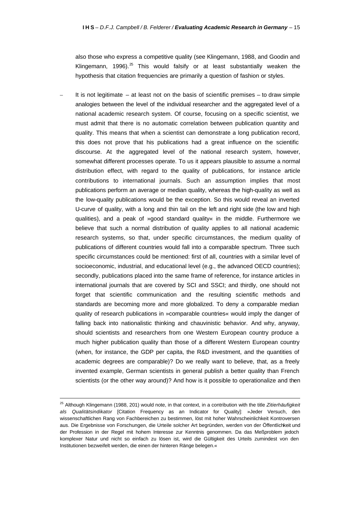also those who express a competitive quality (see Klingemann, 1988, and Goodin and Klingemann, 1996).<sup>25</sup> This would falsify or at least substantially weaken the hypothesis that citation frequencies are primarily a question of fashion or styles.

It is not legitimate  $-$  at least not on the basis of scientific premises  $-$  to draw simple analogies between the level of the individual researcher and the aggregated level of a national academic research system. Of course, focusing on a specific scientist, we must admit that there is no automatic correlation between publication quantity and quality. This means that when a scientist can demonstrate a long publication record, this does not prove that his publications had a great influence on the scientific discourse. At the aggregated level of the national research system, however, somewhat different processes operate. To us it appears plausible to assume a normal distribution effect, with regard to the quality of publications, for instance article contributions to international journals. Such an assumption implies that most publications perform an average or median quality, whereas the high-quality as well as the low-quality publications would be the exception. So this would reveal an inverted U-curve of quality, with a long and thin tail on the left and right side (the low and high qualities), and a peak of »good standard quality« in the middle. Furthermore we believe that such a normal distribution of quality applies to all national academic research systems, so that, under specific circumstances, the medium quality of publications of different countries would fall into a comparable spectrum. Three such specific circumstances could be mentioned: first of all, countries with a similar level of socioeconomic, industrial, and educational level (e.g., the advanced OECD countries); secondly, publications placed into the same frame of reference, for instance articles in international journals that are covered by SCI and SSCI; and thirdly, one should not forget that scientific communication and the resulting scientific methods and standards are becoming more and more globalized. To deny a comparable median quality of research publications in »comparable countries« would imply the danger of falling back into nationalistic thinking and chauvinistic behavior. And why, anyway, should scientists and researchers from one Western European country produce a much higher publication quality than those of a different Western European country (when, for instance, the GDP per capita, the R&D investment, and the quantities of academic degrees are comparable)? Do we really want to believe, that, as a freely invented example, German scientists in general publish a better quality than French scientists (or the other way around)? And how is it possible to operationalize and then

<sup>25</sup> Although Klingemann (1988, 201) would note, in that context, in a contribution with the title *Zitierhäufigkeit als Qualitätsindikator* [Citation Frequency as an Indicator for Quality]: »Jeder Versuch, den wissenschaftlichen Rang von Fachbereichen zu bestimmen, löst mit hoher Wahrscheinlichkeit Kontroversen aus. Die Ergebnisse von Forschungen, die Urteile solcher Art begründen, werden von der Öffentlichkeit und der Profession in der Regel mit hohem Interesse zur Kenntnis genommen. Da das Meßproblem jedoch komplexer Natur und nicht so einfach zu lösen ist, wird die Gültigkeit des Urteils zumindest von den Institutionen bezweifelt werden, die einen der hinteren Ränge belegen.«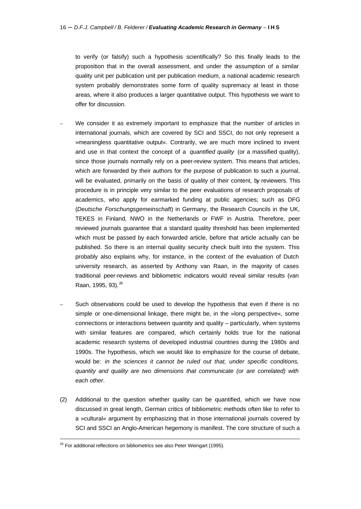to verify (or falsify) such a hypothesis scientifically? So this finally leads to the proposition that in the overall assessment, and under the assumption of a similar quality unit per publication unit per publication medium, a national academic research system probably demonstrates some form of quality supremacy at least in those areas, where it also produces a larger quantitative output. This hypothesis we want to offer for discussion.

- We consider it as extremely important to emphasize that the number of articles in international journals, which are covered by SCI and SSCI, do not only represent a »meaningless quantitative output«. Contrarily, we are much more inclined to invent and use in that context the concept of a *quantified quality* (or a massified quality), since those journals normally rely on a peer-review system. This means that articles, which are forwarded by their authors for the purpose of publication to such a journal, will be evaluated, primarily on the basis of quality of their content, by reviewers. This procedure is in principle very similar to the peer evaluations of research proposals of academics, who apply for earmarked funding at public agencies; such as DFG (*Deutsche Forschungsgemeinschaft*) in Germany, the Research Councils in the UK, TEKES in Finland, NWO in the Netherlands or FWF in Austria. Therefore, peer reviewed journals guarantee that a standard quality threshold has been implemented which must be passed by each forwarded article, before that article actually can be published. So there is an internal quality security check built into the system. This probably also explains why, for instance, in the context of the evaluation of Dutch university research, as asserted by Anthony van Raan, in the majority of cases traditional peer-reviews and bibliometric indicators would reveal similar results (van Raan, 1995, 93).<sup>26</sup>
- Such observations could be used to develop the hypothesis that even if there is no simple or one-dimensional linkage, there might be, in the »long perspective«, some connections or interactions between quantity and quality – particularly, when systems with similar features are compared, which certainly holds true for the national academic research systems of developed industrial countries during the 1980s and 1990s. The hypothesis, which we would like to emphasize for the course of debate, would be: *in the sciences it cannot be ruled out that, under specific conditions, quantity and quality are two dimensions that communicate (or are correlated) with each other*.
- (2) Additional to the question whether quality can be quantified, which we have now discussed in great length, German critics of bibliometric methods often like to refer to a »cultural« argument by emphasizing that in those international journals covered by SCI and SSCI an Anglo-American hegemony is manifest. The core structure of such a

<sup>&</sup>lt;sup>26</sup> For additional reflections on bibliometrics see also Peter Weingart (1995).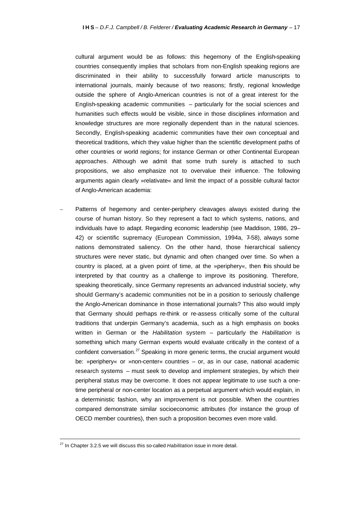cultural argument would be as follows: this hegemony of the English-speaking countries consequently implies that scholars from non-English speaking regions are discriminated in their ability to successfully forward article manuscripts to international journals, mainly because of two reasons; firstly, regional knowledge outside the sphere of Anglo-American countries is not of a great interest for the English-speaking academic communities – particularly for the social sciences and humanities such effects would be visible, since in those disciplines information and knowledge structures are more regionally dependent than in the natural sciences. Secondly, English-speaking academic communities have their own conceptual and theoretical traditions, which they value higher than the scientific development paths of other countries or world regions; for instance German or other Continental European approaches. Although we admit that some truth surely is attached to such propositions, we also emphasize not to overvalue their influence. The following arguments again clearly »relativate« and limit the impact of a possible cultural factor of Anglo-American academia:

– Patterns of hegemony and center-periphery cleavages always existed during the course of human history. So they represent a fact to which systems, nations, and individuals have to adapt. Regarding economic leadership (see Maddison, 1986, 29– 42) or scientific supremacy (European Commission, 1994a, 7–58), always some nations demonstrated saliency. On the other hand, those hierarchical saliency structures were never static, but dynamic and often changed over time. So when a country is placed, at a given point of time, at the »periphery«, then this should be interpreted by that country as a challenge to improve its positioning. Therefore, speaking theoretically, since Germany represents an advanced industrial society, why should Germany's academic communities not be in a position to seriously challenge the Anglo-American dominance in those international journals? This also would imply that Germany should perhaps re-think or re-assess critically some of the cultural traditions that underpin Germany's academia, such as a high emphasis on books written in German or the *Habilitation* system – particularly the *Habilitation* is something which many German experts would evaluate critically in the context of a confident conversation.<sup>27</sup> Speaking in more generic terms, the crucial argument would be: »periphery« or »non-center« countries – or, as in our case, national academic research systems – must seek to develop and implement strategies, by which their peripheral status may be overcome. It does not appear legitimate to use such a onetime peripheral or non-center location as a perpetual argument which would explain, in a deterministic fashion, why an improvement is not possible. When the countries compared demonstrate similar socioeconomic attributes (for instance the group of OECD member countries), then such a proposition becomes even more valid.

<sup>27</sup> In Chapter 3.2.5 we will discuss this so-called *Habilitation* issue in more detail.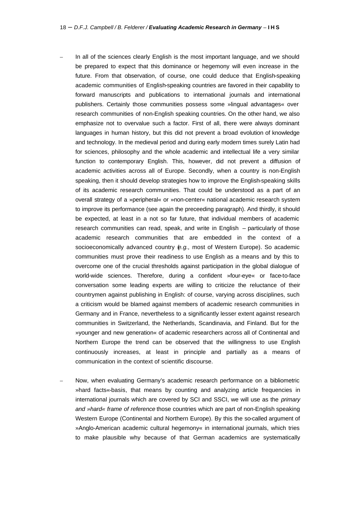- In all of the sciences clearly English is the most important language, and we should be prepared to expect that this dominance or hegemony will even increase in the future. From that observation, of course, one could deduce that English-speaking academic communities of English-speaking countries are favored in their capability to forward manuscripts and publications to international journals and international publishers. Certainly those communities possess some »lingual advantages« over research communities of non-English speaking countries. On the other hand, we also emphasize not to overvalue such a factor. First of all, there were always dominant languages in human history, but this did not prevent a broad evolution of knowledge and technology. In the medieval period and during early modern times surely Latin had for sciences, philosophy and the whole academic and intellectual life a very similar function to contemporary English. This, however, did not prevent a diffusion of academic activities across all of Europe. Secondly, when a country is non-English speaking, then it should develop strategies how to improve the English-speaking skills of its academic research communities. That could be understood as a part of an overall strategy of a »peripheral« or »non-center« national academic research system to improve its performance (see again the preceeding paragraph). And thirdly, it should be expected, at least in a not so far future, that individual members of academic research communities can read, speak, and write in English – particularly of those academic research communities that are embedded in the context of a socioeconomically advanced country (*e.g.,* most of Western Europe). So academic communities must prove their readiness to use English as a means and by this to overcome one of the crucial thresholds against participation in the global dialogue of world-wide sciences. Therefore, during a confident »four-eye« or face-to-face conversation some leading experts are willing to criticize the reluctance of their countrymen against publishing in English: of course, varying across disciplines, such a criticism would be blamed against members of academic research communities in Germany and in France, nevertheless to a significantly lesser extent against research communities in Switzerland, the Netherlands, Scandinavia, and Finland. But for the »younger and new generation« of academic researchers across all of Continental and Northern Europe the trend can be observed that the willingness to use English continuously increases, at least in principle and partially as a means of communication in the context of scientific discourse.
- Now, when evaluating Germany's academic research performance on a bibliometric »hard facts«-basis, that means by counting and analyzing article frequencies in international journals which are covered by SCI and SSCI, we will use as the *primary and »hard« frame of reference* those countries which are part of non-English speaking Western Europe (Continental and Northern Europe). By this the so-called argument of »Anglo-American academic cultural hegemony« in international journals, which tries to make plausible why because of that German academics are systematically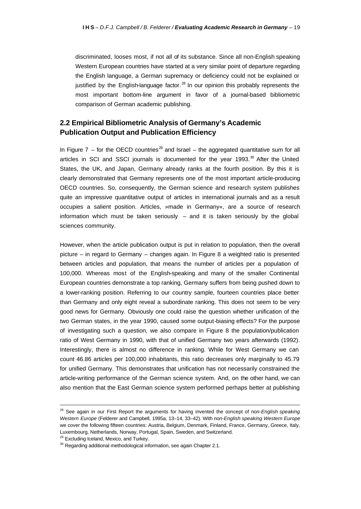discriminated, looses most, if not all of its substance. Since all non-English speaking Western European countries have started at a very similar point of departure regarding the English language, a German supremacy or deficiency could not be explained or justified by the English-language factor. $^{28}$  In our opinion this probably represents the most important bottom-line argument in favor of a journal-based bibliometric comparison of German academic publishing.

### **2.2 Empirical Bibliometric Analysis of Germany's Academic Publication Output and Publication Efficiency**

In Figure 7 – for the OECD countries<sup>29</sup> and Israel – the aggregated quantitative sum for all articles in SCI and SSCI journals is documented for the year 1993. $30$  After the United States, the UK, and Japan, Germany already ranks at the fourth position. By this it is clearly demonstrated that Germany represents one of the most important article-producing OECD countries. So, consequently, the German science and research system publishes quite an impressive quantitative output of articles in international journals and as a result occupies a salient position. Articles, »made in Germany«, are a source of research information which must be taken seriously  $-$  and it is taken seriously by the global sciences community.

However, when the article publication output is put in relation to population, then the overall picture – in regard to Germany – changes again. In Figure 8 a weighted ratio is presented between articles and population, that means the number of articles per a population of 100,000. Whereas most of the English-speaking and many of the smaller Continental European countries demonstrate a top ranking, Germany suffers from being pushed down to a lower-ranking position. Referring to our country sample, fourteen countries place better than Germany and only eight reveal a subordinate ranking. This does not seem to be very good news for Germany. Obviously one could raise the question whether unification of the two German states, in the year 1990, caused some output-biasing effects? For the purpose of investigating such a question, we also compare in Figure 8 the population/publication ratio of West Germany in 1990, with that of unified Germany two years afterwards (1992). Interestingly, there is almost no difference in ranking. While for West Germany we can count 46.86 articles per 100,000 inhabitants, this ratio decreases only marginally to 45.79 for unified Germany. This demonstrates that unification has not necessarily constrained the article-writing performance of the German science system. And, on the other hand, we can also mention that the East German science system performed perhaps better at publishing

<sup>28</sup> See again in our First Report the arguments for having invented the concept of *non-English speaking Western Europe* (Felderer and Campbell, 1995a, 13–14, 33–42). With *non-English speaking Western Europe* we cover the following fifteen countries: Austria, Belgium, Denmark, Finland, France, Germany, Greece, Italy, Luxembourg, Netherlands, Norway, Portugal, Spain, Sweden, and Switzerland.

<sup>&</sup>lt;sup>29</sup> Excluding Iceland, Mexico, and Turkey.

<sup>&</sup>lt;sup>30</sup> Regarding additional methodological information, see again Chapter 2.1.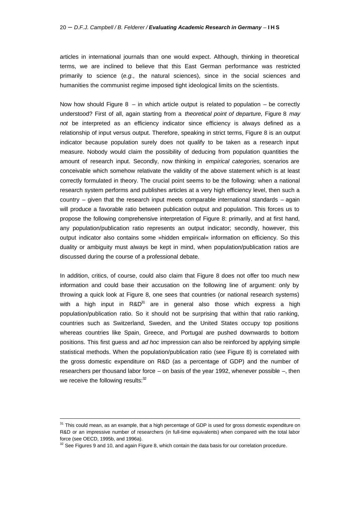articles in international journals than one would expect. Although, thinking in theoretical terms, we are inclined to believe that this East German performance was restricted primarily to science (*e.g.,* the natural sciences), since in the social sciences and humanities the communist regime imposed tight ideological limits on the scientists.

Now how should Figure  $8 - in$  which article output is related to population  $-$  be correctly understood? First of all, again starting from a *theoretical point of departure,* Figure 8 *may not* be interpreted as an efficiency indicator since efficiency is always defined as a relationship of input versus output. Therefore, speaking in strict terms, Figure 8 is an output indicator because population surely does not qualify to be taken as a research input measure. Nobody would claim the possibility of deducing from population quantities the amount of research input. Secondly, now thinking in *empirical categories,* scenarios are conceivable which somehow relativate the validity of the above statement which is at least correctly formulated in theory. The crucial point seems to be the following: when a national research system performs and publishes articles at a very high efficiency level, then such a country – given that the research input meets comparable international standards – again will produce a favorable ratio between publication output and population. This forces us to propose the following comprehensive interpretation of Figure 8: primarily, and at first hand, any population/publication ratio represents an output indicator; secondly, however, this output indicator also contains some »hidden empirical« information on efficiency. So this duality or ambiguity must always be kept in mind, when population/publication ratios are discussed during the course of a professional debate.

In addition, critics, of course, could also claim that Figure 8 does not offer too much new information and could base their accusation on the following line of argument: only by throwing a quick look at Figure 8, one sees that countries (or national research systems) with a high input in  $R\&D^{31}$  are in general also those which express a high population/publication ratio. So it should not be surprising that within that ratio ranking, countries such as Switzerland, Sweden, and the United States occupy top positions whereas countries like Spain, Greece, and Portugal are pushed downwards to bottom positions. This first guess and *ad hoc* impression can also be reinforced by applying simple statistical methods. When the population/publication ratio (see Figure 8) is correlated with the gross domestic expenditure on R&D (as a percentage of GDP) and the number of researchers per thousand labor force – on basis of the year 1992, whenever possible –, then we receive the following results: 32

 $\overline{a}$ 

<sup>&</sup>lt;sup>31</sup> This could mean, as an example, that a high percentage of GDP is used for gross domestic expenditure on R&D or an impressive number of researchers (in full-time equivalents) when compared with the total labor force (see OECD, 1995b, and 1996a).

 $32$  See Figures 9 and 10, and again Figure 8, which contain the data basis for our correlation procedure.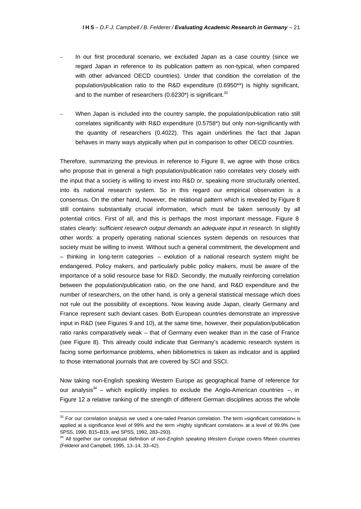- In our first procedural scenario, we excluded Japan as a case country (since we regard Japan in reference to its publication pattern as non-typical, when compared with other advanced OECD countries). Under that condition the correlation of the population/publication ratio to the R&D expenditure (0.6950\*\*) is highly significant, and to the number of researchers  $(0.6230^*)$  is significant.<sup>33</sup>
- When Japan is included into the country sample, the population/publication ratio still correlates significantly with R&D expenditure (0.5758\*) but only non-significantly with the quantity of researchers (0.4022). This again underlines the fact that Japan behaves in many ways atypically when put in comparison to other OECD countries.

Therefore, summarizing the previous in reference to Figure 8, we agree with those critics who propose that in general a high population/publication ratio correlates very closely with the input that a society is willing to invest into R&D or, speaking more structurally oriented, into its national research system. So in this regard our empirical observation is a consensus. On the other hand, however, the relational pattern which is revealed by Figure 8 still contains substantially crucial information, which must be taken seriously by all potential critics. First of all, and this is perhaps the most important message, Figure 8 states clearly: *sufficient research output demands an adequate input in research*. In slightly other words: a properly operating national sciences system depends on resources that society must be willing to invest. Without such a general commitment, the development and – thinking in long-term categories – evolution of a national research system might be endangered. Policy makers, and particularly public policy makers, must be aware of the importance of a solid resource base for R&D. Secondly, the mutually reinforcing correlation between the population/publication ratio, on the one hand, and R&D expenditure and the number of researchers, on the other hand, is only a general statistical message which does not rule out the possibility of exceptions. Now leaving aside Japan, clearly Germany and France represent such deviant cases. Both European countries demonstrate an impressive input in R&D (see Figures 9 and 10), at the same time, however, their population/publication ratio ranks comparatively weak – that of Germany even weaker than in the case of France (see Figure 8). This already could indicate that Germany's academic research system is facing some performance problems, when bibliometrics is taken as indicator and is applied to those international journals that are covered by SCI and SSCI.

Now taking non-English speaking Western Europe as geographical frame of reference for our analysis<sup>34</sup> – which explicitly implies to exclude the Anglo-American countries  $-$ , in Figure 12 a relative ranking of the strength of different German disciplines across the whole

 $33$  For our correlation analysis we used a one-tailed Pearson correlation. The term »significant correlation« is applied at a significance level of 99% and the term »highly significant correlation« at a level of 99.9% (see SPSS, 1990, B15–B19, and SPSS, 1992, 283–293).

<sup>&</sup>lt;sup>34</sup> All together our conceptual definition of *non-English speaking Western Europe* covers fifteen countries (Felderer and Campbell, 1995, 13–14, 33–42).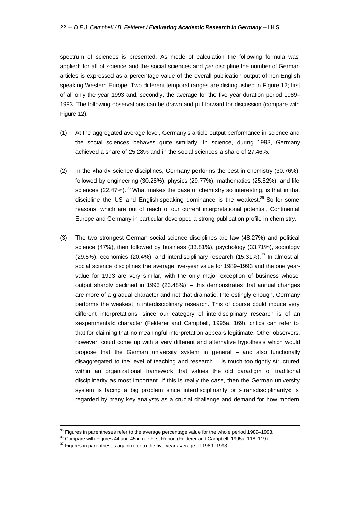spectrum of sciences is presented. As mode of calculation the following formula was applied: for all of science and the social sciences and *per* discipline the number of German articles is expressed as a percentage value of the overall publication output of non-English speaking Western Europe. Two different temporal ranges are distinguished in Figure 12; first of all only the year 1993 and, secondly, the average for the five-year duration period 1989– 1993. The following observations can be drawn and put forward for discussion (compare with Figure 12):

- (1) At the aggregated average level, Germany's article output performance in science and the social sciences behaves quite similarly. In science, during 1993, Germany achieved a share of 25.28% and in the social sciences a share of 27.46%.
- (2) In the »hard« science disciplines, Germany performs the best in chemistry (30.76%), followed by engineering (30.28%), physics (29.77%), mathematics (25.52%), and life sciences  $(22.47\%)$ .<sup>35</sup> What makes the case of chemistry so interesting, is that in that discipline the US and English-speaking dominance is the weakest.<sup>36</sup> So for some reasons, which are out of reach of our current interpretational potential, Continental Europe and Germany in particular developed a strong publication profile in chemistry.
- (3) The two strongest German social science disciplines are law (48.27%) and political science (47%), then followed by business (33.81%), psychology (33.71%), sociology  $(29.5\%)$ , economics  $(20.4\%)$ , and interdisciplinary research  $(15.31\%)$ .<sup>37</sup> In almost all social science disciplines the average five-year value for 1989–1993 and the one yearvalue for 1993 are very similar, with the only major exception of business whose output sharply declined in 1993 (23.48%) – this demonstrates that annual changes are more of a gradual character and not that dramatic. Interestingly enough, Germany performs the weakest in interdisciplinary research. This of course could induce very different interpretations: since our category of interdisciplinary research is of an »experimental« character (Felderer and Campbell, 1995a, 169), critics can refer to that for claiming that no meaningful interpretation appears legitimate. Other observers, however, could come up with a very different and alternative hypothesis which would propose that the German university system in general – and also functionally disaggregated to the level of teaching and research  $-$  is much too tightly structured within an organizational framework that values the old paradigm of traditional disciplinarity as most important. If this is really the case, then the German university system is facing a big problem since interdisciplinarity or »transdisciplinarity« is regarded by many key analysts as a crucial challenge and demand for how modern

 $35$  Figures in parentheses refer to the average percentage value for the whole period 1989–1993.

<sup>&</sup>lt;sup>36</sup> Compare with Figures 44 and 45 in our First Report (Felderer and Campbell, 1995a, 118-119).

 $37$  Figures in parentheses again refer to the five-year average of 1989–1993.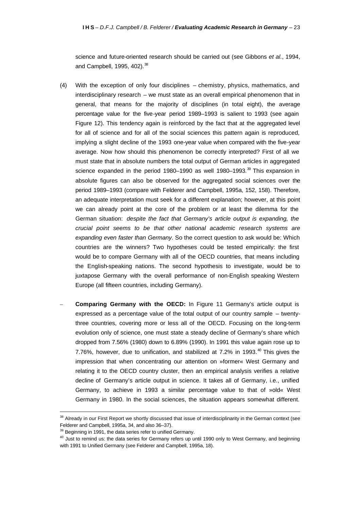science and future-oriented research should be carried out (see Gibbons *et al.*, 1994, and Campbell, 1995, 402).<sup>38</sup>

- (4) With the exception of only four disciplines chemistry, physics, mathematics, and interdisciplinary research – we must state as an overall empirical phenomenon that in general, that means for the majority of disciplines (in total eight), the average percentage value for the five-year period 1989–1993 is salient to 1993 (see again Figure 12). This tendency again is reinforced by the fact that at the aggregated level for all of science and for all of the social sciences this pattern again is reproduced, implying a slight decline of the 1993 one-year value when compared with the five-year average. Now how should this phenomenon be correctly interpreted? First of all we must state that in absolute numbers the total output of German articles in aggregated science expanded in the period 1980–1990 as well 1980–1993. $39$  This expansion in absolute figures can also be observed for the aggregated social sciences over the period 1989–1993 (compare with Felderer and Campbell, 1995a, 152, 158). Therefore, an adequate interpretation must seek for a different explanation; however, at this point we can already point at the core of the problem or at least the dilemma for the German situation: *despite the fact that Germany's article output is expanding, the crucial point seems to be that other national academic research systems are expanding even faster than Germany*. So the correct question to ask would be: Which countries are the winners? Two hypotheses could be tested empirically: the first would be to compare Germany with all of the OECD countries, that means including the English-speaking nations. The second hypothesis to investigate, would be to juxtapose Germany with the overall performance of non-English speaking Western Europe (all fifteen countries, including Germany).
- **Comparing Germany with the OECD:** In Figure 11 Germany's article output is expressed as a percentage value of the total output of our country sample – twentythree countries, covering more or less all of the OECD. Focusing on the long-term evolution only of science, one must state a steady decline of Germany's share which dropped from 7.56% (1980) down to 6.89% (1990). In 1991 this value again rose up to 7.76%, however, due to unification, and stabilized at  $7.2\%$  in 1993.<sup>40</sup> This gives the impression that when concentrating our attention on »former« West Germany and relating it to the OECD country cluster, then an empirical analysis verifies a relative decline of Germany's article output in science. It takes all of Germany, i.e., unified Germany, to achieve in 1993 a similar percentage value to that of »old« West Germany in 1980. In the social sciences, the situation appears somewhat different.

<sup>&</sup>lt;sup>38</sup> Already in our First Report we shortly discussed that issue of interdisciplinarity in the German context (see Felderer and Campbell, 1995a, 34, and also 36–37).

<sup>&</sup>lt;sup>39</sup> Beginning in 1991, the data series refer to unified Germany.

 $40$  Just to remind us: the data series for Germany refers up until 1990 only to West Germany, and beginning with 1991 to Unified Germany (see Felderer and Campbell, 1995a, 18).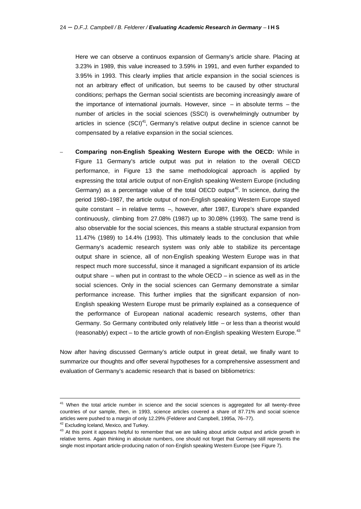Here we can observe a continuos expansion of Germany's article share. Placing at 3.23% in 1989, this value increased to 3.59% in 1991, and even further expanded to 3.95% in 1993. This clearly implies that article expansion in the social sciences is not an arbitrary effect of unification, but seems to be caused by other structural conditions; perhaps the German social scientists are becoming increasingly aware of the importance of international journals. However, since  $-$  in absolute terms  $-$  the number of articles in the social sciences (SSCI) is overwhelmingly outnumber by articles in science  $(SCl)<sup>41</sup>$ , Germany's relative output decline in science cannot be compensated by a relative expansion in the social sciences.

– **Comparing non-English Speaking Western Europe with the OECD:** While in Figure 11 Germany's article output was put in relation to the overall OECD performance, in Figure 13 the same methodological approach is applied by expressing the total article output of non-English speaking Western Europe (including Germany) as a percentage value of the total OECD output<sup>42</sup>. In science, during the period 1980–1987, the article output of non-English speaking Western Europe stayed quite constant – in relative terms –, however, after 1987, Europe's share expanded continuously, climbing from 27.08% (1987) up to 30.08% (1993). The same trend is also observable for the social sciences, this means a stable structural expansion from 11.47% (1989) to 14.4% (1993). This ultimately leads to the conclusion that while Germany's academic research system was only able to stabilize its percentage output share in science, all of non-English speaking Western Europe was in that respect much more successful, since it managed a significant expansion of its article output share  $-$  when put in contrast to the whole  $OECD -$  in science as well as in the social sciences. Only in the social sciences can Germany demonstrate a similar performance increase. This further implies that the significant expansion of non-English speaking Western Europe must be primarily explained as a consequence of the performance of European national academic research systems, other than Germany. So Germany contributed only relatively little – or less than a theorist would (reasonably) expect – to the article growth of non-English speaking Western Europe.<sup>43</sup>

Now after having discussed Germany's article output in great detail, we finally want to summarize our thoughts and offer several hypotheses for a comprehensive assessment and evaluation of Germany's academic research that is based on bibliometrics:

<sup>&</sup>lt;sup>41</sup> When the total article number in science and the social sciences is aggregated for all twenty-three countries of our sample, then, in 1993, science articles covered a share of 87.71% and social science articles were pushed to a margin of only 12.29% (Felderer and Campbell, 1995a, 76–77).

<sup>&</sup>lt;sup>42</sup> Excluding Iceland, Mexico, and Turkey.

<sup>&</sup>lt;sup>43</sup> At this point it appears helpful to remember that we are talking about article output and article growth in relative terms. Again thinking in absolute numbers, one should not forget that Germany still represents the single most important article-producing nation of non-English speaking Western Europe (see Figure 7).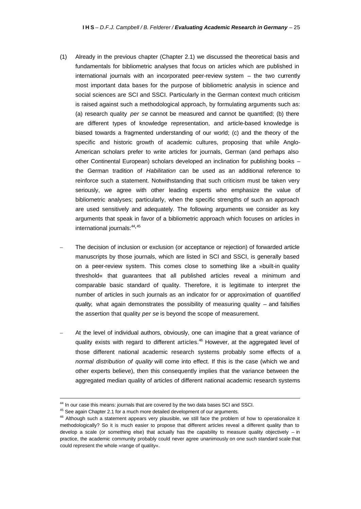- (1) Already in the previous chapter (Chapter 2.1) we discussed the theoretical basis and fundamentals for bibliometric analyses that focus on articles which are published in international journals with an incorporated peer-review system – the two currently most important data bases for the purpose of bibliometric analysis in science and social sciences are SCI and SSCI. Particularly in the German context much criticism is raised against such a methodological approach, by formulating arguments such as: (a) research quality *per se* cannot be measured and cannot be quantified; (b) there are different types of knowledge representation, and article-based knowledge is biased towards a fragmented understanding of our world; (c) and the theory of the specific and historic growth of academic cultures, proposing that while Anglo-American scholars prefer to write articles for journals, German (and perhaps also other Continental European) scholars developed an inclination for publishing books – the German tradition of *Habilitation* can be used as an additional reference to reinforce such a statement. Notwithstanding that such criticism must be taken very seriously, we agree with other leading experts who emphasize the value of bibliometric analyses; particularly, when the specific strengths of such an approach are used sensitively and adequately. The following arguments we consider as key arguments that speak in favor of a bibliometric approach which focuses on articles in international journals: 44, 45
- The decision of inclusion or exclusion (or acceptance or rejection) of forwarded article manuscripts by those journals, which are listed in SCI and SSCI, is generally based on a peer-review system. This comes close to something like a »built-in quality threshold« that guarantees that all published articles reveal a minimum and comparable basic standard of quality. Therefore, it is legitimate to interpret the number of articles in such journals as an indicator for or approximation of *quantified quality,* what again demonstrates the possibility of measuring quality – and falsifies the assertion that quality *per se* is beyond the scope of measurement.
- At the level of individual authors, obviously, one can imagine that a great variance of quality exists with regard to different articles.<sup>46</sup> However, at the aggregated level of those different national academic research systems probably some effects of a *normal distribution of quality* will come into effect. If this is the case (which we and other experts believe), then this consequently implies that the variance between the aggregated median quality of articles of different national academic research systems

<sup>&</sup>lt;sup>44</sup> In our case this means: journals that are covered by the two data bases SCI and SSCI.

<sup>&</sup>lt;sup>45</sup> See again Chapter 2.1 for a much more detailed development of our arguments.

<sup>&</sup>lt;sup>46</sup> Although such a statement appears very plausible, we still face the problem of how to operationalize it methodologically? So it is much easier to propose that different articles reveal a different quality than to develop a scale (or something else) that actually has the capability to measure quality objectively – in practice, the academic community probably could never agree unanimously on one such standard scale that could represent the whole »range of quality«.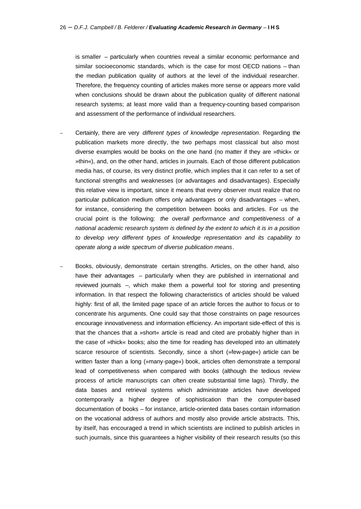is smaller – particularly when countries reveal a similar economic performance and similar socioeconomic standards, which is the case for most OECD nations – than the median publication quality of authors at the level of the individual researcher. Therefore, the frequency counting of articles makes more sense or appears more valid when conclusions should be drawn about the publication quality of different national research systems; at least more valid than a frequency-counting based comparison and assessment of the performance of individual researchers.

- Certainly, there are very *different types of knowledge representation*. Regarding the publication markets more directly, the two perhaps most classical but also most diverse examples would be books on the one hand (no matter if they are »thick« or »thin«), and, on the other hand, articles in journals. Each of those different publication media has, of course, its very distinct profile, which implies that it can refer to a set of functional strengths and weaknesses (or advantages and disadvantages). Especially this relative view is important, since it means that every observer must realize that no particular publication medium offers only advantages or only disadvantages – when, for instance, considering the competition between books and articles. For us the crucial point is the following: *the overall performance and competitiveness of a national academic research system is defined by the extent to which it is in a position to develop very different types of knowledge representation and its capability to operate along a wide spectrum of diverse publication means*.
- Books, obviously, demonstrate certain strengths. Articles, on the other hand, also have their advantages – particularly when they are published in international and reviewed journals –, which make them a powerful tool for storing and presenting information. In that respect the following characteristics of articles should be valued highly: first of all, the limited page space of an article forces the author to focus or to concentrate his arguments. One could say that those constraints on page resources encourage innovativeness and information efficiency. An important side-effect of this is that the chances that a »short« article is read and cited are probably higher than in the case of »thick« books; also the time for reading has developed into an ultimately scarce resource of scientists. Secondly, since a short (»few-page«) article can be written faster than a long (»many-page«) book, articles often demonstrate a temporal lead of competitiveness when compared with books (although the tedious review process of article manuscripts can often create substantial time lags). Thirdly, the data bases and retrieval systems which administrate articles have developed contemporarily a higher degree of sophistication than the computer-based documentation of books – for instance, article-oriented data bases contain information on the vocational address of authors and mostly also provide article abstracts. This, by itself, has encouraged a trend in which scientists are inclined to publish articles in such journals, since this guarantees a higher visibility of their research results (so this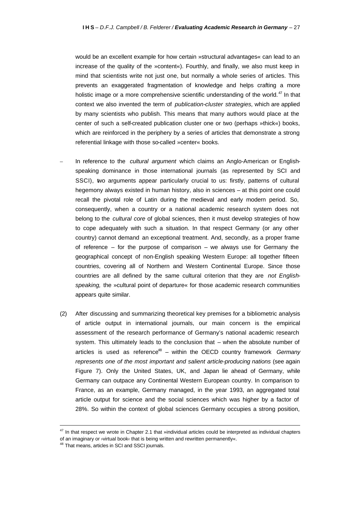would be an excellent example for how certain »structural advantages« can lead to an increase of the quality of the »content«). Fourthly, and finally, we also must keep in mind that scientists write not just one, but normally a whole series of articles. This prevents an exaggerated fragmentation of knowledge and helps crafting a more holistic image or a more comprehensive scientific understanding of the world.<sup>47</sup> In that context we also invented the term of *publication-cluster strategies,* which are applied by many scientists who publish. This means that many authors would place at the center of such a self-created publication cluster one or two (perhaps »thick«) books, which are reinforced in the periphery by a series of articles that demonstrate a strong referential linkage with those so-called »center« books.

- In reference to the *cultural argument* which claims an Anglo-American or Englishspeaking dominance in those international journals (as represented by SCI and SSCI), two arguments appear particularly crucial to us: firstly, patterns of cultural hegemony always existed in human history, also in sciences – at this point one could recall the pivotal role of Latin during the medieval and early modern period. So, consequently, when a country or a national academic research system does not belong to the *cultural core* of global sciences, then it must develop strategies of how to cope adequately with such a situation. In that respect Germany (or any other country) cannot demand an exceptional treatment. And, secondly, as a proper frame of reference  $-$  for the purpose of comparison  $-$  we always use for Germany the geographical concept of non-English speaking Western Europe: all together fifteen countries, covering all of Northern and Western Continental Europe. Since those countries are all defined by the same cultural criterion that they are *not Englishspeaking,* the »cultural point of departure« for those academic research communities appears quite similar.
- (2) After discussing and summarizing theoretical key premises for a bibliometric analysis of article output in international journals, our main concern is the empirical assessment of the research performance of Germany's national academic research system. This ultimately leads to the conclusion that – when the absolute number of articles is used as reference<sup>48</sup> – within the OECD country framework *Germany represents one of the most important and salient article-producing nations* (see again Figure 7). Only the United States, UK, and Japan lie ahead of Germany, while Germany can outpace any Continental Western European country. In comparison to France, as an example, Germany managed, in the year 1993, an aggregated total article output for science and the social sciences which was higher by a factor of 28%. So within the context of global sciences Germany occupies a strong position,

<sup>&</sup>lt;sup>47</sup> In that respect we wrote in Chapter 2.1 that »individual articles could be interpreted as individual chapters of an imaginary or *v*irtual book<sup>{</sup> that is being written and rewritten permanently<sup>«</sup>.

<sup>48</sup> That means, articles in SCI and SSCI journals.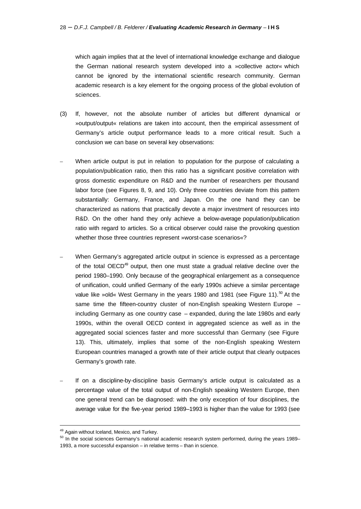which again implies that at the level of international knowledge exchange and dialogue the German national research system developed into a »collective actor« which cannot be ignored by the international scientific research community. German academic research is a key element for the ongoing process of the global evolution of sciences.

- (3) If, however, not the absolute number of articles but different dynamical or »output/output« relations are taken into account, then the empirical assessment of Germany's article output performance leads to a more critical result. Such a conclusion we can base on several key observations:
- When article output is put in relation to population for the purpose of calculating a population/publication ratio, then this ratio has a significant positive correlation with gross domestic expenditure on R&D and the number of researchers per thousand labor force (see Figures 8, 9, and 10). Only three countries deviate from this pattern substantially: Germany, France, and Japan. On the one hand they can be characterized as nations that practically devote a major investment of resources into R&D. On the other hand they only achieve a below-average population/publication ratio with regard to articles. So a critical observer could raise the provoking question whether those three countries represent »worst-case scenarios«?
- When Germany's aggregated article output in science is expressed as a percentage of the total OECD $49$  output, then one must state a gradual relative decline over the period 1980–1990. Only because of the geographical enlargement as a consequence of unification, could unified Germany of the early 1990s achieve a similar percentage value like »old« West Germany in the years 1980 and 1981 (see Figure 11).<sup>50</sup> At the same time the fifteen-country cluster of non-English speaking Western Europe including Germany as one country case – expanded, during the late 1980s and early 1990s, within the overall OECD context in aggregated science as well as in the aggregated social sciences faster and more successful than Germany (see Figure 13). This, ultimately, implies that some of the non-English speaking Western European countries managed a growth rate of their article output that clearly outpaces Germany's growth rate.
- If on a discipline-by-discipline basis Germany's article output is calculated as a percentage value of the total output of non-English speaking Western Europe, then one general trend can be diagnosed: with the only exception of four disciplines, the average value for the five-year period 1989–1993 is higher than the value for 1993 (see

<sup>&</sup>lt;sup>49</sup> Again without Iceland, Mexico, and Turkey.

 $50$  In the social sciences Germany's national academic research system performed, during the years 1989– 1993, a more successful expansion – in relative terms – than in science.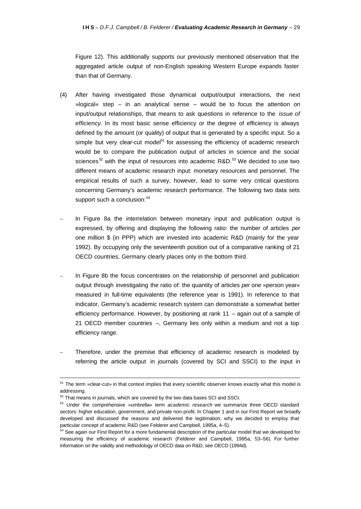Figure 12). This additionally supports our previously mentioned observation that the aggregated article output of non-English speaking Western Europe expands faster than that of Germany.

- (4) After having investigated those dynamical output/output interactions, the next »logical« step – in an analytical sense – would be to focus the attention on input/output relationships, that means to ask questions in reference to the *issue of efficiency*. In its most basic sense efficiency or the degree of efficiency is always defined by the amount (or quality) of output that is generated by a specific input. So a simple but very clear-cut model<sup>51</sup> for assessing the efficiency of academic research would be to compare the publication output of articles in science and the social sciences<sup>52</sup> with the input of resources into academic  $R&D.53$  We decided to use two different means of academic research input: monetary resources and personnel. The empirical results of such a survey, however, lead to some very critical questions concerning Germany's academic research performance. The following two data sets support such a conclusion:<sup>54</sup>
- In Figure 8a the interrelation between monetary input and publication output is expressed, by offering and displaying the following ratio: the number of articles *per* one million \$ (in PPP) which are invested into academic R&D (mainly for the year 1992). By occupying only the seventeenth position out of a comparative ranking of 21 OECD countries, Germany clearly places only in the bottom third.
- In Figure 8b the focus concentrates on the relationship of personnel and publication output through investigating the ratio of: the quantity of articles *per* one »person year« measured in full-time equivalents (the reference year is 1991). In reference to that indicator, Germany's academic research system can demonstrate a somewhat better efficiency performance. However, by positioning at rank 11 – again out of a sample of 21 OECD member countries –, Germany lies only within a medium and not a top efficiency range.
- Therefore, under the premise that efficiency of academic research is modeled by referring the article output in journals (covered by SCI and SSCI) to the input in

<sup>&</sup>lt;sup>51</sup> The term »clear-cut» in that context implies that every scientific observer knows exactly what this model is addressing.

 $52$  That means in journals, which are covered by the two data bases SCI and SSCI.

<sup>53</sup> Under the comprehensive »umbrella« term *academic research* we summarize three OECD standard sectors: higher education, government, and private non-profit. In Chapter 1 and in our First Report we broadly developed and discussed the reasons and delivered the legitimation, why we decided to employ that particular concept of academic R&D (see Felderer and Campbell, 1995a, 4–5).

<sup>&</sup>lt;sup>54</sup> See again our First Report for a more fundamental description of the particular model that we developed for measuring the efficiency of academic research (Felderer and Campbell, 1995a, 53–56). For further information on the validity and methodology of OECD data on R&D, see OECD (1994d).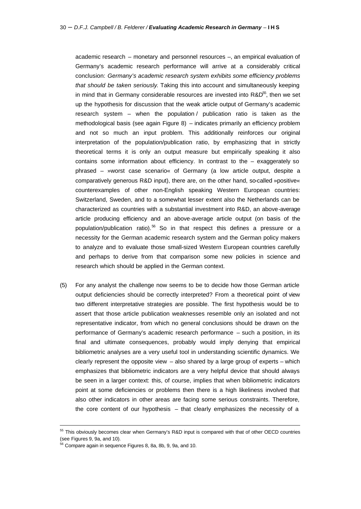academic research – monetary and personnel resources –, an empirical evaluation of Germany's academic research performance will arrive at a considerably critical conclusion: *Germany's academic research system exhibits some efficiency problems that should be taken seriously*. Taking this into account and simultaneously keeping in mind that in Germany considerable resources are invested into R&D<sup>55</sup>, then we set up the hypothesis for discussion that the weak article output of Germany's academic research system – when the population / publication ratio is taken as the methodological basis (see again Figure 8) – indicates primarily an efficiency problem and not so much an input problem. This additionally reinforces our original interpretation of the population/publication ratio, by emphasizing that in strictly theoretical terms it is only an output measure but empirically speaking it also contains some information about efficiency. In contrast to the – exaggerately so phrased – »worst case scenario« of Germany (a low article output, despite a comparatively generous R&D input), there are, on the other hand, so-called »positive« counterexamples of other non-English speaking Western European countries: Switzerland, Sweden, and to a somewhat lesser extent also the Netherlands can be characterized as countries with a substantial investment into R&D, an above-average article producing efficiency and an above-average article output (on basis of the population/publication ratio).<sup>56</sup> So in that respect this defines a pressure or a necessity for the German academic research system and the German policy makers to analyze and to evaluate those small-sized Western European countries carefully and perhaps to derive from that comparison some new policies in science and research which should be applied in the German context.

(5) For any analyst the challenge now seems to be to decide how those German article output deficiencies should be correctly interpreted? From a theoretical point of view two different interpretative strategies are possible. The first hypothesis would be to assert that those article publication weaknesses resemble only an isolated and not representative indicator, from which no general conclusions should be drawn on the performance of Germany's academic research performance – such a position, in its final and ultimate consequences, probably would imply denying that empirical bibliometric analyses are a very useful tool in understanding scientific dynamics. We clearly represent the opposite view – also shared by a large group of experts – which emphasizes that bibliometric indicators are a very helpful device that should always be seen in a larger context: this, of course, implies that when bibliometric indicators point at some deficiencies or problems then there is a high likeliness involved that also other indicators in other areas are facing some serious constraints. Therefore, the core content of our hypothesis – that clearly emphasizes the necessity of a

<sup>&</sup>lt;sup>55</sup> This obviously becomes clear when Germany's R&D input is compared with that of other OECD countries (see Figures 9, 9a, and 10).

<sup>56</sup> Compare again in sequence Figures 8, 8a, 8b, 9, 9a, and 10.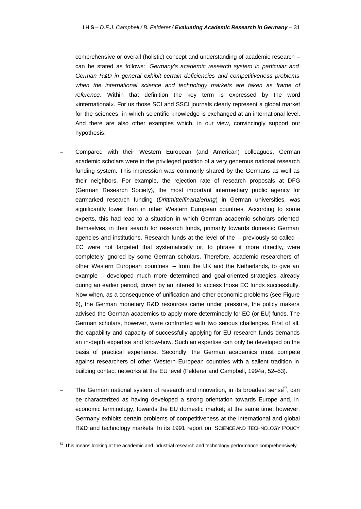comprehensive or overall (holistic) concept and understanding of academic research – can be stated as follows: *Germany's academic research system in particular and German R&D in general exhibit certain deficiencies and competitiveness problems when the international science and technology markets are taken as frame of reference.* Within that definition the key term is expressed by the word »international«. For us those SCI and SSCI journals clearly represent a global market for the sciences, in which scientific knowledge is exchanged at an international level. And there are also other examples which, in our view, convincingly support our hypothesis:

- Compared with their Western European (and American) colleagues, German academic scholars were in the privileged position of a very generous national research funding system. This impression was commonly shared by the Germans as well as their neighbors. For example, the rejection rate of research proposals at DFG (German Research Society), the most important intermediary public agency for earmarked research funding (*Drittmittelfinanzierung*) in German universities, was significantly lower than in other Western European countries. According to some experts, this had lead to a situation in which German academic scholars oriented themselves, in their search for research funds, primarily towards domestic German agencies and institutions. Research funds at the level of the – previously so called – EC were not targeted that systematically or, to phrase it more directly, were completely ignored by some German scholars. Therefore, academic researchers of other Western European countries – from the UK and the Netherlands, to give an example – developed much more determined and goal-oriented strategies, already during an earlier period, driven by an interest to access those EC funds successfully. Now when, as a consequence of unification and other economic problems (see Figure 6), the German monetary R&D resources came under pressure, the policy makers advised the German academics to apply more determinedly for EC (or EU) funds. The German scholars, however, were confronted with two serious challenges. First of all, the capability and capacity of successfully applying for EU research funds demands an in-depth expertise and know-how. Such an expertise can only be developed on the basis of practical experience. Secondly, the German academics must compete against researchers of other Western European countries with a salient tradition in building contact networks at the EU level (Felderer and Campbell, 1994a, 52–53).
- The German national system of research and innovation, in its broadest sense $57$ , can be characterized as having developed a strong orientation towards Europe and, in economic terminology, towards the EU domestic market; at the same time, however, Germany exhibits certain problems of competitiveness at the international and global R&D and technology markets. In its 1991 report on SCIENCE AND TECHNOLOGY POLICY

<sup>&</sup>lt;sup>57</sup> This means looking at the academic and industrial research and technology performance comprehensively.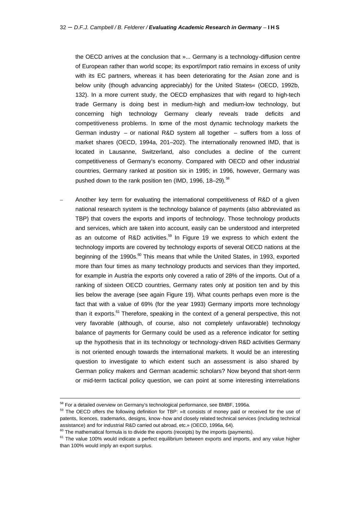the OECD arrives at the conclusion that »... Germany is a technology-diffusion centre of European rather than world scope; its export/import ratio remains in excess of unity with its EC partners, whereas it has been deteriorating for the Asian zone and is below unity (though advancing appreciably) for the United States« (OECD, 1992b, 132). In a more current study, the OECD emphasizes that with regard to high-tech trade Germany is doing best in medium-high and medium-low technology, but concerning high technology Germany clearly reveals trade deficits and competitiveness problems. In some of the most dynamic technology markets the German industry – or national R&D system all together – suffers from a loss of market shares (OECD, 1994a, 201–202). The internationally renowned IMD, that is located in Lausanne, Switzerland, also concludes a decline of the current competitiveness of Germany's economy. Compared with OECD and other industrial countries, Germany ranked at position six in 1995; in 1996, however, Germany was pushed down to the rank position ten (IMD, 1996, 18–29).<sup>58</sup>

– Another key term for evaluating the international competitiveness of R&D of a given national research system is the technology balance of payments (also abbreviated as TBP) that covers the exports and imports of technology. Those technology products and services, which are taken into account, easily can be understood and interpreted as an outcome of R&D activities.<sup>59</sup> In Figure 19 we express to which extent the technology imports are covered by technology exports of several OECD nations at the beginning of the 1990s. $60$  This means that while the United States, in 1993, exported more than four times as many technology products and services than they imported, for example in Austria the exports only covered a ratio of 28% of the imports. Out of a ranking of sixteen OECD countries, Germany rates only at position ten and by this lies below the average (see again Figure 19). What counts perhaps even more is the fact that with a value of 69% (for the year 1993) Germany imports more technology than it exports.<sup>61</sup> Therefore, speaking in the context of a general perspective, this not very favorable (although, of course, also not completely unfavorable) technology balance of payments for Germany could be used as a reference indicator for setting up the hypothesis that in its technology or technology-driven R&D activities Germany is not oriented enough towards the international markets. It would be an interesting question to investigate to which extent such an assessment is also shared by German policy makers and German academic scholars? Now beyond that short-term or mid-term tactical policy question, we can point at some interesting interrelations

<sup>&</sup>lt;sup>58</sup> For a detailed overview on Germany's technological performance, see BMBF, 1996a.

<sup>&</sup>lt;sup>59</sup> The OECD offers the following definition for TBP: »It consists of money paid or received for the use of patents, licences, trademarks, designs, know -how and closely related technical services (including technical assistance) and for industrial R&D carried out abroad, etc.» (OECD, 1996a, 64).

 $60$  The mathematical formula is to divide the exports (receipts) by the imports (payments).

 $61$  The value 100% would indicate a perfect equilibrium between exports and imports, and any value higher than 100% would imply an export surplus.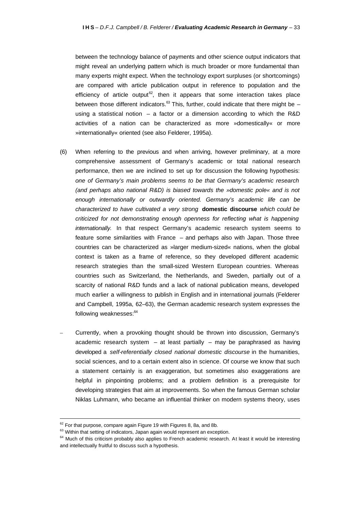between the technology balance of payments and other science output indicators that might reveal an underlying pattern which is much broader or more fundamental than many experts might expect. When the technology export surpluses (or shortcomings) are compared with article publication output in reference to population and the efficiency of article output<sup>62</sup>, then it appears that some interaction takes place between those different indicators.<sup>63</sup> This, further, could indicate that there might be – using a statistical notion  $-$  a factor or a dimension according to which the R&D activities of a nation can be characterized as more »domestically« or more »internationally« oriented (see also Felderer, 1995a).

- (6) When referring to the previous and when arriving, however preliminary, at a more comprehensive assessment of Germany's academic or total national research performance, then we are inclined to set up for discussion the following hypothesis: *one of Germany's main problems seems to be that Germany's academic research (and perhaps also national R&D) is biased towards the »domestic pole« and is not enough internationally or outwardly oriented. Germany's academic life can be characterized to have cultivated a very strong* **domestic discourse** *which could be criticized for not demonstrating enough openness for reflecting what is happening internationally.* In that respect Germany's academic research system seems to feature some similarities with France – and perhaps also with Japan. Those three countries can be characterized as »larger medium-sized« nations, when the global context is taken as a frame of reference, so they developed different academic research strategies than the small-sized Western European countries. Whereas countries such as Switzerland, the Netherlands, and Sweden, partially out of a scarcity of national R&D funds and a lack of national publication means, developed much earlier a willingness to publish in English and in international journals (Felderer and Campbell, 1995a, 62–63), the German academic research system expresses the following weaknesses:<sup>64</sup>
- Currently, when a provoking thought should be thrown into discussion, Germany's academic research system  $-$  at least partially  $-$  may be paraphrased as having developed a *self-referentially closed national domestic discourse* in the humanities, social sciences, and to a certain extent also in science. Of course we know that such a statement certainly is an exaggeration, but sometimes also exaggerations are helpful in pinpointing problems; and a problem definition is a prerequisite for developing strategies that aim at improvements. So when the famous German scholar Niklas Luhmann, who became an influential thinker on modern systems theory, uses

 $\overline{a}$ 

 $62$  For that purpose, compare again Figure 19 with Figures 8, 8a, and 8b.

<sup>&</sup>lt;sup>63</sup> Within that setting of indicators, Japan again would represent an exception.

<sup>&</sup>lt;sup>64</sup> Much of this criticism probably also applies to French academic research. At least it would be interesting and intellectually fruitful to discuss such a hypothesis.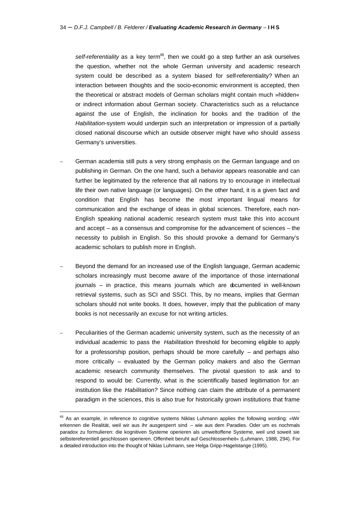self-referentiality as a key term<sup>65</sup>, then we could go a step further an ask ourselves the question, whether not the whole German university and academic research system could be described as a system biased for self-referentiality? When an interaction between thoughts and the socio-economic environment is accepted, then the theoretical or abstract models of German scholars might contain much »hidden« or indirect information about German society. Characteristics such as a reluctance against the use of English, the inclination for books and the tradition of the *Habilitation*-system would underpin such an interpretation or impression of a partially closed national discourse which an outside observer might have who should assess Germany's universities.

- German academia still puts a very strong emphasis on the German language and on publishing in German. On the one hand, such a behavior appears reasonable and can further be legitimated by the reference that all nations try to encourage in intellectual life their own native language (or languages). On the other hand, it is a given fact and condition that English has become the most important lingual means for communication and the exchange of ideas in global sciences. Therefore, each non-English speaking national academic research system must take this into account and accept – as a consensus and compromise for the advancement of sciences – the necessity to publish in English. So this should provoke a demand for Germany's academic scholars to publish more in English.
- Beyond the demand for an increased use of the English language, German academic scholars increasingly must become aware of the importance of those international journals – in practice, this means journals which are documented in well-known retrieval systems, such as SCI and SSCI. This, by no means, implies that German scholars should not write books. It does, however, imply that the publication of many books is not necessarily an excuse for not writing articles.
- Peculiarities of the German academic university system, such as the necessity of an individual academic to pass the *Habilitation* threshold for becoming eligible to apply for a professorship position, perhaps should be more carefully – and perhaps also more critically – evaluated by the German policy makers and also the German academic research community themselves. The pivotal question to ask and to respond to would be: Currently, what is the scientifically based legitimation for an institution like the *Habilitation?* Since nothing can claim the attribute of a permanent paradigm in the sciences, this is also true for historically grown institutions that frame

<sup>&</sup>lt;sup>65</sup> As an example, in reference to cognitive systems Niklas Luhmann applies the following wording: »Wir erkennen die Realität, weil wir aus ihr ausgesperrt sind – wie aus dem Paradies. Oder um es nochmals paradox zu formulieren: die kognitiven Systeme operieren als umweltoffene Systeme, weil und soweit sie selbstereferentiell geschlossen operieren. Offenheit beruht auf Geschlossenheit« (Luhmann, 1988, 294). For a detailed introduction into the thought of Niklas Luhmann, see Helga Gripp-Hagelstange (1995).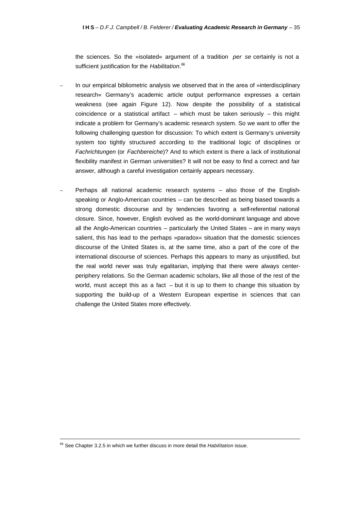the sciences. So the »isolated« argument of a tradition *per se* certainly is not a sufficient justification for the *Habilitation*. 66

- In our empirical bibliometric analysis we observed that in the area of »interdisciplinary research« Germany's academic article output performance expresses a certain weakness (see again Figure 12). Now despite the possibility of a statistical coincidence or a statistical artifact  $-$  which must be taken seriously  $-$  this might indicate a problem for Germany's academic research system. So we want to offer the following challenging question for discussion: To which extent is Germany's university system too tightly structured according to the traditional logic of disciplines or *Fachrichtungen* (or *Fachbereiche*)? And to which extent is there a lack of institutional flexibility manifest in German universities? It will not be easy to find a correct and fair answer, although a careful investigation certainly appears necessary.
- Perhaps all national academic research systems also those of the Englishspeaking or Anglo-American countries – can be described as being biased towards a strong domestic discourse and by tendencies favoring a self-referential national closure. Since, however, English evolved as the world-dominant language and above all the Anglo-American countries – particularly the United States – are in many ways salient, this has lead to the perhaps »paradox« situation that the domestic sciences discourse of the United States is, at the same time, also a part of the core of the international discourse of sciences. Perhaps this appears to many as unjustified, but the real world never was truly egalitarian, implying that there were always centerperiphery relations. So the German academic scholars, like all those of the rest of the world, must accept this as a fact – but it is up to them to change this situation by supporting the build-up of a Western European expertise in sciences that can challenge the United States more effectively.

<sup>66</sup> See Chapter 3.2.5 in which we further discuss in more detail the *Habilitation* issue.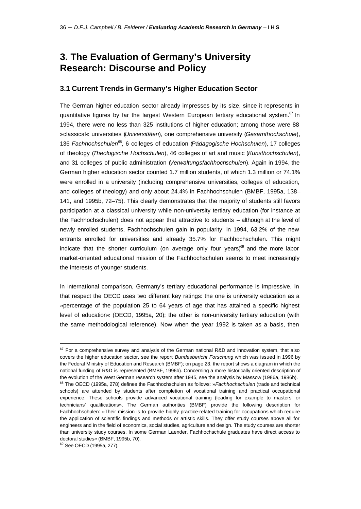# **3. The Evaluation of Germany's University Research: Discourse and Policy**

### **3.1 Current Trends in Germany's Higher Education Sector**

The German higher education sector already impresses by its size, since it represents in quantitative figures by far the largest Western European tertiary educational system.<sup>67</sup> In 1994, there were no less than 325 institutions of higher education; among those were 88 »classical« universities (*Universitäten*), one comprehensive university (*Gesamthochschule*), 136 *Fachhochschulen*<sup>68</sup>, 6 colleges of education (*Pädagogische Hochschulen*), 17 colleges of theology (*Theologische Hochschulen*), 46 colleges of art and music (*Kunsthochschulen*), and 31 colleges of public administration (*Verwaltungsfachhochschulen*). Again in 1994, the German higher education sector counted 1.7 million students, of which 1.3 million or 74.1% were enrolled in a university (including comprehensive universities, colleges of education, and colleges of theology) and only about 24.4% in Fachhochschulen (BMBF, 1995a, 138– 141, and 1995b, 72–75). This clearly demonstrates that the majority of students still favors participation at a classical university while non-university tertiary education (for instance at the Fachhochschulen) does not appear that attractive to students – although at the level of newly enrolled students, Fachhochschulen gain in popularity: in 1994, 63.2% of the new entrants enrolled for universities and already 35.7% for Fachhochschulen. This might indicate that the shorter curriculum (on average only four years)<sup>69</sup> and the more labor market-oriented educational mission of the Fachhochschulen seems to meet increasingly the interests of younger students.

In international comparison, Germany's tertiary educational performance is impressive. In that respect the OECD uses two different key ratings: the one is university education as a »percentage of the population 25 to 64 years of age that has attained a specific highest level of education« (OECD, 1995a, 20); the other is non-university tertiary education (with the same methodological reference). Now when the year 1992 is taken as a basis, then

<sup>69</sup> See OECD (1995a, 277).

 $67$  For a comprehensive survey and analysis of the German national R&D and innovation system, that also covers the higher education sector, see the report *Bundesbericht Forschung* which was issued in 1996 by the Federal Ministry of Education and Research (BMBF); on page 23, the report shows a diagram in which the national funding of R&D is represented (BMBF, 1996b). Concerning a more historically oriented description of the evolution of the West German research system after 1945, see the analysis by Massow (1986a, 1986b).

<sup>68</sup> The OECD (1995a, 278) defines the Fachhochschulen as follows: »*Fachhochschulen* (trade and technical schools) are attended by students after completion of vocational training and practical occupational experience. These schools provide advanced vocational training (leading for example to masters' or technicians' qualifications». The German authorities (BMBF) provide the following description for Fachhochschulen: »Their mission is to provide highly practice-related training for occupations which require the application of scientific findings and methods or artistic skills. They offer study courses above all for engineers and in the field of economics, social studies, agriculture and design. The study courses are shorter than university study courses. In some German Laender, Fachhochschule graduates have direct access to doctoral studies« (BMBF, 1995b, 70).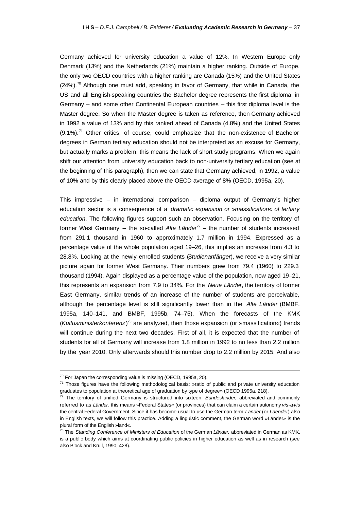Germany achieved for university education a value of 12%. In Western Europe only Denmark (13%) and the Netherlands (21%) maintain a higher ranking. Outside of Europe, the only two OECD countries with a higher ranking are Canada (15%) and the United States  $(24%)$ .<sup>70</sup> Although one must add, speaking in favor of Germany, that while in Canada, the US and all English-speaking countries the Bachelor degree represents the first diploma, in Germany – and some other Continental European countries – this first diploma level is the Master degree. So when the Master degree is taken as reference, then Germany achieved in 1992 a value of 13% and by this ranked ahead of Canada (4.8%) and the United States  $(9.1\%)$ .<sup>71</sup> Other critics, of course, could emphasize that the non-existence of Bachelor degrees in German tertiary education should not be interpreted as an excuse for Germany, but actually marks a problem, this means the lack of short study programs. When we again shift our attention from university education back to non-university tertiary education (see at the beginning of this paragraph), then we can state that Germany achieved, in 1992, a value of 10% and by this clearly placed above the OECD average of 8% (OECD, 1995a, 20).

This impressive – in international comparison – diploma output of Germany's higher education sector is a consequence of a *dramatic expansion or »massification« of tertiary education*. The following figures support such an observation. Focusing on the territory of former West Germany – the so-called Alte Länder<sup>72</sup> – the number of students increased from 291.1 thousand in 1960 to approximately 1.7 million in 1994. Expressed as a percentage value of the whole population aged 19–26, this implies an increase from 4.3 to 28.8%. Looking at the newly enrolled students (*Studienanfänger*), we receive a very similar picture again for former West Germany. Their numbers grew from 79.4 (1960) to 229.3 thousand (1994). Again displayed as a percentage value of the population, now aged 19–21, this represents an expansion from 7.9 to 34%. For the *Neue Länder*, the territory of former East Germany, similar trends of an increase of the number of students are perceivable, although the percentage level is still significantly lower than in the *Alte Länder* (BMBF, 1995a, 140–141, and BMBF, 1995b, 74–75). When the forecasts of the KMK (Kultusministerkonferenz)<sup>73</sup> are analyzed, then those expansion (or »massification«) trends will continue during the next two decades. First of all, it is expected that the number of students for all of Germany will increase from 1.8 million in 1992 to no less than 2.2 million by the year 2010. Only afterwards should this number drop to 2.2 million by 2015. And also

 $70$  For Japan the corresponding value is missing (OECD, 1995a, 20).

 $71$  Those figures have the following methodological basis: »ratio of public and private university education graduates to population at theoretical age of graduation by type of degree» (OECD 1995a, 218).

<sup>72</sup> The territory of unified Germany is structured into sixteen *Bundesländer,* abbreviated and commonly referred to as *Länder,* this means »Federal States« (or provinces) that can claim a certain autonomy *vis-à-vis* the central Federal Government. Since it has become usual to use the German term *Länder* (or *Laender*) also in English texts, we will follow this practice. Adding a linguistic comment, the German word »Länder» is the plural form of the English »land«.

<sup>73</sup> The *Standing Conference of Ministers of Education* of the German *Länder,* abbreviated in German as KMK, is a public body which aims at coordinating public policies in higher education as well as in research (see also Block and Krull, 1990, 428).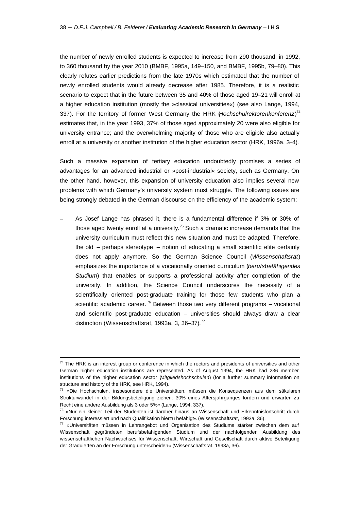the number of newly enrolled students is expected to increase from 290 thousand, in 1992, to 360 thousand by the year 2010 (BMBF, 1995a, 149–150, and BMBF, 1995b, 79–80). This clearly refutes earlier predictions from the late 1970s which estimated that the number of newly enrolled students would already decrease after 1985. Therefore, it is a realistic scenario to expect that in the future between 35 and 40% of those aged 19–21 will enroll at a higher education institution (mostly the »classical universities«) (see also Lange, 1994, 337). For the territory of former West Germany the HRK (*Hochschulrektorenkonferenz*) 74 estimates that, in the year 1993, 37% of those aged approximately 20 were also eligible for university entrance; and the overwhelming majority of those who are eligible also actually enroll at a university or another institution of the higher education sector (HRK, 1996a, 3–4).

Such a massive expansion of tertiary education undoubtedly promises a series of advantages for an advanced industrial or »post-industrial« society, such as Germany. On the other hand, however, this expansion of university education also implies several new problems with which Germany's university system must struggle. The following issues are being strongly debated in the German discourse on the efficiency of the academic system:

– As Josef Lange has phrased it, there is a fundamental difference if 3% or 30% of those aged twenty enroll at a university.<sup>75</sup> Such a dramatic increase demands that the university curriculum must reflect this new situation and must be adapted. Therefore, the old – perhaps stereotype – notion of educating a small scientific elite certainly does not apply anymore. So the German Science Council (*Wissenschaftsrat*) emphasizes the importance of a vocationally oriented curriculum (*berufsbefähigendes Studium*) that enables or supports a professional activity after completion of the university. In addition, the Science Council underscores the necessity of a scientifically oriented post-graduate training for those few students who plan a scientific academic career.<sup>76</sup> Between those two very different programs – vocational and scientific post-graduate education – universities should always draw a clear distinction (Wissenschaftsrat, 1993a, 3, 36–37). $^{77}$ 

 $74$  The HRK is an interest group or conference in which the rectors and presidents of universities and other German higher education institutions are represented. As of August 1994, the HRK had 236 member institutions of the higher education sector (*Mitgliedshochschulen*) (for a further summary information on structure and history of the HRK, see HRK, 1994).

<sup>&</sup>lt;sup>75</sup> »Die Hochschulen, insbesondere die Universitäten, müssen die Konsequenzen aus dem säkularen Strukturwandel in der Bildungsbeteiligung ziehen: 30% eines Altersjahrganges fordern und erwarten zu Recht eine andere Ausbildung als 3 oder 5%« (Lange, 1994, 337).

<sup>&</sup>lt;sup>76</sup> »Nur ein kleiner Teil der Studenten ist darüber hinaus an Wissenschaft und Erkenntnisfortschritt durch Forschung interessiert und nach Qualifikation hierzu befähigt« (Wissenschaftsrat, 1993a, 36).

 $77$  »Universitäten müssen in Lehrangebot und Organisation des Studiums stärker zwischen dem auf Wissenschaft gegründeten berufsbefähigenden Studium und der nachfolgenden Ausbildung des wissenschaftlichen Nachwuchses für Wissenschaft, Wirtschaft und Gesellschaft durch aktive Beteiligung der Graduierten an der Forschung unterscheiden« (Wissenschaftsrat, 1993a, 36).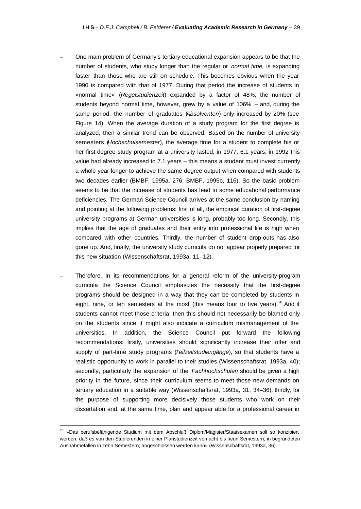- One main problem of Germany's tertiary educational expansion appears to be that the number of students, who study longer than the regular or *normal time,* is expanding faster than those who are still on schedule. This becomes obvious when the year 1990 is compared with that of 1977. During that period the increase of students in »normal time« (*Regelstudienzeit*) expanded by a factor of 48%; the number of students beyond normal time, however, grew by a value of 106% – and, during the same period, the number of graduates (*Absolventen*) only increased by 20% (see Figure 14). When the average duration of a study program for the first degree is analyzed, then a similar trend can be observed. Based on the number of university semesters (*Hochschulsemester*), the average time for a student to complete his or her first-degree study program at a university lasted, in 1977, 6.1 years; in 1992 this value had already increased to 7.1 years – this means a student must invest currently a whole year longer to achieve the same degree output when compared with students two decades earlier (BMBF, 1995a, 276; BMBF, 1995b, 116). So the basic problem seems to be that the increase of students has lead to some educational performance deficiencies. The German Science Council arrives at the same conclusion by naming and pointing at the following problems: first of all, the empirical duration of first-degree university programs at German universities is long, probably too long. Secondly, this implies that the age of graduates and their entry into professional life is high when compared with other countries. Thirdly, the number of student drop-outs has also gone up. And, finally, the university study curricula do not appear properly prepared for this new situation (Wissenschaftsrat, 1993a, 11–12).
- Therefore, in its recommendations for a general reform of the university-program curricula the Science Council emphasizes the necessity that the first-degree programs should be designed in a way that they can be completed by students in eight, nine, or ten semesters at the most (this means four to five years).<sup>78</sup> And if students cannot meet those criteria, then this should not necessarily be blamed only on the students since it might also indicate a curriculum mismanagement of the universities. In addition, the Science Council put forward the following recommendations: firstly, universities should significantly increase their offer and supply of part-time study programs (*Teilzeitstudiengänge*), so that students have a realistic opportunity to work in parallel to their studies (Wissenschaftsrat, 1993a, 40); secondly, particularly the expansion of the *Fachhochschulen* should be given a high priority in the future, since their curriculum seems to meet those new demands on tertiary education in a suitable way (Wissenschaftsrat, 1993a, 31, 34–36); thirdly, for the purpose of supporting more decisively those students who work on their dissertation and, at the same time, plan and appear able for a professional career in

<sup>&</sup>lt;sup>78</sup> »Das berufsbefähigende Studium mit dem Abschluß Diplom/Magister/Staatsexamen soll so konzipiert werden, daß es von den Studierenden in einer Planstudienzeit von acht bis neun Semestern, in begründeten Ausnahmefällen in zehn Semestern, abgeschlossen werden kann« (Wissenschaftsrat, 1993a, 36).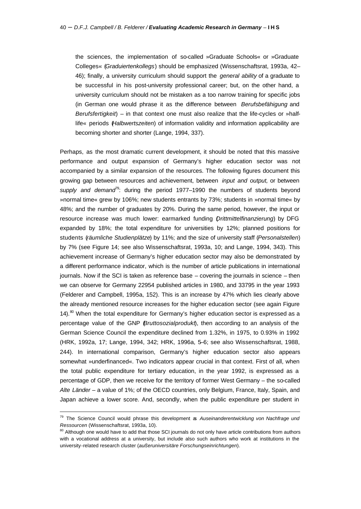the sciences, the implementation of so-called »Graduate Schools« or »Graduate Colleges« (*Graduiertenkollegs*) should be emphasized (Wissenschaftsrat, 1993a, 42– 46); finally, a university curriculum should support the *general ability* of a graduate to be successful in his post-university professional career; but, on the other hand, a university curriculum should not be mistaken as a too narrow training for specific jobs (in German one would phrase it as the difference between *Berufsbefähigung* and *Berufsfertigkeit*) – in that context one must also realize that the life-cycles or »halflife« periods (*Halbwertszeiten*) of information validity and information applicability are becoming shorter and shorter (Lange, 1994, 337).

Perhaps, as the most dramatic current development, it should be noted that this massive performance and output expansion of Germany's higher education sector was not accompanied by a similar expansion of the resources. The following figures document this growing gap between resources and achievement, between *input and output,* or between *supply and demand*<sup>79</sup>: during the period 1977–1990 the numbers of students beyond »normal time« grew by 106%; new students entrants by 73%; students in »normal time« by 48%; and the number of graduates by 20%. During the same period, however, the input or resource increase was much lower: earmarked funding (*Drittmittelfinanzierung*) by DFG expanded by 18%; the total expenditure for universities by 12%; planned positions for students (*räumliche Studienplätze*) by 11%; and the size of university staff (*Personalstellen*) by 7% (see Figure 14; see also Wissenschaftsrat, 1993a, 10; and Lange, 1994, 343). This achievement increase of Germany's higher education sector may also be demonstrated by a different performance indicator, which is the number of article publications in international journals. Now if the SCI is taken as reference base – covering the journals in science – then we can observe for Germany 22954 published articles in 1980, and 33795 in the year 1993 (Felderer and Campbell, 1995a, 152). This is an increase by 47% which lies clearly above the already mentioned resource increases for the higher education sector (see again Figure 14). $80$  When the total expenditure for Germany's higher education sector is expressed as a percentage value of the GNP (*Bruttosozialprodukt*), then according to an analysis of the German Science Council the expenditure declined from 1.32%, in 1975, to 0.93% in 1992 (HRK, 1992a, 17; Lange, 1994, 342; HRK, 1996a, 5–6; see also Wissenschaftsrat, 1988, 244). In international comparison, Germany's higher education sector also appears somewhat »underfinanced«. Two indicators appear crucial in that context. First of all, when the total public expenditure for tertiary education, in the year 1992, is expressed as a percentage of GDP, then we receive for the territory of former West Germany – the so-called *Alte Länder* – a value of 1%; of the OECD countries, only Belgium, France, Italy, Spain, and Japan achieve a lower score. And, secondly, when the public expenditure per student in

<sup>79</sup> The Science Council would phrase this development as *Auseinanderentwicklung von Nachfrage und Ressourcen* (Wissenschaftsrat, 1993a, 10).

<sup>&</sup>lt;sup>80</sup> Although one would have to add that those SCI journals do not only have article contributions from authors with a vocational address at a university, but include also such authors who work at institutions in the university-related research cluster (*außeruniversitäre Forschungseinrichtungen*).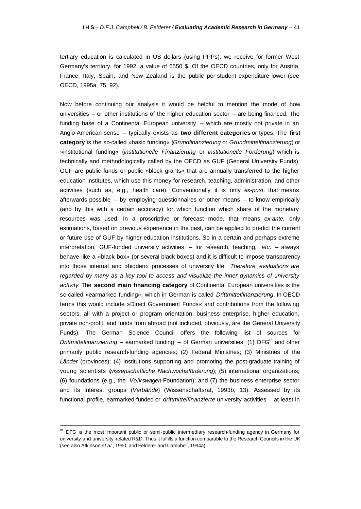tertiary education is calculated in US dollars (using PPPs), we receive for former West Germany's territory, for 1992, a value of 6550 \$. Of the OECD countries, only for Austria, France, Italy, Spain, and New Zealand is the public per-student expenditure lower (see OECD, 1995a, 75, 92).

Now before continuing our analysis it would be helpful to mention the mode of how universities – or other institutions of the higher education sector – are being financed. The funding base of a Continental European university – which are mostly not private in an Anglo-American sense – typically exists as **two different categories** or types. The **first category** is the so-called »basic funding« (*Grundfinanzierung* or *Grundmittelfinanzierung*) or »institutional funding« (*institutionelle Finanzierung* or *institutionelle Förderung*) which is technically and methodologically called by the OECD as GUF (General University Funds). GUF are public funds or public »block grants« that are annually transferred to the higher education institutes, which use this money for research, teaching, administration, and other activities (such as, e.g., health care). Conventionally it is only *ex-post,* that means afterwards possible – by employing questionnaires or other means – to know empirically (and by this with a certain accuracy) for which function which share of the monetary resources was used. In a proscriptive or forecast mode, that means *ex-ante,* only estimations, based on previous experience in the past, can be applied to predict the current or future use of GUF by higher education institutions. So in a certain and perhaps extreme interpretation, GUF-funded university activities – for research, teaching, *etc*. – always behave like a »black box« (or several black boxes) and it is difficult to impose transparency into those internal and »hidden« processes of university life. *Therefore, evaluations are regarded by many as a key tool to access and visualize the inner dynamics of university activity*. The **second main financing category** of Continental European universities is the so-called »earmarked funding«, which in German is called *Drittmittelfinanzierung*. In OECD terms this would include »Direct Government Funds« and contributions from the following sectors, all with a project or program orientation: business enterprise, higher education, private non-profit, and funds from abroad (not included, obviously, are the General University Funds). The German Science Council offers the following list of sources for *Drittmittelfinanzierung* – earmarked funding – of German universities: (1) DFG<sup>81</sup> and other primarily public research-funding agencies; (2) Federal Ministries; (3) Ministries of the Länder (provinces); (4) institutions supporting and promoting the post-graduate training of young scientists (*wissenschaftliche Nachwuchsförderung*); (5) international organizations; (6) foundations (e.g., the *Volkswagen*-Foundation); and (7) the business enterprise sector and its interest groups (*Verbände*) (Wissenschaftsrat, 1993b, 13). Assessed by its functional profile, earmarked-funded or *drittmittelfinanzierte* university activities – at least in

<sup>&</sup>lt;sup>81</sup> DFG is the most important public or semi-public intermediary research-funding agency in Germany for university and university-related R&D. Thus it fulfills a function comparable to the Research Councils in the UK (see also Atkinson *et al.*, 1990, and Felderer and Campbell, 1994a).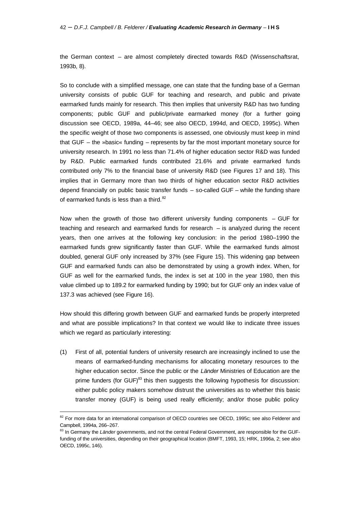the German context – are almost completely directed towards R&D (Wissenschaftsrat, 1993b, 8).

So to conclude with a simplified message, one can state that the funding base of a German university consists of public GUF for teaching and research, and public and private earmarked funds mainly for research. This then implies that university R&D has two funding components; public GUF and public/private earmarked money (for a further going discussion see OECD, 1989a, 44–46; see also OECD, 1994d, and OECD, 1995c). When the specific weight of those two components is assessed, one obviously must keep in mind that GUF – the »basic« funding – represents by far the most important monetary source for university research. In 1991 no less than 71.4% of higher education sector R&D was funded by R&D. Public earmarked funds contributed 21.6% and private earmarked funds contributed only 7% to the financial base of university R&D (see Figures 17 and 18). This implies that in Germany more than two thirds of higher education sector R&D activities depend financially on public basic transfer funds – so-called GUF – while the funding share of earmarked funds is less than a third.<sup>82</sup>

Now when the growth of those two different university funding components  $-$  GUF for teaching and research and earmarked funds for research – is analyzed during the recent years, then one arrives at the following key conclusion: in the period 1980–1990 the earmarked funds grew significantly faster than GUF. While the earmarked funds almost doubled, general GUF only increased by 37% (see Figure 15). This widening gap between GUF and earmarked funds can also be demonstrated by using a growth index. When, for GUF as well for the earmarked funds, the index is set at 100 in the year 1980, then this value climbed up to 189.2 for earmarked funding by 1990; but for GUF only an index value of 137.3 was achieved (see Figure 16).

How should this differing growth between GUF and earmarked funds be properly interpreted and what are possible implications? In that context we would like to indicate three issues which we regard as particularly interesting:

(1) First of all, potential funders of university research are increasingly inclined to use the means of earmarked-funding mechanisms for allocating monetary resources to the higher education sector. Since the public or the *Länder* Ministries of Education are the prime funders (for GUF)<sup>83</sup> this then suggests the following hypothesis for discussion: either public policy makers somehow distrust the universities as to whether this basic transfer money (GUF) is being used really efficiently; and/or those public policy

<sup>&</sup>lt;sup>82</sup> For more data for an international comparison of OECD countries see OECD, 1995c; see also Felderer and Campbell, 1994a, 266–267.

<sup>83</sup> In Germany the Länder governments, and not the central Federal Government, are responsible for the GUFfunding of the universities, depending on their geographical location (BMFT, 1993, 15; HRK, 1996a, 2; see also OECD, 1995c, 146).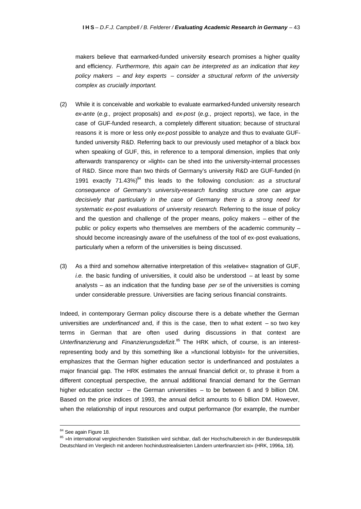makers believe that earmarked-funded university research promises a higher quality and efficiency. *Furthermore, this again can be interpreted as an indication that key policy makers – and key experts – consider a structural reform of the university complex as crucially important.*

- (2) While it is conceivable and workable to evaluate earmarked-funded university research *ex-ante* (*e.g.,* project proposals) and *ex-post* (*e.g.,* project reports), we face, in the case of GUF-funded research, a completely different situation; because of structural reasons it is more or less only *ex-post* possible to analyze and thus to evaluate GUFfunded university R&D. Referring back to our previously used metaphor of a black box when speaking of GUF, this, in reference to a temporal dimension, implies that only *afterwards* transparency or »light« can be shed into the university-internal processes of R&D. Since more than two thirds of Germany's university R&D are GUF-funded (in 1991 exactly 71.43%)<sup>84</sup> this leads to the following conclusion: *as a structural consequence of Germany's university-research funding structure one can argue decisively that particularly in the case of Germany there is a strong need for systematic ex-post evaluations of university research*. Referring to the issue of policy and the question and challenge of the proper means, policy makers – either of the public or policy experts who themselves are members of the academic community – should become increasingly aware of the usefulness of the tool of ex-post evaluations, particularly when a reform of the universities is being discussed.
- (3) As a third and somehow alternative interpretation of this »relative« stagnation of GUF, *i.e.* the basic funding of universities, it could also be understood – at least by some analysts – as an indication that the funding base *per se* of the universities is coming under considerable pressure. Universities are facing serious financial constraints.

Indeed, in contemporary German policy discourse there is a debate whether the German universities are *underfinanced* and, if this is the case, then to what extent – so two key terms in German that are often used during discussions in that context are Unterfinanzierung and Finanzierungsdefizit.<sup>85</sup> The HRK which, of course, is an interestrepresenting body and by this something like a »functional lobbyist« for the universities, emphasizes that the German higher education sector is underfinanced and postulates a major financial gap. The HRK estimates the annual financial deficit or, to phrase it from a different conceptual perspective, the annual additional financial demand for the German higher education sector – the German universities – to be between 6 and 9 billion DM. Based on the price indices of 1993, the annual deficit amounts to 6 billion DM. However, when the relationship of input resources and output performance (for example, the number

<sup>84</sup> See again Figure 18.

<sup>85 »</sup>In international vergleichenden Statistiken wird sichtbar, daß der Hochschulbereich in der Bundesrepublik Deutschland im Vergleich mit anderen hochindustriealisierten Ländern unterfinanziert ist« (HRK, 1996a, 18).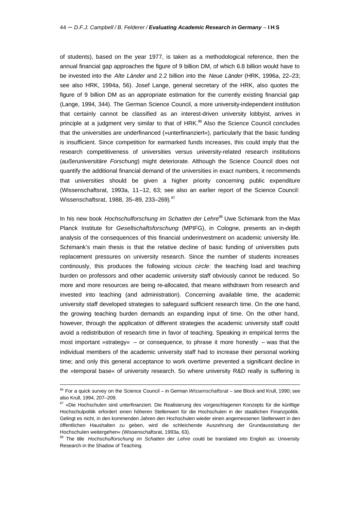of students), based on the year 1977, is taken as a methodological reference, then the annual financial gap approaches the figure of 9 billion DM, of which 6.8 billion would have to be invested into the *Alte Länder* and 2.2 billion into the *Neue Länder* (HRK, 1996a, 22–23; see also HRK, 1994a, 56). Josef Lange, general secretary of the HRK, also quotes the figure of 9 billion DM as an appropriate estimation for the currently existing financial gap (Lange, 1994, 344). The German Science Council, a more university-independent institution that certainly cannot be classified as an interest-driven university lobbyist, arrives in principle at a judgment very similar to that of HRK.<sup>86</sup> Also the Science Council concludes that the universities are underfinanced (»unterfinanziert«), particularly that the basic funding is insufficient. Since competition for earmarked funds increases, this could imply that the research competitiveness of universities versus university-related research institutions (*außeruniversitäre Forschung*) might deteriorate. Although the Science Council does not quantify the additional financial demand of the universities in exact numbers, it recommends that universities should be given a higher priority concerning public expenditure (Wissenschaftsrat, 1993a, 11–12, 63; see also an earlier report of the Science Council: Wissenschaftsrat, 1988, 35-89, 233-269).<sup>87</sup>

In his new book *Hochschulforschung im Schatten der Lehre*<sup>88</sup> Uwe Schimank from the Max Planck Institute for *Gesellschaftsforschung* (MPIFG), in Cologne, presents an in-depth analysis of the consequences of this financial underinvestment on academic university life. Schimank's main thesis is that the relative decline of basic funding of universities puts replacement pressures on university research. Since the number of students increases continously, this produces the following *vicious circle:* the teaching load and teaching burden on professors and other academic university staff obviously cannot be reduced. So more and more resources are being re-allocated, that means withdrawn from research and invested into teaching (and administration). Concerning available time, the academic university staff developed strategies to safeguard sufficient research time. On the one hand, the growing teaching burden demands an expanding input of time. On the other hand, however, through the application of different strategies the academic university staff could avoid a redistribution of research time in favor of teaching. Speaking in empirical terms the most important »strategy«  $-$  or consequence, to phrase it more honestly  $-$  was that the individual members of the academic university staff had to increase their personal working time; and only this general acceptance to work overtime prevented a significant decline in the »temporal base« of university research. So where university R&D really is suffering is

<sup>86</sup> For a quick survey on the Science Council – in German *Wissenschaftsrat* – see Block and Krull, 1990; see also Krull, 1994, 207–209.

<sup>87 »</sup>Die Hochschulen sind unterfinanziert. Die Realisierung des vorgeschlagenen Konzepts für die künftige Hochschulpolitik erfordert einen höheren Stellenwert für die Hochschulen in der staatlichen Finanzpolitik. Gelingt es nicht, in den kommenden Jahren den Hochschulen wieder einen angemessenen Stellenwert in den öffentlichen Haushalten zu geben, wird die schleichende Auszehrung der Grundausstattung der Hochschulen weitergehen« (Wissenschaftsrat, 1993a, 63).

<sup>88</sup> The title *Hochschulforschung im Schatten der Lehre* could be translated into English as: University Research in the Shadow of Teaching.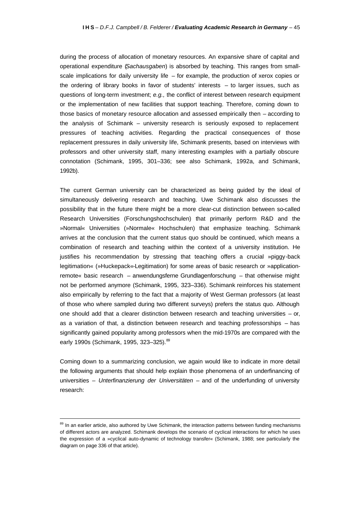during the process of allocation of monetary resources. An expansive share of capital and operational expenditure (*Sachausgaben*) is absorbed by teaching. This ranges from smallscale implications for daily university life – for example, the production of xerox copies or the ordering of library books in favor of students' interests – to larger issues, such as questions of long-term investment; *e.g.,* the conflict of interest between research equipment or the implementation of new facilities that support teaching. Therefore, coming down to those basics of monetary resource allocation and assessed empirically then – according to the analysis of Schimank – university research is seriously exposed to replacement pressures of teaching activities. Regarding the practical consequences of those replacement pressures in daily university life, Schimank presents, based on interviews with professors and other university staff, many interesting examples with a partially obscure connotation (Schimank, 1995, 301–336; see also Schimank, 1992a, and Schimank, 1992b).

The current German university can be characterized as being guided by the ideal of simultaneously delivering research and teaching. Uwe Schimank also discusses the possibility that in the future there might be a more clear-cut distinction between so-called Research Universities (Forschungshochschulen) that primarily perform R&D and the »Normal« Universities (»Normale« Hochschulen) that emphasize teaching. Schimank arrives at the conclusion that the current status quo should be continued, which means a combination of research and teaching within the context of a university institution. He justifies his recommendation by stressing that teaching offers a crucial »piggy-back legitimation« (»Huckepack«-Legitimation) for some areas of basic research or »applicationremote« basic research – anwendungsferne Grundlagenforschung – that otherwise might not be performed anymore (Schimank, 1995, 323–336). Schimank reinforces his statement also empirically by referring to the fact that a majority of West German professors (at least of those who where sampled during two different surveys) prefers the status quo. Although one should add that a clearer distinction between research and teaching universities – or, as a variation of that, a distinction between research and teaching professorships – has significantly gained popularity among professors when the mid-1970s are compared with the early 1990s (Schimank, 1995, 323-325).<sup>89</sup>

Coming down to a summarizing conclusion, we again would like to indicate in more detail the following arguments that should help explain those phenomena of an underfinancing of universities – *Unterfinanzierung der Universitäten* – and of the underfunding of university research:

 $\overline{a}$ 

<sup>&</sup>lt;sup>89</sup> In an earlier article, also authored by Uwe Schimank, the interaction patterns between funding mechanisms of different actors are analyzed. Schimank develops the scenario of cyclical interactions for which he uses the expression of a »cyclical auto-dynamic of technology transfer« (Schimank, 1988; see particularly the diagram on page 336 of that article).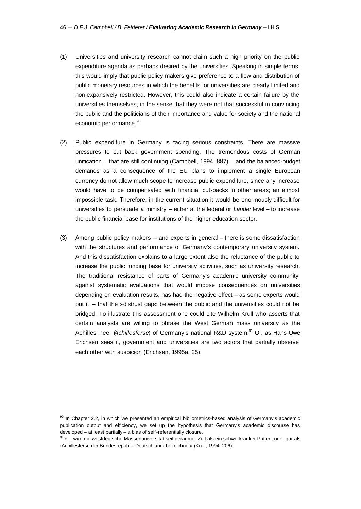- (1) Universities and university research cannot claim such a high priority on the public expenditure agenda as perhaps desired by the universities. Speaking in simple terms, this would imply that public policy makers give preference to a flow and distribution of public monetary resources in which the benefits for universities are clearly limited and non-expansively restricted. However, this could also indicate a certain failure by the universities themselves, in the sense that they were not that successful in convincing the public and the politicians of their importance and value for society and the national economic performance.<sup>90</sup>
- (2) Public expenditure in Germany is facing serious constraints. There are massive pressures to cut back government spending. The tremendous costs of German unification – that are still continuing (Campbell, 1994, 887) – and the balanced-budget demands as a consequence of the EU plans to implement a single European currency do not allow much scope to increase public expenditure, since any increase would have to be compensated with financial cut-backs in other areas; an almost impossible task. Therefore, in the current situation it would be enormously difficult for universities to persuade a ministry – either at the federal or *Länder* level – to increase the public financial base for institutions of the higher education sector.
- (3) Among public policy makers and experts in general there is some dissatisfaction with the structures and performance of Germany's contemporary university system. And this dissatisfaction explains to a large extent also the reluctance of the public to increase the public funding base for university activities, such as university research. The traditional resistance of parts of Germany's academic university community against systematic evaluations that would impose consequences on universities depending on evaluation results, has had the negative effect – as some experts would put it – that the »distrust gap« between the public and the universities could not be bridged. To illustrate this assessment one could cite Wilhelm Krull who asserts that certain analysts are willing to phrase the West German mass university as the Achilles heel (*Achillesferse*) of Germany's national R&D system.<sup>91</sup> Or, as Hans-Uwe Erichsen sees it, government and universities are two actors that partially observe each other with suspicion (Erichsen, 1995a, 25).

<sup>90</sup> In Chapter 2.2, in which we presented an empirical bibliometrics-based analysis of Germany's academic publication output and efficiency, we set up the hypothesis that Germany's academic discourse has developed – at least partially – a bias of self-referentially closure.

<sup>91 »...</sup> wird die westdeutsche Massenuniversität seit geraumer Zeit als ein schwerkranker Patient oder gar als ›Achillesferse der Bundesrepublik Deutschland‹ bezeichnet« (Krull, 1994, 206).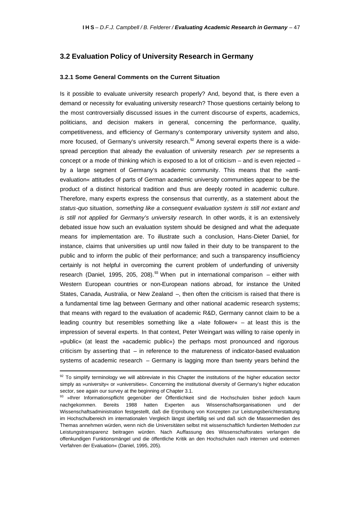## **3.2 Evaluation Policy of University Research in Germany**

### **3.2.1 Some General Comments on the Current Situation**

Is it possible to evaluate university research properly? And, beyond that, is there even a demand or necessity for evaluating university research? Those questions certainly belong to the most controversially discussed issues in the current discourse of experts, academics, politicians, and decision makers in general, concerning the performance, quality, competitiveness, and efficiency of Germany's contemporary university system and also, more focused, of Germany's university research. $92$  Among several experts there is a widespread perception that already the evaluation of university research *per se* represents a concept or a mode of thinking which is exposed to a lot of criticism – and is even rejected – by a large segment of Germany's academic community. This means that the »antievaluation« attitudes of parts of German academic university communities appear to be the product of a distinct historical tradition and thus are deeply rooted in academic culture. Therefore, many experts express the consensus that currently, as a statement about the *status-quo* situation, *something like a consequent evaluation system is still not extant and is still not applied for Germany's university research*. In other words, it is an extensively debated issue how such an evaluation system should be designed and what the adequate means for implementation are. To illustrate such a conclusion, Hans-Dieter Daniel, for instance, claims that universities up until now failed in their duty to be transparent to the public and to inform the public of their performance; and such a transparency insufficiency certainly is not helpful in overcoming the current problem of underfunding of university research (Daniel, 1995, 205, 208).<sup>93</sup> When put in international comparison – either with Western European countries or non-European nations abroad, for instance the United States, Canada, Australia, or New Zealand –, then often the criticism is raised that there is a fundamental time lag between Germany and other national academic research systems; that means with regard to the evaluation of academic R&D, Germany cannot claim to be a leading country but resembles something like a »late follower« – at least this is the impression of several experts. In that context, Peter Weingart was willing to raise openly in »public« (at least the »academic public«) the perhaps most pronounced and rigorous criticism by asserting that – in reference to the matureness of indicator-based evaluation systems of academic research – Germany is lagging more than twenty years behind the

 $92$  To simplify terminology we will abbreviate in this Chapter the institutions of the higher education sector simply as »university« or »universities«. Concerning the institutional diversity of Germany's higher education sector, see again our survey at the beginning of Chapter 3.1.

<sup>93 »</sup>Ihrer Informationspflicht gegenüber der Öffentlichkeit sind die Hochschulen bisher jedoch kaum nachgekommen. Bereits 1988 hatten Experten aus Wissenschaftsorganisationen und der Wissenschaftsadministration festgestellt, daß die Erprobung von Konzepten zur Leistungsberichterstattung im Hochschulbereich im internationalen Vergleich längst überfällig sei und daß sich die Massenmedien des Themas annehmen würden, wenn nich die Universitäten selbst mit wissenschaftlich fundierten Methoden zur Leistungstransparenz beitragen würden. Nach Auffassung des Wissenschaftsrates verlangen die offenkundigen Funktionsmängel und die öffentliche Kritik an den Hochschulen nach internen und externen Verfahren der Evaluation« (Daniel, 1995, 205).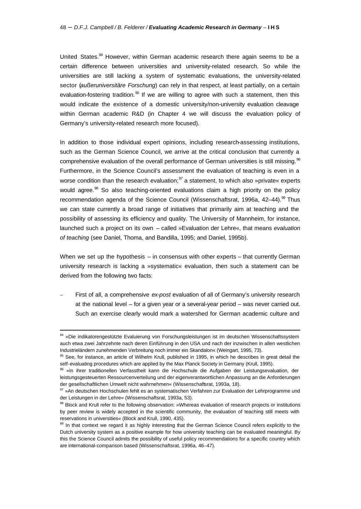United States.<sup>94</sup> However, within German academic research there again seems to be a certain difference between universities and university-related research. So while the universities are still lacking a system of systematic evaluations, the university-related sector (*außeruniversitäre Forschung*) can rely in that respect, at least partially, on a certain evaluation-fostering tradition.<sup>95</sup> If we are willing to agree with such a statement, then this would indicate the existence of a domestic university/non-university evaluation cleavage within German academic R&D (in Chapter 4 we will discuss the evaluation policy of Germany's university-related research more focused).

In addition to those individual expert opinions, including research-assessing institutions, such as the German Science Council, we arrive at the critical conclusion that currently a comprehensive evaluation of the overall performance of German universities is still missing.<sup>96</sup> Furthermore, in the Science Council's assessment the evaluation of teaching is even in a worse condition than the research evaluation; $^{97}$  a statement, to which also »private« experts would agree.<sup>98</sup> So also teaching-oriented evaluations claim a high priority on the policy recommendation agenda of the Science Council (Wissenschaftsrat, 1996a, 42-44).<sup>99</sup> Thus we can state currently a broad range of initiatives that primarily aim at teaching and the possibility of assessing its efficiency and quality. The University of Mannheim, for instance, launched such a project on its own – called »Evaluation der Lehre«, that means *evaluation of teaching* (see Daniel, Thoma, and Bandilla, 1995; and Daniel, 1995b).

When we set up the hypothesis  $-$  in consensus with other experts  $-$  that currently German university research is lacking a »systematic« evaluation, then such a statement can be derived from the following two facts:

– First of all, a comprehensive *ex-post* evaluation of all of Germany's university research at the national level – for a given year or a several-year period – was never carried out. Such an exercise clearly would mark a watershed for German academic culture and

<sup>94 »</sup>Die indikatorengestützte Evaluierung von Forschungsleistungen ist im deutschen Wissenschaftssystem auch etwa zwei Jahrzehnte nach deren Einführung in den USA und nach der inzwischen in allen westlichen Industrieländern zunehmenden Verbreitung noch immer ein Skandalon« (Weingart, 1995, 73).

<sup>95</sup> See, for instance, an article of Wilhelm Krull, published in 1995, in which he describes in great detail the self-evaluating procedures which are applied by the Max Planck Society in Germany (Krull, 1995).

<sup>96 »</sup>In ihrer traditionellen Verfasstheit kann die Hochschule die Aufgaben der Leistungsevaluation, der leistungsgesteuerten Ressourcenverteilung und der eigenverantwortlichen Anpassung an die Anforderungen der gesellschaftlichen Umwelt nicht wahrnehmen« (Wissenschaftsrat, 1993a, 18).

<sup>97 »</sup>An deutschen Hochschulen fehlt es an systematischen Verfahren zur Evaluation der Lehrprogramme und der Leistungen in der Lehre« (Wissenschaftsrat, 1993a, 53).

<sup>98</sup> Block and Krull refer to the following observation: »Whereas evaluation of research projects or institutions by peer review is widely accepted in the scientific community, the evaluation of teaching still meets with reservations in universities« (Block and Krull, 1990, 435).

<sup>&</sup>lt;sup>99</sup> In that context we regard it as highly interesting that the German Science Council refers explicitly to the Dutch university system as a positive example for how university teaching can be evaluated meaningful. By this the Science Council admits the possibility of useful policy recommendations for a specific country which are international-comparison based (Wissenschaftsrat, 1996a, 46–47).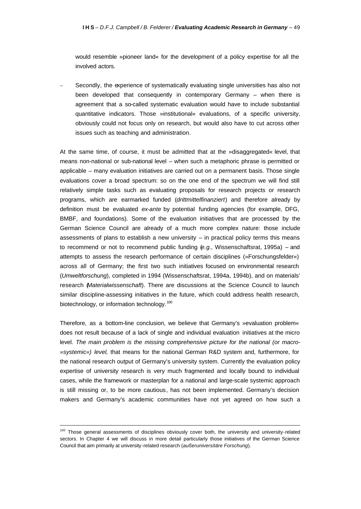would resemble »pioneer land« for the development of a policy expertise for all the involved actors.

Secondly, the experience of systematically evaluating single universities has also not been developed that consequently in contemporary Germany – when there is agreement that a so-called systematic evaluation would have to include substantial quantitative indicators. Those »institutional« evaluations, of a specific university, obviously could not focus only on research, but would also have to cut across other issues such as teaching and administration.

At the same time, of course, it must be admitted that at the »disaggregated« level, that means non-national or sub-national level – when such a metaphoric phrase is permitted or applicable – many evaluation initiatives are carried out on a permanent basis. Those single evaluations cover a broad spectrum: so on the one end of the spectrum we will find still relatively simple tasks such as evaluating proposals for research projects or research programs, which are earmarked funded (*drittmittelfinanziert*) and therefore already by definition must be evaluated *ex-ante* by potential funding agencies (for example, DFG, BMBF, and foundations). Some of the evaluation initiatives that are processed by the German Science Council are already of a much more complex nature: those include assessments of plans to establish a new university  $-$  in practical policy terms this means to recommend or not to recommend public funding (*e.g.,* Wissenschaftsrat, 1995a) – and attempts to assess the research performance of certain disciplines (»Forschungsfelder«) across all of Germany; the first two such initiatives focused on environmental research (*Umweltforschung*), completed in 1994 (Wissenschaftsrat, 1994a, 1994b), and on materials' research (*Materialwissenschaft*). There are discussions at the Science Council to launch similar discipline-assessing initiatives in the future, which could address health research, biotechnology, or information technology.<sup>100</sup>

Therefore, as a bottom-line conclusion, we believe that Germany's »evaluation problem« does not result because of a lack of single and individual evaluation initiatives at the micro level. *The main problem is the missing comprehensive picture for the national (or macro- »systemic«) level,* that means for the national German R&D system and, furthermore, for the national research output of Germany's university system. Currently the evaluation policy expertise of university research is very much fragmented and locally bound to individual cases, while the framework or masterplan for a national and large-scale systemic approach is still missing or, to be more cautious, has not been implemented. Germany's decision makers and Germany's academic communities have not yet agreed on how such a

<sup>100</sup> Those general assessments of disciplines obviously cover both, the university and university-related sectors. In Chapter 4 we will discuss in more detail particularly those initiatives of the German Science Council that aim primarily at university-related research (*außeruniversitäre Forschung*).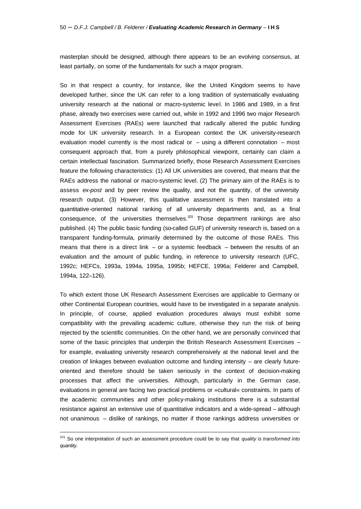masterplan should be designed, although there appears to be an evolving consensus, at least partially, on some of the fundamentals for such a major program.

So in that respect a country, for instance, like the United Kingdom seems to have developed further, since the UK can refer to a long tradition of systematically evaluating university research at the national or macro-systemic level. In 1986 and 1989, in a first phase, already two exercises were carried out, while in 1992 and 1996 two major Research Assessment Exercises (RAEs) were launched that radically altered the public funding mode for UK university research. In a European context the UK university-research evaluation model currently is the most radical or  $-$  using a different connotation  $-$  most consequent approach that, from a purely philosophical viewpoint, certainly can claim a certain intellectual fascination. Summarized briefly, those Research Assessment Exercises feature the following characteristics: (1) All UK universities are covered, that means that the RAEs address the national or macro-systemic level. (2) The primary aim of the RAEs is to assess *ex-post* and by peer review the quality, and not the quantity, of the university research output. (3) However, this qualitative assessment is then translated into a quantitative-oriented national ranking of all university departments and, as a final consequence, of the universities themselves.<sup>101</sup> Those department rankings are also published. (4) The public basic funding (so-called GUF) of university research is, based on a transparent funding-formula, primarily determined by the outcome of those RAEs. This means that there is a direct link  $-$  or a systemic feedback  $-$  between the results of an evaluation and the amount of public funding, in reference to university research (UFC, 1992c; HEFCs, 1993a, 1994a, 1995a, 1995b; HEFCE, 1996a; Felderer and Campbell, 1994a, 122–126).

To which extent those UK Research Assessment Exercises are applicable to Germany or other Continental European countries, would have to be investigated in a separate analysis. In principle, of course, applied evaluation procedures always must exhibit some compatibility with the prevailing academic culture, otherwise they run the risk of being rejected by the scientific communities. On the other hand, we are personally convinced that some of the basic principles that underpin the British Research Assessment Exercises for example, evaluating university research comprehensively at the national level and the creation of linkages between evaluation outcome and funding intensity – are clearly futureoriented and therefore should be taken seriously in the context of decision-making processes that affect the universities. Although, particularly in the German case, evaluations in general are facing two practical problems or »cultural« constraints. In parts of the academic communities and other policy-making institutions there is a substantial resistance against an extensive use of quantitative indicators and a wide-spread – although not unanimous – dislike of rankings, no matter if those rankings address universities or

<sup>101</sup> So one interpretation of such an assessment procedure could be to say that *quality is transformed into quantity.*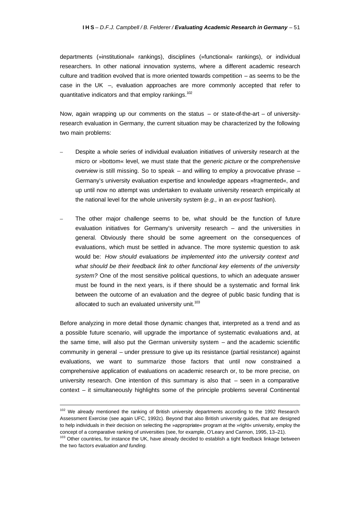departments (»institutional« rankings), disciplines (»functional« rankings), or individual researchers. In other national innovation systems, where a different academic research culture and tradition evolved that is more oriented towards competition – as seems to be the case in the UK –, evaluation approaches are more commonly accepted that refer to quantitative indicators and that employ rankings.<sup>102</sup>

Now, again wrapping up our comments on the status – or state-of-the-art – of universityresearch evaluation in Germany, the current situation may be characterized by the following two main problems:

- Despite a whole series of individual evaluation initiatives of university research at the micro or »bottom« level, we must state that the *generic picture* or the *comprehensive overview* is still missing. So to speak – and willing to employ a provocative phrase – Germany's university evaluation expertise and knowledge appears »fragmented«, and up until now no attempt was undertaken to evaluate university research empirically at the national level for the whole university system (*e.g.,* in an *ex-post* fashion).
- The other major challenge seems to be, what should be the function of future evaluation initiatives for Germany's university research – and the universities in general. Obviously there should be some agreement on the consequences of evaluations, which must be settled in advance. The more systemic question to ask would be: *How should evaluations be implemented into the university context and what should be their feedback link to other functional key elements of the university system?* One of the most sensitive political questions, to which an adequate answer must be found in the next years, is if there should be a systematic and formal link between the outcome of an evaluation and the degree of public basic funding that is allocated to such an evaluated university unit. $103$

Before analyzing in more detail those dynamic changes that, interpreted as a trend and as a possible future scenario, will upgrade the importance of systematic evaluations and, at the same time, will also put the German university system – and the academic scientific community in general – under pressure to give up its resistance (partial resistance) against evaluations, we want to summarize those factors that until now constrained a comprehensive application of evaluations on academic research or, to be more precise, on university research. One intention of this summary is also that – seen in a comparative context – it simultaneously highlights some of the principle problems several Continental

<sup>102</sup> We already mentioned the ranking of British university departments according to the 1992 Research Assessment Exercise (see again UFC, 1992c). Beyond that also British university guides, that are designed to help individuals in their decision on selecting the »appropriate« program at the »right« university, employ the concept of a comparative ranking of universities (see, for example, O'Leary and Cannon, 1995, 13–21).

<sup>&</sup>lt;sup>103</sup> Other countries, for instance the UK, have already decided to establish a tight feedback linkage between the two factors *evaluation and funding.*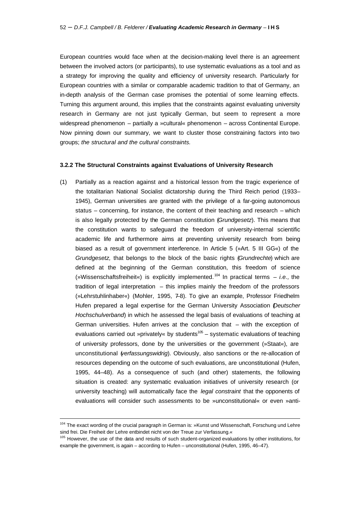European countries would face when at the decision-making level there is an agreement between the involved actors (or participants), to use systematic evaluations as a tool and as a strategy for improving the quality and efficiency of university research. Particularly for European countries with a similar or comparable academic tradition to that of Germany, an in-depth analysis of the German case promises the potential of some learning effects. Turning this argument around, this implies that the constraints against evaluating university research in Germany are not just typically German, but seem to represent a more widespread phenomenon – partially a »cultural« phenomenon – across Continental Europe. Now pinning down our summary, we want to cluster those constraining factors into two groups; *the structural and the cultural constraints.*

#### **3.2.2 The Structural Constraints against Evaluations of University Research**

(1) Partially as a reaction against and a historical lesson from the tragic experience of the totalitarian National Socialist dictatorship during the Third Reich period (1933– 1945), German universities are granted with the privilege of a far-going autonomous status – concerning, for instance, the content of their teaching and research – which is also legally protected by the German constitution (*Grundgesetz*). This means that the constitution wants to safeguard the freedom of university-internal scientific academic life and furthermore aims at preventing university research from being biased as a result of government interference. In Article 5 (»Art. 5 III GG«) of the *Grundgesetz,* that belongs to the block of the basic rights (*Grundrechte*) which are defined at the beginning of the German constitution, this freedom of science (»Wissenschaftsfreiheit«) is explicitly implemented.<sup>104</sup> In practical terms – *i.e.,* the tradition of legal interpretation – this implies mainly the freedom of the professors (»Lehrstuhlinhaber«) (Mohler, 1995, 7–8). To give an example, Professor Friedhelm Hufen prepared a legal expertise for the German University Association (*Deutscher Hochschulverband*) in which he assessed the legal basis of evaluations of teaching at German universities. Hufen arrives at the conclusion that – with the exception of evaluations carried out »privately« by students<sup>105</sup> – systematic evaluations of teaching of university professors, done by the universities or the government (»Staat«), are unconstitutional (*verfassungswidrig*). Obviously, also sanctions or the re-allocation of resources depending on the outcome of such evaluations, are unconstitutional (Hufen, 1995, 44–48). As a consequence of such (and other) statements, the following situation is created: any systematic evaluation initiatives of university research (or university teaching) will automatically face the *legal constraint* that the opponents of evaluations will consider such assessments to be »unconstitutional« or even »anti-

 $\overline{a}$ 

<sup>104</sup> The exact wording of the crucial paragraph in German is: »Kunst und Wissenschaft, Forschung und Lehre sind frei. Die Freiheit der Lehre entbindet nicht von der Treue zur Verfassung.«

<sup>&</sup>lt;sup>105</sup> However, the use of the data and results of such student-organized evaluations by other institutions, for example the government, is again – according to Hufen – unconstitutional (Hufen, 1995, 46–47).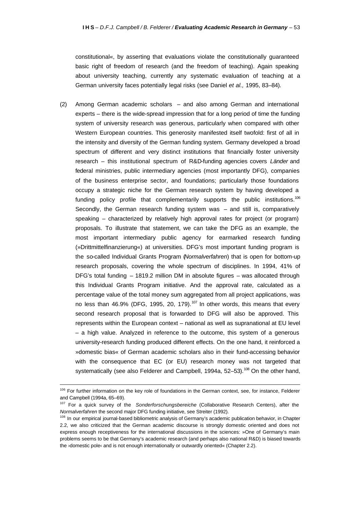constitutional«, by asserting that evaluations violate the constitutionally guaranteed basic right of freedom of research (and the freedom of teaching). Again speaking about university teaching, currently any systematic evaluation of teaching at a German university faces potentially legal risks (see Daniel *et al.,* 1995, 83–84).

(2) Among German academic scholars – and also among German and international experts – there is the wide-spread impression that for a long period of time the funding system of university research was generous, particularly when compared with other Western European countries. This generosity manifested itself twofold: first of all in the intensity and diversity of the German funding system. Germany developed a broad spectrum of different and very distinct institutions that financially foster university research – this institutional spectrum of R&D-funding agencies covers *Länder* and federal ministries, public intermediary agencies (most importantly DFG), companies of the business enterprise sector, and foundations; particularly those foundations occupy a strategic niche for the German research system by having developed a funding policy profile that complementarily supports the public institutions.<sup>106</sup> Secondly, the German research funding system was – and still is, comparatively speaking – characterized by relatively high approval rates for project (or program) proposals. To illustrate that statement, we can take the DFG as an example, the most important intermediary public agency for earmarked research funding (»Drittmittelfinanzierung«) at universities. DFG's most important funding program is the so-called Individual Grants Program (*Normalverfahren*) that is open for bottom-up research proposals, covering the whole spectrum of disciplines. In 1994, 41% of DFG's total funding – 1819.2 million DM in absolute figures – was allocated through this Individual Grants Program initiative. And the approval rate, calculated as a percentage value of the total money sum aggregated from all project applications, was no less than  $46.9\%$  (DFG, 1995, 20, 179).<sup>107</sup> In other words, this means that every second research proposal that is forwarded to DFG will also be approved. This represents within the European context – national as well as supranational at EU level – a high value. Analyzed in reference to the outcome, this system of a generous university-research funding produced different effects. On the one hand, it reinforced a »domestic bias« of German academic scholars also in their fund-accessing behavior with the consequence that EC (or EU) research money was not targeted that systematically (see also Felderer and Campbell, 1994a, 52-53).<sup>108</sup> On the other hand,

<sup>&</sup>lt;sup>106</sup> For further information on the key role of foundations in the German context, see, for instance, Felderer and Campbell (1994a, 65–69).

<sup>107</sup> For a quick survey of the *Sonderforschungsbereiche* (Collaborative Research Centers), after the *Normalverfahren* the second major DFG funding initiative, see Streiter (1992).

<sup>&</sup>lt;sup>108</sup> In our empirical journal-based bibliometric analysis of Germany's academic publication behavior, in Chapter 2.2, we also criticized that the German academic discourse is strongly domestic oriented and does not express enough receptiveness for the international discussions in the sciences: »One of Germany's main problems seems to be that Germany's academic research (and perhaps also national R&D) is biased towards the *>domestic pole*  $\epsilon$  and is not enough internationally or outwardly oriented « (Chapter 2.2).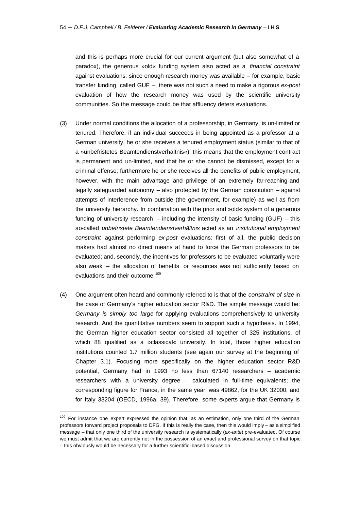and this is perhaps more crucial for our current argument (but also somewhat of a paradox), the generous »old« funding system also acted as a *financial constraint* against evaluations: since enough research money was available – for example, basic transfer funding, called GUF –, there was not such a need to make a rigorous *ex-post* evaluation of how the research money was used by the scientific university communities. So the message could be that affluency deters evaluations.

- (3) Under normal conditions the allocation of a professorship, in Germany, is un-limited or tenured. Therefore, if an individual succeeds in being appointed as a professor at a German university, he or she receives a tenured employment status (similar to that of a »unbefristetes Beamtendienstverhältnis«): this means that the employment contract is permanent and un-limited, and that he or she cannot be dismissed, except for a criminal offense; furthermore he or she receives all the benefits of public employment, however, with the main advantage and privilege of an extremely far-reaching and legally safeguarded autonomy – also protected by the German constitution – against attempts of interference from outside (the government, for example) as well as from the university hierarchy. In combination with the prior and »old« system of a generous funding of university research  $-$  including the intensity of basic funding (GUF)  $-$  this so-called *unbefristete Beamtendienstverhältnis* acted as an *institutional employment constraint* against performing *ex-post* evaluations: first of all, the public decision makers had almost no direct means at hand to force the German professors to be evaluated; and, secondly, the incentives for professors to be evaluated voluntarily were also weak – the allocation of benefits or resources was not sufficiently based on evaluations and their outcome.<sup>109</sup>
- (4) One argument often heard and commonly referred to is that of the *constraint of size* in the case of Germany's higher education sector R&D. The simple message would be: *Germany is simply too large* for applying evaluations comprehensively to university research. And the quantitative numbers seem to support such a hypothesis. In 1994, the German higher education sector consisted all together of 325 institutions, of which 88 qualified as a »classical« university. In total, those higher education institutions counted 1.7 million students (see again our survey at the beginning of Chapter 3.1). Focusing more specifically on the higher education sector R&D potential, Germany had in 1993 no less than 67140 researchers – academic researchers with a university degree – calculated in full-time equivalents; the corresponding figure for France, in the same year, was 49862, for the UK 32000, and for Italy 33204 (OECD, 1996a, 39). Therefore, some experts argue that Germany is

<sup>109</sup> For instance one expert expressed the opinion that, as an estimation, only one third of the German professors forward project proposals to DFG. If this is really the case, then this would imply – as a simplified message – that only one third of the university research is systematically (*ex-ante*) pre-evaluated. Of course we must admit that we are currently not in the possession of an exact and professional survey on that topic – this obviously would be necessary for a further scientific-based discussion.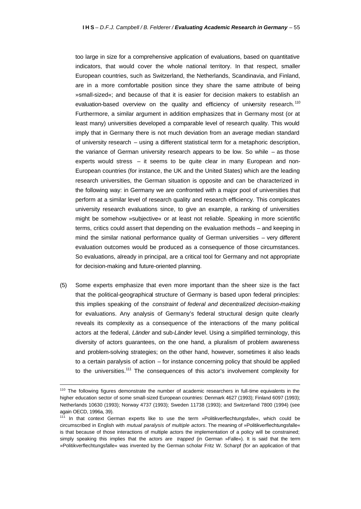too large in size for a comprehensive application of evaluations, based on quantitative indicators, that would cover the whole national territory. In that respect, smaller European countries, such as Switzerland, the Netherlands, Scandinavia, and Finland, are in a more comfortable position since they share the same attribute of being »small-sized«; and because of that it is easier for decision makers to establish an evaluation-based overview on the quality and efficiency of university research.<sup>110</sup> Furthermore, a similar argument in addition emphasizes that in Germany most (or at least many) universities developed a comparable level of research quality. This would imply that in Germany there is not much deviation from an average median standard of university research – using a different statistical term for a metaphoric description, the variance of German university research appears to be low. So while – as those experts would stress – it seems to be quite clear in many European and non-European countries (for instance, the UK and the United States) which are the leading research universities, the German situation is opposite and can be characterized in the following way: in Germany we are confronted with a major pool of universities that perform at a similar level of research quality and research efficiency. This complicates university research evaluations since, to give an example, a ranking of universities might be somehow »subjective« or at least not reliable. Speaking in more scientific terms, critics could assert that depending on the evaluation methods – and keeping in mind the similar national performance quality of German universities – very different evaluation outcomes would be produced as a consequence of those circumstances. So evaluations, already in principal, are a critical tool for Germany and not appropriate for decision-making and future-oriented planning.

(5) Some experts emphasize that even more important than the sheer size is the fact that the political-geographical structure of Germany is based upon federal principles: this implies speaking of the *constraint of federal and decentralized decision-making* for evaluations. Any analysis of Germany's federal structural design quite clearly reveals its complexity as a consequence of the interactions of the many political actors at the federal, *Länder* and sub-*Länder* level. Using a simplified terminology, this diversity of actors guarantees, on the one hand, a pluralism of problem awareness and problem-solving strategies; on the other hand, however, sometimes it also leads to a certain paralysis of action – for instance concerning policy that should be applied to the universities.<sup>111</sup> The consequences of this actor's involvement complexity for

<sup>&</sup>lt;sup>110</sup> The following figures demonstrate the number of academic researchers in full-time equivalents in the higher education sector of some small-sized European countries: Denmark 4627 (1993); Finland 6097 (1993); Netherlands 10630 (1993); Norway 4737 (1993); Sweden 11738 (1993); and Switzerland 7800 (1994) (see again OECD, 1996a, 39).

<sup>111</sup> In that context German experts like to use the term »Politikverflechtungsfalle«, which could be circumscribed in English with *mutual paralysis of multiple actors*. The meaning of »Politikverflechtungsfalle« is that because of those interactions of multiple actors the implementation of a policy will be constrained; simply speaking this implies that the actors are *trapped* (in German »Falle«). It is said that the term »Politikverflechtungsfalle« was invented by the German scholar Fritz W. Scharpf (for an application of that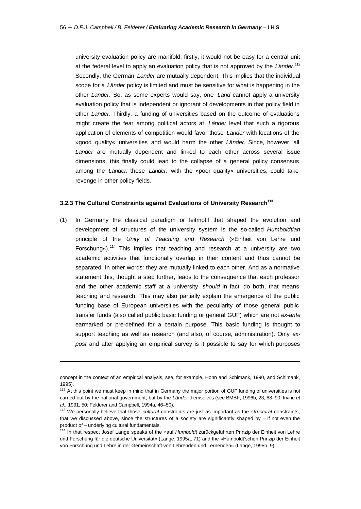university evaluation policy are manifold: firstly, it would not be easy for a central unit at the federal level to apply an evaluation policy that is not approved by the *Länder*. 112 Secondly, the German *Länder* are mutually dependent. This implies that the individual scope for a *Länder* policy is limited and must be sensitive for what is happening in the other *Länder*. So, as some experts would say, one *Land* cannot apply a university evaluation policy that is independent or ignorant of developments in that policy field in other *Länder*. Thirdly, a funding of universities based on the outcome of evaluations might create the fear among political actors at *Länder* level that such a rigorous application of elements of competition would favor those *Länder* with locations of the »good quality« universities and would harm the other *Länder*. Since, however, all *Länder* are mutually dependent and linked to each other across several issue dimensions, this finally could lead to the collapse of a general policy consensus among the *Länder:* those *Länder,* with the »poor quality« universities, could take revenge in other policy fields.

#### **3.2.3 The Cultural Constraints against Evaluations of University Research<sup>113</sup>**

(1) In Germany the classical paradigm or leitmotif that shaped the evolution and development of structures of the university system is the so-called *Humboldtian* principle of the *Unity of Teaching and Research* (»Einheit von Lehre und Forschung«).<sup>114</sup> This implies that teaching and research at a university are two academic activities that functionally overlap in their content and thus cannot be separated. In other words: they are mutually linked to each other. And as a normative statement this, thought a step further, leads to the consequence that each professor and the other academic staff at a university *should* in fact do both, that means teaching and research. This may also partially explain the emergence of the public funding base of European universities with the peculiarity of those general public transfer funds (also called public basic funding or general GUF) which are not *ex-ante* earmarked or pre-defined for a certain purpose. This basic funding is thought to support teaching as well as research (and also, of course, administration). Only *expost* and after applying an empirical survey is it possible to say for which purposes

concept in the context of an empirical analysis, see, for example, Hohn and Schimank, 1990, and Schimank, 1995).

<sup>&</sup>lt;sup>112</sup> At this point we must keep in mind that in Germany the major portion of GUF funding of universities is not carried out by the national government, but by the *Länder* themselves (see BMBF, 1996b, 23, 88–90; Irvine *et al.,* 1991, 50; Felderer and Campbell, 1994a, 46–50).

<sup>113</sup> We personally believe that those *cultural* constraints are just as important as the *structural* constraints, that we discussed above, since the structures of a society are significantly shaped by – if not even the product of – underlying cultural fundamentals.

<sup>114</sup> In that respect Josef Lange speaks of the »auf *Humboldt* zurückgeführten Prinzip der Einheit von Lehre und Forschung für die deutsche Universität« (Lange, 1995a, 71) and the »Humboldt'schen Prinzip der Einheit von Forschung und Lehre in der Gemeinschaft von Lehrenden und Lernenden« (Lange, 1995b, 9).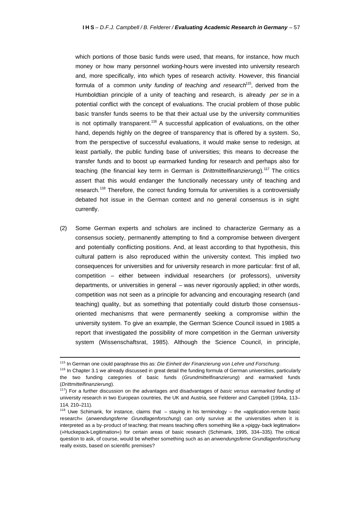which portions of those basic funds were used, that means, for instance, how much money or how many personnel working-hours were invested into university research and, more specifically, into which types of research activity. However, this financial formula of a common *unity funding of teaching and research*<sup>115</sup>, derived from the Humboldtian principle of a unity of teaching and research, is already *per se* in a potential conflict with the concept of evaluations. The crucial problem of those public basic transfer funds seems to be that their actual use by the university communities is not optimally transparent.<sup>116</sup> A successful application of evaluations, on the other hand, depends highly on the degree of transparency that is offered by a system. So, from the perspective of successful evaluations, it would make sense to redesign, at least partially, the public funding base of universities; this means to decrease the transfer funds and to boost up earmarked funding for research and perhaps also for teaching (the financial key term in German is *Drittmittelfinanzierung*).<sup>117</sup> The critics assert that this would endanger the functionally necessary unity of teaching and research.<sup>118</sup> Therefore, the correct funding formula for universities is a controversially debated hot issue in the German context and no general consensus is in sight currently.

(2) Some German experts and scholars are inclined to characterize Germany as a consensus society, permanently attempting to find a compromise between divergent and potentially conflicting positions. And, at least according to that hypothesis, this cultural pattern is also reproduced within the university context. This implied two consequences for universities and for university research in more particular: first of all, competition – either between individual researchers (or professors), university departments, or universities in general – was never rigorously applied; in other words, competition was not seen as a principle for advancing and encouraging research (and teaching) quality, but as something that potentially could disturb those consensusoriented mechanisms that were permanently seeking a compromise within the university system. To give an example, the German Science Council issued in 1985 a report that investigated the possibility of more competition in the German university system (Wissenschaftsrat, 1985). Although the Science Council, in principle,

<sup>115</sup> In German one could paraphrase this as: *Die Einheit der Finanzierung von Lehre und Forschung*.

 $116$  In Chapter 3.1 we already discussed in great detail the funding formula of German universities, particularly the two funding categories of basic funds (*Grundmittelfinanzierung*) and earmarked funds (*Drittmittelfinanzierung*).

<sup>117</sup>) For a further discussion on the advantages and disadvantages of *basic versus earmarked funding* of university research in two European countries, the UK and Austria, see Felderer and Campbell (1994a, 113– 114, 210–211).

 $118$  Uwe Schimank, for instance, claims that  $-$  staying in his terminology  $-$  the »application-remote basic research« (*anwendungsferne Grundlagenforschung*) can only survive at the universities when it is interpreted as a by-product of teaching; that means teaching offers something like a »piggy-back legitimation« (»Huckepack-Legitimation«) for certain areas of basic research (Schimank, 1995, 334–335). The critical question to ask, of course, would be whether something such as an *anwendungsferne Grundlagenforschung* really exists, based on scientific premises?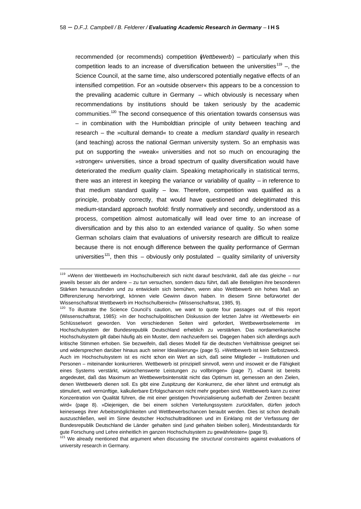recommended (or recommends) competition (*Wettbewerb*) – particularly when this competition leads to an increase of diversification between the universities<sup>119</sup> -, the Science Council, at the same time, also underscored potentially negative effects of an intensified competition. For an »outside observer« this appears to be a concession to the prevailing academic culture in Germany – which obviously is necessary when recommendations by institutions should be taken seriously by the academic communities.<sup>120</sup> The second consequence of this orientation towards consensus was – in combination with the Humboldtian principle of unity between teaching and research – the »cultural demand« to create a *medium standard quality* in research (and teaching) across the national German university system. So an emphasis was put on supporting the »weak« universities and not so much on encouraging the »stronger« universities, since a broad spectrum of quality diversification would have deteriorated the *medium quality* claim. Speaking metaphorically in statistical terms, there was an interest in keeping the variance or variability of quality – in reference to that medium standard quality – low. Therefore, competition was qualified as a principle, probably correctly, that would have questioned and delegitimated this medium-standard approach twofold: firstly normatively and secondly, understood as a process, competition almost automatically will lead over time to an increase of diversification and by this also to an extended variance of quality. So when some German scholars claim that evaluations of university research are difficult to realize because there is not enough difference between the quality performance of German universities<sup>121</sup>, then this – obviously only postulated – quality similarity of university

<sup>119</sup> »Wenn der Wettbewerb im Hochschulbereich sich nicht darauf beschränkt, daß alle das gleiche – nur jeweils besser als der andere – zu tun versuchen, sondern dazu führt, daß alle Beteiligten ihre besonderen Stärken herauszufinden und zu entwickeln sich bemühen, wenn also Wettbewerb ein hohes Maß an Differenzierung hervorbringt, können viele Gewinn davon haben. In diesem Sinne befürwortet der Wissenschaftsrat Wettbewerb im Hochschulbereich« (Wissenschaftsrat, 1985, 9).

<sup>&</sup>lt;sup>120</sup> To illustrate the Science Council's caution, we want to quote four passages out of this report (Wissenschaftsrat, 1985): »In der hochschulpolitischen Diskussion der letzten Jahre ist ›Wettbewerb‹ ein Schlüsselwort geworden. Von verschiedenen Seiten wird gefordert, Wettbewerbselemente im Hochschulsystem der Bundesrepublik Deutschland erheblich zu verstärken. Das nordamerikanische Hochschulsystem gilt dabei häufig als ein Muster, dem nachzueifern sei. Dagegen haben sich allerdings auch kritische Stimmen erhoben. Sie bezweifeln, daß dieses Modell für die deutschen Verhältnisse geeignet sei und widersprechen darüber hinaus auch seiner Idealisierung« (page 5). »Wettbewerb ist kein Selbstzweck. Auch im Hochschulsystem ist es nicht schon ein Wert an sich, daß seine Mitglieder – Institutionen und Personen – miteinander konkurrieren. Wettbewerb ist prinzipiell sinnvoll, wenn und insoweit er die Fähigkeit eines Systems verstärkt, wünschenswerte Leistungen zu vollbringen« (page 7). »Damit ist bereits angedeutet, daß das Maximum an Wettbewerbsintensität nicht das Optimum ist, gemessen an den Zielen, denen Wettbewerb dienen soll. Es gibt eine Zuspitzung der Konkurrenz, die eher lähmt und entmutigt als stimuliert, weil vernünftige, kalkulierbare Erfolgschancen nicht mehr gegeben sind. Wettbewerb kann zu einer Konzentration von Qualität führen, die mit einer geistigen Provinzialisierung außerhalb der Zentren bezahlt wird« (page 8). »Diejenigen, die bei einem solchen Verteilungssystem zurückfallen, dürfen jedoch keineswegs ihrer Arbeitsmöglichkeiten und Wettbewerbschancen beraubt werden. Dies ist schon deshalb auszuschließen, weil im Sinne deutscher Hochschultraditionen und im Einklang mit der Verfassung der Bundesrepublik Deutschland die Länder gehalten sind (und gehalten bleiben sollen), Mindeststandards für gute Forschung und Lehre einheitlich im ganzen Hochschulsystem zu gewährleisten« (page 9).

<sup>&</sup>lt;sup>121</sup> We already mentioned that argument when discussing the *structural constraints* against evaluations of university research in Germany.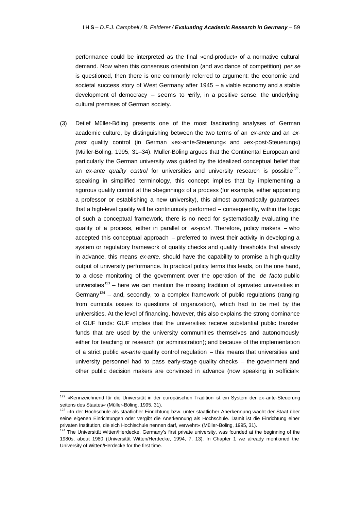performance could be interpreted as the final »end-product« of a normative cultural demand. Now when this consensus orientation (and avoidance of competition) *per se* is questioned, then there is one commonly referred to argument: the economic and societal success story of West Germany after 1945 – a viable economy and a stable development of democracy  $-$  seems to verify, in a positive sense, the underlying cultural premises of German society.

(3) Detlef Müller-Böling presents one of the most fascinating analyses of German academic culture, by distinguishing between the two terms of an *ex-ante* and an *expost* quality control (in German »ex-ante-Steuerung« and »ex-post-Steuerung«) (Müller-Böling, 1995, 31–34). Müller-Böling argues that the Continental European and particularly the German university was guided by the idealized conceptual belief that an *ex-ante quality control* for universities and university research is possible<sup>122</sup>: speaking in simplified terminology, this concept implies that by implementing a rigorous quality control at the »beginning« of a process (for example, either appointing a professor or establishing a new university), this almost automatically guarantees that a high-level quality will be continuously performed – consequently, within the logic of such a conceptual framework, there is no need for systematically evaluating the quality of a process, either in parallel or *ex-post*. Therefore, policy makers – who accepted this conceptual approach – preferred to invest their activity in developing a system or regulatory framework of quality checks and quality thresholds that already in advance, this means *ex-ante,* should have the capability to promise a high-quality output of university performance. In practical policy terms this leads, on the one hand, to a close monitoring of the government over the operation of the *de facto* public universities<sup>123</sup> – here we can mention the missing tradition of »private« universities in Germany<sup>124</sup> – and, secondly, to a complex framework of public regulations (ranging from curricula issues to questions of organization), which had to be met by the universities. At the level of financing, however, this also explains the strong dominance of GUF funds: GUF implies that the universities receive substantial public transfer funds that are used by the university communities themselves and autonomously either for teaching or research (or administration); and because of the implementation of a strict public *ex-ante* quality control regulation – this means that universities and university personnel had to pass early-stage quality checks – the government and other public decision makers are convinced in advance (now speaking in »official«

<sup>122 »</sup>Kennzeichnend für die Universität in der europäischen Tradition ist ein System der ex-ante-Steuerung seitens des Staates« (Müller-Böling, 1995, 31).

<sup>&</sup>lt;sup>123</sup> »In der Hochschule als staatlicher Einrichtung bzw. unter staatlicher Anerkennung wacht der Staat über seine eigenen Einrichtungen oder vergibt die Anerkennung als Hochschule. Damit ist die Einrichtung einer privaten Institution, die sich Hochlschule nennen darf, verwehrt« (Müller-Böling, 1995, 31).

<sup>124</sup> The Universität Witten/Herdecke, Germany's first private university, was founded at the beginning of the 1980s, about 1980 (Universität Witten/Herdecke, 1994, 7, 13). In Chapter 1 we already mentioned the University of Witten/Herdecke for the first time.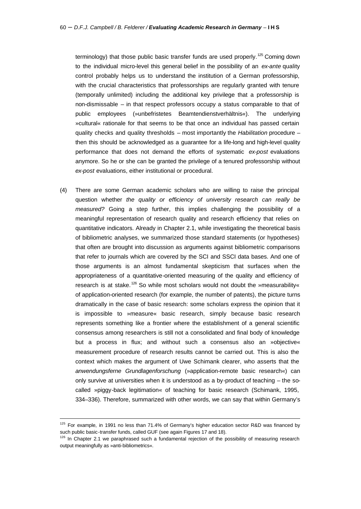terminology) that those public basic transfer funds are used properly.<sup>125</sup> Coming down to the individual micro-level this general belief in the possibility of an *ex-ante* quality control probably helps us to understand the institution of a German professorship, with the crucial characteristics that professorships are regularly granted with tenure (temporally unlimited) including the additional key privilege that a professorship is non-dismissable – in that respect professors occupy a status comparable to that of public employees (»unbefristetes Beamtendienstverhältnis«). The underlying »cultural« rationale for that seems to be that once an individual has passed certain quality checks and quality thresholds – most importantly the *Habilitation* procedure – then this should be acknowledged as a guarantee for a life-long and high-level quality performance that does not demand the efforts of systematic *ex-post* evaluations anymore. So he or she can be granted the privilege of a tenured professorship without *ex-post* evaluations, either institutional or procedural.

(4) There are some German academic scholars who are willing to raise the principal question whether *the quality or efficiency of university research can really be measured?* Going a step further, this implies challenging the possibility of a meaningful representation of research quality and research efficiency that relies on quantitative indicators. Already in Chapter 2.1, while investigating the theoretical basis of bibliometric analyses, we summarized those standard statements (or hypotheses) that often are brought into discussion as arguments against bibliometric comparisons that refer to journals which are covered by the SCI and SSCI data bases. And one of those arguments is an almost fundamental skepticism that surfaces when the appropriateness of a quantitative-oriented measuring of the quality and efficiency of research is at stake.<sup>126</sup> So while most scholars would not doubt the »measurability« of application-oriented research (for example, the number of patents), the picture turns dramatically in the case of basic research: some scholars express the opinion that it is impossible to »measure« basic research, simply because basic research represents something like a frontier where the establishment of a general scientific consensus among researchers is still not a consolidated and final body of knowledge but a process in flux; and without such a consensus also an »objective« measurement procedure of research results cannot be carried out. This is also the context which makes the argument of Uwe Schimank clearer, who asserts that the *anwendungsferne Grundlagenforschung* (»application-remote basic research«) can only survive at universities when it is understood as a by-product of teaching – the socalled »piggy-back legitimation« of teaching for basic research (Schimank, 1995, 334–336). Therefore, summarized with other words, we can say that within Germany's

 $\overline{a}$ 

<sup>&</sup>lt;sup>125</sup> For example, in 1991 no less than 71.4% of Germany's higher education sector R&D was financed by such public basic-transfer funds, called GUF (see again Figures 17 and 18).

 $126$  In Chapter 2.1 we paraphrased such a fundamental rejection of the possibility of measuring research output meaningfully as »anti-bibliometrics«.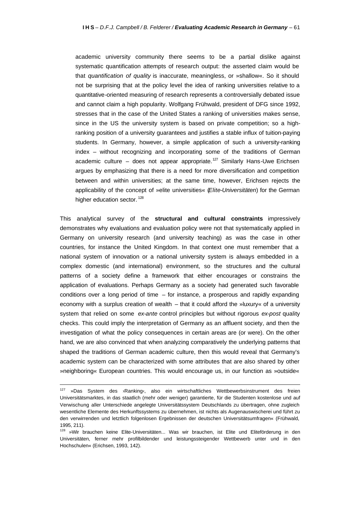academic university community there seems to be a partial dislike against systematic quantification attempts of research output: the asserted claim would be that *quantification of quality* is inaccurate, meaningless, or »shallow«. So it should not be surprising that at the policy level the idea of ranking universities relative to a quantitative-oriented measuring of research represents a controversially debated issue and cannot claim a high popularity. Wolfgang Frühwald, president of DFG since 1992, stresses that in the case of the United States a ranking of universities makes sense, since in the US the university system is based on private competition; so a highranking position of a university guarantees and justifies a stable influx of tuition-paying students. In Germany, however, a simple application of such a university-ranking index – without recognizing and incorporating some of the traditions of German academic culture – does not appear appropriate.<sup>127</sup> Similarly Hans-Uwe Erichsen argues by emphasizing that there is a need for more diversification and competition between and within universities; at the same time, however, Erichsen rejects the applicability of the concept of »elite universities« (*Elite-Universitäten*) for the German higher education sector.<sup>128</sup>

This analytical survey of the **structural and cultural constraints** impressively demonstrates why evaluations and evaluation policy were not that systematically applied in Germany on university research (and university teaching) as was the case in other countries, for instance the United Kingdom. In that context one must remember that a national system of innovation or a national university system is always embedded in a complex domestic (and international) environment, so the structures and the cultural patterns of a society define a framework that either encourages or constrains the application of evaluations. Perhaps Germany as a society had generated such favorable conditions over a long period of time – for instance, a prosperous and rapidly expanding economy with a surplus creation of wealth – that it could afford the »luxury« of a university system that relied on some *ex-ante* control principles but without rigorous *ex-post* quality checks. This could imply the interpretation of Germany as an affluent society, and then the investigation of what the policy consequences in certain areas are (or were). On the other hand, we are also convinced that when analyzing comparatively the underlying patterns that shaped the traditions of German academic culture, then this would reveal that Germany's academic system can be characterized with some attributes that are also shared by other »neighboring« European countries. This would encourage us, in our function as »outside«

 $127$  »Das System des >Ranking‹, also ein wirtschaftliches Wettbewerbsinstrument des freien Universitätsmarktes, in das staatlich (mehr oder weniger) garantierte, für die Studenten kostenlose und auf Verwischung aller Unterschiede angelegte Universitätssystem Deutschlands zu übertragen, ohne zugleich wesentliche Elemente des Herkunftssystems zu übernehmen, ist nichts als Augenauswischerei und führt zu den verwirrenden und letztlich folgenlosen Ergebnissen der deutschen Universitätsumfragen« (Frühwald, 1995, 211).

<sup>&</sup>lt;sup>128</sup> »Wir brauchen keine Elite-Universitäten... Was wir brauchen, ist Elite und Eliteförderung in den Universitäten, ferner mehr profilbildender und leistungssteigender Wettbewerb unter und in den Hochschulen« (Erichsen, 1993, 142).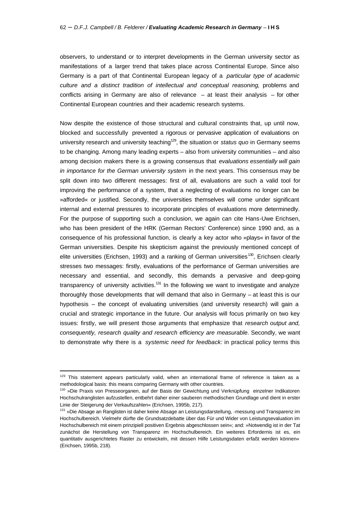observers, to understand or to interpret developments in the German university sector as manifestations of a larger trend that takes place across Continental Europe. Since also Germany is a part of that Continental European legacy of a *particular type of academic culture and a distinct tradition of intellectual and conceptual reasoning,* problems and conflicts arising in Germany are also of relevance – at least their analysis – for other Continental European countries and their academic research systems.

Now despite the existence of those structural and cultural constraints that, up until now, blocked and successfully prevented a rigorous or pervasive application of evaluations on university research and university teaching<sup>129</sup>, the situation or *status quo* in Germany seems to be changing. Among many leading experts – also from university communities – and also among decision makers there is a growing consensus that *evaluations essentially will gain in importance for the German university system* in the next years. This consensus may be split down into two different messages: first of all, evaluations are such a valid tool for improving the performance of a system, that a neglecting of evaluations no longer can be »afforded« or justified. Secondly, the universities themselves will come under significant internal and external pressures to incorporate principles of evaluations more determinedly. For the purpose of supporting such a conclusion, we again can cite Hans-Uwe Erichsen, who has been president of the HRK (German Rectors' Conference) since 1990 and, as a consequence of his professional function, is clearly a key actor who »plays« in favor of the German universities. Despite his skepticism against the previously mentioned concept of elite universities (Erichsen, 1993) and a ranking of German universities<sup>130</sup>, Erichsen clearly stresses two messages: firstly, evaluations of the performance of German universities are necessary and essential, and secondly, this demands a pervasive and deep-going transparency of university activities.<sup>131</sup> In the following we want to investigate and analyze thoroughly those developments that will demand that also in Germany – at least this is our hypothesis – the concept of evaluating universities (and university research) will gain a crucial and strategic importance in the future. Our analysis will focus primarily on two key issues: firstly, we will present those arguments that emphasize that *research output and, consequently, research quality and research efficiency are measurable*. Secondly, we want to demonstrate why there is a *systemic need for feedback:* in practical policy terms this

<sup>129</sup> This statement appears particularly valid, when an international frame of reference is taken as a methodological basis: this means comparing Germany with other countries.

<sup>&</sup>lt;sup>130</sup> »Die Praxis von Presseorganen, auf der Basis der Gewichtung und Verknüpfung einzelner Indikatoren Hochschulranglisten aufzustellen, entbehrt daher einer sauberen methodischen Grundlage und dient in erster Linie der Steigerung der Verkaufszahlen« (Erichsen, 1995b, 217).

<sup>&</sup>lt;sup>131</sup> »Die Absage an Ranglisten ist daher keine Absage an Leistungsdarstellung, -messung und Transparenz im Hochschulbereich. Vielmehr dürfte die Grundsatzdebatte über das Für und Wider von Leistungsevaluation im Hochschulbereich mit einem prinzipiell positiven Ergebnis abgeschlossen sein«; and: »Notwendig ist in der Tat zunächst die Herstellung von Transparenz im Hochschulbereich. Ein weiteres Erfordernis ist es, ein quantitativ ausgerichtetes Raster zu entwickeln, mit dessen Hilfe Leistungsdaten erfaßt werden können« (Erichsen, 1995b, 218).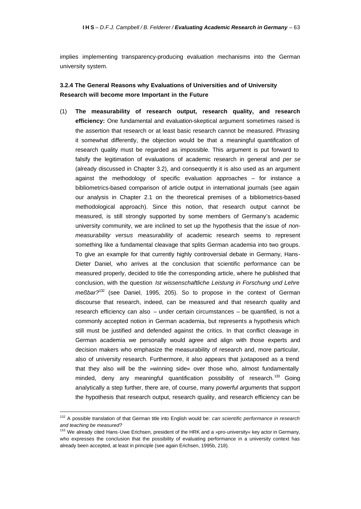implies implementing transparency-producing evaluation mechanisms into the German university system.

## **3.2.4 The General Reasons why Evaluations of Universities and of University Research will become more Important in the Future**

(1) **The measurability of research output, research quality, and research efficiency:** One fundamental and evaluation-skeptical argument sometimes raised is the assertion that research or at least basic research cannot be measured. Phrasing it somewhat differently, the objection would be that a meaningful quantification of research quality must be regarded as impossible. This argument is put forward to falsify the legitimation of evaluations of academic research in general and *per se* (already discussed in Chapter 3.2), and consequently it is also used as an argument against the methodology of specific evaluation approaches – for instance a bibliometrics-based comparison of article output in international journals (see again our analysis in Chapter 2.1 on the theoretical premises of a bibliometrics-based methodological approach). Since this notion, that research output cannot be measured, is still strongly supported by some members of Germany's academic university community, we are inclined to set up the hypothesis that the issue of *nonmeasurability versus measurability* of academic research seems to represent something like a fundamental cleavage that splits German academia into two groups. To give an example for that currently highly controversial debate in Germany, Hans-Dieter Daniel, who arrives at the conclusion that scientific performance can be measured properly, decided to title the corresponding article, where he published that conclusion, with the question *Ist wissenschaftliche Leistung in Forschung und Lehre*  meßbar?<sup>132</sup> (see Daniel, 1995, 205). So to propose in the context of German discourse that research, indeed, can be measured and that research quality and research efficiency can also – under certain circumstances – be quantified, is not a commonly accepted notion in German academia, but represents a hypothesis which still must be justified and defended against the critics. In that conflict cleavage in German academia we personally would agree and align with those experts and decision makers who emphasize the measurability of research and, more particular, also of university research. Furthermore, it also appears that juxtaposed as a trend that they also will be the »winning side« over those who, almost fundamentally minded, deny any meaningful quantification possibility of research.<sup>133</sup> Going analytically a step further, there are, of course, many *powerful arguments* that support the hypothesis that research output, research quality, and research efficiency can be

<sup>132</sup> A possible translation of that German title into English would be: *can scientific performance in research and teaching be measured?*

<sup>&</sup>lt;sup>133</sup> We already cited Hans-Uwe Erichsen, president of the HRK and a »pro-university« key actor in Germany, who expresses the conclusion that the possibility of evaluating performance in a university context has already been accepted, at least in principle (see again Erichsen, 1995b, 218).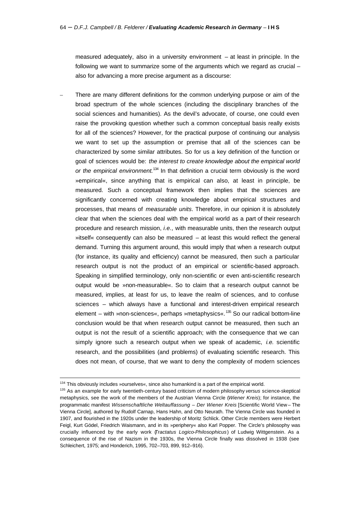measured adequately, also in a university environment – at least in principle. In the following we want to summarize some of the arguments which we regard as crucial – also for advancing a more precise argument as a discourse:

– There are many different definitions for the common underlying purpose or aim of the broad spectrum of the whole sciences (including the disciplinary branches of the social sciences and humanities). As the devil's advocate, of course, one could even raise the provoking question whether such a common conceptual basis really exists for all of the sciences? However, for the practical purpose of continuing our analysis we want to set up the assumption or premise that all of the sciences can be characterized by some similar attributes. So for us a key definition of the function or goal of sciences would be: *the interest to create knowledge about the empirical world or the empirical environment.*<sup>134</sup> In that definition a crucial term obviously is the word »empirical«, since anything that is empirical can also, at least in principle, be measured. Such a conceptual framework then implies that the sciences are significantly concerned with creating knowledge about empirical structures and processes, that means of *measurable units*. Therefore, in our opinion it is absolutely clear that when the sciences deal with the empirical world as a part of their research procedure and research mission, *i.e.,* with measurable units, then the research output »itself« consequently can also be measured – at least this would reflect the general demand. Turning this argument around, this would imply that when a research output (for instance, its quality and efficiency) cannot be measured, then such a particular research output is not the product of an empirical or scientific-based approach. Speaking in simplified terminology, only non-scientific or even anti-scientific research output would be »non-measurable«. So to claim that a research output cannot be measured, implies, at least for us, to leave the realm of sciences, and to confuse sciences – which always have a functional and interest-driven empirical research element – with »non-sciences«, perhaps »metaphysics«.<sup>135</sup> So our radical bottom-line conclusion would be that when research output cannot be measured, then such an output is not the result of a scientific approach; with the consequence that we can simply ignore such a research output when we speak of academic, *i.e.* scientific research, and the possibilities (and problems) of evaluating scientific research. This does not mean, of course, that we want to deny the complexity of modern sciences

<sup>134</sup> This obviously includes »ourselves«, since also humankind is a part of the empirical world.

<sup>135</sup> As an example for early twentieth-century based criticism of modern philosophy *versus* science-skeptical metaphysics, see the work of the members of the Austrian Vienna Circle (*Wiener Kreis*); for instance, the programmatic manifest *Wissenschaftliche Weltauffassung – Der Wiener Kreis* [Scientific World View – The Vienna Circle], authored by Rudolf Carnap, Hans Hahn, and Otto Neurath. The Vienna Circle was founded in 1907, and flourished in the 1920s under the leadership of Moritz Schlick. Other Circle members were Herbert Feigl, Kurt Gödel, Friedrich Waismann, and in its »periphery« also Karl Popper. The Circle's philosophy was crucially influenced by the early work (*Tractatus Logico-Philosophicus*) of Ludwig Wittgenstein. As a consequence of the rise of Nazism in the 1930s, the Vienna Circle finally was dissolved in 1938 (see Schleichert, 1975; and Honderich, 1995, 702–703, 899, 912–916).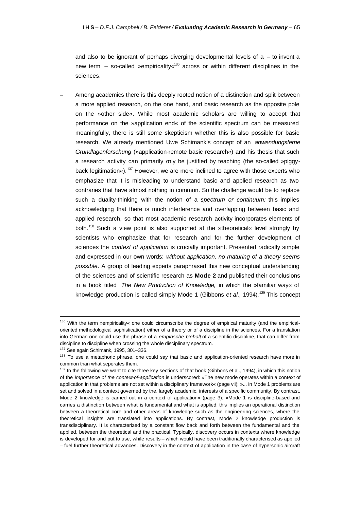and also to be ignorant of perhaps diverging developmental levels of  $a -$  to invent a new term – so-called »empiricality«<sup>136</sup> across or within different disciplines in the sciences.

– Among academics there is this deeply rooted notion of a distinction and split between a more applied research, on the one hand, and basic research as the opposite pole on the »other side«. While most academic scholars are willing to accept that performance on the »application end« of the scientific spectrum can be measured meaningfully, there is still some skepticism whether this is also possible for basic research. We already mentioned Uwe Schimank's concept of an *anwendungsferne Grundlagenforschung* (»application-remote basic research«) and his thesis that such a research activity can primarily only be justified by teaching (the so-called »piggyback legitimation«).<sup>137</sup> However, we are more inclined to agree with those experts who emphasize that it is misleading to understand basic and applied research as two contraries that have almost nothing in common. So the challenge would be to replace such a duality-thinking with the notion of a *spectrum or continuum:* this implies acknowledging that there is much interference and overlapping between basic and applied research, so that most academic research activity incorporates elements of both.<sup>138</sup> Such a view point is also supported at the »theoretical« level strongly by scientists who emphasize that for research and for the further development of sciences the *context of application* is crucially important. Presented radically simple and expressed in our own words: *without application, no maturing of a theory seems possible*. A group of leading experts paraphrased this new conceptual understanding of the sciences and of scientific research as **Mode 2** and published their conclusions in a book titled *The New Production of Knowledge,* in which the »familiar way« of knowledge production is called simply Mode 1 (Gibbons *et al.*, 1994).<sup>139</sup> This concept

<sup>136</sup> With the term »empiricality« one could circumscribe the degree of empirical maturity (and the empiricaloriented methodological sophistication) either of a theory or of a discipline in the sciences. For a translation into German one could use the phrase of a *empirische Gehalt* of a scientific discipline, that can differ from discipline to discipline when crossing the whole disciplinary spectrum.

<sup>137</sup> See again Schimank, 1995, 301–336.

<sup>138</sup> To use a metaphoric phrase, one could say that basic and application-oriented research have more in common than what seperates them.

<sup>&</sup>lt;sup>139</sup> In the following we want to cite three key sections of that book (Gibbons et al., 1994), in which this notion of the *importance of the context-of-application* is underscored: »The new mode operates within a context of application in that problems are not set within a disciplinary framework« (page vii); »... in Mode 1 problems are set and solved in a context governed by the, largely academic, interests of a specific community. By contrast, Mode 2 knowledge is carried out in a context of application« (page 3); »Mode 1 is discipline-based and carries a distinction between what is fundamental and what is applied; this implies an operational distinction between a theoretical core and other areas of knowledge such as the engineering sciences, where the theoretical insights are translated into applications. By contrast, Mode 2 knowledge production is transdisciplinary. It is characterized by a constant flow back and forth between the fundamental and the applied, between the theoretical and the practical. Typically, discovery occurs in contexts where knowledge is developed for and put to use, while results – which would have been traditionally characterised as applied – fuel further theoretical advances. Discovery in the context of application in the case of hypersonic aircraft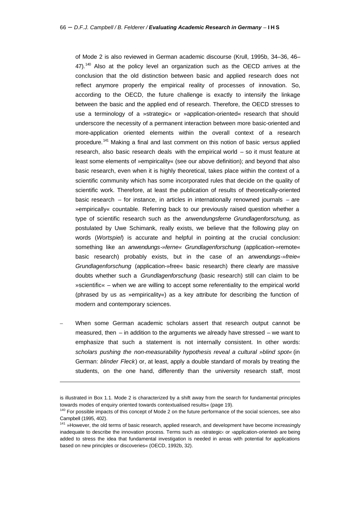of Mode 2 is also reviewed in German academic discourse (Krull, 1995b, 34–36, 46–  $47$ ).<sup>140</sup> Also at the policy level an organization such as the OECD arrives at the conclusion that the old distinction between basic and applied research does not reflect anymore properly the empirical reality of processes of innovation. So, according to the OECD, the future challenge is exactly to intensify the linkage between the basic and the applied end of research. Therefore, the OECD stresses to use a terminology of a »strategic« or »application-oriented« research that should underscore the necessity of a permanent interaction between more basic-oriented and more-application oriented elements within the overall context of a research procedure.<sup>141</sup> Making a final and last comment on this notion of basic *versus* applied research, also basic research deals with the empirical world – so it must feature at least some elements of »empiricality« (see our above definition); and beyond that also basic research, even when it is highly theoretical, takes place within the context of a scientific community which has some incorporated rules that decide on the quality of scientific work. Therefore, at least the publication of results of theoretically-oriented basic research – for instance, in articles in internationally renowned journals – are »empirically« countable. Referring back to our previously raised question whether a type of scientific research such as the *anwendungsferne Grundlagenforschung,* as postulated by Uwe Schimank, really exists, we believe that the following play on words (*Wortspiel*) is accurate and helpful in pointing at the crucial conclusion: something like an *anwendungs-»ferne« Grundlagenforschung* (application-»remote« basic research) probably exists, but in the case of an *anwendungs-»freie« Grundlagenforschung* (application-»free« basic research) there clearly are massive doubts whether such a *Grundlagenforschung* (basic research) still can claim to be »scientific« – when we are willing to accept some referentiality to the empirical world (phrased by us as »empiricality«) as a key attribute for describing the function of modern and contemporary sciences.

– When some German academic scholars assert that research output cannot be measured, then – in addition to the arguments we already have stressed – we want to emphasize that such a statement is not internally consistent. In other words: *scholars pushing the non-measurability hypothesis reveal a cultural »blind spot«* (in German: *blinder Fleck*) or, at least, apply a double standard of morals by treating the students, on the one hand, differently than the university research staff, most

is illustrated in Box 1.1. Mode 2 is characterized by a shift away from the search for fundamental principles towards modes of enquiry oriented towards contextualised results« (page 19).

<sup>140</sup> For possible impacts of this concept of Mode 2 on the future performance of the social sciences, see also Campbell (1995, 402).

<sup>&</sup>lt;sup>141</sup> »However, the old terms of basic research, applied research, and development have become increasingly inadequate to describe the innovation process. Terms such as ›strategic‹ or ›application-oriented‹ are being added to stress the idea that fundamental investigation is needed in areas with potential for applications based on new principles or discoveries« (OECD, 1992b, 32).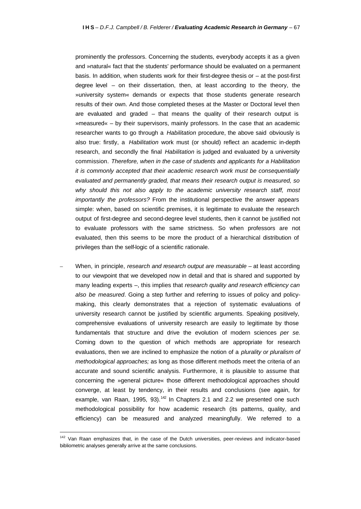prominently the professors. Concerning the students, everybody accepts it as a given and »natural« fact that the students' performance should be evaluated on a permanent basis. In addition, when students work for their first-degree thesis or – at the post-first degree level – on their dissertation, then, at least according to the theory, the »university system« demands or expects that those students generate research results of their own. And those completed theses at the Master or Doctoral level then are evaluated and graded – that means the quality of their research output is »measured« – by their supervisors, mainly professors. In the case that an academic researcher wants to go through a *Habilitation* procedure, the above said obviously is also true: firstly, a *Habilitation* work must (or should) reflect an academic in-depth research, and secondly the final *Habilitation* is judged and evaluated by a university commission. *Therefore, when in the case of students and applicants for a Habilitation it is commonly accepted that their academic research work must be consequentially evaluated and permanently graded, that means their research output is measured, so*  why should this not also apply to the academic university research staff, most *importantly the professors?* From the institutional perspective the answer appears simple: when, based on scientific premises, it is legitimate to evaluate the research output of first-degree and second-degree level students, then it cannot be justified not to evaluate professors with the same strictness. So when professors are not evaluated, then this seems to be more the product of a hierarchical distribution of privileges than the self-logic of a scientific rationale.

– When, in principle, *research and research output are measurable* – at least according to our viewpoint that we developed now in detail and that is shared and supported by many leading experts –, this implies that *research quality and research efficiency can also be measured*. Going a step further and referring to issues of policy and policymaking, this clearly demonstrates that a rejection of systematic evaluations of university research cannot be justified by scientific arguments. Speaking positively, comprehensive evaluations of university research are easily to legitimate by those fundamentals that structure and drive the evolution of modern sciences *per se*. Coming down to the question of which methods are appropriate for research evaluations, then we are inclined to emphasize the notion of a *plurality or pluralism of methodological approaches;* as long as those different methods meet the criteria of an accurate and sound scientific analysis. Furthermore, it is plausible to assume that concerning the »general picture« those different methodological approaches should converge, at least by tendency, in their results and conclusions (see again, for example, van Raan, 1995, 93). $142$  In Chapters 2.1 and 2.2 we presented one such methodological possibility for how academic research (its patterns, quality, and efficiency) can be measured and analyzed meaningfully. We referred to a

<sup>&</sup>lt;sup>142</sup> Van Raan emphasizes that, in the case of the Dutch universities, peer-reviews and indicator-based bibliometric analyses generally arrive at the same conclusions.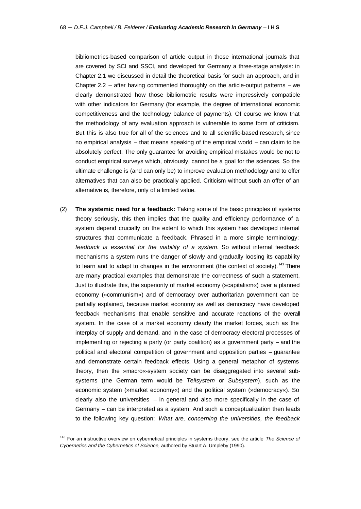bibliometrics-based comparison of article output in those international journals that are covered by SCI and SSCI, and developed for Germany a three-stage analysis: in Chapter 2.1 we discussed in detail the theoretical basis for such an approach, and in Chapter 2.2 – after having commented thoroughly on the article-output patterns – we clearly demonstrated how those bibliometric results were impressively compatible with other indicators for Germany (for example, the degree of international economic competitiveness and the technology balance of payments). Of course we know that the methodology of any evaluation approach is vulnerable to some form of criticism. But this is also true for all of the sciences and to all scientific-based research, since no empirical analysis – that means speaking of the empirical world – can claim to be absolutely perfect. The only guarantee for avoiding empirical mistakes would be not to conduct empirical surveys which, obviously, cannot be a goal for the sciences. So the ultimate challenge is (and can only be) to improve evaluation methodology and to offer alternatives that can also be practically applied. Criticism without such an offer of an alternative is, therefore, only of a limited value.

(2) **The systemic need for a feedback:** Taking some of the basic principles of systems theory seriously, this then implies that the quality and efficiency performance of a system depend crucially on the extent to which this system has developed internal structures that communicate a feedback. Phrased in a more simple terminology: *feedback is essential for the viability of a system*. So without internal feedback mechanisms a system runs the danger of slowly and gradually loosing its capability to learn and to adapt to changes in the environment (the context of society).<sup>143</sup> There are many practical examples that demonstrate the correctness of such a statement. Just to illustrate this, the superiority of market economy (»capitalism«) over a planned economy (»communism«) and of democracy over authoritarian government can be partially explained, because market economy as well as democracy have developed feedback mechanisms that enable sensitive and accurate reactions of the overall system. In the case of a market economy clearly the market forces, such as the interplay of supply and demand, and in the case of democracy electoral processes of implementing or rejecting a party (or party coalition) as a government party – and the political and electoral competition of government and opposition parties – guarantee and demonstrate certain feedback effects. Using a general metaphor of systems theory, then the »macro«-system society can be disaggregated into several subsystems (the German term would be *Teilsystem* or *Subsystem*), such as the economic system (»market economy«) and the political system (»democracy«). So clearly also the universities – in general and also more specifically in the case of Germany – can be interpreted as a system. And such a conceptualization then leads to the following key question: *What are, concerning the universities, the feedback* 

<sup>143</sup> For an instructive overview on cybernetical principles in systems theory, see the article *The Science of Cybernetics and the Cybernetics of Science,* authored by Stuart A. Umpleby (1990).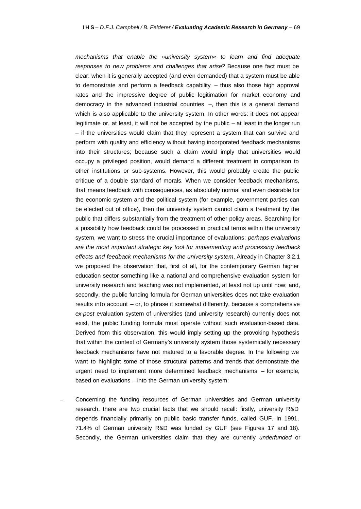*mechanisms that enable the »university system« to learn and find adequate responses to new problems and challenges that arise?* Because one fact must be clear: when it is generally accepted (and even demanded) that a system must be able to demonstrate and perform a feedback capability – thus also those high approval rates and the impressive degree of public legitimation for market economy and democracy in the advanced industrial countries –, then this is a general demand which is also applicable to the university system. In other words: it does not appear legitimate or, at least, it will not be accepted by the public – at least in the longer run – if the universities would claim that they represent a system that can survive and perform with quality and efficiency without having incorporated feedback mechanisms into their structures; because such a claim would imply that universities would occupy a privileged position, would demand a different treatment in comparison to other institutions or sub-systems. However, this would probably create the public critique of a double standard of morals. When we consider feedback mechanisms, that means feedback with consequences, as absolutely normal and even desirable for the economic system and the political system (for example, government parties can be elected out of office), then the university system cannot claim a treatment by the public that differs substantially from the treatment of other policy areas. Searching for a possibility how feedback could be processed in practical terms within the university system, we want to stress the crucial importance of evaluations: *perhaps evaluations are the most important strategic key tool for implementing and processing feedback effects and feedback mechanisms for the university system*. Already in Chapter 3.2.1 we proposed the observation that, first of all, for the contemporary German higher education sector something like a national and comprehensive evaluation system for university research and teaching was not implemented, at least not up until now; and, secondly, the public funding formula for German universities does not take evaluation results into account – or, to phrase it somewhat differently, because a comprehensive *ex-post* evaluation system of universities (and university research) currently does not exist, the public funding formula must operate without such evaluation-based data. Derived from this observation, this would imply setting up the provoking hypothesis that within the context of Germany's university system those systemically necessary feedback mechanisms have not matured to a favorable degree. In the following we want to highlight some of those structural patterns and trends that demonstrate the urgent need to implement more determined feedback mechanisms – for example, based on evaluations – into the German university system:

– Concerning the funding resources of German universities and German university research, there are two crucial facts that we should recall: firstly, university R&D depends financially primarily on public basic transfer funds, called GUF. In 1991, 71.4% of German university R&D was funded by GUF (see Figures 17 and 18). Secondly, the German universities claim that they are currently *underfunded* or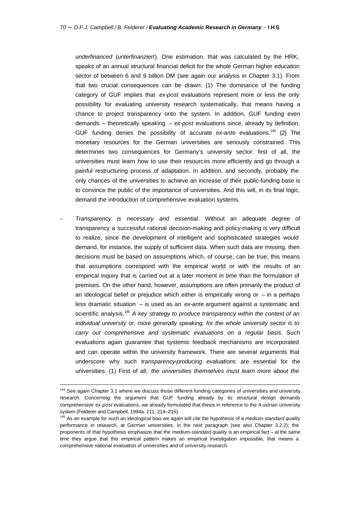*underfinanced* (*unterfinanziert*). One estimation, that was calculated by the HRK, speaks of an annual structural financial deficit for the whole German higher education sector of between 6 and 9 billion DM (see again our analysis in Chapter 3.1). From that two crucial consequences can be drawn: (1) The dominance of the funding category of GUF implies that *ex-post* evaluations represent more or less the only possibility for evaluating university research systematically, that means having a chance to project transparency onto the system. In addition, GUF funding even demands – theoretically speaking – *ex-post* evaluations since, already by definition, GUF funding denies the possibility of accurate *ex-ante* evaluations.<sup>144</sup> (2) The monetary resources for the German universities are seriously constrained. This determines two consequences for Germany's university sector: first of all, the universities must learn how to use their resources more efficiently and go through a painful restructuring process of adaptation. In addition, and secondly, probably the only chances of the universities to achieve an increase of their public-funding base is to convince the public of the importance of universities. And this will, in its final logic, demand the introduction of comprehensive evaluation systems.

– *Transparency is necessary and essential*. Without an adequate degree of transparency a successful rational decision-making and policy-making is very difficult to realize, since the development of intelligent and sophisticated strategies would demand, for instance, the supply of sufficient data. When such data are missing, then decisions must be based on assumptions which, of course, can be true; this means that assumptions correspond with the empirical world or with the results of an empirical inquiry that is carried out at a later moment in time than the formulation of premises. On the other hand, however, assumptions are often primarily the product of an ideological belief or prejudice which either is empirically wrong or  $-$  in a perhaps less dramatic situation – is used as an *ex-ante* argument against a systematic and scientific analysis.<sup>145</sup> *A key strategy to produce transparency within the context of an individual university or, more generally speaking, for the whole university sector is to carry out comprehensive and systematic evaluations on a regular basis*. Such evaluations again guarantee that systemic feedback mechanisms are incorporated and can operate within the university framework. There are several arguments that underscore why such *transparency-producing evaluations* are essential for the universities: (1) First of all, *the universities themselves must learn more about the* 

<sup>&</sup>lt;sup>144</sup> See again Chapter 3.1 where we discuss those different funding categories of universities and university research. Concerning the argument that GUF funding already by its structural design demands comprehensive *ex-post* evaluations, we already formulated that thesis in reference to the A ustrian university system (Felderer and Campbell, 1994a, 211, 214–215).

<sup>145</sup> As an example for such an ideological bias we again will cite the hypothesis of a *medium-standard quality* performance in research, at German universities, in the next paragraph (see also Chapter 3.2.2); the proponents of that hypothesis emphasize that the *medium-standard quality* is an empirical fact – at the same time they argue that this empirical pattern makes an empirical investigation impossible, that means a comprehensive national evaluation of universities and of university research.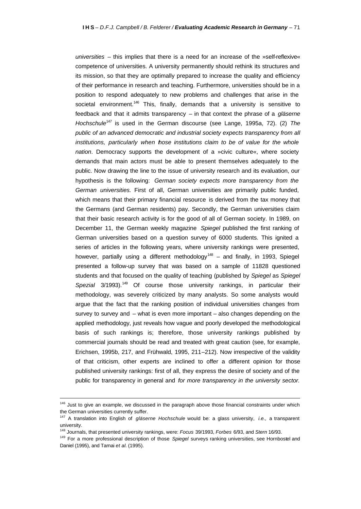*universities* – this implies that there is a need for an increase of the »self-reflexive« competence of universities. A university permanently should rethink its structures and its mission, so that they are optimally prepared to increase the quality and efficiency of their performance in research and teaching. Furthermore, universities should be in a position to respond adequately to new problems and challenges that arise in the societal environment.<sup>146</sup> This, finally, demands that a university is sensitive to feedback and that it admits transparency – in that context the phrase of a *gläserne Hochschule*<sup>147</sup> is used in the German discourse (see Lange, 1995a, 72). (2) *The public of an advanced democratic and industrial society expects transparency from all institutions, particularly when those institutions claim to be of value for the whole nation*. Democracy supports the development of a »civic culture«, where society demands that main actors must be able to present themselves adequately to the public. Now drawing the line to the issue of university research and its evaluation, our hypothesis is the following: *German society expects more transparency from the German universities.* First of all, German universities are primarily public funded, which means that their primary financial resource is derived from the tax money that the Germans (and German residents) pay. Secondly, the German universities claim that their basic research activity is for the good of all of German society. In 1989, on December 11, the German weekly magazine *Spiegel* published the first ranking of German universities based on a question survey of 6000 students. This ignited a series of articles in the following years, where university rankings were presented, however, partially using a different methodology<sup>148</sup> – and finally, in 1993, Spiegel presented a follow-up survey that was based on a sample of 11828 questioned students and that focused on the quality of teaching (published by *Spiegel* as *Spiegel*  Spezial 3/1993).<sup>149</sup> Of course those university rankings, in particular their methodology, was severely criticized by many analysts. So some analysts would argue that the fact that the ranking position of individual universities changes from survey to survey and – what is even more important – also changes depending on the applied methodology, just reveals how vague and poorly developed the methodological basis of such rankings is; therefore, those university rankings published by commercial journals should be read and treated with great caution (see, for example, Erichsen, 1995b, 217, and Frühwald, 1995, 211–212). Now irrespective of the validity of that criticism, other experts are inclined to offer a different opinion for those published university rankings: first of all, they express the desire of society and of the public for transparency in general and *for more transparency in the university sector.*

<sup>&</sup>lt;sup>146</sup> Just to give an example, we discussed in the paragraph above those financial constraints under which the German universities currently suffer.

<sup>147</sup> A translation into English of *gläserne Hochschule* would be: a glass university, *i.e.,* a transparent university.

<sup>148</sup> Journals, that presented university rankings, were: *Focus* 39/1993, *Forbes* 6/93, and *Stern* 16/93.

<sup>149</sup> For a more professional description of those *Spiegel* surveys ranking universities, see Hornbostel and Daniel (1995), and Tarnai *et al.* (1995).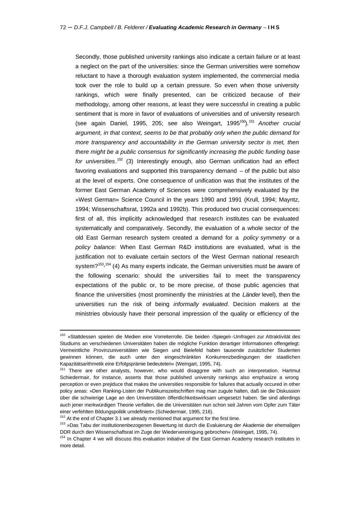Secondly, those published university rankings also indicate a certain failure or at least a neglect on the part of the universities: since the German universities were somehow reluctant to have a thorough evaluation system implemented, the commercial media took over the role to build up a certain pressure. So even when those university rankings, which were finally presented, can be criticized because of their methodology, among other reasons, at least they were successful in creating a public sentiment that is more in favor of evaluations of universities and of university research (see again Daniel, 1995, 205; see also Weingart, 1995<sup>150</sup>).<sup>151</sup> *Another crucial argument, in that context, seems to be that probably only when the public demand for more transparency and accountability in the German university sector is met, then there might be a public consensus for significantly increasing the public funding base for universities*. <sup>152</sup> (3) Interestingly enough, also German unification had an effect favoring evaluations and supported this transparency demand – of the public but also at the level of experts. One consequence of unification was that the institutes of the former East German Academy of Sciences were comprehensively evaluated by the »West German« Science Council in the years 1990 and 1991 (Krull, 1994; Mayntz, 1994; Wissenschaftsrat, 1992a and 1992b). This produced two crucial consequences: first of all, this implicitly acknowledged that research institutes can be evaluated systematically and comparatively. Secondly, the evaluation of a whole sector of the old East German research system created a demand for a *policy symmetry* or a *policy balance:* When East German R&D institutions are evaluated, what is the justification not to evaluate certain sectors of the West German national research system? $153,154$  (4) As many experts indicate, the German universities must be aware of the following scenario: should the universities fail to meet the transparency expectations of the public or, to be more precise, of those public agencies that finance the universities (most prominently the ministries at the *Länder* level), then the universities run the risk of being *informally evaluated*. Decision makers at the ministries obviously have their personal impression of the quality or efficiency of the

<sup>150 »</sup>Stattdessen spielen die Medien eine Vorreiterrolle. Die beiden ›Spiegel‹-Umfragen zur Attraktivität des Studiums an verschiedenen Universitäten haben die mögliche Funktion derartiger Informationen offengelegt: Vermeintliche Provinzuniversitäten wie Siegen und Bielefeld haben tausende zusätzlicher Studenten gewinnen können, die auch unter den eingeschränkten Konkurrenzbedingungen der staatlichen Kapazitätsarithmetik eine Erfolgsprämie bedeuteten« (Weingart, 1995, 74).

<sup>&</sup>lt;sup>151</sup> There are other analysts, however, who would disaggree with such an interpretation. Hartmut Schiedermair, for instance, asserts that those published university rankings also emphasize a wrong perception or even prejiduce that makes the universities responsible for failures that actually occured in other policy areas: »Den Ranking-Listen der Publikumszeitschriften mag man zugute halten, daß sie die Diskussion über die schwierige Lage an den Universitäten öffentlichkeitswirksam umgesetzt haben. Sie sind allerdings auch jener merkwürdigen Theorie verfallen, die die Universitäten nun schon seit Jahren vom Opfer zum Täter einer verfehlten Bildungspolitik umdefiniert« (Schiedermair, 1995, 216).

 $152$  At the end of Chapter 3.1 we already mentioned that argument for the first time.

<sup>&</sup>lt;sup>153</sup> »Das Tabu der institutionenbezogenen Bewertung ist durch die Evaluierung der Akademie der ehemaligen DDR durch den Wissenschaftsrat im Zuge der Wiedervereinigung gebrochen« (Weingart, 1995, 74).

<sup>154</sup> In Chapter 4 we will discuss this evaluation initiative of the East German Academy research institutes in more detail.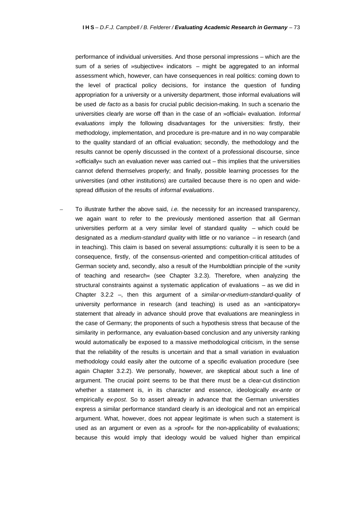performance of individual universities. And those personal impressions – which are the sum of a series of »subjective« indicators – might be aggregated to an informal assessment which, however, can have consequences in real politics: coming down to the level of practical policy decisions, for instance the question of funding appropriation for a university or a university department, those informal evaluations will be used *de facto* as a basis for crucial public decision-making. In such a scenario the universities clearly are worse off than in the case of an »official« evaluation. *Informal evaluations* imply the following disadvantages for the universities: firstly, their methodology, implementation, and procedure is pre-mature and in no way comparable to the quality standard of an official evaluation; secondly, the methodology and the results cannot be openly discussed in the context of a professional discourse, since »officially« such an evaluation never was carried out – this implies that the universities cannot defend themselves properly; and finally, possible learning processes for the universities (and other institutions) are curtailed because there is no open and widespread diffusion of the results of *informal evaluations*.

– To illustrate further the above said, *i.e.* the necessity for an increased transparency, we again want to refer to the previously mentioned assertion that all German universities perform at a very similar level of standard quality – which could be designated as a *medium-standard quality* with little or no variance – in research (and in teaching). This claim is based on several assumptions: culturally it is seen to be a consequence, firstly, of the consensus-oriented and competition-critical attitudes of German society and, secondly, also a result of the Humboldtian principle of the »unity of teaching and research« (see Chapter 3.2.3). Therefore, when analyzing the structural constraints against a systematic application of evaluations – as we did in Chapter 3.2.2 –, then this argument of a *similar-or-medium-standard-quality* of university performance in research (and teaching) is used as an »anticipatory« statement that already in advance should prove that evaluations are meaningless in the case of Germany; the proponents of such a hypothesis stress that because of the similarity in performance, any evaluation-based conclusion and any university ranking would automatically be exposed to a massive methodological criticism, in the sense that the reliability of the results is uncertain and that a small variation in evaluation methodology could easily alter the outcome of a specific evaluation procedure (see again Chapter 3.2.2). We personally, however, are skeptical about such a line of argument. The crucial point seems to be that there must be a clear-cut distinction whether a statement is, in its character and essence, ideologically *ex-ante* or empirically *ex-post*. So to assert already in advance that the German universities express a similar performance standard clearly is an ideological and not an empirical argument. What, however, does not appear legitimate is when such a statement is used as an argument or even as a »proof« for the non-applicability of evaluations; because this would imply that ideology would be valued higher than empirical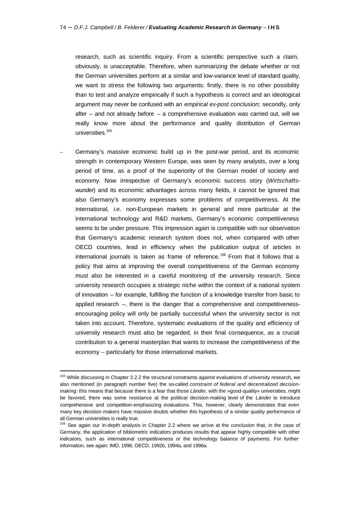research, such as scientific inquiry. From a scientific perspective such a claim, obviously, is unacceptable. Therefore, when summarizing the debate whether or not the German universities perform at a similar and low-variance level of standard quality, we want to stress the following two arguments: firstly, there is no other possibility than to test and analyze empirically if such a hypothesis is correct and an ideological argument may never be confused with an *empirical ex-post conclusion;* secondly, only after – and not already before – a comprehensive evaluation was carried out, will we really know more about the performance and quality distribution of German universities.<sup>155</sup>

– Germany's massive economic build up in the post-war period, and its economic strength in contemporary Western Europe, was seen by many analysts, over a long period of time, as a proof of the superiority of the German model of society and economy. Now irrespective of Germany's economic success story (*Wirtschaftswunder*) and its economic advantages across many fields, it cannot be ignored that also Germany's economy expresses some problems of competitiveness. At the international, *i.e.* non-European markets in general and more particular at the international technology and R&D markets, Germany's economic competitiveness seems to be under pressure. This impression again is compatible with our observation that Germany's academic research system does not, when compared with other OECD countries, lead in efficiency when the publication output of articles in international journals is taken as frame of reference.<sup>156</sup> From that it follows that a policy that aims at improving the overall competitiveness of the German economy must also be interested in a careful monitoring of the university research. Since university research occupies a strategic niche within the context of a national system of innovation – for example, fulfilling the function of a knowledge transfer from basic to applied research –, there is the danger that a comprehensive and competitivenessencouraging policy will only be partially successful when the university sector is not taken into account. Therefore, systematic evaluations of the quality and efficiency of university research must also be regarded, in their final consequence, as a crucial contribution to a general masterplan that wants to increase the competitiveness of the economy – particularly for those international markets.

<sup>&</sup>lt;sup>155</sup> While discussing in Chapter 3.2.2 the structural constraints against evaluations of university research, we also mentioned (in paragraph number five) the so-called *constraint of federal and decentralized decisionmaking:* this means that because there is a fear that those *Länder*, with the »good-quality« universities, might be favored, there was some resistance at the political decision-making level of the *Länder* to introduce comprehensive and competition-emphasizing evaluations. This, however, clearly demonstrates that even many key decision makers have massive doubts whether this hypothesis of a similar quality performance of all German universities is really true.

<sup>&</sup>lt;sup>156</sup> See again our in-depth analysis in Chapter 2.2 where we arrive at the conclusion that, in the case of Germany, the application of bibliometric indicators produces results that appear highly compatible with other indicators, such as international competitiveness or the technology balance of payments. For further information, see again: IMD, 1996; OECD, 1992b, 1994a, and 1996a.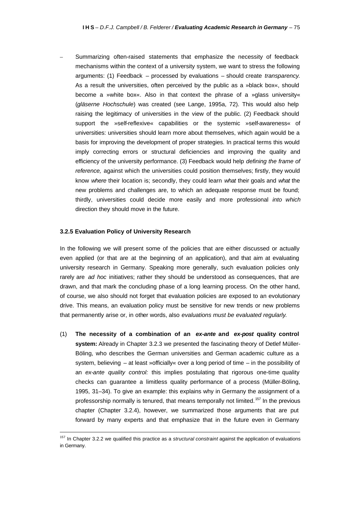– Summarizing often-raised statements that emphasize the necessity of feedback mechanisms within the context of a university system, we want to stress the following arguments: (1) Feedback – processed by evaluations – should create *transparency*. As a result the universities, often perceived by the public as a »black box«, should become a »white box«. Also in that context the phrase of a »glass university« (*gläserne Hochschule*) was created (see Lange, 1995a, 72). This would also help raising the legitimacy of universities in the view of the public. (2) Feedback should support the »self-reflexive« capabilities or the systemic »self-awareness« of universities: universities should learn more about themselves, which again would be a basis for improving the development of proper strategies. In practical terms this would imply correcting errors or structural deficiencies and improving the quality and efficiency of the university performance. (3) Feedback would help *defining the frame of reference,* against which the universities could position themselves; firstly, they would know *where* their location is; secondly, they could learn *what* their goals and *what* the new problems and challenges are, to which an adequate response must be found; thirdly, universities could decide more easily and more professional *into which* direction they should move in the future.

#### **3.2.5 Evaluation Policy of University Research**

j

In the following we will present some of the policies that are either discussed or actually even applied (or that are at the beginning of an application), and that aim at evaluating university research in Germany. Speaking more generally, such evaluation policies only rarely are *ad hoc* initiatives; rather they should be understood as consequences, that are drawn, and that mark the concluding phase of a long learning process. On the other hand, of course, we also should not forget that evaluation policies are exposed to an evolutionary drive. This means, an evaluation policy must be sensitive for new trends or new problems that permanently arise or, in other words, also *evaluations must be evaluated regularly*.

(1) **The necessity of a combination of an** *ex-ante* **and** *ex-post* **quality control system:** Already in Chapter 3.2.3 we presented the fascinating theory of Detlef Müller-Böling, who describes the German universities and German academic culture as a system, believing – at least »officially« over a long period of time – in the possibility of an *ex-ante quality control:* this implies postulating that rigorous one-time quality checks can guarantee a limitless quality performance of a process (Müller-Böling, 1995, 31–34). To give an example: this explains why in Germany the assignment of a professorship normally is tenured, that means temporally not limited.<sup>157</sup> In the previous chapter (Chapter 3.2.4), however, we summarized those arguments that are put forward by many experts and that emphasize that in the future even in Germany

<sup>157</sup> In Chapter 3.2.2 we qualified this practice as a *structural constraint* against the application of evaluations in Germany.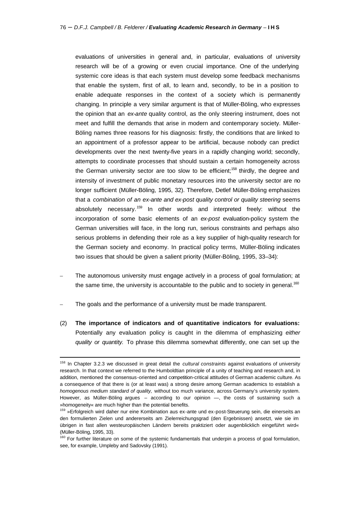evaluations of universities in general and, in particular, evaluations of university research will be of a growing or even crucial importance. One of the underlying systemic core ideas is that each system must develop some feedback mechanisms that enable the system, first of all, to learn and, secondly, to be in a position to enable adequate responses in the context of a society which is permanently changing. In principle a very similar argument is that of Müller-Böling, who expresses the opinion that an *ex-ante* quality control, as the only steering instrument, does not meet and fulfill the demands that arise in modern and contemporary society. Müller-Böling names three reasons for his diagnosis: firstly, the conditions that are linked to an appointment of a professor appear to be artificial, because nobody can predict developments over the next twenty-five years in a rapidly changing world; secondly, attempts to coordinate processes that should sustain a certain homogeneity across the German university sector are too slow to be efficient;<sup>158</sup> thirdly, the degree and intensity of investment of public monetary resources into the university sector are no longer sufficient (Müller-Böling, 1995, 32). Therefore, Detlef Müller-Böling emphasizes that a *combination of an ex-ante and ex-post quality control or quality steering* seems absolutely necessary.<sup>159</sup> In other words and interpreted freely: without the incorporation of some basic elements of an *ex-post* evaluation-policy system the German universities will face, in the long run, serious constraints and perhaps also serious problems in defending their role as a key supplier of high-quality research for the German society and economy. In practical policy terms, Müller-Böling indicates two issues that should be given a salient priority (Müller-Böling, 1995, 33–34):

- The autonomous university must engage actively in a process of goal formulation; at the same time, the university is accountable to the public and to society in general.<sup>160</sup>
- The goals and the performance of a university must be made transparent.

j

(2) **The importance of indicators and of quantitative indicators for evaluations:** Potentially any evaluation policy is caught in the dilemma of emphasizing *either quality or quantity.* To phrase this dilemma somewhat differently, one can set up the

<sup>158</sup> In Chapter 3.2.3 we discussed in great detail the *cultural constraints* against evaluations of university research. In that context we referred to the Humboldtian principle of a unity of teaching and research and, in addition, mentioned the consensus-oriented and competition-critical attitudes of German academic culture. As a consequence of that there is (or at least was) a strong desire among German academics to establish a *homogenous medium standard of quality,* without too much variance, across Germany's university system. However, as Müller-Böling argues – according to our opinion —, the costs of sustaining such a »homogeneity« are much higher than the potential benefits.

<sup>&</sup>lt;sup>159</sup> »Erfolgreich wird daher nur eine Kombination aus ex-ante und ex-post-Steuerung sein, die einerseits an den formulierten Zielen und andererseits am Zielerreichungsgrad (den Ergebnissen) ansetzt, wie sie im übrigen in fast allen westeuropäischen Ländern bereits praktiziert oder augenblicklich eingeführt wird« (Müller-Böling, 1995, 33).

<sup>&</sup>lt;sup>160</sup> For further literature on some of the systemic fundamentals that underpin a process of goal formulation, see, for example, Umpleby and Sadovsky (1991).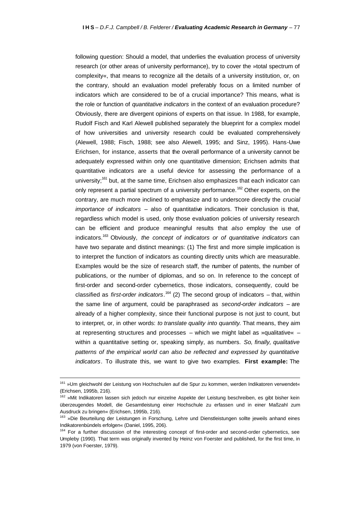following question: Should a model, that underlies the evaluation process of university research (or other areas of university performance), try to cover the »total spectrum of complexity«, that means to recognize all the details of a university institution, or, on the contrary, should an evaluation model preferably focus on a limited number of indicators which are considered to be of a crucial importance? This means, what is the role or function of *quantitative indicators* in the context of an evaluation procedure? Obviously, there are divergent opinions of experts on that issue. In 1988, for example, Rudolf Fisch and Karl Alewell published separately the blueprint for a complex model of how universities and university research could be evaluated comprehensively (Alewell, 1988; Fisch, 1988; see also Alewell, 1995; and Sinz, 1995). Hans-Uwe Erichsen, for instance, asserts that the overall performance of a university cannot be adequately expressed within only one quantitative dimension; Erichsen admits that quantitative indicators are a useful device for assessing the performance of a university;<sup>161</sup> but, at the same time, Erichsen also emphasizes that each indicator can only represent a partial spectrum of a university performance.<sup>162</sup> Other experts, on the contrary, are much more inclined to emphasize and to underscore directly the *crucial importance of indicators* – also of quantitative indicators. Their conclusion is that, regardless which model is used, only those evaluation policies of university research can be efficient and produce meaningful results that *also* employ the use of indicators.<sup>163</sup> Obviously, *the concept of indicators or of quantitative indicators* can have two separate and distinct meanings: (1) The first and more simple implication is to interpret the function of indicators as counting directly units which are measurable. Examples would be the size of research staff, the number of patents, the number of publications, or the number of diplomas, and so on. In reference to the concept of first-order and second-order cybernetics, those indicators, consequently, could be classified as *first-order indicators*. <sup>164</sup> (2) The second group of indicators – that, within the same line of argument, could be paraphrased as *second-order indicators* – are already of a higher complexity, since their functional purpose is not just to count, but to interpret, or, in other words: *to translate quality into quantity*. That means, they aim at representing structures and processes – which we might label as »qualitative« – within a quantitative setting or, speaking simply, as numbers. *So, finally, qualitative patterns of the empirical world can also be reflected and expressed by quantitative indicators*. To illustrate this, we want to give two examples. **First example:** The

<sup>161 »</sup>Um gleichwohl der Leistung von Hochschulen auf die Spur zu kommen, werden Indikatoren verwendet« (Erichsen, 1995b, 216).

<sup>&</sup>lt;sup>162</sup> »Mit Indikatoren lassen sich jedoch nur einzelne Aspekte der Leistung beschreiben, es gibt bisher kein überzeugendes Modell, die Gesamtleistung einer Hochschule zu erfassen und in einer Maßzahl zum Ausdruck zu bringen« (Erichsen, 1995b, 216).

<sup>163 »</sup>Die Beurteilung der Leistungen in Forschung, Lehre und Dienstleistungen sollte jeweils anhand eines Indikatorenbündels erfolgen« (Daniel, 1995, 206).

<sup>&</sup>lt;sup>164</sup> For a further discussion of the interesting concept of first-order and second-order cybernetics, see Umpleby (1990). That term was originally invented by Heinz von Foerster and published, for the first time, in 1979 (von Foerster, 1979).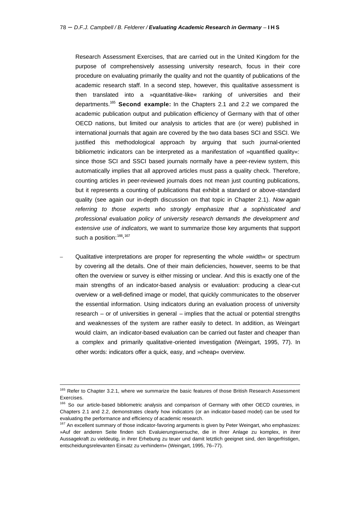Research Assessment Exercises, that are carried out in the United Kingdom for the purpose of comprehensively assessing university research, focus in their core procedure on evaluating primarily the quality and not the quantity of publications of the academic research staff. In a second step, however, this qualitative assessment is then translated into a »quantitative-like« ranking of universities and their departments.<sup>165</sup> **Second example:** In the Chapters 2.1 and 2.2 we compared the academic publication output and publication efficiency of Germany with that of other OECD nations, but limited our analysis to articles that are (or were) published in international journals that again are covered by the two data bases SCI and SSCI. We justified this methodological approach by arguing that such journal-oriented bibliometric indicators can be interpreted as a manifestation of »quantified quality«: since those SCI and SSCI based journals normally have a peer-review system, this automatically implies that all approved articles must pass a quality check. Therefore, counting articles in peer-reviewed journals does not mean just counting publications, but it represents a counting of publications that exhibit a standard or above-standard quality (see again our in-depth discussion on that topic in Chapter 2.1). *Now again referring to those experts who strongly emphasize that a sophisticated and professional evaluation policy of university research demands the development and extensive use of indicators,* we want to summarize those key arguments that support such a position:  $166,167$ 

– Qualitative interpretations are proper for representing the whole »width« or spectrum by covering all the details. One of their main deficiencies, however, seems to be that often the overview or survey is either missing or unclear. And this is exactly one of the main strengths of an indicator-based analysis or evaluation: producing a clear-cut overview or a well-defined image or model, that quickly communicates to the observer the essential information. Using indicators during an evaluation process of university research – or of universities in general – implies that the actual or potential strengths and weaknesses of the system are rather easily to detect. In addition, as Weingart would claim, an indicator-based evaluation can be carried out faster and cheaper than a complex and primarily qualitative-oriented investigation (Weingart, 1995, 77). In other words: indicators offer a quick, easy, and »cheap« overview.

<sup>&</sup>lt;sup>165</sup> Refer to Chapter 3.2.1, where we summarize the basic features of those British Research Assessment Exercises.

<sup>166</sup> So our article-based bibliometric analysis and comparison of Germany with other OECD countries, in Chapters 2.1 and 2.2, demonstrates clearly how indicators (or an indicator-based model) can be used for evaluating the performance and efficiency of academic research.

<sup>&</sup>lt;sup>167</sup> An excellent summary of those indicator-favoring arguments is given by Peter Weingart, who emphasizes: »Auf der anderen Seite finden sich Evaluierungsversuche, die in ihrer Anlage zu komplex, in ihrer Aussagekraft zu vieldeutig, in ihrer Erhebung zu teuer und damit letztlich geeignet sind, den längerfristigen, entscheidungsrelevanten Einsatz zu verhindern« (Weingart, 1995, 76–77).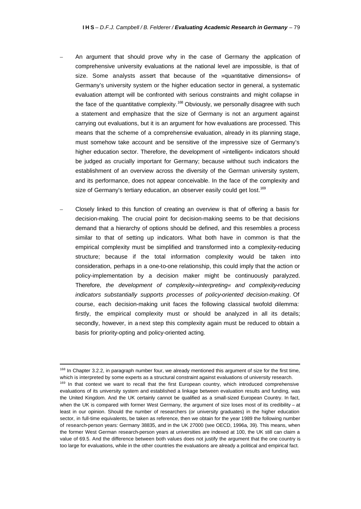- An argument that should prove why in the case of Germany the application of comprehensive university evaluations at the national level are impossible, is that of size. Some analysts assert that because of the »quantitative dimensions« of Germany's university system or the higher education sector in general, a systematic evaluation attempt will be confronted with serious constraints and might collapse in the face of the quantitative complexity.<sup>168</sup> Obviously, we personally disagree with such a statement and emphasize that the size of Germany is not an argument against carrying out evaluations, but it is an argument for how evaluations are processed. This means that the scheme of a comprehensive evaluation, already in its planning stage, must somehow take account and be sensitive of the impressive size of Germany's higher education sector. Therefore, the development of »intelligent« indicators should be judged as crucially important for Germany; because without such indicators the establishment of an overview across the diversity of the German university system, and its performance, does not appear conceivable. In the face of the complexity and size of Germany's tertiary education, an observer easily could get lost.<sup>169</sup>
- Closely linked to this function of creating an overview is that of offering a basis for decision-making. The crucial point for decision-making seems to be that decisions demand that a hierarchy of options should be defined, and this resembles a process similar to that of setting up indicators. What both have in common is that the empirical complexity must be simplified and transformed into a complexity-reducing structure; because if the total information complexity would be taken into consideration, perhaps in a one-to-one relationship, this could imply that the action or policy-implementation by a decision maker might be continuously paralyzed. Therefore, *the development of complexity-»interpreting« and complexity-reducing indicators substantially supports processes of policy-oriented decision-making*. Of course, each decision-making unit faces the following classical twofold dilemma: firstly, the empirical complexity must or should be analyzed in all its details; secondly, however, in a next step this complexity again must be reduced to obtain a basis for priority-opting and policy-oriented acting.

<sup>&</sup>lt;sup>168</sup> In Chapter 3.2.2, in paragraph number four, we already mentioned this argument of size for the first time, which is interpreted by some experts as a structural constraint against evaluations of university research.

<sup>169</sup> In that context we want to recall that the first European country, which introduced comprehensive evaluations of its university system and established a linkage between evaluation results and funding, was the United Kingdom. And the UK certainly cannot be qualified as a small-sized European Country. In fact, when the UK is compared with former West Germany, the argument of size loses most of its credibility – at least in our opinion. Should the number of researchers (or university graduates) in the higher education sector, in full-time equivalents, be taken as reference, then we obtain for the year 1989 the following number of research-person years: Germany 38835, and in the UK 27000 (see OECD, 1996a, 39). This means, when the former West German research-person years at universities are indexed at 100, the UK still can claim a value of 69.5. And the difference between both values does not justify the argument that the one country is too large for evaluations, while in the other countries the evaluations are already a political and empirical fact.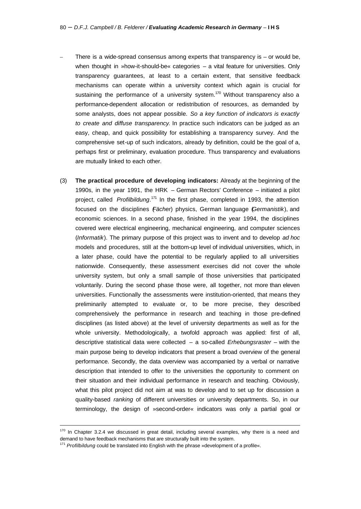- There is a wide-spread consensus among experts that transparency is  $-$  or would be, when thought in »how-it-should-be« categories – a vital feature for universities. Only transparency guarantees, at least to a certain extent, that sensitive feedback mechanisms can operate within a university context which again is crucial for sustaining the performance of a university system.<sup>170</sup> Without transparency also a performance-dependent allocation or redistribution of resources, as demanded by some analysts, does not appear possible. *So a key function of indicators is exactly to create and diffuse transparency*. In practice such indicators can be judged as an easy, cheap, and quick possibility for establishing a transparency survey. And the comprehensive set-up of such indicators, already by definition, could be the goal of a, perhaps first or preliminary, evaluation procedure. Thus transparency and evaluations are mutually linked to each other.
- (3) **The practical procedure of developing indicators:** Already at the beginning of the 1990s, in the year 1991, the HRK – German Rectors' Conference – initiated a pilot project, called *Profilbildung*. <sup>171</sup> In the first phase, completed in 1993, the attention focused on the disciplines (*Fächer*) physics, German language (*Germanistik*), and economic sciences. In a second phase, finished in the year 1994, the disciplines covered were electrical engineering, mechanical engineering, and computer sciences (*Informatik*). The primary purpose of this project was to invent and to develop *ad hoc* models and procedures, still at the bottom-up level of individual universities, which, in a later phase, could have the potential to be regularly applied to all universities nationwide. Consequently, these assessment exercises did not cover the whole university system, but only a small sample of those universities that participated voluntarily. During the second phase those were, all together, not more than eleven universities. Functionally the assessments were institution-oriented, that means they preliminarily attempted to evaluate or, to be more precise, they described comprehensively the performance in research and teaching in those pre-defined disciplines (as listed above) at the level of university departments as well as for the whole university. Methodologically, a twofold approach was applied: first of all, descriptive statistical data were collected – a so-called *Erhebungsraster* – with the main purpose being to develop indicators that present a broad overview of the general performance. Secondly, the data overview was accompanied by a verbal or narrative description that intended to offer to the universities the opportunity to comment on their situation and their individual performance in research and teaching. Obviously, what this pilot project did not aim at was to develop and to set up for discussion a quality-based *ranking* of different universities or university departments. So, in our terminology, the design of »second-order« indicators was only a partial goal or

 $170$  In Chapter 3.2.4 we discussed in great detail, including several examples, why there is a need and demand to have feedback mechanisms that are structurally built into the system.

<sup>171</sup> *Profilbildung* could be translated into English with the phrase »development of a profile«.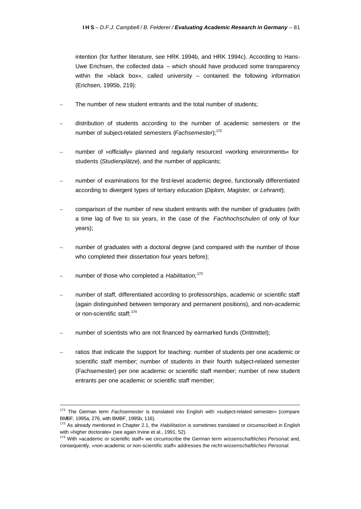intention (for further literature, see HRK 1994b, and HRK 1994c). According to Hans-Uwe Erichsen, the collected data – which should have produced some transparency within the »black box«, called university – contained the following information (Erichsen, 1995b, 219):

- The number of new student entrants and the total number of students;
- distribution of students according to the number of academic semesters or the number of subject-related semesters (Fachsemester);<sup>172</sup>
- number of »officially« planned and regularly resourced »working environments« for students (*Studienplätze*), and the number of applicants;
- number of examinations for the first-level academic degree, functionally differentiated according to divergent types of tertiary education (*Diplom, Magister,* or *Lehramt*);
- comparison of the number of new student entrants with the number of graduates (with a time lag of five to six years, in the case of the *Fachhochschulen* of only of four years);
- number of graduates with a doctoral degree (and compared with the number of those who completed their dissertation four years before);
- number of those who completed a *Habilitation;*<sup>173</sup>

- number of staff, differentiated according to professorships, academic or scientific staff (again distinguished between temporary and permanent positions), and non-academic or non-scientific staff; 174
- number of scientists who are not financed by earmarked funds (Drittmittel);
- ratios that indicate the support for teaching: number of students per one academic or scientific staff member; number of students in their fourth subject-related semester (Fachsemester) per one academic or scientific staff member; number of new student entrants per one academic or scientific staff member;

<sup>172</sup> The German term *Fachsemester* is translated into English with »subject-related semester« (compare BMBF, 1995a, 276, with BMBF, 1995b, 116).

<sup>173</sup> As already mentioned in Chapter 2.1, the *Habilitation* is sometimes translated or circumscribed in English with »higher doctorate« (see again Irvine et al., 1991, 52).

<sup>174</sup> With »academic or scientific staff« we circumscribe the German term *wissenschaftliches Personal;* and, consequently, »non-academic or non-scientific staff« addresses the *nicht-wissenschaftliches Personal.*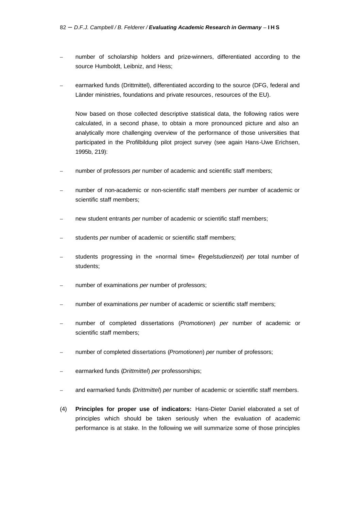- number of scholarship holders and prize-winners, differentiated according to the source Humboldt, Leibniz, and Hess;
- earmarked funds (Drittmittel), differentiated according to the source (DFG, federal and Länder ministries, foundations and private resources, resources of the EU).

Now based on those collected descriptive statistical data, the following ratios were calculated, in a second phase, to obtain a more pronounced picture and also an analytically more challenging overview of the performance of those universities that participated in the Profilbildung pilot project survey (see again Hans-Uwe Erichsen, 1995b, 219):

- number of professors *per* number of academic and scientific staff members;
- number of non-academic or non-scientific staff members *per* number of academic or scientific staff members;
- new student entrants *per* number of academic or scientific staff members;
- students *per* number of academic or scientific staff members;
- students progressing in the »normal time« (*Regelstudienzeit*) *per* total number of students;
- number of examinations *per* number of professors;
- number of examinations *per* number of academic or scientific staff members;
- number of completed dissertations (*Promotionen*) *per* number of academic or scientific staff members;
- number of completed dissertations (*Promotionen*) *per* number of professors;
- earmarked funds (*Drittmittel*) *per* professorships;
- and earmarked funds (*Drittmittel*) *per* number of academic or scientific staff members.
- (4) **Principles for proper use of indicators:** Hans-Dieter Daniel elaborated a set of principles which should be taken seriously when the evaluation of academic performance is at stake. In the following we will summarize some of those principles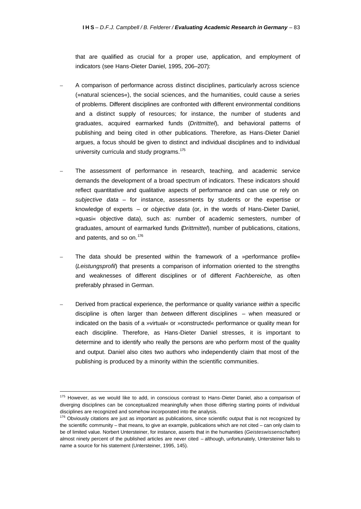that are qualified as crucial for a proper use, application, and employment of indicators (see Hans-Dieter Daniel, 1995, 206–207):

- A comparison of performance across distinct disciplines, particularly across science (»natural sciences«), the social sciences, and the humanities, could cause a series of problems. Different disciplines are confronted with different environmental conditions and a distinct supply of resources; for instance, the number of students and graduates, acquired earmarked funds (*Drittmittel*), and behavioral patterns of publishing and being cited in other publications. Therefore, as Hans-Dieter Daniel argues, a focus should be given to distinct and individual disciplines and to individual university curricula and study programs.<sup>175</sup>
- The assessment of performance in research, teaching, and academic service demands the development of a broad spectrum of indicators. These indicators should reflect quantitative and qualitative aspects of performance and can use or rely on *subjective data* – for instance, assessments by students or the expertise or knowledge of experts – or *objective data* (or, in the words of Hans-Dieter Daniel, »quasi« objective data), such as: number of academic semesters, number of graduates, amount of earmarked funds (*Drittmittel*), number of publications, citations, and patents, and so on.<sup>176</sup>
- The data should be presented within the framework of a »performance profile« (*Leistungsprofil*) that presents a comparison of information oriented to the strengths and weaknesses of different disciplines or of different *Fachbereiche,* as often preferably phrased in German.
- Derived from practical experience, the performance or quality variance *within* a specific discipline is often larger than *between* different disciplines – when measured or indicated on the basis of a »virtual« or »constructed« performance or quality mean for each discipline. Therefore, as Hans-Dieter Daniel stresses, it is important to determine and to identify who really the persons are who perform most of the quality and output. Daniel also cites two authors who independently claim that most of the publishing is produced by a minority within the scientific communities.

<sup>&</sup>lt;sup>175</sup> However, as we would like to add, in conscious contrast to Hans-Dieter Daniel, also a comparison of diverging disciplines can be conceptualized meaningfully when those differing starting points of individual disciplines are recognized and somehow incorporated into the analysis.

 $176$  Obviously citations are just as important as publications, since scientific output that is not recognized by the scientific community – that means, to give an example, publications which are not cited – can only claim to be of limited value. Norbert Untersteiner, for instance, asserts that in the humanities (*Geisteswissenschaften*) almost ninety percent of the published articles are never cited – although, unfortunately, Untersteiner fails to name a source for his statement (Untersteiner, 1995, 145).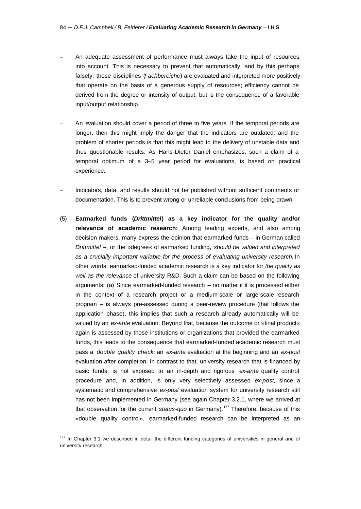- An adequate assessment of performance must always take the input of resources into account. This is necessary to prevent that automatically, and by this perhaps falsely, those disciplines (*Fachbereiche*) are evaluated and interpreted more positively that operate on the basis of a generous supply of resources; efficiency cannot be derived from the degree or intensity of output, but is the consequence of a favorable input/output relationship.
- An evaluation should cover a period of three to five years. If the temporal periods are longer, then this might imply the danger that the indicators are outdated; and the problem of shorter periods is that this might lead to the delivery of unstable data and thus questionable results. As Hans-Dieter Daniel emphasizes, such a claim of a temporal optimum of a 3–5 year period for evaluations, is based on practical experience.
- Indicators, data, and results should not be published without sufficient comments or documentation. This is to prevent wrong or unreliable conclusions from being drawn.
- (5) **Earmarked funds (***Drittmittel***) as a key indicator for the quality and/or relevance of academic research:** Among leading experts, and also among decision makers, many express the opinion that earmarked funds – in German called *Drittmittel* –, or the »degree« of earmarked funding, *should be valued and interpreted as a crucially important variable for the process of evaluating university research*. In other words: earmarked-funded academic research is a key indicator for *the quality as well as the relevance* of university R&D. Such a claim can be based on the following arguments: (a) Since earmarked-funded research – no matter if it is processed either in the context of a research project or a medium-scale or large-scale research program – is always pre-assessed during a peer-review procedure (that follows the application phase), this implies that such a research already automatically will be valued by an *ex-ante* evaluation. Beyond that, because the outcome or »final product« again is assessed by those institutions or organizations that provided the earmarked funds, this leads to the consequence that earmarked-funded academic research must pass a *double quality check;* an *ex-ante* evaluation at the beginning and an *ex-post* evaluation after completion. In contrast to that, university research that is financed by basic funds, is not exposed to an in-depth and rigorous *ex-ante* quality control procedure and, in addition, is only very selectively assessed *ex-post,* since a systematic and comprehensive *ex-post* evaluation system for university research still has not been implemented in Germany (see again Chapter 3.2.1, where we arrived at that observation for the current *status-quo* in Germany).<sup>177</sup> Therefore, because of this »double quality control«, earmarked-funded research can be interpreted as an

<sup>&</sup>lt;sup>177</sup> In Chapter 3.1 we described in detail the different funding categories of universities in general and of university research.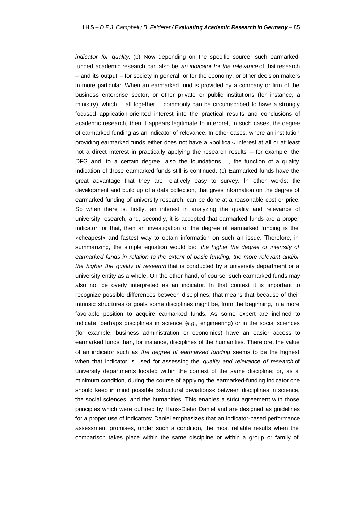*indicator for quality*. (b) Now depending on the specific source, such earmarkedfunded academic research can also be *an indicator for the relevance* of that research – and its output – for society in general, or for the economy, or other decision makers in more particular. When an earmarked fund is provided by a company or firm of the business enterprise sector, or other private or public institutions (for instance, a ministry), which – all together – commonly can be circumscribed to have a strongly focused application-oriented interest into the practical results and conclusions of academic research, then it appears legitimate to interpret, in such cases, the degree of earmarked funding as an indicator of relevance. In other cases, where an institution providing earmarked funds either does not have a »political« interest at all or at least not a direct interest in practically applying the research results – for example, the DFG and, to a certain degree, also the foundations -, the function of a quality indication of those earmarked funds still is continued. (c) Earmarked funds have the great advantage that they are relatively easy to survey. In other words: the development and build up of a data collection, that gives information on the degree of earmarked funding of university research, can be done at a reasonable cost or price. So when there is, firstly, an interest in analyzing the quality and relevance of university research, and, secondly, it is accepted that earmarked funds are a proper indicator for that, then an investigation of the degree of earmarked funding is the »cheapest« and fastest way to obtain information on such an issue. Therefore, in summarizing, the simple equation would be: *the higher the degree or intensity of earmarked funds in relation to the extent of basic funding, the more relevant and/or the higher the quality of research* that is conducted by a university department or a university entity as a whole. On the other hand, of course, such earmarked funds may also not be overly interpreted as an indicator. In that context it is important to recognize possible differences between disciplines; that means that because of their intrinsic structures or goals some disciplines might be, from the beginning, in a more favorable position to acquire earmarked funds. As some expert are inclined to indicate, perhaps disciplines in science (*e.g.,* engineering) or in the social sciences (for example, business administration or economics) have an easier access to earmarked funds than, for instance, disciplines of the humanities. Therefore, the value of an indicator such as *the degree of earmarked funding* seems to be the highest when that indicator is used for assessing the *quality and relevance of research* of university departments located within the context of the same discipline; or, as a minimum condition, during the course of applying the earmarked-funding indicator one should keep in mind possible »structural deviations« between disciplines in science, the social sciences, and the humanities. This enables a strict agreement with those principles which were outlined by Hans-Dieter Daniel and are designed as guidelines for a proper use of indicators: Daniel emphasizes that an indicator-based performance assessment promises, under such a condition, the most reliable results when the comparison takes place within the same discipline or within a group or family of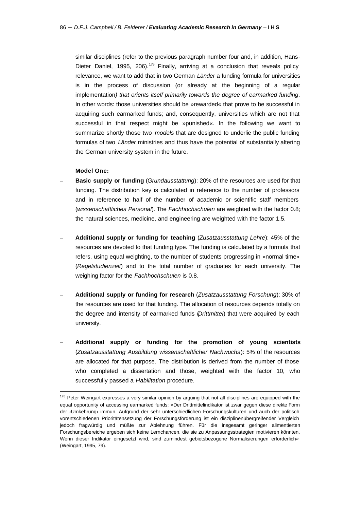similar disciplines (refer to the previous paragraph number four and, in addition, Hans-Dieter Daniel, 1995, 206).<sup>178</sup> Finally, arriving at a conclusion that reveals policy relevance, we want to add that in two German *Länder* a funding formula for universities is in the process of discussion (or already at the beginning of a regular implementation*) that orients itself primarily towards the degree of earmarked funding*. In other words: those universities should be »rewarded« that prove to be successful in acquiring such earmarked funds; and, consequently, universities which are not that successful in that respect might be »punished«. In the following we want to summarize shortly those two *models* that are designed to underlie the public funding formulas of two *Länder* ministries and thus have the potential of substantially altering the German university system in the future.

### **Model One:**

- **Basic supply or funding** (*Grundausstattung*): 20% of the resources are used for that funding. The distribution key is calculated in reference to the number of professors and in reference to half of the number of academic or scientific staff members (*wissenschaftliches Personal*). The *Fachhochschulen* are weighted with the factor 0.8; the natural sciences, medicine, and engineering are weighted with the factor 1.5.
- **Additional supply or funding for teaching** (*Zusatzausstattung Lehre*): 45% of the resources are devoted to that funding type. The funding is calculated by a formula that refers, using equal weighting, to the number of students progressing in »normal time« (*Regelstudienzeit*) and to the total number of graduates for each university. The weighing factor for the *Fachhochschulen* is 0.8.
- **Additional supply or funding for research** (*Zusatzausstattung Forschung*): 30% of the resources are used for that funding. The allocation of resources depends totally on the degree and intensity of earmarked funds (*Drittmittel*) that were acquired by each university.
- **Additional supply or funding for the promotion of young scientists** (*Zusatzausstattung Ausbildung wissenschaftlicher Nachwuchs*): 5% of the resources are allocated for that purpose. The distribution is derived from the number of those who completed a dissertation and those, weighted with the factor 10, who successfully passed a *Habilitation* procedure.

<sup>&</sup>lt;sup>178</sup> Peter Weingart expresses a very similar opinion by arguing that not all disciplines are equipped with the equal opportunity of accessing earmarked funds: »Der Drittmittelindikator ist zwar gegen diese direkte Form der ›Umkehrung‹ immun. Aufgrund der sehr unterschiedlichen Forschungskulturen und auch der politisch vorentschiedenen Prioritätensetzung der Forschungsförderung ist ein disziplinenübergreifender Vergleich jedoch fragwürdig und müßte zur Ablehnung führen. Für die insgesamt geringer alimentierten Forschungsbereiche ergeben sich keine Lernchancen, die sie zu Anpassungsstrategien motivieren könnten. Wenn dieser Indikator eingesetzt wird, sind zumindest gebietsbezogene Normalisierungen erforderlich« (Weingart, 1995, 79).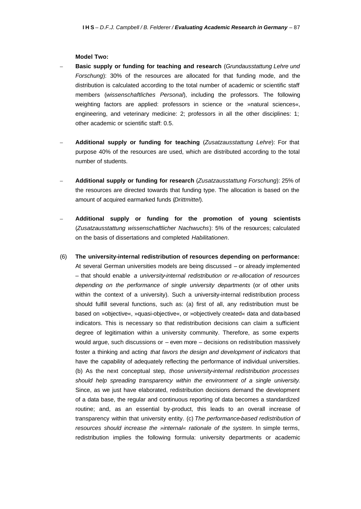#### **Model Two:**

- **Basic supply or funding for teaching and research** (*Grundausstattung Lehre und Forschung*): 30% of the resources are allocated for that funding mode, and the distribution is calculated according to the total number of academic or scientific staff members (*wissenschaftliches Personal*), including the professors. The following weighting factors are applied: professors in science or the »natural sciences«, engineering, and veterinary medicine: 2; professors in all the other disciplines: 1; other academic or scientific staff: 0.5.
- **Additional supply or funding for teaching** (*Zusatzausstattung Lehre*): For that purpose 40% of the resources are used, which are distributed according to the total number of students.
- **Additional supply or funding for research** (*Zusatzausstattung Forschung*): 25% of the resources are directed towards that funding type. The allocation is based on the amount of acquired earmarked funds (*Drittmittel*).
- **Additional supply or funding for the promotion of young scientists** (*Zusatzausstattung wissenschaftlicher Nachwuchs*): 5% of the resources; calculated on the basis of dissertations and completed *Habilitationen*.
- (6) **The university-internal redistribution of resources depending on performance:**  At several German universities models are being discussed – or already implemented – that should enable *a university-internal redistribution or re-allocation of resources depending on the performance of single university departments* (or of other units within the context of a university). Such a university-internal redistribution process should fulfill several functions, such as: (a) first of all, any redistribution must be based on »objective«, »quasi-objective«, or »objectively created« data and data-based indicators. This is necessary so that redistribution decisions can claim a sufficient degree of legitimation within a university community. Therefore, as some experts would argue, such discussions or – even more – decisions on redistribution massively foster a thinking and acting *that favors the design and development of indicators* that have the capability of adequately reflecting the performance of individual universities. (b) As the next conceptual step*, those university-internal redistribution processes should help spreading transparency within the environment of a single university*. Since, as we just have elaborated, redistribution decisions demand the development of a data base, the regular and continuous reporting of data becomes a standardized routine; and, as an essential by-product, this leads to an overall increase of transparency within that university entity. (c) *The performance-based redistribution of resources should increase the »internal« rationale of the system*. In simple terms, redistribution implies the following formula: university departments or academic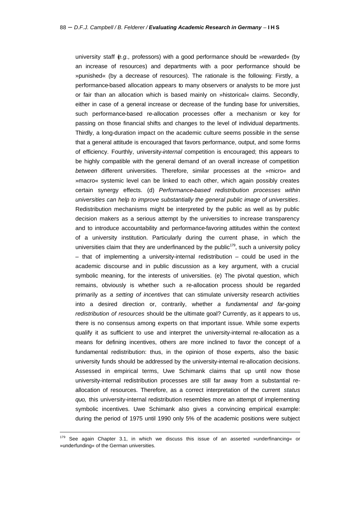university staff (*e.g.,* professors) with a good performance should be »rewarded« (by an increase of resources) and departments with a poor performance should be »punished« (by a decrease of resources). The rationale is the following: Firstly, a performance-based allocation appears to many observers or analysts to be more just or fair than an allocation which is based mainly on »historical« claims. Secondly, either in case of a general increase or decrease of the funding base for universities, such performance-based re-allocation processes offer a mechanism or key for passing on those financial shifts and changes to the level of individual departments. Thirdly, a long-duration impact on the academic culture seems possible in the sense that a general attitude is encouraged that favors performance, output, and some forms of efficiency. Fourthly, university-*internal* competition is encouraged; this appears to be highly compatible with the general demand of an overall increase of competition *between* different universities. Therefore, similar processes at the »micro« and »macro« systemic level can be linked to each other, which again possibly creates certain synergy effects. (d) *Performance-based redistribution processes within universities can help to improve substantially the general public image of universities*. Redistribution mechanisms might be interpreted by the public as well as by public decision makers as a serious attempt by the universities to increase transparency and to introduce accountability and performance-favoring attitudes within the context of a university institution. Particularly during the current phase, in which the universities claim that they are underfinanced by the public $179$ , such a university policy – that of implementing a university-internal redistribution – could be used in the academic discourse and in public discussion as a key argument, with a crucial symbolic meaning, for the interests of universities. (e) The pivotal question, which remains, obviously is whether such a re-allocation process should be regarded primarily as *a setting of incentives* that can stimulate university research activities into a desired direction or, contrarily, whether *a fundamental and far-going redistribution of resources* should be the ultimate goal? Currently, as it appears to us, there is no consensus among experts on that important issue. While some experts qualify it as sufficient to use and interpret the university-internal re-allocation as a means for defining incentives, others are more inclined to favor the concept of a fundamental redistribution: thus, in the opinion of those experts, also the basic university funds should be addressed by the university-internal re-allocation decisions. Assessed in empirical terms, Uwe Schimank claims that up until now those university-internal redistribution processes are still far away from a substantial reallocation of resources. Therefore, as a correct interpretation of the current *status quo,* this university-internal redistribution resembles more an attempt of implementing symbolic incentives. Uwe Schimank also gives a convincing empirical example: during the period of 1975 until 1990 only 5% of the academic positions were subject

 $179$  See again Chapter 3.1, in which we discuss this issue of an asserted »underfinancing« or »underfunding« of the German universities.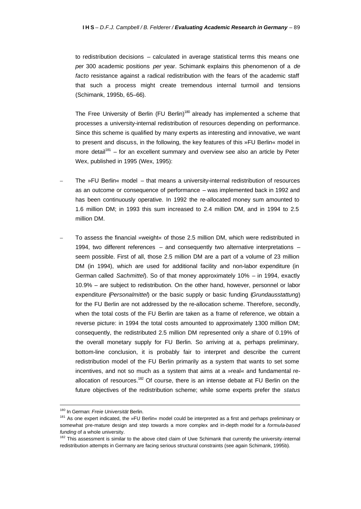to redistribution decisions – calculated in average statistical terms this means one *per* 300 academic positions *per* year. Schimank explains this phenomenon of a *de facto* resistance against a radical redistribution with the fears of the academic staff that such a process might create tremendous internal turmoil and tensions (Schimank, 1995b, 65–66).

The Free University of Berlin (FU Berlin)<sup>180</sup> already has implemented a scheme that processes a university-internal redistribution of resources depending on performance. Since this scheme is qualified by many experts as interesting and innovative, we want to present and discuss, in the following, the key features of this »FU Berlin« model in more detail<sup>181</sup> – for an excellent summary and overview see also an article by Peter Wex, published in 1995 (Wex, 1995):

- The »FU Berlin« model that means a university-internal redistribution of resources as an outcome or consequence of performance – was implemented back in 1992 and has been continuously operative. In 1992 the re-allocated money sum amounted to 1.6 million DM; in 1993 this sum increased to 2.4 million DM, and in 1994 to 2.5 million DM.
- To assess the financial »weight« of those 2.5 million DM, which were redistributed in 1994, two different references – and consequently two alternative interpretations – seem possible. First of all, those 2.5 million DM are a part of a volume of 23 million DM (in 1994), which are used for additional facility and non-labor expenditure (in German called *Sachmittel*). So of that money approximately 10% – in 1994, exactly 10.9% – are subject to redistribution. On the other hand, however, personnel or labor expenditure (*Personalmittel*) or the basic supply or basic funding (*Grundausstattung*) for the FU Berlin are not addressed by the re-allocation scheme. Therefore, secondly, when the total costs of the FU Berlin are taken as a frame of reference, we obtain a reverse picture: in 1994 the total costs amounted to approximately 1300 million DM; consequently, the redistributed 2.5 million DM represented only a share of 0.19% of the overall monetary supply for FU Berlin. So arriving at a, perhaps preliminary, bottom-line conclusion, it is probably fair to interpret and describe the current redistribution model of the FU Berlin primarily as a system that wants to set some incentives, and not so much as a system that aims at a »real« and fundamental reallocation of resources.<sup>182</sup> Of course, there is an intense debate at FU Berlin on the future objectives of the redistribution scheme; while some experts prefer the *status*

<sup>180</sup> In German: *Freie Universität* Berlin.

<sup>181</sup> As one expert indicated, the »FU Berlin« model could be interpreted as a first and perhaps preliminary or somewhat pre-mature design and step towards a more complex and in-depth model for a *formula-based funding* of a whole university.

<sup>&</sup>lt;sup>182</sup> This assessment is similar to the above cited claim of Uwe Schimank that currently the university-internal redistribution attempts in Germany are facing serious structural constraints (see again Schimank, 1995b).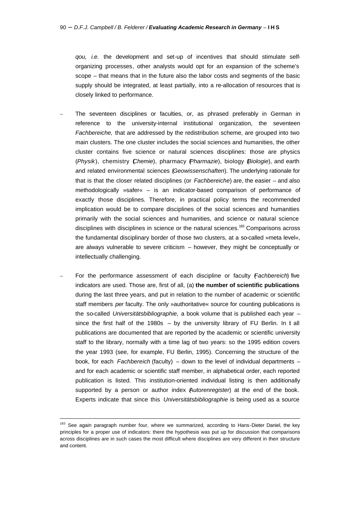*qou, i.e.* the development and set-up of incentives that should stimulate selforganizing processes, other analysts would opt for an expansion of the scheme's scope – that means that in the future also the labor costs and segments of the basic supply should be integrated, at least partially, into a re-allocation of resources that is closely linked to performance.

- The seventeen disciplines or faculties, or, as phrased preferably in German in reference to the university-internal institutional organization, the seventeen *Fachbereiche,* that are addressed by the redistribution scheme, are grouped into two main clusters. The one cluster includes the social sciences and humanities, the other cluster contains five science or natural sciences disciplines: those are physics (*Physik*), chemistry (*Chemie*), pharmacy (*Pharmazie*), biology (*Biologie*), and earth and related environmental sciences (*Geowissenschaften*). The underlying rationale for that is that the closer related disciplines (or *Fachbereiche*) are, the easier – and also methodologically »safer« – is an indicator-based comparison of performance of exactly those disciplines. Therefore, in practical policy terms the recommended implication would be to compare disciplines of the social sciences and humanities primarily with the social sciences and humanities, and science or natural science disciplines with disciplines in science or the natural sciences.<sup>183</sup> Comparisons across the fundamental disciplinary border of those two clusters, at a so-called »meta level«, are always vulnerable to severe criticism – however, they might be conceptually or intellectually challenging.
- For the performance assessment of each discipline or faculty (*Fachbereich*) five indicators are used. Those are, first of all, (a) **the number of scientific publications**  during the last three years, and put in relation to the number of academic or scientific staff members *per* faculty. The only »authoritative« source for counting publications is the so-called *Universitätsbibliographie,* a book volume that is published each year – since the first half of the 1980s  $-$  by the university library of FU Berlin. In t all publications are documented that are reported by the academic or scientific university staff to the library, normally with a time lag of two years: so the 1995 edition covers the year 1993 (see, for example, FU Berlin, 1995). Concerning the structure of the book, for each *Fachbereich* (faculty) – down to the level of individual departments – and for each academic or scientific staff member, in alphabetical order, each reported publication is listed. This institution-oriented individual listing is then additionally supported by a person or author index (*Autorenregister*) at the end of the book. Experts indicate that since this *Universitätsbibliographie* is being used as a source

 $\overline{a}$ 

<sup>&</sup>lt;sup>183</sup> See again paragraph number four, where we summarized, according to Hans-Dieter Daniel, the key principles for a proper use of indicators: there the hypothesis was put up for discussion that comparisons across disciplines are in such cases the most difficult where disciplines are very different in their structure and content.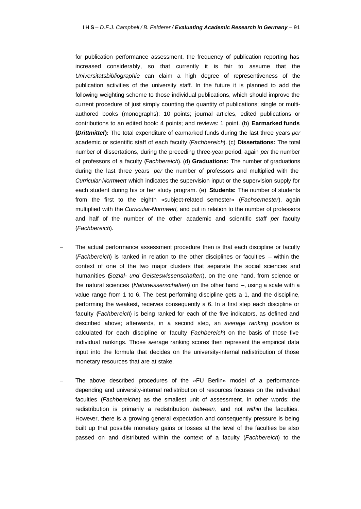for publication performance assessment, the frequency of publication reporting has increased considerably, so that currently it is fair to assume that the *Universitätsbibliographie* can claim a high degree of representiveness of the publication activities of the university staff. In the future it is planned to add the following weighting scheme to those individual publications, which should improve the current procedure of just simply counting the quantity of publications; single or multiauthored books (monographs): 10 points; journal articles, edited publications or contributions to an edited book: 4 points; and reviews: 1 point. (b) **Earmarked funds (***Drittmittel***):** The total expenditure of earmarked funds during the last three years *per* academic or scientific staff of each faculty (*Fachbereich*). (c) **Dissertations:** The total number of dissertations, during the preceding three-year period, again *per* the number of professors of a faculty (*Fachbereich*). (d) **Graduations:** The number of graduations during the last three years *per* the number of professors and multiplied with the *Curricular-Normwert* which indicates the supervision input or the supervision supply for each student during his or her study program. (e) **Students:** The number of students from the first to the eighth »subject-related semester« (*Fachsemester*), again multiplied with the *Curricular-Normwert,* and put in relation to the number of professors and half of the number of the other academic and scientific staff *per* faculty (*Fachbereich*).

- The actual performance assessment procedure then is that each discipline or faculty (*Fachbereich*) is ranked in relation to the other disciplines or faculties – within the context of one of the two major clusters that separate the social sciences and humanities (*Sozial- und Geisteswissenschaften*), on the one hand, from science or the natural sciences (*Naturwissenschaften*) on the other hand –, using a scale with a value range from 1 to 6. The best performing discipline gets a 1, and the discipline, performing the weakest, receives consequently a 6. In a first step each discipline or faculty (*Fachbereich*) is being ranked for each of the five indicators, as defined and described above; afterwards, in a second step, an *average ranking position* is calculated for each discipline or faculty (*Fachbereich*) on the basis of those five individual rankings. Those average ranking scores then represent the empirical data input into the formula that decides on the university-internal redistribution of those monetary resources that are at stake.
- The above described procedures of the »FU Berlin« model of a performancedepending and university-internal redistribution of resources focuses on the individual faculties (*Fachbereiche*) as the smallest unit of assessment. In other words: the redistribution is primarily a redistribution *between,* and not *within* the faculties. However, there is a growing general expectation and consequently pressure is being built up that possible monetary gains or losses at the level of the faculties be also passed on and distributed within the context of a faculty (*Fachbereich*) to the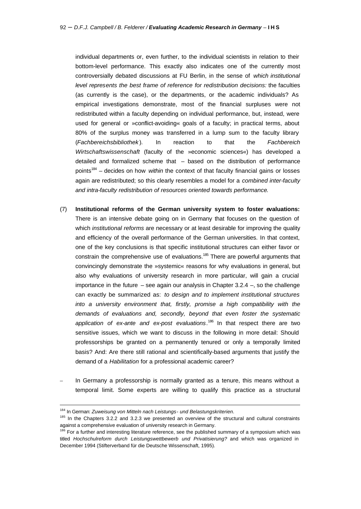individual departments or, even further, to the individual scientists in relation to their bottom-level performance. This exactly also indicates one of the currently most controversially debated discussions at FU Berlin, in the sense of *which institutional level represents the best frame of reference for redistribution decisions:* the faculties (as currently is the case), or the departments, or the academic individuals? As empirical investigations demonstrate, most of the financial surpluses were not redistributed within a faculty depending on individual performance, but, instead, were used for general or »conflict-avoiding« goals of a faculty; in practical terms, about 80% of the surplus money was transferred in a lump sum to the faculty library (*Fachbereichsbibliothek* ). In reaction to that the *Fachbereich Wirtschaftswissenschaft* (faculty of the »economic sciences«) has developed a detailed and formalized scheme that – based on the distribution of performance points<sup>184</sup> – decides on how *within* the context of that faculty financial gains or losses again are redistributed; so this clearly resembles a model for a *combined inter-faculty and intra-faculty redistribution of resources oriented towards performance*.

- (7) **Institutional reforms of the German university system to foster evaluations:** There is an intensive debate going on in Germany that focuses on the question of which *institutional reforms* are necessary or at least desirable for improving the quality and efficiency of the overall performance of the German universities. In that context, one of the key conclusions is that specific institutional structures can either favor or constrain the comprehensive use of evaluations.<sup>185</sup> There are powerful arguments that convincingly demonstrate the »systemic« reasons for why evaluations in general, but also why evaluations of university research in more particular, will gain a crucial importance in the future – see again our analysis in Chapter  $3.2.4$  –, so the challenge can exactly be summarized as: *to design and to implement institutional structures into a university environment that, firstly, promise a high compatibility with the demands of evaluations and, secondly, beyond that even foster the systematic application of ex-ante and ex-post evaluations*. <sup>186</sup> In that respect there are two sensitive issues, which we want to discuss in the following in more detail: Should professorships be granted on a permanently tenured or only a temporally limited basis? And: Are there still rational and scientifically-based arguments that justify the demand of a *Habilitation* for a professional academic career?
- In Germany a professorship is normally granted as a tenure, this means without a temporal limit. Some experts are willing to qualify this practice as a structural

<sup>184</sup> In German: *Zuweisung von Mitteln nach Leistungs- und Belastungskriterien*.

<sup>&</sup>lt;sup>185</sup> In the Chapters 3.2.2 and 3.2.3 we presented an overview of the structural and cultural constraints against a comprehensive evaluation of university research in Germany.

<sup>&</sup>lt;sup>186</sup> For a further and interesting literature reference, see the published summary of a symposium which was titled *Hochschulreform durch Leistungswettbewerb und Privatisierung?* and which was organized in December 1994 (Stifterverband für die Deutsche Wissenschaft, 1995).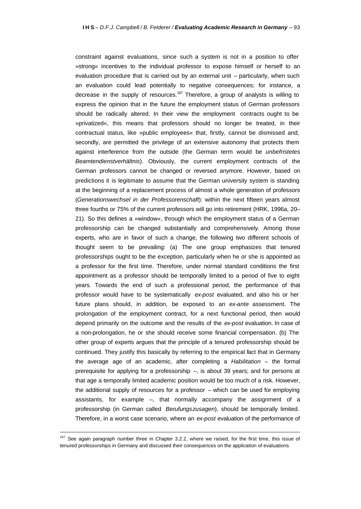constraint against evaluations, since such a system is not in a position to offer »strong« incentives to the individual professor to expose himself or herself to an evaluation procedure that is carried out by an external unit – particularly, when such an evaluation could lead potentially to negative consequences; for instance, a decrease in the supply of resources.<sup>187</sup> Therefore, a group of analysts is willing to express the opinion that in the future the employment status of German professors should be radically altered. In their view the employment contracts ought to be »privatized«, this means that professors should no longer be treated, in their contractual status, like »public employees« that, firstly, cannot be dismissed and, secondly, are permitted the privilege of an extensive autonomy that protects them against interference from the outside (the German term would be *unbefristetes Beamtendienstverhältnis*). Obviously, the current employment contracts of the German professors cannot be changed or reversed anymore. However, based on predictions it is legitimate to assume that the German university system is standing at the beginning of a replacement process of almost a whole generation of professors (*Generationswechsel in der Professorenschaft*): within the next fifteen years almost three fourths or 75% of the current professors will go into retirement (HRK, 1996a, 20– 21). So this defines a »window«, through which the employment status of a German professorship can be changed substantially and comprehensively. Among those experts, who are in favor of such a change, the following two different schools of thought seem to be prevailing: (a) The one group emphasizes that tenured professorships ought to be the exception, particularly when he or she is appointed as a professor for the first time. Therefore, under normal standard conditions the first appointment as a professor should be temporally limited to a period of five to eight years. Towards the end of such a professional period, the performance of that professor would have to be systematically *ex-post* evaluated, and also his or her future plans should, in addition, be exposed to an *ex-ante* assessment. The prolongation of the employment contract, for a next functional period, then would depend primarily on the outcome and the results of the *ex-post* evaluation. In case of a non-prolongation, he or she should receive some financial compensation. (b) The other group of experts argues that the principle of a tenured professorship should be continued. They justify this basically by referring to the empirical fact that in Germany the average age of an academic, after completing a *Habilitation –* the formal prerequisite for applying for a professorship –, is about 39 years; and for persons at that age a temporally limited academic position would be too much of a risk. However, the additional supply of resources for a professor – which can be used for employing assistants, for example –, that normally accompany the assignment of a professorship (in German called *Berufungszusagen*), should be temporally limited. Therefore, in a worst case scenario, where an *ex-post* evaluation of the performance of

<sup>&</sup>lt;sup>187</sup> See again paragraph number three in Chapter 3.2.2, where we raised, for the first time, this issue of tenured professorships in Germany and discussed their consequences on the application of evaluations.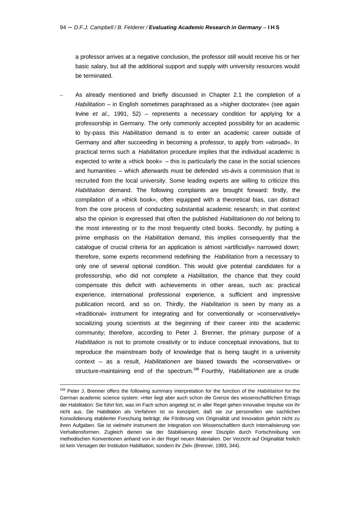a professor arrives at a negative conclusion, the professor still would receive his or her basic salary, but all the additional support and supply with university resources would be terminated.

– As already mentioned and briefly discussed in Chapter 2.1 the completion of a *Habilitation* – in English sometimes paraphrased as a »higher doctorate« (see again Irvine *et al.,* 1991, 52) – represents a necessary condition for applying for a professorship in Germany. The only commonly accepted possibility for an academic to by-pass this *Habilitation* demand is to enter an academic career outside of Germany and after succeeding in becoming a professor, to apply from »abroad«. In practical terms such a *Habilitation* procedure implies that the individual academic is expected to write a »thick book« – this is particularly the case in the social sciences and humanities – which afterwards must be defended *vis-àvis* a commission that is recruited fom the local university. Some leading experts are willing to criticize this *Habilitation* demand. The following complaints are brought forward: firstly, the compilation of a »thick book«, often equipped with a theoretical bias, can distract from the core process of conducting substantial academic research; in that context also the opinion is expressed that often the published *Habilitationen* do *not* belong to the most interesting or to the most frequently cited books. Secondly, by putting a prime emphasis on the *Habilitation* demand, this implies consequently that the catalogue of crucial criteria for an application is almost »artificially« narrowed down; therefore, some experts recommend redefining the *Habilitation* from a necessary to only one of several optional condition. This would give potential candidates for a professorship, who did not complete a *Habilitation,* the chance that they could compensate this deficit with achievements in other areas, such as: practical experience, international professional experience, a sufficient and impressive publication record, and so on. Thirdly, the *Habilitation* is seen by many as a »traditional« instrument for integrating and for conventionally or »conservatively« socializing young scientists at the beginning of their career into the academic community; therefore, according to Peter J. Brenner, the primary purpose of a *Habilitation* is not to promote creativity or to induce conceptual innovations, but to reproduce the mainstream body of knowledge that is being taught in a university context – as a result, *Habilitationen* are biased towards the »conservative« or structure-maintaining end of the spectrum.<sup>188</sup> Fourthly, *Habilitationen* are a crude

<sup>188</sup> Peter J. Brenner offers the following summary interpretation for the function of the *Habilitation* for the German academic science system: »Hier liegt aber auch schon die Grenze des wissenschaftlichen Ertrags der Habilitation: Sie führt fort, was im Fach schon angelegt ist; in aller Regel gehen innovative Impulse von ihr nicht aus. Die Habilitation als Verfahren ist so konzipiert, daß sie zur personellen wie sachlichen Konsolidierung etablierter Forschung beiträgt; die Förderung von Originalität und Innovation gehört nicht zu ihren Aufgaben. Sie ist vielmehr Instrument der Integration von Wissenschaftlern durch Internalisierung von Verhaltensformen. Zugleich dienen sie der Stabilisierung einer Disziplin durch Fortschreibung von methodischen Konventionen anhand von in der Regel neuen Materialien. Der Verzicht auf Originalität freilich ist kein Versagen der Institution Habilitation, sondern ihr Ziel« (Brenner, 1993, 344).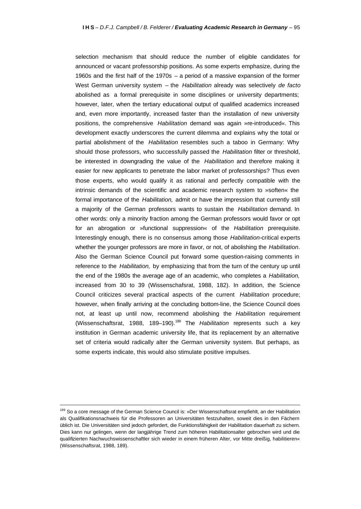selection mechanism that should reduce the number of eligible candidates for announced or vacant professorship positions. As some experts emphasize, during the 1960s and the first half of the 1970s – a period of a massive expansion of the former West German university system – the *Habilitation* already was selectively *de facto* abolished as a formal prerequisite in some disciplines or university departments; however, later, when the tertiary educational output of qualified academics increased and, even more importantly, increased faster than the installation of new university positions, the comprehensive *Habilitation* demand was again »re-introduced«. This development exactly underscores the current dilemma and explains why the total or partial abolishment of the *Habilitation* resembles such a taboo in Germany: Why should those professors, who successfully passed the *Habilitation* filter or threshold, be interested in downgrading the value of the *Habilitation* and therefore making it easier for new applicants to penetrate the labor market of professorships? Thus even those experts, who would qualify it as rational and perfectly compatible with the intrinsic demands of the scientific and academic research system to »soften« the formal importance of the *Habilitation,* admit or have the impression that currently still a majority of the German professors wants to sustain the *Habilitation* demand. In other words: only a minority fraction among the German professors would favor or opt for an abrogation or »functional suppression« of the *Habilitation* prerequisite. Interestingly enough, there is no consensus among those *Habilitation*-critical experts whether the younger professors are more in favor, or not, of abolishing the *Habilitation*. Also the German Science Council put forward some question-raising comments in reference to the *Habilitation,* by emphasizing that from the turn of the century up until the end of the 1980s the average age of an academic, who completes a *Habilitation,* increased from 30 to 39 (Wissenschafsrat, 1988, 182). In addition, the Science Council criticizes several practical aspects of the current *Habilitation* procedure; however, when finally arriving at the concluding bottom-line, the Science Council does not, at least up until now, recommend abolishing the *Habilitation* requirement (Wissenschaftsrat, 1988, 189–190).<sup>189</sup> The *Habilitation* represents such a key institution in German academic university life, that its replacement by an alternative set of criteria would radically alter the German university system. But perhaps, as some experts indicate, this would also stimulate positive impulses.

<sup>189</sup> So a core message of the German Science Council is: »Der Wissenschaftsrat empfiehlt, an der Habilitation als Qualifikationsnachweis für die Professoren an Universitäten festzuhalten, soweit dies in den Fächern üblich ist. Die Universitäten sind jedoch gefordert, die Funktionsfähigkeit der Habilitation dauerhaft zu sichern. Dies kann nur gelingen, wenn der langjährige Trend zum höheren Habilitationsalter gebrochen wird und die qualifizierten Nachwuchswissenschaftler sich wieder in einem früheren Alter, vor Mitte dreißig, habilitieren« (Wissenschaftsrat, 1988, 189).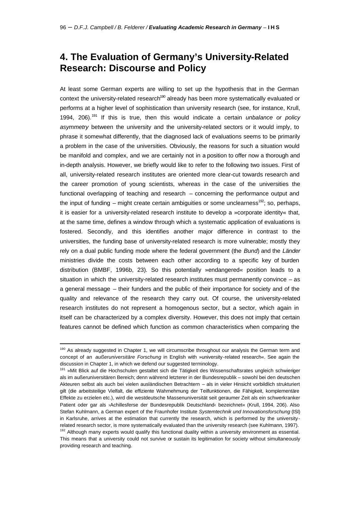# **4. The Evaluation of Germany's University-Related Research: Discourse and Policy**

At least some German experts are willing to set up the hypothesis that in the German context the university-related research<sup>190</sup> already has been more systematically evaluated or performs at a higher level of sophistication than university research (see, for instance, Krull, 1994, 206).<sup>191</sup> If this is true, then this would indicate a certain *unbalance or policy asymmetry* between the university and the university-related sectors or it would imply, to phrase it somewhat differently, that the diagnosed lack of evaluations seems to be primarily a problem in the case of the universities. Obviously, the reasons for such a situation would be manifold and complex, and we are certainly not in a position to offer now a thorough and in-depth analysis. However, we briefly would like to refer to the following two issues. First of all, university-related research institutes are oriented more clear-cut towards research and the career promotion of young scientists, whereas in the case of the universities the functional overlapping of teaching and research – concerning the performance output and the input of funding – might create certain ambiguities or some unclearness<sup>192</sup>; so, perhaps, it is easier for a university-related research institute to develop a »corporate identity« that, at the same time, defines a window through which a systematic application of evaluations is fostered. Secondly, and this identifies another major difference in contrast to the universities, the funding base of university-related research is more vulnerable; mostly they rely on a dual public funding mode where the federal government (the *Bund*) and the *Länder* ministries divide the costs between each other according to a specific key of burden distribution (BMBF, 1996b, 23). So this potentially »endangered« position leads to a situation in which the university-related research institutes must permanently convince – as a general message – their funders and the public of their importance for society and of the quality and relevance of the research they carry out. Of course, the university-related research institutes do not represent a homogenous sector, but a sector, which again in itself can be characterized by a complex diversity. However, this does not imply that certain features cannot be defined which function as common characteristics when comparing the

<sup>190</sup> As already suggested in Chapter 1, we will circumscribe throughout our analysis the German term and concept of an *außeruniversitäre Forschung* in English with »university-related research«. See again the discussion in Chapter 1, in which we defend our suggested terminology.

<sup>191 »</sup>Mit Blick auf die Hochschulen gestaltet sich die Tätigkeit des Wissenschaftsrates ungleich schwieriger als im außeruniversitären Bereich; denn während letzterer in der Bundesrepublik – sowohl bei den deutschen Akteuren selbst als auch bei vielen ausländischen Betrachtern – als in vieler Hinsicht vorbildlich strukturiert gilt (die arbeitsteilige Vielfalt, die effiziente Wahrnehmung der Teilfunktionen, die Fähigkeit, komplementäre Effekte zu erzielen etc.), wird die westdeutsche Massenuniversität seit geraumer Zeit als ein schwerkranker Patient oder gar als ›Achillesferse der Bundesrepublik Deutschland‹ bezeichnet« (Krull, 1994, 206). Also Stefan Kuhlmann, a German expert of the Fraunhofer Institute *Systemtechnik und Innovationsforschung* (ISI) in Karlsruhe, arrives at the estimation that currently the research, which is performed by the universityrelated research sector, is more systematically evaluated than the university research (see Kuhlmann, 1997). <sup>192</sup> Although many experts would qualify this functional duality within a university environment as essential.

This means that a university could not survive or sustain its legitimation for society without simultaneously providing research and teaching.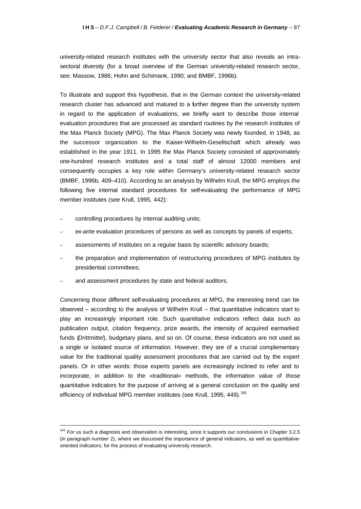university-related research institutes with the university sector that also reveals an intrasectoral diversity (for a broad overview of the German university-related research sector, see; Massow, 1986; Hohn and Schimank, 1990; and BMBF, 1996b).

To illustrate and support this hypothesis, that in the German context the university-related research cluster has advanced and matured to a further degree than the university system in regard to the application of evaluations, we briefly want to describe those internal evaluation procedures that are processed as standard routines by the research institutes of the Max Planck Society (MPG). The Max Planck Society was newly founded, in 1948, as the successor organization to the Kaiser-Wilhelm-Gesellschaft which already was established in the year 1911. In 1995 the Max Planck Society consisted of approximately one-hundred research institutes and a total staff of almost 12000 members and consequently occupies a key role within Germany's university-related research sector (BMBF, 1996b, 409–410). According to an analysis by Wilhelm Krull, the MPG employs the following five internal standard procedures for self-evaluating the performance of MPG member institutes (see Krull, 1995, 442):

– controlling procedures by internal auditing units;

j

- *ex-ante* evaluation procedures of persons as well as concepts by panels of experts;
- assessments of institutes on a regular basis by scientific advisory boards;
- the preparation and implementation of restructuring procedures of MPG institutes by presidential committees;
- and assessment procedures by state and federal auditors.

Concerning those different self-evaluating procedures at MPG, the interesting trend can be observed – according to the analysis of Wilhelm Krull – that quantitative indicators start to play an increasingly important role. Such quantitative indicators reflect data such as publication output, citation frequency, prize awards, the intensity of acquired earmarked funds (*Drittmittel*), budgetary plans, and so on. Of course, these indicators are not used as a single or isolated source of information. However, they are of a crucial complementary value for the traditional quality assessment procedures that are carried out by the expert panels. Or in other words: those experts panels are increasingly inclined to refer and to incorporate, in addition to the »traditional« methods, the information value of those quantitative indicators for the purpose of arriving at a general conclusion on the quality and efficiency of individual MPG member institutes (see Krull, 1995, 449).<sup>193</sup>

<sup>&</sup>lt;sup>193</sup> For us such a diagnosis and observation is interesting, since it supports our conclusions in Chapter 3.2.5 (in paragraph number 2), where we discussed the importance of general indicators, as well as quantitativeoriented indicators, for the process of evaluating university research.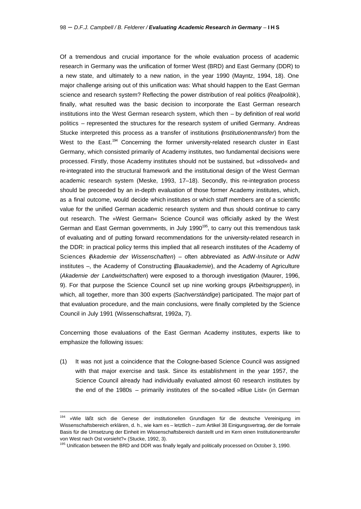Of a tremendous and crucial importance for the whole evaluation process of academic research in Germany was the unification of former West (BRD) and East Germany (DDR) to a new state, and ultimately to a new nation, in the year 1990 (Mayntz, 1994, 18). One major challenge arising out of this unification was: What should happen to the East German science and research system? Reflecting the power distribution of real politics (*Realpolitik*), finally, what resulted was the basic decision to incorporate the East German research institutions into the West German research system, which then – by definition of real world politics – represented the structures for the research system of unified Germany. Andreas Stucke interpreted this process as a transfer of institutions (*Institutionentransfer*) from the West to the East.<sup>194</sup> Concerning the former university-related research cluster in East Germany, which consisted primarily of Academy institutes, two fundamental decisions were processed. Firstly, those Academy institutes should not be sustained, but »dissolved« and re-integrated into the structural framework and the institutional design of the West German academic research system (Meske, 1993, 17–18). Secondly, this re-integration process should be preceeded by an in-depth evaluation of those former Academy institutes, which, as a final outcome, would decide which institutes or which staff members are of a scientific value for the unified German academic research system and thus should continue to carry out research. The »West German« Science Council was officially asked by the West German and East German governments, in July 1990<sup>195</sup>, to carry out this tremendous task of evaluating and of putting forward recommendations for the university-related research in the DDR: in practical policy terms this implied that all research institutes of the Academy of Sciences (*Akademie der Wissenschaften*) – often abbreviated as AdW-*Insitute* or AdW institutes –, the Academy of Constructing (*Bauakademie*), and the Academy of Agriculture (*Akademie der Landwirtschaften*) were exposed to a thorough investigation (Maurer, 1996, 9). For that purpose the Science Council set up nine working groups (*Arbeitsgruppen*), in which, all together, more than 300 experts (*Sachverständige*) participated. The major part of that evaluation procedure, and the main conclusions, were finally completed by the Science Council in July 1991 (Wissenschaftsrat, 1992a, 7).

Concerning those evaluations of the East German Academy institutes, experts like to emphasize the following issues:

(1) It was not just a coincidence that the Cologne-based Science Council was assigned with that major exercise and task. Since its establishment in the year 1957, the Science Council already had individually evaluated almost 60 research institutes by the end of the 1980s – primarily institutes of the so-called »Blue List« (in German

<sup>&</sup>lt;sup>194</sup> »Wie läßt sich die Genese der institutionellen Grundlagen für die deutsche Vereinigung im Wissenschaftsbereich erklären, d. h., wie kam es – letztlich – zum Artikel 38 Einigungsvertrag, der die formale Basis für die Umsetzung der Einheit im Wissenschaftsbereich darstellt und im Kern einen Institutionentransfer von West nach Ost vorsieht?« (Stucke, 1992, 3).

<sup>&</sup>lt;sup>195</sup> Unification between the BRD and DDR was finally legally and politically processed on October 3, 1990.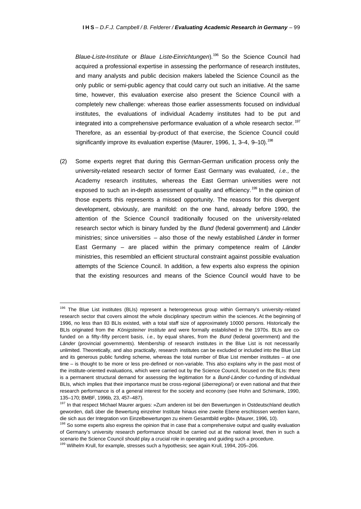*Blaue-Liste-Institute* or *Blaue Liste-Einrichtungen*).<sup>196</sup> So the Science Council had acquired a professional expertise in assessing the performance of research institutes, and many analysts and public decision makers labeled the Science Council as the only public or semi-public agency that could carry out such an initiative. At the same time, however, this evaluation exercise also present the Science Council with a completely new challenge: whereas those earlier assessments focused on individual institutes, the evaluations of individual Academy institutes had to be put and integrated into a comprehensive performance evaluation of a whole research sector.<sup>197</sup> Therefore, as an essential by-product of that exercise, the Science Council could significantly improve its evaluation expertise (Maurer, 1996, 1, 3-4, 9-10).<sup>198</sup>

(2) Some experts regret that during this German-German unification process only the university-related research sector of former East Germany was evaluated, *i.e.,* the Academy research institutes, whereas the East German universities were not exposed to such an in-depth assessment of quality and efficiency.<sup>199</sup> In the opinion of those experts this represents a missed opportunity. The reasons for this divergent development, obviously, are manifold: on the one hand, already before 1990, the attention of the Science Council traditionally focused on the university-related research sector which is binary funded by the *Bund* (federal government) and *Länder* ministries; since universities – also those of the newly established *Länder* in former East Germany – are placed within the primary competence realm of *Länder*  ministries, this resembled an efficient structural constraint against possible evaluation attempts of the Science Council. In addition, a few experts also express the opinion that the existing resources and means of the Science Council would have to be

<sup>196</sup> The Blue List institutes (BLIs) represent a heterogeneous group within Germany's university-related research sector that covers almost the whole disciplinary spectrum within the sciences. At the beginning of 1996, no less than 83 BLIs existed, with a total staff size of approximately 10000 persons. Historically the BLIs originated from the *Königsteiner Institute* and were formally established in the 1970s. BLIs are cofunded on a fifty-fifty percent basis, *i.e.,* by equal shares, from the *Bund* (federal government) and the *Länder* (provincial governments). Membership of research institutes in the Blue List is not necessarily unlimited. Theoretically, and also practically, research institutes can be excluded or included into the Blue List and its generous public funding scheme, whereas the total number of Blue List member institutes – at one time – is thought to be more or less pre-defined or non-variable. This also explains why in the past most of the institute-oriented evaluations, which were carried out by the Science Council, focused on the BLIs: there is a permanent structural demand for assessing the legitimation for a *Bund-Länder* co-funding of individual BLIs, which implies that their importance must be cross-regional (*überregional*) or even national and that their research performance is of a general interest for the society and economy (see Hohn and Schimank, 1990, 135–170; BMBF, 1996b, 23, 457–487).

<sup>197</sup> In that respect Michael Maurer argues: »Zum anderen ist bei den Bewertungen in Ostdeutschland deutlich geworden, daß über die Bewertung einzelner Institute hinaus eine zweite Ebene erschlossen werden kann, die sich aus der Integration von Einzelbewertungen zu einem Gesamtbild ergibt« (Maurer, 1996, 10).

<sup>&</sup>lt;sup>198</sup> So some experts also express the opinion that in case that a comprehensive output and quality evaluation of Germany's university research performance should be carried out at the national level, then in such a scenario the Science Council should play a crucial role in operating and guiding such a procedure.

<sup>&</sup>lt;sup>199</sup> Wilhelm Krull, for example, stresses such a hypothesis; see again Krull, 1994, 205-206.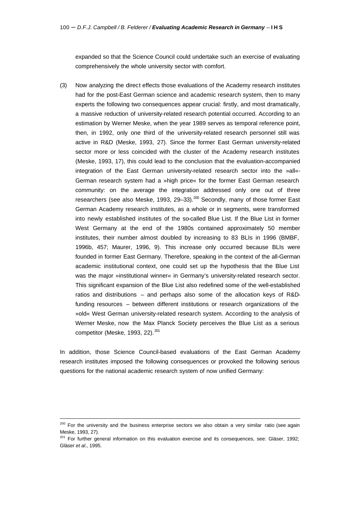expanded so that the Science Council could undertake such an exercise of evaluating comprehensively the whole university sector with comfort.

(3) Now analyzing the direct effects those evaluations of the Academy research institutes had for the post-East German science and academic research system, then to many experts the following two consequences appear crucial: firstly, and most dramatically, a massive reduction of university-related research potential occurred. According to an estimation by Werner Meske, when the year 1989 serves as temporal reference point, then, in 1992, only one third of the university-related research personnel still was active in R&D (Meske, 1993, 27). Since the former East German university-related sector more or less coincided with the cluster of the Academy research institutes (Meske, 1993, 17), this could lead to the conclusion that the evaluation-accompanied integration of the East German university-related research sector into the »all«- German research system had a »high price« for the former East German research community: on the average the integration addressed only one out of three researchers (see also Meske, 1993, 29-33).<sup>200</sup> Secondly, many of those former East German Academy research institutes, as a whole or in segments, were transformed into newly established institutes of the so-called Blue List. If the Blue List in former West Germany at the end of the 1980s contained approximately 50 member institutes, their number almost doubled by increasing to 83 BLIs in 1996 (BMBF, 1996b, 457; Maurer, 1996, 9). This increase only occurred because BLIs were founded in former East Germany. Therefore, speaking in the context of the all-German academic institutional context, one could set up the hypothesis that the Blue List was the major »institutional winner« in Germany's university-related research sector. This significant expansion of the Blue List also redefined some of the well-established ratios and distributions – and perhaps also some of the allocation keys of R&Dfunding resources – between different institutions or research organizations of the »old« West German university-related research system. According to the analysis of Werner Meske, now the Max Planck Society perceives the Blue List as a serious competitor (Meske, 1993, 22). $201$ 

In addition, those Science Council-based evaluations of the East German Academy research institutes imposed the following consequences or provoked the following serious questions for the national academic research system of now unified Germany:

 $\overline{a}$ 

<sup>&</sup>lt;sup>200</sup> For the university and the business enterprise sectors we also obtain a very similar ratio (see again Meske, 1993, 27).

<sup>&</sup>lt;sup>201</sup> For further general information on this evaluation exercise and its consequences, see: Gläser, 1992; Gläser *et al.,* 1995.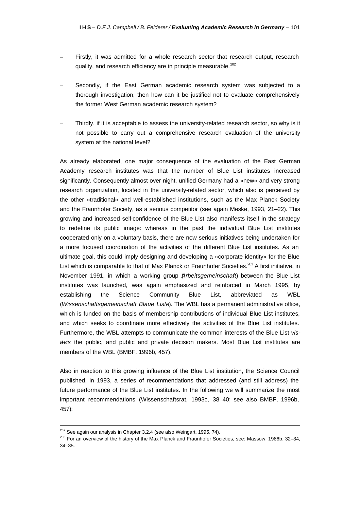- Firstly, it was admitted for a whole research sector that research output, research quality, and research efficiency are in principle measurable.<sup>202</sup>
- Secondly, if the East German academic research system was subjected to a thorough investigation, then how can it be justified not to evaluate comprehensively the former West German academic research system?
- Thirdly, if it is acceptable to assess the university-related research sector, so why is it not possible to carry out a comprehensive research evaluation of the university system at the national level?

As already elaborated, one major consequence of the evaluation of the East German Academy research institutes was that the number of Blue List institutes increased significantly. Consequently almost over night, unified Germany had a »new« and very strong research organization, located in the university-related sector, which also is perceived by the other »traditional« and well-established institutions, such as the Max Planck Society and the Fraunhofer Society, as a serious competitor (see again Meske, 1993, 21–22). This growing and increased self-confidence of the Blue List also manifests itself in the strategy to redefine its public image: whereas in the past the individual Blue List institutes cooperated only on a voluntary basis, there are now serious initiatives being undertaken for a more focused coordination of the activities of the different Blue List institutes. As an ultimate goal, this could imply designing and developing a »corporate identity« for the Blue List which is comparable to that of Max Planck or Fraunhofer Societies.<sup>203</sup> A first initiative, in November 1991, in which a working group (*Arbeitsgemeinschaft*) between the Blue List institutes was launched, was again emphasized and reinforced in March 1995, by establishing the Science Community Blue List, abbreviated as WBL (*Wissenschaftsgemeinschaft Blaue Liste*). The WBL has a permanent administrative office, which is funded on the basis of membership contributions of individual Blue List institutes, and which seeks to coordinate more effectively the activities of the Blue List institutes. Furthermore, the WBL attempts to communicate the common interests of the Blue List *visà-vis* the public, and public and private decision makers. Most Blue List institutes are members of the WBL (BMBF, 1996b, 457).

Also in reaction to this growing influence of the Blue List institution, the Science Council published, in 1993, a series of recommendations that addressed (and still address) the future performance of the Blue List institutes. In the following we will summarize the most important recommendations (Wissenschaftsrat, 1993c, 38–40; see also BMBF, 1996b, 457):

 $202$  See again our analysis in Chapter 3.2.4 (see also Weingart, 1995, 74).

<sup>&</sup>lt;sup>203</sup> For an overview of the history of the Max Planck and Fraunhofer Societies, see: Massow, 1986b, 32-34, 34–35.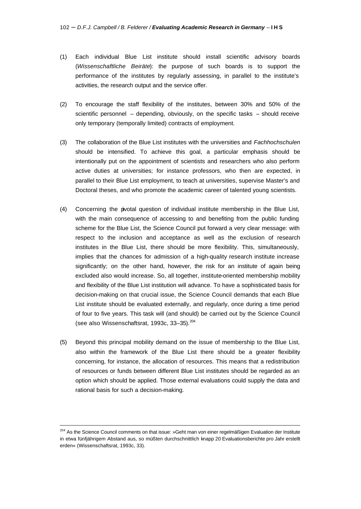- (1) Each individual Blue List institute should install scientific advisory boards (*Wissenschaftliche Beiräte*): the purpose of such boards is to support the performance of the institutes by regularly assessing, in parallel to the institute's activities, the research output and the service offer.
- (2) To encourage the staff flexibility of the institutes, between 30% and 50% of the scientific personnel – depending, obviously, on the specific tasks – should receive only temporary (temporally limited) contracts of employment.
- (3) The collaboration of the Blue List institutes with the universities and *Fachhochschulen* should be intensified. To achieve this goal, a particular emphasis should be intentionally put on the appointment of scientists and researchers who also perform active duties at universities; for instance professors, who then are expected, in parallel to their Blue List employment, to teach at universities, supervise Master's and Doctoral theses, and who promote the academic career of talented young scientists.
- (4) Concerning the pivotal question of individual institute membership in the Blue List, with the main consequence of accessing to and benefiting from the public funding scheme for the Blue List, the Science Council put forward a very clear message: with respect to the inclusion and acceptance as well as the exclusion of research institutes in the Blue List, there should be more flexibility. This, simultaneously, implies that the chances for admission of a high-quality research institute increase significantly; on the other hand, however, the risk for an institute of again being excluded also would increase. So, all together, institute-oriented membership mobility and flexibility of the Blue List institution will advance. To have a sophisticated basis for decision-making on that crucial issue, the Science Council demands that each Blue List institute should be evaluated externally, and regularly, once during a time period of four to five years. This task will (and should) be carried out by the Science Council (see also Wissenschaftsrat, 1993c,  $33-35$ ).  $204$
- (5) Beyond this principal mobility demand on the issue of membership to the Blue List, also within the framework of the Blue List there should be a greater flexibility concerning, for instance, the allocation of resources. This means that a redistribution of resources or funds between different Blue List institutes should be regarded as an option which should be applied. Those external evaluations could supply the data and rational basis for such a decision-making.

<sup>&</sup>lt;sup>204</sup> As the Science Council comments on that issue: »Geht man von einer regelmäßigen Evaluation der Institute in etwa fünfjährigem Abstand aus, so müßten durchschnittlich knapp 20 Evaluationsberichte pro Jahr erstellt erden« (Wissenschaftsrat, 1993c, 33).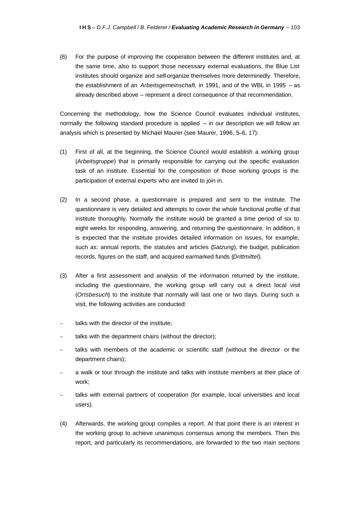(6) For the purpose of improving the cooperation between the different institutes and, at the same time, also to support those necessary external evaluations, the Blue List institutes should organize and self-organize themselves more determinedly. Therefore, the establishment of an *Arbeitsgemeinschaft,* in 1991, and of the WBL in 1995 – as already described above – represent a direct consequence of that recommendation.

Concerning the methodology, how the Science Council evaluates individual institutes, normally the following standard procedure is applied – in our description we will follow an analysis which is presented by Michael Maurer (see Maurer, 1996, 5–6, 17):

- (1) First of all, at the beginning, the Science Council would establish a working group (*Arbeitsgruppe*) that is primarily responsible for carrying out the specific evaluation task of an institute. Essential for the composition of those working groups is the participation of external experts who are invited to join in.
- (2) In a second phase, a questionnaire is prepared and sent to the institute. The questionnaire is very detailed and attempts to cover the whole functional profile of that institute thoroughly. Normally the institute would be granted a time period of six to eight weeks for responding, answering, and returning the questionnaire. In addition, it is expected that the institute provides detailed information on issues, for example, such as: annual reports, the statutes and articles (*Satzung*), the budget, publication records, figures on the staff, and acquired earmarked funds (*Drittmittel*).
- (3) After a first assessment and analysis of the information returned by the institute, including the questionnaire, the working group will carry out a direct local visit (*Ortsbesuch*) to the institute that normally will last one or two days. During such a visit, the following activities are conducted:
- talks with the director of the institute;
- talks with the department chairs (without the director);
- talks with members of the academic or scientific staff (without the director or the department chairs);
- a walk or tour through the institute and talks with institute members at their place of work;
- talks with external partners of cooperation (for example, local universities and local users).
- (4) Afterwards, the working group compiles a report. At that point there is an interest in the working group to achieve unanimous consensus among the members. Then this report, and particularly its recommendations, are forwarded to the two main sections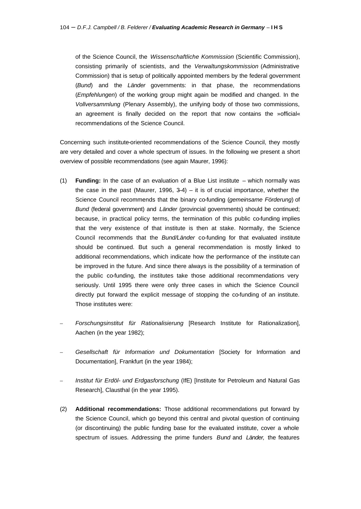of the Science Council, the *Wissenschaftliche Kommission* (Scientific Commission), consisting primarily of scientists, and the *Verwaltungskommission* (Administrative Commission) that is setup of politically appointed members by the federal government (*Bund*) and the *Länder* governments: in that phase, the recommendations (*Empfehlungen*) of the working group might again be modified and changed. In the *Vollversammlung* (Plenary Assembly), the unifying body of those two commissions, an agreement is finally decided on the report that now contains the »official« recommendations of the Science Council.

Concerning such institute-oriented recommendations of the Science Council, they mostly are very detailed and cover a whole spectrum of issues. In the following we present a short overview of possible recommendations (see again Maurer, 1996):

- (1) **Funding:** In the case of an evaluation of a Blue List institute which normally was the case in the past (Maurer, 1996,  $3-4$ ) – it is of crucial importance, whether the Science Council recommends that the binary co-funding (*gemeinsame Förderung*) of *Bund* (federal government) and *Länder* (provincial governments) should be continued; because, in practical policy terms, the termination of this public co-funding implies that the very existence of that institute is then at stake. Normally, the Science Council recommends that the *Bund/Länder* co-funding for that evaluated institute should be continued. But such a general recommendation is mostly linked to additional recommendations, which indicate how the performance of the institute can be improved in the future. And since there always is the possibility of a termination of the public co-funding, the institutes take those additional recommendations very seriously. Until 1995 there were only three cases in which the Science Council directly put forward the explicit message of stopping the co-funding of an institute. Those institutes were:
- *Forschungsinstitut für Rationalisierung* [Research Institute for Rationalization], Aachen (in the year 1982);
- *Gesellschaft für Information und Dokumentation* [Society for Information and Documentation], Frankfurt (in the year 1984);
- *Institut für Erdöl- und Erdgasforschung* (IfE) [Institute for Petroleum and Natural Gas Research], Clausthal (in the year 1995).
- (2) **Additional recommendations:** Those additional recommendations put forward by the Science Council, which go beyond this central and pivotal question of continuing (or discontinuing) the public funding base for the evaluated institute, cover a whole spectrum of issues. Addressing the prime funders *Bund* and *Länder,* the features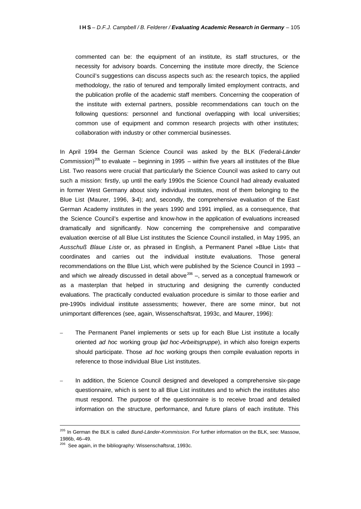commented can be: the equipment of an institute, its staff structures, or the necessity for advisory boards. Concerning the institute more directly, the Science Council's suggestions can discuss aspects such as: the research topics, the applied methodology, the ratio of tenured and temporally limited employment contracts, and the publication profile of the academic staff members. Concerning the cooperation of the institute with external partners, possible recommendations can touch on the following questions: personnel and functional overlapping with local universities; common use of equipment and common research projects with other institutes; collaboration with industry or other commercial businesses.

In April 1994 the German Science Council was asked by the BLK (Federal-*Länder* Commission)<sup>205</sup> to evaluate – beginning in 1995 – within five years all institutes of the Blue List. Two reasons were crucial that particularly the Science Council was asked to carry out such a mission: firstly, up until the early 1990s the Science Council had already evaluated in former West Germany about sixty individual institutes, most of them belonging to the Blue List (Maurer, 1996, 3–4); and, secondly, the comprehensive evaluation of the East German Academy institutes in the years 1990 and 1991 implied, as a consequence, that the Science Council's expertise and know-how in the application of evaluations increased dramatically and significantly. Now concerning the comprehensive and comparative evaluation exercise of all Blue List institutes the Science Council installed, in May 1995, an *Ausschuß Blaue Liste* or, as phrased in English, a Permanent Panel »Blue List« that coordinates and carries out the individual institute evaluations. Those general recommendations on the Blue List, which were published by the Science Council in 1993 – and which we already discussed in detail above<sup>206</sup> –, served as a conceptual framework or as a masterplan that helped in structuring and designing the currently conducted evaluations. The practically conducted evaluation procedure is similar to those earlier and pre-1990s individual institute assessments; however, there are some minor, but not unimportant differences (see, again, Wissenschaftsrat, 1993c, and Maurer, 1996):

- The Permanent Panel implements or sets up for each Blue List institute a locally oriented *ad hoc* working group (*ad hoc-Arbeitsgruppe*), in which also foreign experts should participate. Those *ad hoc* working groups then compile evaluation reports in reference to those individual Blue List institutes.
- In addition, the Science Council designed and developed a comprehensive six-page questionnaire, which is sent to all Blue List institutes and to which the institutes also must respond. The purpose of the questionnaire is to receive broad and detailed information on the structure, performance, and future plans of each institute. This

<sup>205</sup> In German the BLK is called *Bund-Länder-Kommission*. For further information on the BLK, see: Massow, 1986b, 46–49.

<sup>&</sup>lt;sup>206</sup> See again, in the bibliography: Wissenschaftsrat, 1993c.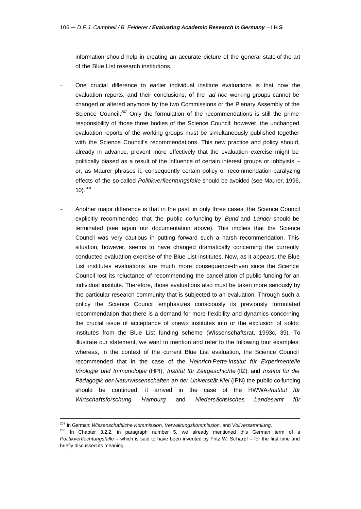information should help in creating an accurate picture of the general state-of-the-art of the Blue List research institutions.

- One crucial difference to earlier individual institute evaluations is that now the evaluation reports, and their conclusions, of the *ad hoc* working groups cannot be changed or altered anymore by the two Commissions or the Plenary Assembly of the Science Council.<sup>207</sup> Only the formulation of the recommendations is still the prime responsibility of those three bodies of the Science Council; however, the unchanged evaluation reports of the working groups must be simultaneously published together with the Science Council's recommendations. This new practice and policy should, already in advance, prevent more effectively that the evaluation exercise might be politically biased as a result of the influence of certain interest groups or lobbyists – or, as Maurer phrases it, consequently certain policy or recommendation-paralyzing effects of the so-called *Politikverflechtungsfalle* should be avoided (see Maurer, 1996,  $10$ ).  $208$
- Another major difference is that in the past, in only three cases, the Science Council explicitly recommended that the public co-funding by *Bund* and *Länder* should be terminated (see again our documentation above). This implies that the Science Council was very cautious in putting forward such a harsh recommendation. This situation, however, seems to have changed dramatically concerning the currently conducted evaluation exercise of the Blue List institutes. Now, as it appears, the Blue List institutes evaluations are much more consequence-driven since the Science Council lost its reluctance of recommending the cancellation of public funding for an individual institute. Therefore, those evaluations also must be taken more seriously by the particular research community that is subjected to an evaluation. Through such a policy the Science Council emphasizes consciously its previously formulated recommendation that there is a demand for more flexibility and dynamics concerning the crucial issue of acceptance of »new« institutes into or the exclusion of »old« institutes from the Blue List funding scheme (Wissenschaftsrat, 1993c, 39). To illustrate our statement, we want to mention and refer to the following four examples: whereas, in the context of the current Blue List evaluation, the Science Council recommended that in the case of the *Heinrich-Pette-Institut für Experimentelle Virologie und Immunologie* (HPI), *Institut für Zeitgeschichte* (IfZ), and *Institut für die Pädagogik der Naturwissenschaften an der Universität Kiel* (IPN) the public co-funding should be continued, it arrived in the case of the HWWA-*Institut für Wirtschaftsforschung Hamburg* and *Niedersächsisches Landesamt für*

 $\overline{a}$ 

<sup>207</sup> In German: *Wissenschaftliche Kommission, Verwaltungskommission,* and *Vollversammlung*.

 $208$  In Chapter 3.2.2, in paragraph number 5, we already mentioned this German term of a *Politikverflechtungsfalle* – which is said to have been invented by Fritz W. Scharpf – for the first time and briefly discussed its meaning.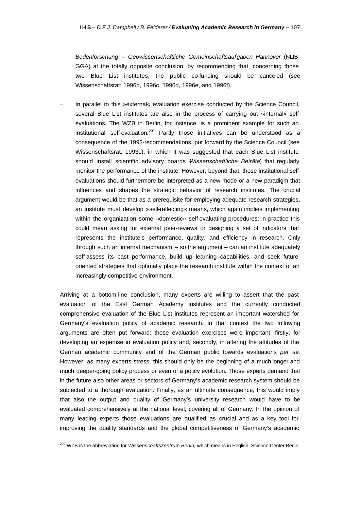*Bodenforschung – Geowissenschaftliche Gemeinschaftsaufgaben Hannover* (NLfB-GGA) at the totally opposite conclusion, by recommending that, concerning those two Blue List institutes, the public co-funding should be canceled (see Wissenschaftsrat: 1996b, 1996c, 1996d, 1996e, and 1996f).

In parallel to this »external« evaluation exercise conducted by the Science Council, several Blue List institutes are also in the process of carrying out »internal« selfevaluations. The WZB in Berlin, for instance, is a prominent example for such an institutional self-evaluation.<sup>209</sup> Partly those initiatives can be understood as a consequence of the 1993-recommendations, put forward by the Science Council (see Wissenschaftsrat, 1993c), in which it was suggested that each Blue List institute should install scientific advisory boards (*Wissenschaftliche Beiräte*) that regularly monitor the performance of the institute. However, beyond that, those institutional selfevaluations should furthermore be interpreted as a new mode or a new paradigm that influences and shapes the strategic behavior of research institutes. The crucial argument would be that as a prerequisite for employing adequate research strategies, an institute must develop »self-reflecting« means, which again implies implementing within the organization some »domestic« self-evaluating procedures: in practice this could mean asking for external peer-reviews or designing a set of indicators that represents the institute's performance, quality, and efficiency in research. Only through such an internal mechanism – so the argument – can an institute adequately self-assess its past performance, build up learning capabilities, and seek futureoriented strategies that optimally place the research institute within the context of an increasingly competitive environment.

Arriving at a bottom-line conclusion, many experts are willing to assert that the past evaluation of the East German Academy institutes and the currently conducted comprehensive evaluation of the Blue List institutes represent an important watershed for Germany's evaluation policy of academic research. In that context the two following arguments are often put forward: those evaluation exercises were important, firstly, for developing an expertise in evaluation policy and, secondly, in altering the attitudes of the German academic community and of the German public towards evaluations *per se*. However, as many experts stress, this should only be the beginning of a much longer and much deeper-going policy process or even of a policy evolution. Those experts demand that in the future also other areas or sectors of Germany's academic research system should be subjected to a thorough evaluation. Finally, as an ultimate consequence, this would imply that also the output and quality of Germany's university research would have to be evaluated comprehensively at the national level, covering all of Germany. In the opinion of many leading experts those evaluations are qualified as crucial and as a key tool for improving the quality standards and the global competitiveness of Germany's academic

<sup>209</sup> WZB is the abbreviation for *Wissenschaftszentrum Berlin,* which means in English: Science Center Berlin.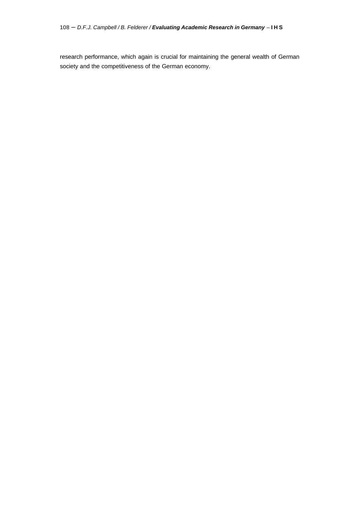research performance, which again is crucial for maintaining the general wealth of German society and the competitiveness of the German economy.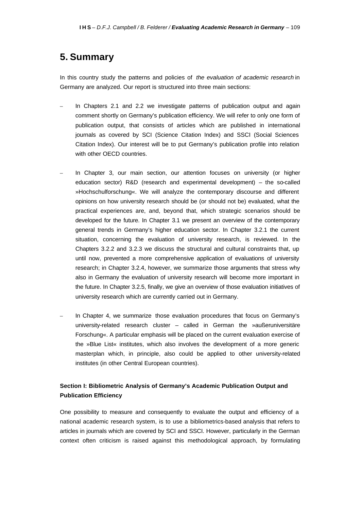## **5. Summary**

In this country study the patterns and policies of *the evaluation of academic research* in Germany are analyzed. Our report is structured into three main sections:

- In Chapters 2.1 and 2.2 we investigate patterns of publication output and again comment shortly on Germany's publication efficiency. We will refer to only one form of publication output, that consists of articles which are published in international journals as covered by SCI (Science Citation Index) and SSCI (Social Sciences Citation Index). Our interest will be to put Germany's publication profile into relation with other OECD countries.
- In Chapter 3, our main section, our attention focuses on university (or higher education sector) R&D (research and experimental development) – the so-called »Hochschulforschung«. We will analyze the contemporary discourse and different opinions on how university research should be (or should not be) evaluated, what the practical experiences are, and, beyond that, which strategic scenarios should be developed for the future. In Chapter 3.1 we present an overview of the contemporary general trends in Germany's higher education sector. In Chapter 3.2.1 the current situation, concerning the evaluation of university research, is reviewed. In the Chapters 3.2.2 and 3.2.3 we discuss the structural and cultural constraints that, up until now, prevented a more comprehensive application of evaluations of university research; in Chapter 3.2.4, however, we summarize those arguments that stress why also in Germany the evaluation of university research will become more important in the future. In Chapter 3.2.5, finally, we give an overview of those evaluation initiatives of university research which are currently carried out in Germany.
- In Chapter 4, we summarize those evaluation procedures that focus on Germany's university-related research cluster – called in German the »außeruniversitäre Forschung«. A particular emphasis will be placed on the current evaluation exercise of the »Blue List« institutes, which also involves the development of a more generic masterplan which, in principle, also could be applied to other university-related institutes (in other Central European countries).

### **Section I: Bibliometric Analysis of Germany's Academic Publication Output and Publication Efficiency**

One possibility to measure and consequently to evaluate the output and efficiency of a national academic research system, is to use a bibliometrics-based analysis that refers to articles in journals which are covered by SCI and SSCI. However, particularly in the German context often criticism is raised against this methodological approach, by formulating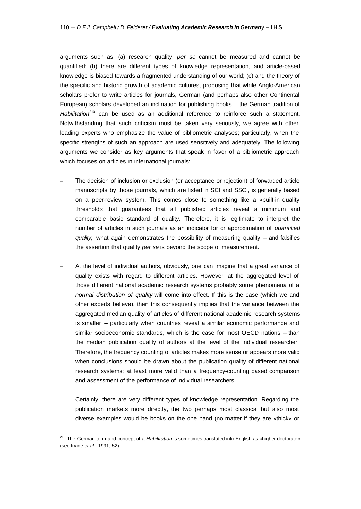arguments such as: (a) research quality *per se* cannot be measured and cannot be quantified; (b) there are different types of knowledge representation, and article-based knowledge is biased towards a fragmented understanding of our world; (c) and the theory of the specific and historic growth of academic cultures, proposing that while Anglo-American scholars prefer to write articles for journals, German (and perhaps also other Continental European) scholars developed an inclination for publishing books – the German tradition of Habilitation<sup>210</sup> can be used as an additional reference to reinforce such a statement. Notwithstanding that such criticism must be taken very seriously, we agree with other leading experts who emphasize the value of bibliometric analyses; particularly, when the specific strengths of such an approach are used sensitively and adequately. The following arguments we consider as key arguments that speak in favor of a bibliometric approach which focuses on articles in international journals:

- The decision of inclusion or exclusion (or acceptance or rejection) of forwarded article manuscripts by those journals, which are listed in SCI and SSCI, is generally based on a peer-review system. This comes close to something like a »built-in quality threshold« that guarantees that all published articles reveal a minimum and comparable basic standard of quality. Therefore, it is legitimate to interpret the number of articles in such journals as an indicator for or approximation of *quantified quality,* what again demonstrates the possibility of measuring quality – and falsifies the assertion that quality *per se* is beyond the scope of measurement.
- At the level of individual authors, obviously, one can imagine that a great variance of quality exists with regard to different articles. However, at the aggregated level of those different national academic research systems probably some phenomena of a *normal distribution of quality* will come into effect. If this is the case (which we and other experts believe), then this consequently implies that the variance between the aggregated median quality of articles of different national academic research systems is smaller – particularly when countries reveal a similar economic performance and similar socioeconomic standards, which is the case for most OECD nations – than the median publication quality of authors at the level of the individual researcher. Therefore, the frequency counting of articles makes more sense or appears more valid when conclusions should be drawn about the publication quality of different national research systems; at least more valid than a frequency-counting based comparison and assessment of the performance of individual researchers.
- Certainly, there are very different types of knowledge representation. Regarding the publication markets more directly, the two perhaps most classical but also most diverse examples would be books on the one hand (no matter if they are »thick« or

<sup>210</sup> The German term and concept of a *Habilitation* is sometimes translated into English as »higher doctorate« (see Irvine *et al.,* 1991, 52).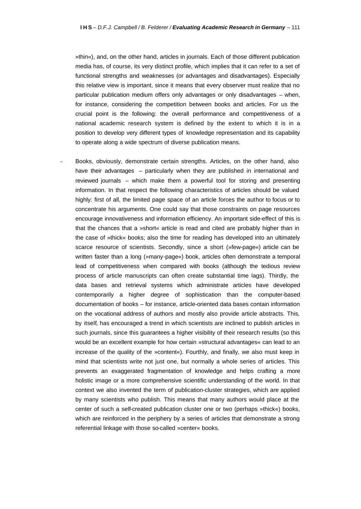»thin«), and, on the other hand, articles in journals. Each of those different publication media has, of course, its very distinct profile, which implies that it can refer to a set of functional strengths and weaknesses (or advantages and disadvantages). Especially this relative view is important, since it means that every observer must realize that no particular publication medium offers only advantages or only disadvantages – when, for instance, considering the competition between books and articles. For us the crucial point is the following: the overall performance and competitiveness of a national academic research system is defined by the extent to which it is in a position to develop very different types of knowledge representation and its capability to operate along a wide spectrum of diverse publication means.

– Books, obviously, demonstrate certain strengths. Articles, on the other hand, also have their advantages – particularly when they are published in international and reviewed journals – which make them a powerful tool for storing and presenting information. In that respect the following characteristics of articles should be valued highly: first of all, the limited page space of an article forces the author to focus or to concentrate his arguments. One could say that those constraints on page resources encourage innovativeness and information efficiency. An important side-effect of this is that the chances that a »short« article is read and cited are probably higher than in the case of »thick« books; also the time for reading has developed into an ultimately scarce resource of scientists. Secondly, since a short (»few-page«) article can be written faster than a long (»many-page«) book, articles often demonstrate a temporal lead of competitiveness when compared with books (although the tedious review process of article manuscripts can often create substantial time lags). Thirdly, the data bases and retrieval systems which administrate articles have developed contemporarily a higher degree of sophistication than the computer-based documentation of books – for instance, article-oriented data bases contain information on the vocational address of authors and mostly also provide article abstracts. This, by itself, has encouraged a trend in which scientists are inclined to publish articles in such journals, since this guarantees a higher visibility of their research results (so this would be an excellent example for how certain »structural advantages« can lead to an increase of the quality of the »content«). Fourthly, and finally, we also must keep in mind that scientists write not just one, but normally a whole series of articles. This prevents an exaggerated fragmentation of knowledge and helps crafting a more holistic image or a more comprehensive scientific understanding of the world. In that context we also invented the term of publication-cluster strategies, which are applied by many scientists who publish. This means that many authors would place at the center of such a self-created publication cluster one or two (perhaps »thick«) books, which are reinforced in the periphery by a series of articles that demonstrate a strong referential linkage with those so-called »center« books.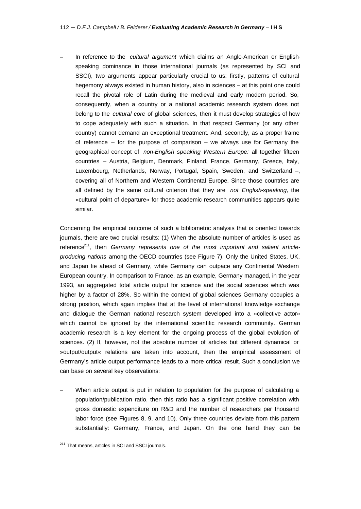– In reference to the *cultural argument* which claims an Anglo-American or Englishspeaking dominance in those international journals (as represented by SCI and SSCI), two arguments appear particularly crucial to us: firstly, patterns of cultural hegemony always existed in human history, also in sciences – at this point one could recall the pivotal role of Latin during the medieval and early modern period. So, consequently, when a country or a national academic research system does not belong to the *cultural core* of global sciences, then it must develop strategies of how to cope adequately with such a situation. In that respect Germany (or any other country) cannot demand an exceptional treatment. And, secondly, as a proper frame of reference  $-$  for the purpose of comparison  $-$  we always use for Germany the geographical concept of *non-English speaking Western Europe:* all together fifteen countries – Austria, Belgium, Denmark, Finland, France, Germany, Greece, Italy, Luxembourg, Netherlands, Norway, Portugal, Spain, Sweden, and Switzerland –, covering all of Northern and Western Continental Europe. Since those countries are all defined by the same cultural criterion that they are *not English-speaking,* the »cultural point of departure« for those academic research communities appears quite similar.

Concerning the empirical outcome of such a bibliometric analysis that is oriented towards journals, there are two crucial results: (1) When the absolute number of articles is used as reference<sup>211</sup>, then *Germany represents one of the most important and salient articleproducing nations* among the OECD countries (see Figure 7). Only the United States, UK, and Japan lie ahead of Germany, while Germany can outpace any Continental Western European country. In comparison to France, as an example, Germany managed, in the year 1993, an aggregated total article output for science and the social sciences which was higher by a factor of 28%. So within the context of global sciences Germany occupies a strong position, which again implies that at the level of international knowledge exchange and dialogue the German national research system developed into a »collective actor« which cannot be ignored by the international scientific research community. German academic research is a key element for the ongoing process of the global evolution of sciences. (2) If, however, not the absolute number of articles but different dynamical or »output/output« relations are taken into account, then the empirical assessment of Germany's article output performance leads to a more critical result. Such a conclusion we can base on several key observations:

– When article output is put in relation to population for the purpose of calculating a population/publication ratio, then this ratio has a significant positive correlation with gross domestic expenditure on R&D and the number of researchers per thousand labor force (see Figures 8, 9, and 10). Only three countries deviate from this pattern substantially: Germany, France, and Japan. On the one hand they can be

<sup>&</sup>lt;sup>211</sup> That means, articles in SCI and SSCI journals.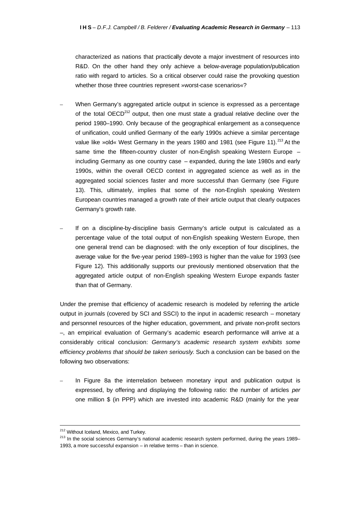characterized as nations that practically devote a major investment of resources into R&D. On the other hand they only achieve a below-average population/publication ratio with regard to articles. So a critical observer could raise the provoking question whether those three countries represent »worst-case scenarios«?

- When Germany's aggregated article output in science is expressed as a percentage of the total OECD $^{212}$  output, then one must state a gradual relative decline over the period 1980–1990. Only because of the geographical enlargement as a consequence of unification, could unified Germany of the early 1990s achieve a similar percentage value like »old« West Germany in the years 1980 and 1981 (see Figure 11).<sup>213</sup> At the same time the fifteen-country cluster of non-English speaking Western Europe – including Germany as one country case – expanded, during the late 1980s and early 1990s, within the overall OECD context in aggregated science as well as in the aggregated social sciences faster and more successful than Germany (see Figure 13). This, ultimately, implies that some of the non-English speaking Western European countries managed a growth rate of their article output that clearly outpaces Germany's growth rate.
- If on a discipline-by-discipline basis Germany's article output is calculated as a percentage value of the total output of non-English speaking Western Europe, then one general trend can be diagnosed: with the only exception of four disciplines, the average value for the five-year period 1989–1993 is higher than the value for 1993 (see Figure 12). This additionally supports our previously mentioned observation that the aggregated article output of non-English speaking Western Europe expands faster than that of Germany.

Under the premise that efficiency of academic research is modeled by referring the article output in journals (covered by SCI and SSCI) to the input in academic research – monetary and personnel resources of the higher education, government, and private non-profit sectors  $-$ , an empirical evaluation of Germany's academic esearch performance will arrive at a considerably critical conclusion: *Germany's academic research system exhibits some efficiency problems that should be taken seriously*. Such a conclusion can be based on the following two observations:

In Figure 8a the interrelation between monetary input and publication output is expressed, by offering and displaying the following ratio: the number of articles *per* one million \$ (in PPP) which are invested into academic R&D (mainly for the year

<sup>212</sup> Without Iceland, Mexico, and Turkey.

<sup>&</sup>lt;sup>213</sup> In the social sciences Germany's national academic research system performed, during the years 1989– 1993, a more successful expansion – in relative terms – than in science.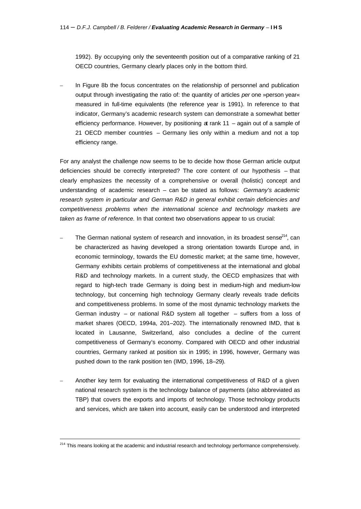1992). By occupying only the seventeenth position out of a comparative ranking of 21 OECD countries, Germany clearly places only in the bottom third.

In Figure 8b the focus concentrates on the relationship of personnel and publication output through investigating the ratio of: the quantity of articles *per* one »person year« measured in full-time equivalents (the reference year is 1991). In reference to that indicator, Germany's academic research system can demonstrate a somewhat better efficiency performance. However, by positioning at rank 11 – again out of a sample of 21 OECD member countries – Germany lies only within a medium and not a top efficiency range.

For any analyst the challenge now seems to be to decide how those German article output deficiencies should be correctly interpreted? The core content of our hypothesis – that clearly emphasizes the necessity of a comprehensive or overall (holistic) concept and understanding of academic research – can be stated as follows: *Germany's academic research system in particular and German R&D in general exhibit certain deficiencies and competitiveness problems when the international science and technology markets are taken as frame of reference.* In that context two observations appear to us crucial:

- The German national system of research and innovation, in its broadest sense<sup>214</sup>, can be characterized as having developed a strong orientation towards Europe and, in economic terminology, towards the EU domestic market; at the same time, however, Germany exhibits certain problems of competitiveness at the international and global R&D and technology markets. In a current study, the OECD emphasizes that with regard to high-tech trade Germany is doing best in medium-high and medium-low technology, but concerning high technology Germany clearly reveals trade deficits and competitiveness problems. In some of the most dynamic technology markets the German industry – or national R&D system all together – suffers from a loss of market shares (OECD, 1994a, 201–202). The internationally renowned IMD, that is located in Lausanne, Switzerland, also concludes a decline of the current competitiveness of Germany's economy. Compared with OECD and other industrial countries, Germany ranked at position six in 1995; in 1996, however, Germany was pushed down to the rank position ten (IMD, 1996, 18–29).
- Another key term for evaluating the international competitiveness of R&D of a given national research system is the technology balance of payments (also abbreviated as TBP) that covers the exports and imports of technology. Those technology products and services, which are taken into account, easily can be understood and interpreted

<sup>&</sup>lt;sup>214</sup> This means looking at the academic and industrial research and technology performance comprehensively.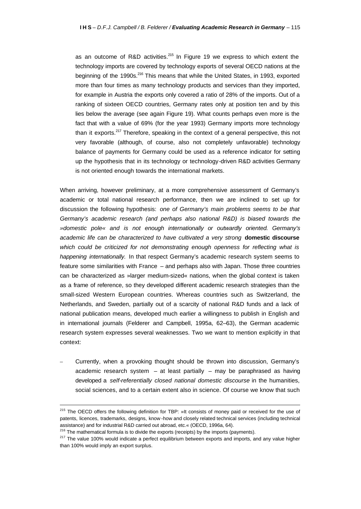as an outcome of R&D activities.<sup>215</sup> In Figure 19 we express to which extent the technology imports are covered by technology exports of several OECD nations at the beginning of the 1990s.<sup>216</sup> This means that while the United States, in 1993, exported more than four times as many technology products and services than they imported, for example in Austria the exports only covered a ratio of 28% of the imports. Out of a ranking of sixteen OECD countries, Germany rates only at position ten and by this lies below the average (see again Figure 19). What counts perhaps even more is the fact that with a value of 69% (for the year 1993) Germany imports more technology than it exports.<sup>217</sup> Therefore, speaking in the context of a general perspective, this not very favorable (although, of course, also not completely unfavorable) technology balance of payments for Germany could be used as a reference indicator for setting up the hypothesis that in its technology or technology-driven R&D activities Germany is not oriented enough towards the international markets.

When arriving, however preliminary, at a more comprehensive assessment of Germany's academic or total national research performance, then we are inclined to set up for discussion the following hypothesis: *one of Germany's main problems seems to be that Germany's academic research (and perhaps also national R&D) is biased towards the »domestic pole« and is not enough internationally or outwardly oriented. Germany's academic life can be characterized to have cultivated a very strong* **domestic discourse** *which could be criticized for not demonstrating enough openness for reflecting what is happening internationally.* In that respect Germany's academic research system seems to feature some similarities with France – and perhaps also with Japan. Those three countries can be characterized as »larger medium-sized« nations, when the global context is taken as a frame of reference, so they developed different academic research strategies than the small-sized Western European countries. Whereas countries such as Switzerland, the Netherlands, and Sweden, partially out of a scarcity of national R&D funds and a lack of national publication means, developed much earlier a willingness to publish in English and in international journals (Felderer and Campbell, 1995a, 62–63), the German academic research system expresses several weaknesses. Two we want to mention explicitly in that context:

– Currently, when a provoking thought should be thrown into discussion, Germany's academic research system  $-$  at least partially  $-$  may be paraphrased as having developed a *self-referentially closed national domestic discourse* in the humanities, social sciences, and to a certain extent also in science. Of course we know that such

<sup>&</sup>lt;sup>215</sup> The OECD offers the following definition for TBP: »It consists of money paid or received for the use of patents, licences, trademarks, designs, know -how and closely related technical services (including technical assistance) and for industrial R&D carried out abroad, etc.« (OECD, 1996a, 64).

<sup>&</sup>lt;sup>216</sup> The mathematical formula is to divide the exports (receipts) by the imports (payments).

<sup>&</sup>lt;sup>217</sup> The value 100% would indicate a perfect equilibrium between exports and imports, and any value higher than 100% would imply an export surplus.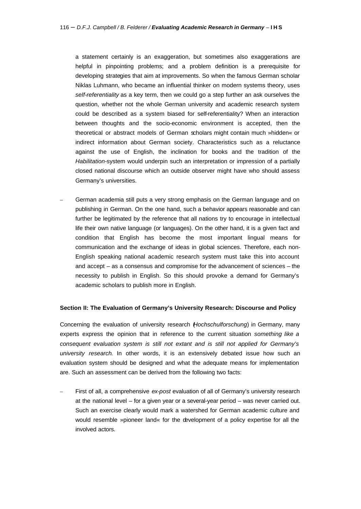a statement certainly is an exaggeration, but sometimes also exaggerations are helpful in pinpointing problems; and a problem definition is a prerequisite for developing strategies that aim at improvements. So when the famous German scholar Niklas Luhmann, who became an influential thinker on modern systems theory, uses *self-referentiality* as a key term, then we could go a step further an ask ourselves the question, whether not the whole German university and academic research system could be described as a system biased for self-referentiality? When an interaction between thoughts and the socio-economic environment is accepted, then the theoretical or abstract models of German scholars might contain much »hidden« or indirect information about German society. Characteristics such as a reluctance against the use of English, the inclination for books and the tradition of the *Habilitation*-system would underpin such an interpretation or impression of a partially closed national discourse which an outside observer might have who should assess Germany's universities.

– German academia still puts a very strong emphasis on the German language and on publishing in German. On the one hand, such a behavior appears reasonable and can further be legitimated by the reference that all nations try to encourage in intellectual life their own native language (or languages). On the other hand, it is a given fact and condition that English has become the most important lingual means for communication and the exchange of ideas in global sciences. Therefore, each non-English speaking national academic research system must take this into account and accept – as a consensus and compromise for the advancement of sciences – the necessity to publish in English. So this should provoke a demand for Germany's academic scholars to publish more in English.

#### **Section II: The Evaluation of Germany's University Research: Discourse and Policy**

Concerning the evaluation of university research (*Hochschulforschung*) in Germany, many experts express the opinion that in reference to the current situation *something like a consequent evaluation system is still not extant and is still not applied for Germany's university research*. In other words, it is an extensively debated issue how such an evaluation system should be designed and what the adequate means for implementation are. Such an assessment can be derived from the following two facts:

– First of all, a comprehensive *ex-post* evaluation of all of Germany's university research at the national level – for a given year or a several-year period – was never carried out. Such an exercise clearly would mark a watershed for German academic culture and would resemble »pioneer land« for the development of a policy expertise for all the involved actors.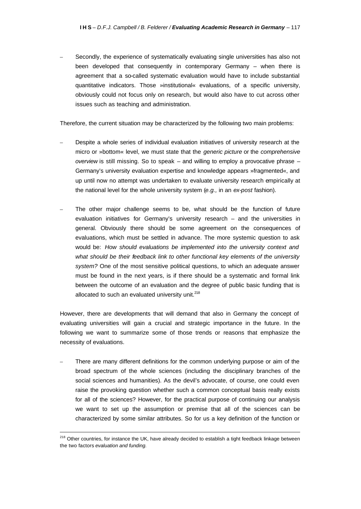– Secondly, the experience of systematically evaluating single universities has also not been developed that consequently in contemporary Germany – when there is agreement that a so-called systematic evaluation would have to include substantial quantitative indicators. Those »institutional« evaluations, of a specific university, obviously could not focus only on research, but would also have to cut across other issues such as teaching and administration.

Therefore, the current situation may be characterized by the following two main problems:

- Despite a whole series of individual evaluation initiatives of university research at the micro or »bottom« level, we must state that the *generic picture* or the *comprehensive overview* is still missing. So to speak – and willing to employ a provocative phrase – Germany's university evaluation expertise and knowledge appears »fragmented«, and up until now no attempt was undertaken to evaluate university research empirically at the national level for the whole university system (*e.g.,* in an *ex-post* fashion).
- The other major challenge seems to be, what should be the function of future evaluation initiatives for Germany's university research – and the universities in general. Obviously there should be some agreement on the consequences of evaluations, which must be settled in advance. The more systemic question to ask would be: *How should evaluations be implemented into the university context and what should be their feedback link to other functional key elements of the university system?* One of the most sensitive political questions, to which an adequate answer must be found in the next years, is if there should be a systematic and formal link between the outcome of an evaluation and the degree of public basic funding that is allocated to such an evaluated university unit.<sup>218</sup>

However, there are developments that will demand that also in Germany the concept of evaluating universities will gain a crucial and strategic importance in the future. In the following we want to summarize some of those trends or reasons that emphasize the necessity of evaluations.

– There are many different definitions for the common underlying purpose or aim of the broad spectrum of the whole sciences (including the disciplinary branches of the social sciences and humanities). As the devil's advocate, of course, one could even raise the provoking question whether such a common conceptual basis really exists for all of the sciences? However, for the practical purpose of continuing our analysis we want to set up the assumption or premise that all of the sciences can be characterized by some similar attributes. So for us a key definition of the function or

<sup>&</sup>lt;sup>218</sup> Other countries, for instance the UK, have already decided to establish a tight feedback linkage between the two factors *evaluation and funding.*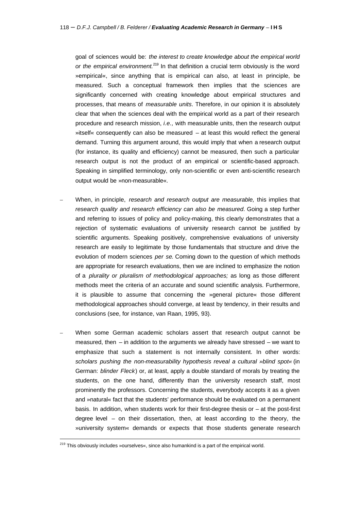goal of sciences would be: *the interest to create knowledge about the empirical world or the empirical environment.*<sup>219</sup> In that definition a crucial term obviously is the word »empirical«, since anything that is empirical can also, at least in principle, be measured. Such a conceptual framework then implies that the sciences are significantly concerned with creating knowledge about empirical structures and processes, that means of *measurable units*. Therefore, in our opinion it is absolutely clear that when the sciences deal with the empirical world as a part of their research procedure and research mission, *i.e.,* with measurable units, then the research output »itself« consequently can also be measured – at least this would reflect the general demand. Turning this argument around, this would imply that when a research output (for instance, its quality and efficiency) cannot be measured, then such a particular research output is not the product of an empirical or scientific-based approach. Speaking in simplified terminology, only non-scientific or even anti-scientific research output would be »non-measurable«.

- When, in principle, *research and research output are measurable,* this implies that *research quality and research efficiency can also be measured*. Going a step further and referring to issues of policy and policy-making, this clearly demonstrates that a rejection of systematic evaluations of university research cannot be justified by scientific arguments. Speaking positively, comprehensive evaluations of university research are easily to legitimate by those fundamentals that structure and drive the evolution of modern sciences *per se*. Coming down to the question of which methods are appropriate for research evaluations, then we are inclined to emphasize the notion of a *plurality or pluralism of methodological approaches;* as long as those different methods meet the criteria of an accurate and sound scientific analysis. Furthermore, it is plausible to assume that concerning the »general picture« those different methodological approaches should converge, at least by tendency, in their results and conclusions (see, for instance, van Raan, 1995, 93).
- When some German academic scholars assert that research output cannot be measured, then  $-$  in addition to the arguments we already have stressed  $-$  we want to emphasize that such a statement is not internally consistent. In other words: *scholars pushing the non-measurability hypothesis reveal a cultural »blind spot«* (in German: *blinder Fleck*) or, at least, apply a double standard of morals by treating the students, on the one hand, differently than the university research staff, most prominently the professors. Concerning the students, everybody accepts it as a given and »natural« fact that the students' performance should be evaluated on a permanent basis. In addition, when students work for their first-degree thesis or – at the post-first degree level – on their dissertation, then, at least according to the theory, the »university system« demands or expects that those students generate research

<sup>&</sup>lt;sup>219</sup> This obviously includes »ourselves«, since also humankind is a part of the empirical world.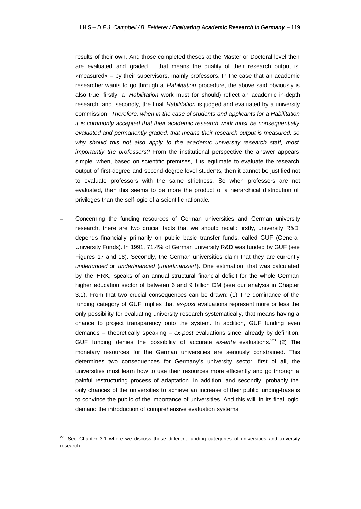results of their own. And those completed theses at the Master or Doctoral level then are evaluated and graded – that means the quality of their research output is »measured« – by their supervisors, mainly professors. In the case that an academic researcher wants to go through a *Habilitation* procedure, the above said obviously is also true: firstly, a *Habilitation* work must (or should) reflect an academic in-depth research, and, secondly, the final *Habilitation* is judged and evaluated by a university commission. *Therefore, when in the case of students and applicants for a Habilitation it is commonly accepted that their academic research work must be consequentially evaluated and permanently graded, that means their research output is measured, so*  why should this not also apply to the academic university research staff, most *importantly the professors?* From the institutional perspective the answer appears simple: when, based on scientific premises, it is legitimate to evaluate the research output of first-degree and second-degree level students, then it cannot be justified not to evaluate professors with the same strictness. So when professors are not evaluated, then this seems to be more the product of a hierarchical distribution of privileges than the self-logic of a scientific rationale.

– Concerning the funding resources of German universities and German university research, there are two crucial facts that we should recall: firstly, university R&D depends financially primarily on public basic transfer funds, called GUF (General University Funds). In 1991, 71.4% of German university R&D was funded by GUF (see Figures 17 and 18). Secondly, the German universities claim that they are currently *underfunded* or *underfinanced* (*unterfinanziert*). One estimation, that was calculated by the HRK, speaks of an annual structural financial deficit for the whole German higher education sector of between 6 and 9 billion DM (see our analysis in Chapter 3.1). From that two crucial consequences can be drawn: (1) The dominance of the funding category of GUF implies that *ex-post* evaluations represent more or less the only possibility for evaluating university research systematically, that means having a chance to project transparency onto the system. In addition, GUF funding even demands – theoretically speaking – *ex-post* evaluations since, already by definition, GUF funding denies the possibility of accurate *ex-ante* evaluations.<sup>220</sup> (2) The monetary resources for the German universities are seriously constrained. This determines two consequences for Germany's university sector: first of all, the universities must learn how to use their resources more efficiently and go through a painful restructuring process of adaptation. In addition, and secondly, probably the only chances of the universities to achieve an increase of their public funding-base is to convince the public of the importance of universities. And this will, in its final logic, demand the introduction of comprehensive evaluation systems.

<sup>&</sup>lt;sup>220</sup> See Chapter 3.1 where we discuss those different funding categories of universities and university research.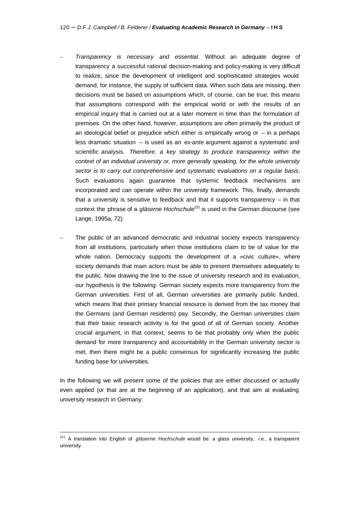- *Transparency is necessary and essential*. Without an adequate degree of transparency a successful rational decision-making and policy-making is very difficult to realize, since the development of intelligent and sophisticated strategies would demand, for instance, the supply of sufficient data. When such data are missing, then decisions must be based on assumptions which, of course, can be true; this means that assumptions correspond with the empirical world or with the results of an empirical inquiry that is carried out at a later moment in time than the formulation of premises. On the other hand, however, assumptions are often primarily the product of an ideological belief or prejudice which either is empirically wrong or  $-$  in a perhaps less dramatic situation – is used as an *ex-ante* argument against a systematic and scientific analysis. *Therefore, a key strategy to produce transparency within the context of an individual university or, more generally speaking, for the whole university sector is to carry out comprehensive and systematic evaluations on a regular basis*. Such evaluations again guarantee that systemic feedback mechanisms are incorporated and can operate within the university framework. This, finally, demands that a university is sensitive to feedback and that it supports transparency  $-$  in that context the phrase of a *gläserne Hochschule*<sup>221</sup> is used in the German discourse (see Lange, 1995a, 72).
- The public of an advanced democratic and industrial society expects transparency from all institutions, particularly when those institutions claim to be of value for the whole nation. Democracy supports the development of a »civic culture«, where society demands that main actors must be able to present themselves adequately to the public. Now drawing the line to the issue of university research and its evaluation, our hypothesis is the following: German society expects more transparency from the German universities. First of all, German universities are primarily public funded, which means that their primary financial resource is derived from the tax money that the Germans (and German residents) pay. Secondly, the German universities claim that their basic research activity is for the good of all of German society. Another crucial argument, in that context, seems to be that probably only when the public demand for more transparency and accountability in the German university sector is met, then there might be a public consensus for significantly increasing the public funding base for universities.

In the following we will present some of the policies that are either discussed or actually even applied (or that are at the beginning of an application), and that aim at evaluating university research in Germany:

<sup>221</sup> A translation into English of *gläserne Hochschule* would be: a glass university, *i.e.,* a transparent university.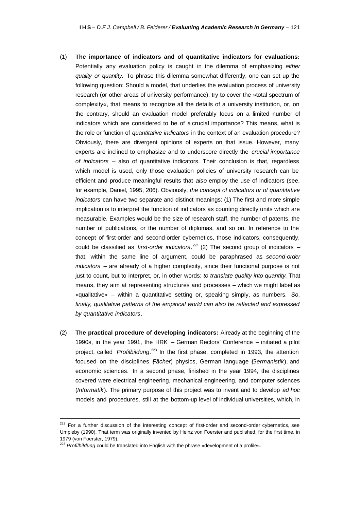- (1) **The importance of indicators and of quantitative indicators for evaluations:** Potentially any evaluation policy is caught in the dilemma of emphasizing *either quality or quantity.* To phrase this dilemma somewhat differently, one can set up the following question: Should a model, that underlies the evaluation process of university research (or other areas of university performance), try to cover the »total spectrum of complexity«, that means to recognize all the details of a university institution, or, on the contrary, should an evaluation model preferably focus on a limited number of indicators which are considered to be of a crucial importance? This means, what is the role or function of *quantitative indicators* in the context of an evaluation procedure? Obviously, there are divergent opinions of experts on that issue. However, many experts are inclined to emphasize and to underscore directly the *crucial importance of indicators* – also of quantitative indicators. Their conclusion is that, regardless which model is used, only those evaluation policies of university research can be efficient and produce meaningful results that *also* employ the use of indicators (see, for example, Daniel, 1995, 206). Obviously, *the concept of indicators or of quantitative indicators* can have two separate and distinct meanings: (1) The first and more simple implication is to interpret the function of indicators as counting directly units which are measurable. Examples would be the size of research staff, the number of patents, the number of publications, or the number of diplomas, and so on. In reference to the concept of first-order and second-order cybernetics, those indicators, consequently, could be classified as *first-order indicators*.<sup>222</sup> (2) The second group of indicators that, within the same line of argument, could be paraphrased as *second-order indicators* – are already of a higher complexity, since their functional purpose is not just to count, but to interpret, or, in other words: *to translate quality into quantity*. That means, they aim at representing structures and processes – which we might label as »qualitative« – within a quantitative setting or, speaking simply, as numbers. *So, finally, qualitative patterns of the empirical world can also be reflected and expressed by quantitative indicators*.
- (2) **The practical procedure of developing indicators:** Already at the beginning of the 1990s, in the year 1991, the HRK – German Rectors' Conference – initiated a pilot project, called *Profilbildung*. <sup>223</sup> In the first phase, completed in 1993, the attention focused on the disciplines (*Fächer*) physics, German language (*Germanistik*), and economic sciences. In a second phase, finished in the year 1994, the disciplines covered were electrical engineering, mechanical engineering, and computer sciences (*Informatik*). The primary purpose of this project was to invent and to develop *ad hoc* models and procedures, still at the bottom-up level of individual universities, which, in

 $\overline{a}$ 

<sup>&</sup>lt;sup>222</sup> For a further discussion of the interesting concept of first-order and second-order cybernetics, see Umpleby (1990). That term was originally invented by Heinz von Foerster and published, for the first time, in 1979 (von Foerster, 1979).

<sup>223</sup> *Profilbildung* could be translated into English with the phrase »development of a profile«.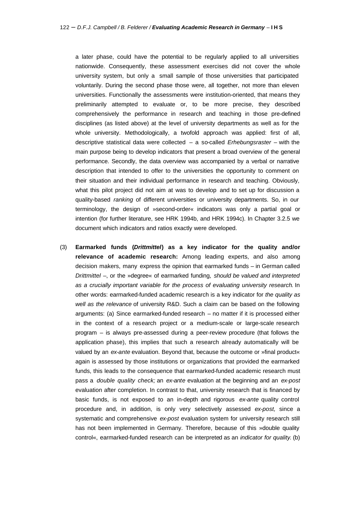a later phase, could have the potential to be regularly applied to all universities nationwide. Consequently, these assessment exercises did not cover the whole university system, but only a small sample of those universities that participated voluntarily. During the second phase those were, all together, not more than eleven universities. Functionally the assessments were institution-oriented, that means they preliminarily attempted to evaluate or, to be more precise, they described comprehensively the performance in research and teaching in those pre-defined disciplines (as listed above) at the level of university departments as well as for the whole university. Methodologically, a twofold approach was applied: first of all, descriptive statistical data were collected – a so-called *Erhebungsraster* – with the main purpose being to develop indicators that present a broad overview of the general performance. Secondly, the data overview was accompanied by a verbal or narrative description that intended to offer to the universities the opportunity to comment on their situation and their individual performance in research and teaching. Obviously, what this pilot project did not aim at was to develop and to set up for discussion a quality-based *ranking* of different universities or university departments. So, in our terminology, the design of »second-order« indicators was only a partial goal or intention (for further literature, see HRK 1994b, and HRK 1994c). In Chapter 3.2.5 we document which indicators and ratios exactly were developed.

(3) **Earmarked funds (***Drittmittel***) as a key indicator for the quality and/or relevance of academic research:** Among leading experts, and also among decision makers, many express the opinion that earmarked funds – in German called *Drittmittel* –, or the »degree« of earmarked funding, *should be valued and interpreted as a crucially important variable for the process of evaluating university research*. In other words: earmarked-funded academic research is a key indicator for *the quality as well as the relevance* of university R&D. Such a claim can be based on the following arguments: (a) Since earmarked-funded research – no matter if it is processed either in the context of a research project or a medium-scale or large-scale research program – is always pre-assessed during a peer-review procedure (that follows the application phase), this implies that such a research already automatically will be valued by an *ex-ante* evaluation. Beyond that, because the outcome or »final product« again is assessed by those institutions or organizations that provided the earmarked funds, this leads to the consequence that earmarked-funded academic research must pass a *double quality check;* an *ex-ante* evaluation at the beginning and an *ex-post* evaluation after completion. In contrast to that, university research that is financed by basic funds, is not exposed to an in-depth and rigorous *ex-ante* quality control procedure and, in addition, is only very selectively assessed *ex-post,* since a systematic and comprehensive *ex-post* evaluation system for university research still has not been implemented in Germany. Therefore, because of this »double quality control«, earmarked-funded research can be interpreted as an *indicator for quality*. (b)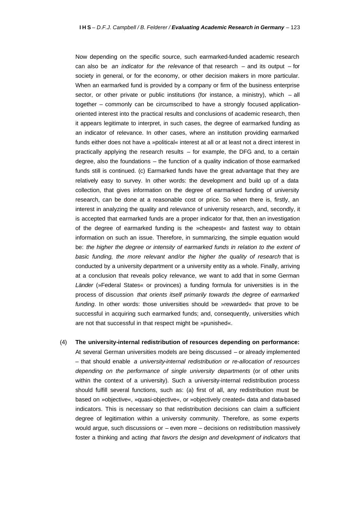Now depending on the specific source, such earmarked-funded academic research can also be *an indicator for the relevance* of that research – and its output – for society in general, or for the economy, or other decision makers in more particular. When an earmarked fund is provided by a company or firm of the business enterprise sector, or other private or public institutions (for instance, a ministry), which – all together – commonly can be circumscribed to have a strongly focused applicationoriented interest into the practical results and conclusions of academic research, then it appears legitimate to interpret, in such cases, the degree of earmarked funding as an indicator of relevance. In other cases, where an institution providing earmarked funds either does not have a »political« interest at all or at least not a direct interest in practically applying the research results – for example, the DFG and, to a certain degree, also the foundations – the function of a quality indication of those earmarked funds still is continued. (c) Earmarked funds have the great advantage that they are relatively easy to survey. In other words: the development and build up of a data collection, that gives information on the degree of earmarked funding of university research, can be done at a reasonable cost or price. So when there is, firstly, an interest in analyzing the quality and relevance of university research, and, secondly, it is accepted that earmarked funds are a proper indicator for that, then an investigation of the degree of earmarked funding is the »cheapest« and fastest way to obtain information on such an issue. Therefore, in summarizing, the simple equation would be: *the higher the degree or intensity of earmarked funds in relation to the extent of basic funding, the more relevant and/or the higher the quality of research* that is conducted by a university department or a university entity as a whole. Finally, arriving at a conclusion that reveals policy relevance, we want to add that in some German *Länder* (»Federal States« or provinces) a funding formula for universities is in the process of discussion *that orients itself primarily towards the degree of earmarked funding*. In other words: those universities should be »rewarded« that prove to be successful in acquiring such earmarked funds; and, consequently, universities which are not that successful in that respect might be »punished«.

(4) **The university-internal redistribution of resources depending on performance:**  At several German universities models are being discussed – or already implemented – that should enable *a university-internal redistribution or re-allocation of resources depending on the performance of single university departments* (or of other units within the context of a university). Such a university-internal redistribution process should fulfill several functions, such as: (a) first of all, any redistribution must be based on »objective«, »quasi-objective«, or »objectively created« data and data-based indicators. This is necessary so that redistribution decisions can claim a sufficient degree of legitimation within a university community. Therefore, as some experts would argue, such discussions or – even more – decisions on redistribution massively foster a thinking and acting *that favors the design and development of indicators* that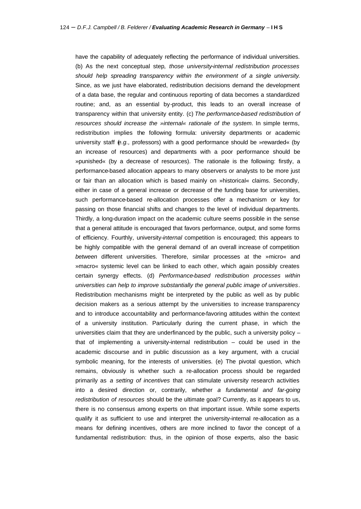have the capability of adequately reflecting the performance of individual universities. (b) As the next conceptual step*, those university-internal redistribution processes should help spreading transparency within the environment of a single university*. Since, as we just have elaborated, redistribution decisions demand the development of a data base, the regular and continuous reporting of data becomes a standardized routine; and, as an essential by-product, this leads to an overall increase of transparency within that university entity. (c) *The performance-based redistribution of resources should increase the »internal« rationale of the system*. In simple terms, redistribution implies the following formula: university departments or academic university staff (*e.g.,* professors) with a good performance should be »rewarded« (by an increase of resources) and departments with a poor performance should be »punished« (by a decrease of resources). The rationale is the following: firstly, a performance-based allocation appears to many observers or analysts to be more just or fair than an allocation which is based mainly on »historical« claims. Secondly, either in case of a general increase or decrease of the funding base for universities, such performance-based re-allocation processes offer a mechanism or key for passing on those financial shifts and changes to the level of individual departments. Thirdly, a long-duration impact on the academic culture seems possible in the sense that a general attitude is encouraged that favors performance, output, and some forms of efficiency. Fourthly, university-*internal* competition is encouraged; this appears to be highly compatible with the general demand of an overall increase of competition *between* different universities. Therefore, similar processes at the »micro« and »macro« systemic level can be linked to each other, which again possibly creates certain synergy effects. (d) *Performance-based redistribution processes within universities can help to improve substantially the general public image of universities*. Redistribution mechanisms might be interpreted by the public as well as by public decision makers as a serious attempt by the universities to increase transparency and to introduce accountability and performance-favoring attitudes within the context of a university institution. Particularly during the current phase, in which the universities claim that they are underfinanced by the public, such a university policy  $$ that of implementing a university-internal redistribution – could be used in the academic discourse and in public discussion as a key argument, with a crucial symbolic meaning, for the interests of universities. (e) The pivotal question, which remains, obviously is whether such a re-allocation process should be regarded primarily as *a setting of incentives* that can stimulate university research activities into a desired direction or, contrarily, whether *a fundamental and far-going redistribution of resources* should be the ultimate goal? Currently, as it appears to us, there is no consensus among experts on that important issue. While some experts qualify it as sufficient to use and interpret the university-internal re-allocation as a means for defining incentives, others are more inclined to favor the concept of a fundamental redistribution: thus, in the opinion of those experts, also the basic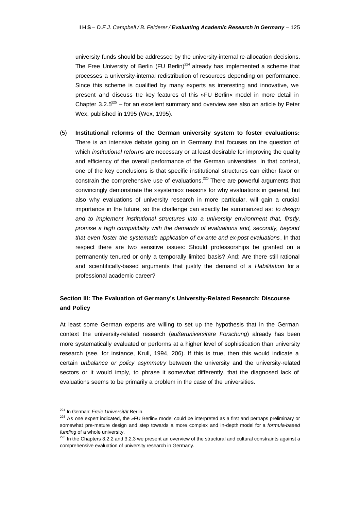university funds should be addressed by the university-internal re-allocation decisions. The Free University of Berlin (FU Berlin)<sup>224</sup> already has implemented a scheme that processes a university-internal redistribution of resources depending on performance. Since this scheme is qualified by many experts as interesting and innovative, we present and discuss the key features of this »FU Berlin« model in more detail in Chapter  $3.2.5^{225}$  – for an excellent summary and overview see also an article by Peter Wex, published in 1995 (Wex, 1995).

(5) **Institutional reforms of the German university system to foster evaluations:** There is an intensive debate going on in Germany that focuses on the question of which *institutional reforms* are necessary or at least desirable for improving the quality and efficiency of the overall performance of the German universities. In that context, one of the key conclusions is that specific institutional structures can either favor or constrain the comprehensive use of evaluations.<sup>226</sup> There are powerful arguments that convincingly demonstrate the »systemic« reasons for why evaluations in general, but also why evaluations of university research in more particular, will gain a crucial importance in the future, so the challenge can exactly be summarized as: *to design and to implement institutional structures into a university environment that, firstly, promise a high compatibility with the demands of evaluations and, secondly, beyond that even foster the systematic application of ex-ante and ex-post evaluations*. In that respect there are two sensitive issues: Should professorships be granted on a permanently tenured or only a temporally limited basis? And: Are there still rational and scientifically-based arguments that justify the demand of a *Habilitation* for a professional academic career?

#### **Section III: The Evaluation of Germany's University-Related Research: Discourse and Policy**

At least some German experts are willing to set up the hypothesis that in the German context the university-related research (*außeruniversitäre Forschung*) already has been more systematically evaluated or performs at a higher level of sophistication than university research (see, for instance, Krull, 1994, 206). If this is true, then this would indicate a certain *unbalance or policy asymmetry* between the university and the university-related sectors or it would imply, to phrase it somewhat differently, that the diagnosed lack of evaluations seems to be primarily a problem in the case of the universities.

<sup>224</sup> In German: *Freie Universität* Berlin.

<sup>&</sup>lt;sup>225</sup> As one expert indicated, the »FU Berlin« model could be interpreted as a first and perhaps preliminary or somewhat pre-mature design and step towards a more complex and in-depth model for a *formula-based funding* of a whole university.

 $226$  In the Chapters 3.2.2 and 3.2.3 we present an overview of the structural and cultural constraints against a comprehensive evaluation of university research in Germany.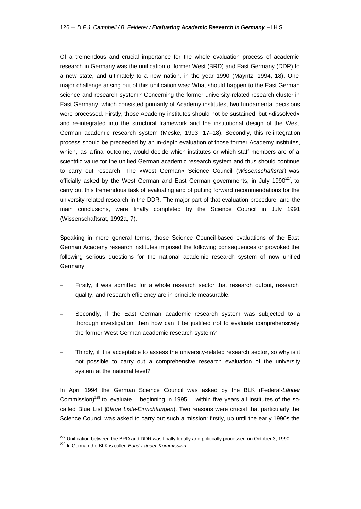Of a tremendous and crucial importance for the whole evaluation process of academic research in Germany was the unification of former West (BRD) and East Germany (DDR) to a new state, and ultimately to a new nation, in the year 1990 (Mayntz, 1994, 18). One major challenge arising out of this unification was: What should happen to the East German science and research system? Concerning the former university-related research cluster in East Germany, which consisted primarily of Academy institutes, two fundamental decisions were processed. Firstly, those Academy institutes should not be sustained, but »dissolved« and re-integrated into the structural framework and the institutional design of the West German academic research system (Meske, 1993, 17–18). Secondly, this re-integration process should be preceeded by an in-depth evaluation of those former Academy institutes, which, as a final outcome, would decide which institutes or which staff members are of a scientific value for the unified German academic research system and thus should continue to carry out research. The »West German« Science Council (*Wissenschaftsrat*) was officially asked by the West German and East German governments, in July 1990 $^{227}$ , to carry out this tremendous task of evaluating and of putting forward recommendations for the university-related research in the DDR. The major part of that evaluation procedure, and the main conclusions, were finally completed by the Science Council in July 1991 (Wissenschaftsrat, 1992a, 7).

Speaking in more general terms, those Science Council-based evaluations of the East German Academy research institutes imposed the following consequences or provoked the following serious questions for the national academic research system of now unified Germany:

- Firstly, it was admitted for a whole research sector that research output, research quality, and research efficiency are in principle measurable.
- Secondly, if the East German academic research system was subjected to a thorough investigation, then how can it be justified not to evaluate comprehensively the former West German academic research system?
- Thirdly, if it is acceptable to assess the university-related research sector, so why is it not possible to carry out a comprehensive research evaluation of the university system at the national level?

In April 1994 the German Science Council was asked by the BLK (Federal-*Länder* Commission)<sup>228</sup> to evaluate – beginning in 1995 – within five years all institutes of the socalled Blue List (*Blaue Liste-Einrichtungen*). Two reasons were crucial that particularly the Science Council was asked to carry out such a mission: firstly, up until the early 1990s the

 $227$  Unification between the BRD and DDR was finally legally and politically processed on October 3, 1990.

<sup>228</sup> In German the BLK is called *Bund-Länder-Kommission*.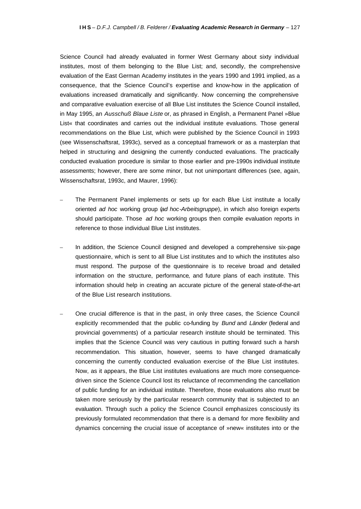Science Council had already evaluated in former West Germany about sixty individual institutes, most of them belonging to the Blue List; and, secondly, the comprehensive evaluation of the East German Academy institutes in the years 1990 and 1991 implied, as a consequence, that the Science Council's expertise and know-how in the application of evaluations increased dramatically and significantly. Now concerning the comprehensive and comparative evaluation exercise of all Blue List institutes the Science Council installed, in May 1995, an *Ausschuß Blaue Liste* or, as phrased in English, a Permanent Panel »Blue List« that coordinates and carries out the individual institute evaluations. Those general recommendations on the Blue List, which were published by the Science Council in 1993 (see Wissenschaftsrat, 1993c), served as a conceptual framework or as a masterplan that helped in structuring and designing the currently conducted evaluations. The practically conducted evaluation procedure is similar to those earlier and pre-1990s individual institute assessments; however, there are some minor, but not unimportant differences (see, again, Wissenschaftsrat, 1993c, and Maurer, 1996):

- The Permanent Panel implements or sets up for each Blue List institute a locally oriented *ad hoc* working group (*ad hoc-Arbeitsgruppe*), in which also foreign experts should participate. Those *ad hoc* working groups then compile evaluation reports in reference to those individual Blue List institutes.
- In addition, the Science Council designed and developed a comprehensive six-page questionnaire, which is sent to all Blue List institutes and to which the institutes also must respond. The purpose of the questionnaire is to receive broad and detailed information on the structure, performance, and future plans of each institute. This information should help in creating an accurate picture of the general state-of-the-art of the Blue List research institutions.
- One crucial difference is that in the past, in only three cases, the Science Council explicitly recommended that the public co-funding by *Bund* and *Länder* (federal and provincial governments) of a particular research institute should be terminated. This implies that the Science Council was very cautious in putting forward such a harsh recommendation. This situation, however, seems to have changed dramatically concerning the currently conducted evaluation exercise of the Blue List institutes. Now, as it appears, the Blue List institutes evaluations are much more consequencedriven since the Science Council lost its reluctance of recommending the cancellation of public funding for an individual institute. Therefore, those evaluations also must be taken more seriously by the particular research community that is subjected to an evaluation. Through such a policy the Science Council emphasizes consciously its previously formulated recommendation that there is a demand for more flexibility and dynamics concerning the crucial issue of acceptance of »new« institutes into or the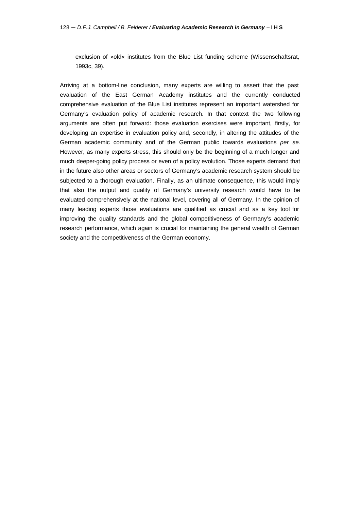exclusion of »old« institutes from the Blue List funding scheme (Wissenschaftsrat, 1993c, 39).

Arriving at a bottom-line conclusion, many experts are willing to assert that the past evaluation of the East German Academy institutes and the currently conducted comprehensive evaluation of the Blue List institutes represent an important watershed for Germany's evaluation policy of academic research. In that context the two following arguments are often put forward: those evaluation exercises were important, firstly, for developing an expertise in evaluation policy and, secondly, in altering the attitudes of the German academic community and of the German public towards evaluations *per se*. However, as many experts stress, this should only be the beginning of a much longer and much deeper-going policy process or even of a policy evolution. Those experts demand that in the future also other areas or sectors of Germany's academic research system should be subjected to a thorough evaluation. Finally, as an ultimate consequence, this would imply that also the output and quality of Germany's university research would have to be evaluated comprehensively at the national level, covering all of Germany. In the opinion of many leading experts those evaluations are qualified as crucial and as a key tool for improving the quality standards and the global competitiveness of Germany's academic research performance, which again is crucial for maintaining the general wealth of German society and the competitiveness of the German economy.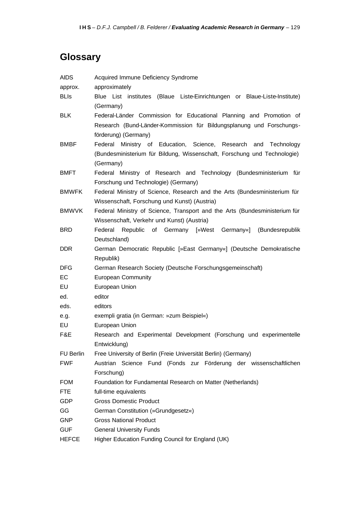# **Glossary**

| <b>AIDS</b>      | Acquired Immune Deficiency Syndrome                                                                                                                                 |
|------------------|---------------------------------------------------------------------------------------------------------------------------------------------------------------------|
| approx.          | approximately                                                                                                                                                       |
| <b>BLIS</b>      | Blue List institutes (Blaue Liste-Einrichtungen or Blaue-Liste-Institute)<br>(Germany)                                                                              |
| <b>BLK</b>       | Federal-Länder Commission for Educational Planning and Promotion of<br>Research (Bund-Länder-Kommission für Bildungsplanung und Forschungs-<br>förderung) (Germany) |
| <b>BMBF</b>      | Ministry of Education, Science, Research and Technology<br>Federal<br>(Bundesministerium für Bildung, Wissenschaft, Forschung und Technologie)<br>(Germany)         |
| <b>BMFT</b>      | Federal Ministry of Research and Technology (Bundesministerium für<br>Forschung und Technologie) (Germany)                                                          |
| <b>BMWFK</b>     | Federal Ministry of Science, Research and the Arts (Bundesministerium für<br>Wissenschaft, Forschung und Kunst) (Austria)                                           |
| <b>BMWVK</b>     | Federal Ministry of Science, Transport and the Arts (Bundesministerium für<br>Wissenschaft, Verkehr und Kunst) (Austria)                                            |
| <b>BRD</b>       | Federal<br>Republic of Germany [»West Germany«] (Bundesrepublik<br>Deutschland)                                                                                     |
| DDR.             | German Democratic Republic [»East Germany«] (Deutsche Demokratische<br>Republik)                                                                                    |
| <b>DFG</b>       | German Research Society (Deutsche Forschungsgemeinschaft)                                                                                                           |
| EC               | <b>European Community</b>                                                                                                                                           |
| EU               | European Union                                                                                                                                                      |
| ed.              | editor                                                                                                                                                              |
| eds.             | editors                                                                                                                                                             |
| e.g.             | exempli gratia (in German: »zum Beispiel«)                                                                                                                          |
| EU               | European Union                                                                                                                                                      |
| F&E              | Research and Experimental Development (Forschung und experimentelle<br>Entwicklung)                                                                                 |
| <b>FU Berlin</b> | Free University of Berlin (Freie Universität Berlin) (Germany)                                                                                                      |
| <b>FWF</b>       | Austrian Science Fund (Fonds zur Förderung der wissenschaftlichen                                                                                                   |
|                  | Forschung)                                                                                                                                                          |
| <b>FOM</b>       | Foundation for Fundamental Research on Matter (Netherlands)                                                                                                         |
| <b>FTE</b>       | full-time equivalents                                                                                                                                               |
| <b>GDP</b>       | <b>Gross Domestic Product</b>                                                                                                                                       |
| GG               | German Constitution (»Grundgesetz«)                                                                                                                                 |
| <b>GNP</b>       | <b>Gross National Product</b>                                                                                                                                       |
| <b>GUF</b>       | <b>General University Funds</b>                                                                                                                                     |
| <b>HEFCE</b>     | Higher Education Funding Council for England (UK)                                                                                                                   |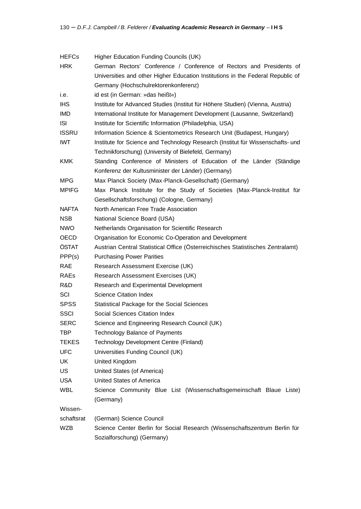| <b>HEFCs</b> | Higher Education Funding Councils (UK)                                          |
|--------------|---------------------------------------------------------------------------------|
| <b>HRK</b>   | German Rectors' Conference / Conference of Rectors and Presidents of            |
|              | Universities and other Higher Education Institutions in the Federal Republic of |
|              | Germany (Hochschulrektorenkonferenz)                                            |
| i.e.         | id est (in German: »das heißt«)                                                 |
| <b>IHS</b>   | Institute for Advanced Studies (Institut für Höhere Studien) (Vienna, Austria)  |
| IMD          | International Institute for Management Development (Lausanne, Switzerland)      |
| <b>ISI</b>   | Institute for Scientific Information (Philadelphia, USA)                        |
| <b>ISSRU</b> | Information Science & Scientometrics Research Unit (Budapest, Hungary)          |
| <b>IWT</b>   | Institute for Science and Technology Research (Institut für Wissenschafts- und  |
|              | Technikforschung) (University of Bielefeld, Germany)                            |
| <b>KMK</b>   | Standing Conference of Ministers of Education of the Länder (Ständige           |
|              | Konferenz der Kultusminister der Länder) (Germany)                              |
| <b>MPG</b>   | Max Planck Society (Max-Planck-Gesellschaft) (Germany)                          |
| <b>MPIFG</b> | Max Planck Institute for the Study of Societies (Max-Planck-Institut für        |
|              | Gesellschaftsforschung) (Cologne, Germany)                                      |
| <b>NAFTA</b> | North American Free Trade Association                                           |
| <b>NSB</b>   | National Science Board (USA)                                                    |
| <b>NWO</b>   | Netherlands Organisation for Scientific Research                                |
| OECD         | Organisation for Economic Co-Operation and Development                          |
| ÖSTAT        | Austrian Central Statistical Office (Österreichisches Statistisches Zentralamt) |
| PPP(s)       | <b>Purchasing Power Parities</b>                                                |
| <b>RAE</b>   | Research Assessment Exercise (UK)                                               |
| <b>RAEs</b>  | Research Assessment Exercises (UK)                                              |
| R&D          | Research and Experimental Development                                           |
| SCI          | <b>Science Citation Index</b>                                                   |
| <b>SPSS</b>  | Statistical Package for the Social Sciences                                     |
| <b>SSCI</b>  | Social Sciences Citation Index                                                  |
| <b>SERC</b>  | Science and Engineering Research Council (UK)                                   |
| TBP          | <b>Technology Balance of Payments</b>                                           |
| <b>TEKES</b> | Technology Development Centre (Finland)                                         |
| <b>UFC</b>   | Universities Funding Council (UK)                                               |
| UK           | United Kingdom                                                                  |
| US           | United States (of America)                                                      |
| <b>USA</b>   | United States of America                                                        |
| <b>WBL</b>   | Science Community Blue List (Wissenschaftsgemeinschaft Blaue Liste)             |
|              | (Germany)                                                                       |
| Wissen-      |                                                                                 |
| schaftsrat   | (German) Science Council                                                        |
| <b>WZB</b>   | Science Center Berlin for Social Research (Wissenschaftszentrum Berlin für      |
|              | Sozialforschung) (Germany)                                                      |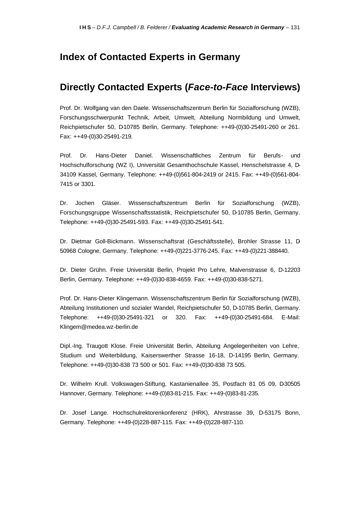## **Index of Contacted Experts in Germany**

## **Directly Contacted Experts (***Face-to-Face* **Interviews)**

Prof. Dr. Wolfgang van den Daele. Wissenschaftszentrum Berlin für Sozialforschung (WZB), Forschungsschwerpunkt Technik, Arbeit, Umwelt, Abteilung Normbildung und Umwelt, Reichpietschufer 50, D10785 Berlin, Germany. Telephone: ++49-(0)30-25491-260 or 261. Fax: ++49-(0)30-25491-219.

Prof. Dr. Hans-Dieter Daniel. Wissenschaftliches Zentrum für Berufs- und Hochschulforschung (WZ I), Universität Gesamthochschule Kassel, Henschelstrasse 4, D-34109 Kassel, Germany. Telephone: ++49-(0)561-804-2419 or 2415. Fax: ++49-(0)561-804- 7415 or 3301.

Dr. Jochen Gläser. Wissenschaftszentrum Berlin für Sozialforschung (WZB), Forschungsgruppe Wissenschaftsstatistik, Reichpietschufer 50, D-10785 Berlin, Germany. Telephone: ++49-(0)30-25491-593. Fax: ++49-(0)30-25491-541.

Dr. Dietmar Goll-Bickmann. Wissenschaftsrat (Geschäftsstelle), Brohler Strasse 11, D-50968 Cologne, Germany. Telephone: ++49-(0)221-3776-245. Fax: ++49-(0)221-388440.

Dr. Dieter Grühn. Freie Universität Berlin, Projekt Pro Lehre, Malvenstrasse 6, D-12203 Berlin, Germany. Telephone: ++49-(0)30-838-4659. Fax: ++49-(0)30-838-5271.

Prof. Dr. Hans-Dieter Klingemann. Wissenschaftszentrum Berlin für Sozialforschung (WZB), Abteilung Institutionen und sozialer Wandel, Reichpietschufer 50, D-10785 Berlin, Germany. Telephone: ++49-(0)30-25491-321 or 320. Fax: ++49-(0)30-25491-684. E-Mail: Klingem@medea.wz-berlin.de

Dipl.-Ing. Traugott Klose. Freie Universität Berlin, Abteilung Angelegenheiten von Lehre, Studium und Weiterbildung, Kaiserswerther Strasse 16-18, D-14195 Berlin, Germany. Telephone: ++49-(0)30-838 73 500 or 501. Fax: ++49-(0)30-838 73 505.

Dr. Wilhelm Krull. Volkswagen-Stiftung, Kastanienallee 35, Postfach 81 05 09, D30505 Hannover, Germany. Telephone: ++49-(0)83-81-215. Fax: ++49-(0)83-81-235.

Dr. Josef Lange. Hochschulrektorenkonferenz (HRK), Ahrstrasse 39, D-53175 Bonn, Germany. Telephone: ++49-(0)228-887-115. Fax: ++49-(0)228-887-110.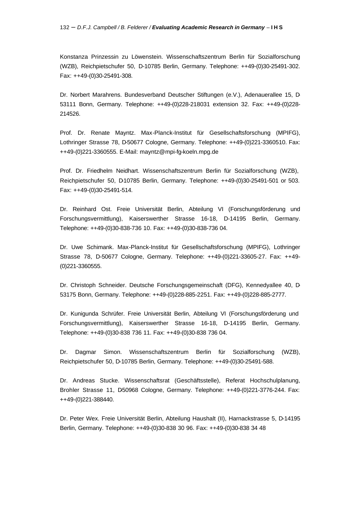Konstanza Prinzessin zu Löwenstein. Wissenschaftszentrum Berlin für Sozialforschung (WZB), Reichpietschufer 50, D-10785 Berlin, Germany. Telephone: ++49-(0)30-25491-302. Fax: ++49-(0)30-25491-308.

Dr. Norbert Marahrens. Bundesverband Deutscher Stiftungen (e.V.), Adenauerallee 15, D-53111 Bonn, Germany. Telephone: ++49-(0)228-218031 extension 32. Fax: ++49-(0)228- 214526.

Prof. Dr. Renate Mayntz. Max-Planck-Institut für Gesellschaftsforschung (MPIFG), Lothringer Strasse 78, D-50677 Cologne, Germany. Telephone: ++49-(0)221-3360510. Fax: ++49-(0)221-3360555. E-Mail: mayntz@mpi-fg-koeln.mpg.de

Prof. Dr. Friedhelm Neidhart. Wissenschaftszentrum Berlin für Sozialforschung (WZB), Reichpietschufer 50, D-10785 Berlin, Germany. Telephone: ++49-(0)30-25491-501 or 503. Fax: ++49-(0)30-25491-514.

Dr. Reinhard Ost. Freie Universität Berlin, Abteilung VI (Forschungsförderung und Forschungsvermittlung), Kaiserswerther Strasse 16-18, D-14195 Berlin, Germany. Telephone: ++49-(0)30-838-736 10. Fax: ++49-(0)30-838-736 04.

Dr. Uwe Schimank. Max-Planck-Institut für Gesellschaftsforschung (MPIFG), Lothringer Strasse 78, D-50677 Cologne, Germany. Telephone: ++49-(0)221-33605-27. Fax: ++49- (0)221-3360555.

Dr. Christoph Schneider. Deutsche Forschungsgemeinschaft (DFG), Kennedyallee 40, D-53175 Bonn, Germany. Telephone: ++49-(0)228-885-2251. Fax: ++49-(0)228-885-2777.

Dr. Kunigunda Schrüfer. Freie Universität Berlin, Abteilung VI (Forschungsförderung und Forschungsvermittlung), Kaiserswerther Strasse 16-18, D-14195 Berlin, Germany. Telephone: ++49-(0)30-838 736 11. Fax: ++49-(0)30-838 736 04.

Dr. Dagmar Simon. Wissenschaftszentrum Berlin für Sozialforschung (WZB), Reichpietschufer 50, D-10785 Berlin, Germany. Telephone: ++49-(0)30-25491-588.

Dr. Andreas Stucke. Wissenschaftsrat (Geschäftsstelle), Referat Hochschulplanung, Brohler Strasse 11, D50968 Cologne, Germany. Telephone: ++49-(0)221-3776-244. Fax: ++49-(0)221-388440.

Dr. Peter Wex. Freie Universität Berlin, Abteilung Haushalt (II), Harnackstrasse 5, D-14195 Berlin, Germany. Telephone: ++49-(0)30-838 30 96. Fax: ++49-(0)30-838 34 48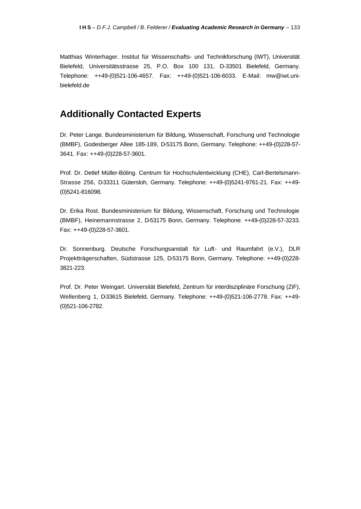Matthias Winterhager. Institut für Wissenschafts- und Technikforschung (IWT), Universität Bielefeld, Universitätsstrasse 25, P.O. Box 100 131, D-33501 Bielefeld, Germany. Telephone: ++49-(0)521-106-4657. Fax: ++49-(0)521-106-6033. E-Mail: mw@iwt.unibielefeld.de

## **Additionally Contacted Experts**

Dr. Peter Lange. Bundesministerium für Bildung, Wissenschaft, Forschung und Technologie (BMBF), Godesberger Allee 185-189, D-53175 Bonn, Germany. Telephone: ++49-(0)228-57- 3641. Fax: ++49-(0)228-57-3601.

Prof. Dr. Detlef Müller-Böling. Centrum für Hochschulentwicklung (CHE), Carl-Bertelsmann-Strasse 256, D-33311 Gütersloh, Germany. Telephone: ++49-(0)5241-9761-21. Fax: ++49-(0)5241-816098.

Dr. Erika Rost. Bundesministerium für Bildung, Wissenschaft, Forschung und Technologie (BMBF), Heinemannstrasse 2, D-53175 Bonn, Germany. Telephone: ++49-(0)228-57-3233. Fax: ++49-(0)228-57-3601.

Dr. Sonnenburg. Deutsche Forschungsanstalt für Luft- und Raumfahrt (e.V.), DLR Projektträgerschaften, Südstrasse 125, D-53175 Bonn, Germany. Telephone: ++49-(0)228- 3821-223.

Prof. Dr. Peter Weingart. Universität Bielefeld, Zentrum für interdisziplinäre Forschung (ZiF), Wellenberg 1, D-33615 Bielefeld, Germany. Telephone: ++49-(0)521-106-2778. Fax: ++49- (0)521-106-2782.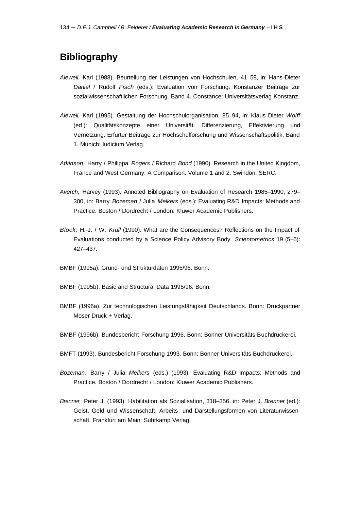## **Bibliography**

- *Alewell,* Karl (1988). Beurteilung der Leistungen von Hochschulen, 41–58, in: Hans-Dieter *Daniel* / Rudolf *Fisch* (eds.): Evaluation von Forschung. Konstanzer Beiträge zur sozialwissenschaftlichen Forschung. Band 4. Constance: Universitätsverlag Konstanz.
- *Alewell,* Karl (1995). Gestaltung der Hochschulorganisation, 85–94, in: Klaus Dieter *Wolff* (ed.): Qualitätskonzepte einer Universität. Differenzierung, Effektivierung und Vernetzung. Erfurter Beiträge zur Hochschulforschung und Wissenschaftspolitik. Band 1. Munich: Iudicium Verlag.
- *Atkinson,* Harry / Philippa *Rogers* / Richard *Bond* (1990). Research in the United Kingdom, France and West Germany: A Comparison. Volume 1 and 2. Swindon: SERC.
- *Averch,* Harvey (1993). Annoted Bibliography on Evaluation of Research 1985–1990, 279– 300, in: Barry *Bozeman* / Julia *Melkers* (eds.): Evaluating R&D Impacts: Methods and Practice. Boston / Dordrecht / London: Kluwer Academic Publishers.
- *Block,* H.-J. / W. *Krull* (1990). What are the Consequences? Reflections on the Impact of Evaluations conducted by a Science Policy Advisory Body. *Scientometrics* 19 (5–6): 427–437.
- BMBF (1995a). Grund- und Strukturdaten 1995/96. Bonn.
- BMBF (1995b). Basic and Structural Data 1995/96. Bonn.
- BMBF (1996a). Zur technologischen Leistungsfähigkeit Deutschlands. Bonn: Druckpartner Moser Druck + Verlag.
- BMBF (1996b). Bundesbericht Forschung 1996. Bonn: Bonner Universitäts-Buchdruckerei.
- BMFT (1993). Bundesbericht Forschung 1993. Bonn: Bonner Universitäts-Buchdruckerei.
- *Bozeman,* Barry / Julia *Melkers* (eds.) (1993). Evaluating R&D Impacts: Methods and Practice. Boston / Dordrecht / London: Kluwer Academic Publishers.
- *Brenner,* Peter J. (1993). Habilitation als Sozialisation, 318–356, in: Peter J. *Brenner* (ed.): Geist, Geld und Wissenschaft. Arbeits- und Darstellungsformen von Literaturwissenschaft. Frankfurt am Main: Suhrkamp Verlag.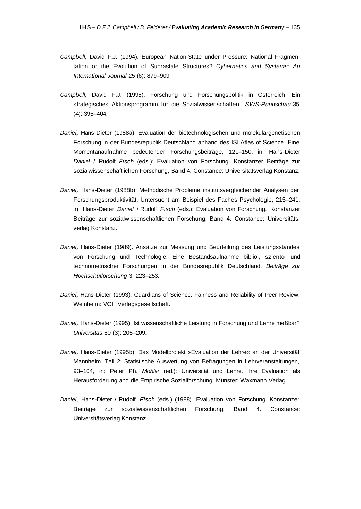- *Campbell,* David F.J. (1994). European Nation-State under Pressure: National Fragmentation or the Evolution of Suprastate Structures? *Cybernetics and Systems: An International Journal* 25 (6): 879–909.
- *Campbell,* David F.J. (1995). Forschung und Forschungspolitik in Österreich. Ein strategisches Aktionsprogramm für die Sozialwissenschaften. *SWS-Rundschau* 35 (4): 395–404.
- *Daniel,* Hans-Dieter (1988a). Evaluation der biotechnologischen und molekulargenetischen Forschung in der Bundesrepublik Deutschland anhand des ISI Atlas of Science. Eine Momentanaufnahme bedeutender Forschungsbeiträge, 121–150, in: Hans-Dieter *Daniel* / Rudolf *Fisch* (eds.): Evaluation von Forschung. Konstanzer Beiträge zur sozialwissenschaftlichen Forschung, Band 4. Constance: Universitätsverlag Konstanz.
- *Daniel,* Hans-Dieter (1988b). Methodische Probleme institutsvergleichender Analysen der Forschungsproduktivität. Untersucht am Beispiel des Faches Psychologie, 215–241, in: Hans-Dieter *Daniel* / Rudolf *Fisch* (eds.): Evaluation von Forschung. Konstanzer Beiträge zur sozialwissenschaftlichen Forschung, Band 4. Constance: Universitätsverlag Konstanz.
- *Daniel,* Hans-Dieter (1989). Ansätze zur Messung und Beurteilung des Leistungsstandes von Forschung und Technologie. Eine Bestandsaufnahme biblio-, sziento- und technometrischer Forschungen in der Bundesrepublik Deutschland. *Beiträge zur Hochschulforschung* 3: 223–253.
- *Daniel,* Hans-Dieter (1993). Guardians of Science. Fairness and Reliability of Peer Review. Weinheim: VCH Verlagsgesellschaft.
- *Daniel,* Hans-Dieter (1995). Ist wissenschaftliche Leistung in Forschung und Lehre meßbar? *Universitas* 50 (3): 205–209.
- *Daniel,* Hans-Dieter (1995b). Das Modellprojekt »Evaluation der Lehre« an der Universität Mannheim. Teil 2: Statistische Auswertung von Befragungen in Lehrveranstaltungen, 93–104, in: Peter Ph. *Mohler* (ed.): Universität und Lehre. Ihre Evaluation als Herausforderung and die Empirische Sozialforschung. Münster: Waxmann Verlag.
- *Daniel,* Hans-Dieter / Rudolf *Fisch* (eds.) (1988). Evaluation von Forschung. Konstanzer Beiträge zur sozialwissenschaftlichen Forschung, Band 4. Constance: Universitätsverlag Konstanz.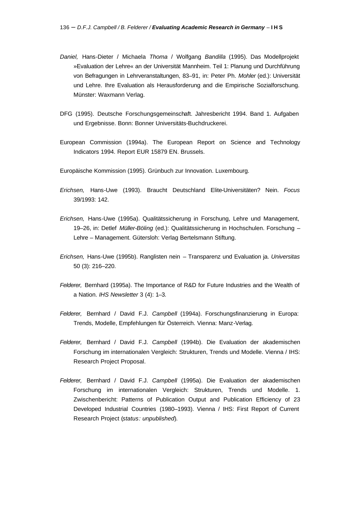- *Daniel,* Hans-Dieter / Michaela *Thoma* / Wolfgang *Bandilla* (1995). Das Modellprojekt »Evaluation der Lehre« an der Universität Mannheim. Teil 1: Planung und Durchführung von Befragungen in Lehrveranstaltungen, 83–91, in: Peter Ph. *Mohler* (ed.): Universität und Lehre. Ihre Evaluation als Herausforderung and die Empirische Sozialforschung. Münster: Waxmann Verlag.
- DFG (1995). Deutsche Forschungsgemeinschaft. Jahresbericht 1994. Band 1. Aufgaben und Ergebnisse. Bonn: Bonner Universitäts-Buchdruckerei.
- European Commission (1994a). The European Report on Science and Technology Indicators 1994. Report EUR 15879 EN. Brussels.
- Europäische Kommission (1995). Grünbuch zur Innovation. Luxembourg.
- *Erichsen,* Hans-Uwe (1993). Braucht Deutschland Elite-Universitäten? Nein. *Focus* 39/1993: 142.
- *Erichsen,* Hans-Uwe (1995a). Qualitätssicherung in Forschung, Lehre und Management, 19–26, in: Detlef *Müller-Böling* (ed.): Qualitätssicherung in Hochschulen. Forschung – Lehre – Management. Gütersloh: Verlag Bertelsmann Stiftung.
- *Erichsen,* Hans-Uwe (1995b). Ranglisten nein Transparenz und Evaluation ja. *Universitas* 50 (3): 216–220.
- *Felderer,* Bernhard (1995a). The Importance of R&D for Future Industries and the Wealth of a Nation. *IHS Newsletter* 3 (4): 1–3.
- *Felderer,* Bernhard / David F.J. *Campbell* (1994a). Forschungsfinanzierung in Europa: Trends, Modelle, Empfehlungen für Österreich. Vienna: Manz-Verlag.
- *Felderer,* Bernhard / David F.J. *Campbell* (1994b). Die Evaluation der akademischen Forschung im internationalen Vergleich: Strukturen, Trends und Modelle. Vienna / IHS: Research Project Proposal.
- *Felderer,* Bernhard / David F.J. *Campbell* (1995a). Die Evaluation der akademischen Forschung im internationalen Vergleich: Strukturen, Trends und Modelle. 1. Zwischenbericht: Patterns of Publication Output and Publication Efficiency of 23 Developed Industrial Countries (1980–1993). Vienna / IHS: First Report of Current Research Project (*status: unpublished*).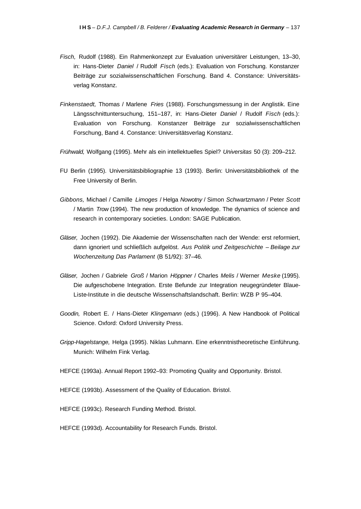- *Fisch,* Rudolf (1988). Ein Rahmenkonzept zur Evaluation universitärer Leistungen, 13–30, in: Hans-Dieter *Daniel* / Rudolf *Fisch* (eds.): Evaluation von Forschung. Konstanzer Beiträge zur sozialwissenschaftlichen Forschung. Band 4. Constance: Universitätsverlag Konstanz.
- *Finkenstaedt,* Thomas / Marlene *Fries* (1988). Forschungsmessung in der Anglistik. Eine Längsschnittuntersuchung, 151–187, in: Hans-Dieter *Daniel* / Rudolf *Fisch* (eds.): Evaluation von Forschung. Konstanzer Beiträge zur sozialwissenschaftlichen Forschung, Band 4. Constance: Universitätsverlag Konstanz.
- *Frühwald,* Wolfgang (1995). Mehr als ein intellektuelles Spiel? *Universitas* 50 (3): 209–212.
- FU Berlin (1995). Universitätsbibliographie 13 (1993). Berlin: Universitätsbibliothek of the Free University of Berlin.
- *Gibbons,* Michael / Camille *Limoges* / Helga *Nowotny* / Simon *Schwartzmann* / Peter *Scott*  / Martin *Trow* (1994). The new production of knowledge. The dynamics of science and research in contemporary societies. London: SAGE Publication.
- *Gläser,* Jochen (1992). Die Akademie der Wissenschaften nach der Wende: erst reformiert, dann ignoriert und schließlich aufgelöst. *Aus Politik und Zeitgeschichte – Beilage zur Wochenzeitung Das Parlament* (B 51/92): 37–46.
- *Gläser,* Jochen / Gabriele *Groß* / Marion *Höppner* / Charles *Melis* / Werner *Meske* (1995). Die aufgeschobene Integration. Erste Befunde zur Integration neugegründeter Blaue-Liste-Institute in die deutsche Wissenschaftslandschaft. Berlin: WZB P 95–404.
- *Goodin,* Robert E. / Hans-Dieter *Klingemann* (eds.) (1996). A New Handbook of Political Science. Oxford: Oxford University Press.
- *Gripp-Hagelstange,* Helga (1995). Niklas Luhmann. Eine erkenntnistheoretische Einführung. Munich: Wilhelm Fink Verlag.

HEFCE (1993a). Annual Report 1992–93: Promoting Quality and Opportunity. Bristol.

- HEFCE (1993b). Assessment of the Quality of Education. Bristol.
- HEFCE (1993c). Research Funding Method. Bristol.
- HEFCE (1993d). Accountability for Research Funds. Bristol.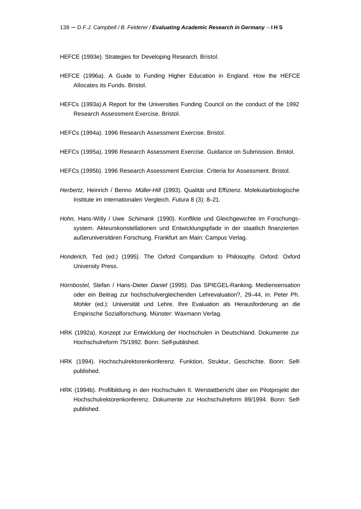HEFCE (1993e). Strategies for Developing Research. Bristol.

- HEFCE (1996a). A Guide to Funding Higher Education in England. How the HEFCE Allocates its Funds. Bristol.
- HEFCs (1993a).A Report for the Universities Funding Council on the conduct of the 1992 Research Assessment Exercise. Bristol.
- HEFCs (1994a). 1996 Research Assessment Exercise. Bristol.
- HEFCs (1995a). 1996 Research Assessment Exercise. Guidance on Submission. Bristol.
- HEFCs (1995b). 1996 Research Assessment Exercise. Criteria for Assessment. Bristol.
- *Herbertz,* Heinrich / Benno *Müller-Hill* (1993). Qualität und Effizienz. Molekularbiologische Institute im internationalen Vergleich. *Futura* 8 (3): 8–21.
- *Hohn,* Hans-Willy / Uwe *Schimank* (1990). Konflikte und Gleichgewichte im Forschungssystem. Akteurskonstellationen und Entwicklungspfade in der staatlich finanzierten außeruniversitären Forschung. Frankfurt am Main: Campus Verlag.
- *Honderich,* Ted (ed.) (1995). The Oxford Compandium to Philosophy. Oxford: Oxford University Press.
- *Hornbostel,* Stefan / Hans-Dieter *Daniel* (1995). Das SPIEGEL-Ranking. Mediensensation oder ein Beitrag zur hochschulvergleichenden Lehrevaluation?, 29–44, in: Peter Ph. *Mohler* (ed.): Universität und Lehre. Ihre Evaluation als Herausforderung an die Empirische Sozialforschung. Münster: Waxmann Verlag.
- HRK (1992a). Konzept zur Entwicklung der Hochschulen in Deutschland. Dokumente zur Hochschulreform 75/1992. Bonn: Self-published.
- HRK (1994). Hochschulrektorenkonferenz. Funktion, Struktur, Geschichte. Bonn: Selfpublished.
- HRK (1994b). Profilbildung in den Hochschulen II. Werstattbericht über ein Pilotprojekt der Hochschulrektorenkonferenz. Dokumente zur Hochschulreform 89/1994. Bonn: Selfpublished.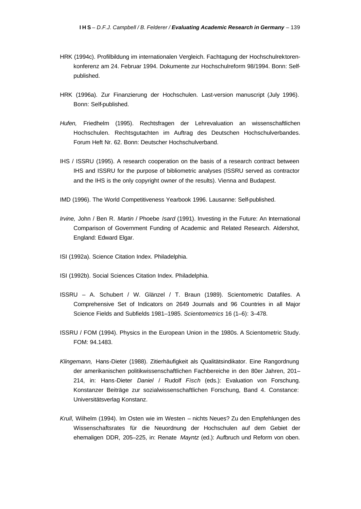- HRK (1994c). Profilbildung im internationalen Vergleich. Fachtagung der Hochschulrektorenkonferenz am 24. Februar 1994. Dokumente zur Hochschulreform 98/1994. Bonn: Selfpublished.
- HRK (1996a). Zur Finanzierung der Hochschulen. Last-version manuscript (July 1996). Bonn: Self-published.
- *Hufen,* Friedhelm (1995). Rechtsfragen der Lehrevaluation an wissenschaftlichen Hochschulen. Rechtsgutachten im Auftrag des Deutschen Hochschulverbandes. Forum Heft Nr. 62. Bonn: Deutscher Hochschulverband.
- IHS / ISSRU (1995). A research cooperation on the basis of a research contract between IHS and ISSRU for the purpose of bibliometric analyses (ISSRU served as contractor and the IHS is the only copyright owner of the results). Vienna and Budapest.
- IMD (1996). The World Competitiveness Yearbook 1996. Lausanne: Self-published.
- *Irvine,* John / Ben R. *Martin* / Phoebe *Isard* (1991). Investing in the Future: An International Comparison of Government Funding of Academic and Related Research. Aldershot, England: Edward Elgar.
- ISI (1992a). Science Citation Index. Philadelphia.
- ISI (1992b). Social Sciences Citation Index. Philadelphia.
- ISSRU A. Schubert / W. Glänzel / T. Braun (1989). Scientometric Datafiles. A Comprehensive Set of Indicators on 2649 Journals and 96 Countries in all Major Science Fields and Subfields 1981–1985. *Scientometrics* 16 (1–6): 3–478.
- ISSRU / FOM (1994). Physics in the European Union in the 1980s. A Scientometric Study. FOM: 94.1483.
- *Klingemann,* Hans-Dieter (1988). Zitierhäufigkeit als Qualitätsindikator. Eine Rangordnung der amerikanischen politikwissenschaftlichen Fachbereiche in den 80er Jahren, 201– 214, in: Hans-Dieter *Daniel* / Rudolf *Fisch* (eds.): Evaluation von Forschung. Konstanzer Beiträge zur sozialwissenschaftlichen Forschung, Band 4. Constance: Universitätsverlag Konstanz.
- *Krull,* Wilhelm (1994). Im Osten wie im Westen nichts Neues? Zu den Empfehlungen des Wissenschaftsrates für die Neuordnung der Hochschulen auf dem Gebiet der ehemaligen DDR, 205–225, in: Renate *Mayntz* (ed.): Aufbruch und Reform von oben.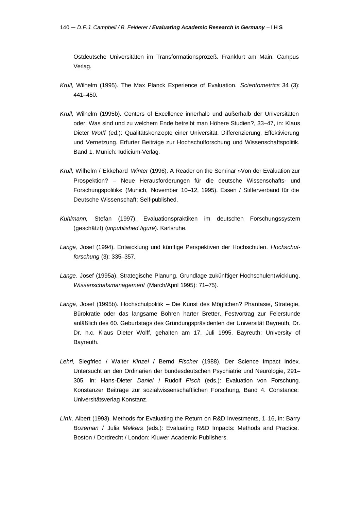Ostdeutsche Universitäten im Transformationsprozeß. Frankfurt am Main: Campus Verlag.

- *Krull,* Wilhelm (1995). The Max Planck Experience of Evaluation. *Scientometrics* 34 (3): 441–450.
- *Krull,* Wilhelm (1995b). Centers of Excellence innerhalb und außerhalb der Universitäten oder: Was sind und zu welchem Ende betreibt man Höhere Studien?, 33–47, in: Klaus Dieter *Wolff* (ed.): Qualitätskonzepte einer Universität. Differenzierung, Effektivierung und Vernetzung. Erfurter Beiträge zur Hochschulforschung und Wissenschaftspolitik. Band 1. Munich: Iudicium-Verlag.
- *Krull,* Wilhelm / Ekkehard *Winter* (1996). A Reader on the Seminar »Von der Evaluation zur Prospektion? – Neue Herausforderungen für die deutsche Wissenschafts- und Forschungspolitik« (Munich, November 10–12, 1995). Essen / Stifterverband für die Deutsche Wissenschaft: Self-published.
- *Kuhlmann,* Stefan (1997). Evaluationspraktiken im deutschen Forschungssystem (geschätzt) (*unpublished figure*). Karlsruhe.
- *Lange,* Josef (1994). Entwicklung und künftige Perspektiven der Hochschulen. *Hochschulforschung* (3): 335–357.
- *Lange,* Josef (1995a). Strategische Planung. Grundlage zukünftiger Hochschulentwicklung. *Wissenschafsmanagement* (March/April 1995): 71–75).
- *Lange,* Josef (1995b). Hochschulpolitik Die Kunst des Möglichen? Phantasie, Strategie, Bürokratie oder das langsame Bohren harter Bretter. Festvortrag zur Feierstunde anläßlich des 60. Geburtstags des Gründungspräsidenten der Universität Bayreuth, Dr. Dr. h.c. Klaus Dieter Wolff, gehalten am 17. Juli 1995. Bayreuth: University of Bayreuth.
- *Lehrl,* Siegfried / Walter *Kinzel* / Bernd *Fischer* (1988). Der Science Impact Index. Untersucht an den Ordinarien der bundesdeutschen Psychiatrie und Neurologie, 291– 305, in: Hans-Dieter *Daniel* / Rudolf *Fisch* (eds.): Evaluation von Forschung. Konstanzer Beiträge zur sozialwissenschaftlichen Forschung, Band 4. Constance: Universitätsverlag Konstanz.
- *Link,* Albert (1993). Methods for Evaluating the Return on R&D Investments, 1–16, in: Barry *Bozeman* / Julia *Melkers* (eds.): Evaluating R&D Impacts: Methods and Practice. Boston / Dordrecht / London: Kluwer Academic Publishers.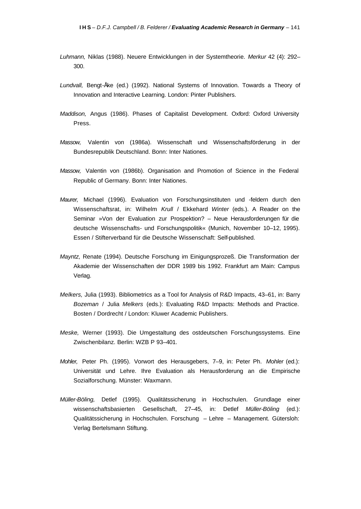- *Luhmann,* Niklas (1988). Neuere Entwicklungen in der Systemtheorie. *Merkur* 42 (4): 292– 300.
- *Lundvall,* Bengt-Åke (ed.) (1992). National Systems of Innovation. Towards a Theory of Innovation and Interactive Learning. London: Pinter Publishers.
- *Maddison,* Angus (1986). Phases of Capitalist Development. Oxford: Oxford University Press.
- *Massow,* Valentin von (1986a). Wissenschaft und Wissenschaftsförderung in der Bundesrepublik Deutschland. Bonn: Inter Nationes.
- *Massow,* Valentin von (1986b). Organisation and Promotion of Science in the Federal Republic of Germany. Bonn: Inter Nationes.
- *Maurer,* Michael (1996). Evaluation von Forschungsinstituten und -feldern durch den Wissenschaftsrat, in: Wilhelm *Krull* / Ekkehard *Winter* (eds.). A Reader on the Seminar »Von der Evaluation zur Prospektion? – Neue Herausforderungen für die deutsche Wissenschafts- und Forschungspolitik« (Munich, November 10–12, 1995). Essen / Stifterverband für die Deutsche Wissenschaft: Self-published.
- *Mayntz,* Renate (1994). Deutsche Forschung im Einigungsprozeß. Die Transformation der Akademie der Wissenschaften der DDR 1989 bis 1992. Frankfurt am Main: Campus Verlag.
- *Melkers,* Julia (1993). Bibliometrics as a Tool for Analysis of R&D Impacts, 43–61, in: Barry *Bozeman* / Julia *Melkers* (eds.): Evaluating R&D Impacts: Methods and Practice. Bosten / Dordrecht / London: Kluwer Academic Publishers.
- *Meske,* Werner (1993). Die Umgestaltung des ostdeutschen Forschungssystems. Eine Zwischenbilanz. Berlin: WZB P 93–401.
- *Mohler,* Peter Ph. (1995). Vorwort des Herausgebers, 7–9, in: Peter Ph. *Mohler* (ed.): Universität und Lehre. Ihre Evaluation als Herausforderung an die Empirische Sozialforschung. Münster: Waxmann.
- *Müller-Böling,* Detlef (1995). Qualitätssicherung in Hochschulen. Grundlage einer wissenschaftsbasierten Gesellschaft, 27–45, in: Detlef *Müller-Böling* (ed.): Qualitätssicherung in Hochschulen. Forschung – Lehre – Management. Gütersloh: Verlag Bertelsmann Stiftung.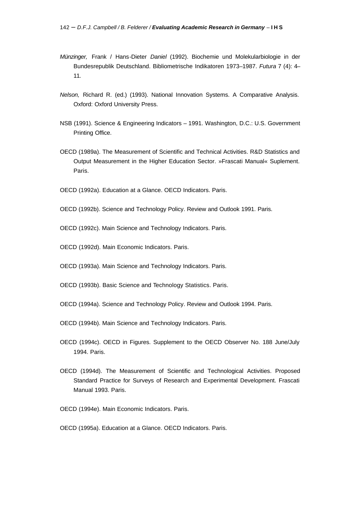- *Münzinger,* Frank / Hans-Dieter *Daniel* (1992). Biochemie und Molekularbiologie in der Bundesrepublik Deutschland. Bibliometrische Indikatoren 1973–1987. *Futura* 7 (4): 4– 11.
- *Nelson,* Richard R. (ed.) (1993). National Innovation Systems. A Comparative Analysis. Oxford: Oxford University Press.
- NSB (1991). Science & Engineering Indicators 1991. Washington, D.C.: U.S. Government Printing Office.
- OECD (1989a). The Measurement of Scientific and Technical Activities. R&D Statistics and Output Measurement in the Higher Education Sector. »Frascati Manual« Suplement. Paris.
- OECD (1992a). Education at a Glance. OECD Indicators. Paris.
- OECD (1992b). Science and Technology Policy. Review and Outlook 1991. Paris.
- OECD (1992c). Main Science and Technology Indicators. Paris.
- OECD (1992d). Main Economic Indicators. Paris.
- OECD (1993a). Main Science and Technology Indicators. Paris.
- OECD (1993b). Basic Science and Technology Statistics. Paris.
- OECD (1994a). Science and Technology Policy. Review and Outlook 1994. Paris.
- OECD (1994b). Main Science and Technology Indicators. Paris.
- OECD (1994c). OECD in Figures. Supplement to the OECD Observer No. 188 June/July 1994. Paris.
- OECD (1994d). The Measurement of Scientific and Technological Activities. Proposed Standard Practice for Surveys of Research and Experimental Development. Frascati Manual 1993. Paris.
- OECD (1994e). Main Economic Indicators. Paris.
- OECD (1995a). Education at a Glance. OECD Indicators. Paris.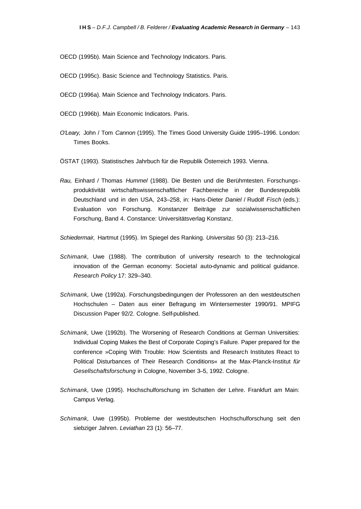OECD (1995b). Main Science and Technology Indicators. Paris.

- OECD (1995c). Basic Science and Technology Statistics. Paris.
- OECD (1996a). Main Science and Technology Indicators. Paris.
- OECD (1996b). Main Economic Indicators. Paris.
- *O'Leary,* John / Tom *Cannon* (1995). The Times Good University Guide 1995–1996. London: Times Books.
- ÖSTAT (1993). Statistisches Jahrbuch für die Republik Österreich 1993. Vienna.
- *Rau,* Einhard / Thomas *Hummel* (1988). Die Besten und die Berühmtesten. Forschungsproduktivität wirtschaftswissenschaftlicher Fachbereiche in der Bundesrepublik Deutschland und in den USA, 243–258, in: Hans-Dieter *Daniel* / Rudolf *Fisch* (eds.): Evaluation von Forschung. Konstanzer Beiträge zur sozialwissenschaftlichen Forschung, Band 4. Constance: Universitätsverlag Konstanz.

*Schiedermair,* Hartmut (1995). Im Spiegel des Ranking. *Universitas* 50 (3): 213–216.

- *Schimank,* Uwe (1988). The contribution of university research to the technological innovation of the German economy: Societal auto-dynamic and political guidance. *Research Policy* 17: 329–340.
- *Schimank,* Uwe (1992a). Forschungsbedingungen der Professoren an den westdeutschen Hochschulen – Daten aus einer Befragung im Wintersemester 1990/91. MPIFG Discussion Paper 92/2. Cologne. Self-published.
- *Schimank,* Uwe (1992b). The Worsening of Research Conditions at German Universities: Individual Coping Makes the Best of Corporate Coping's Failure. Paper prepared for the conference »Coping With Trouble: How Scientists and Research Institutes React to Political Disturbances of Their Research Conditions« at the Max-Planck-Institut *für Gesellschaftsforschung* in Cologne, November 3–5, 1992. Cologne.
- *Schimank,* Uwe (1995). Hochschulforschung im Schatten der Lehre. Frankfurt am Main: Campus Verlag.
- *Schimank,* Uwe (1995b). Probleme der westdeutschen Hochschulforschung seit den siebziger Jahren. *Leviathan* 23 (1): 56–77.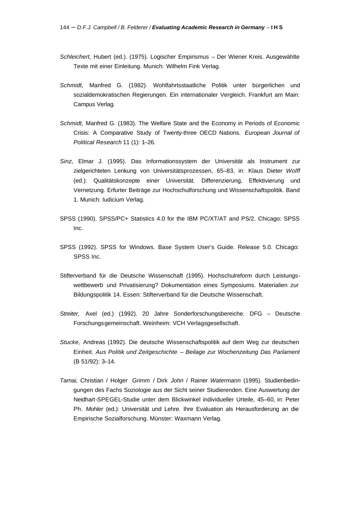- *Schleichert,* Hubert (ed.). (1975). Logischer Empirismus Der Wiener Kreis. Ausgewählte Texte mit einer Einleitung. Munich: Wilhelm Fink Verlag.
- *Schmidt,* Manfred G. (1982). Wohlfahrtsstaatliche Politik unter bürgerlichen und sozialdemokratischen Regierungen. Ein internationaler Vergleich. Frankfurt am Main: Campus Verlag.
- *Schmidt,* Manfred G. (1983). The Welfare State and the Economy in Periods of Economic Crisis: A Comparative Study of Twenty-three OECD Nations. *European Journal of Political Research* 11 (1): 1–26.
- *Sinz,* Elmar J. (1995). Das Informationssystem der Universität als Instrument zur zielgerichteten Lenkung von Universitätsprozessen, 65–83, in: Klaus Dieter *Wolff* (ed.): Qualitätskonzepte einer Universität. Differenzierung, Effektivierung und Vernetzung. Erfurter Beiträge zur Hochschulforschung und Wissenschaftspolitik. Band 1. Munich: Iudicium Verlag.
- SPSS (1990). SPSS/PC+ Statistics 4.0 for the IBM PC/XT/AT and PS/2. Chicago: SPSS Inc.
- SPSS (1992). SPSS for Windows. Base System User's Guide. Release 5.0. Chicago: SPSS Inc.
- Stifterverband für die Deutsche Wissenschaft (1995). Hochschulreform durch Leistungswettbewerb und Privatisierung? Dokumentation eines Symposiums. Materialien zur Bildungspolitik 14. Essen: Stifterverband für die Deutsche Wissenschaft.
- *Streiter,* Axel (ed.) (1992). 20 Jahre Sonderforschungsbereiche. DFG Deutsche Forschungsgemeinschaft. Weinheim: VCH Verlagsgesellschaft.
- *Stucke,* Andreas (1992). Die deutsche Wissenschaftspolitik auf dem Weg zur deutschen Einheit. *Aus Politik und Zeitgeschichte – Beilage zur Wochenzeitung Das Parlament* (B 51/92): 3–14.
- *Tarnai,* Christian / Holger *Grimm* / Dirk *John* / Rainer *Watermann* (1995). Studienbedingungen des Fachs Soziologie aus der Sicht seiner Studierenden. Eine Auswertung der Neidhart-SPEGEL-Studie unter dem Blickwinkel individueller Urteile, 45–60, in: Peter Ph. *Mohler* (ed.): Universität und Lehre. Ihre Evaluation als Herausforderung an die Empirische Sozialforschung. Münster: Waxmann Verlag.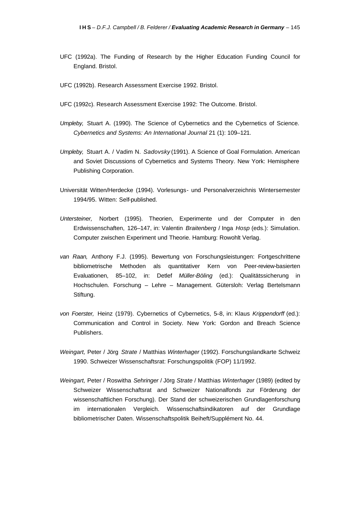- UFC (1992a). The Funding of Research by the Higher Education Funding Council for England. Bristol.
- UFC (1992b). Research Assessment Exercise 1992. Bristol.
- UFC (1992c). Research Assessment Exercise 1992: The Outcome. Bristol.
- *Umpleby,* Stuart A. (1990). The Science of Cybernetics and the Cybernetics of Science. *Cybernetics and Systems: An International Journal* 21 (1): 109–121.
- *Umpleby,* Stuart A. / Vadim N. *Sadovsky* (1991). A Science of Goal Formulation. American and Soviet Discussions of Cybernetics and Systems Theory. New York: Hemisphere Publishing Corporation.
- Universität Witten/Herdecke (1994). Vorlesungs- und Personalverzeichnis Wintersemester 1994/95. Witten: Self-published.
- *Untersteiner,* Norbert (1995). Theorien, Experimente und der Computer in den Erdwissenschaften, 126–147, in: Valentin *Braitenberg* / Inga *Hosp* (eds.): Simulation. Computer zwischen Experiment und Theorie. Hamburg: Rowohlt Verlag.
- *van Raan,* Anthony F.J. (1995). Bewertung von Forschungsleistungen: Fortgeschrittene bibliometrische Methoden als quantitativer Kern von Peer-review-basierten Evaluationen, 85–102, in: Detlef *Müller-Böling* (ed.): Qualitätssicherung in Hochschulen. Forschung – Lehre – Management. Gütersloh: Verlag Bertelsmann Stiftung.
- *von Foerster,* Heinz (1979). Cybernetics of Cybernetics, 5–8, in: Klaus *Krippendorff* (ed.): Communication and Control in Society. New York: Gordon and Breach Science Publishers.
- *Weingart,* Peter / Jörg *Strate* / Matthias *Winterhager* (1992). Forschungslandkarte Schweiz 1990. Schweizer Wissenschaftsrat: Forschungspolitik (FOP) 11/1992.
- *Weingart,* Peter / Roswitha *Sehringer* / Jörg *Strate* / Matthias *Winterhager* (1989) (edited by Schweizer Wissenschaftsrat and Schweizer Nationalfonds zur Förderung der wissenschaftlichen Forschung). Der Stand der schweizerischen Grundlagenforschung im internationalen Vergleich. Wissenschaftsindikatoren auf der Grundlage bibliometrischer Daten. Wissenschaftspolitik Beiheft/Supplément No. 44.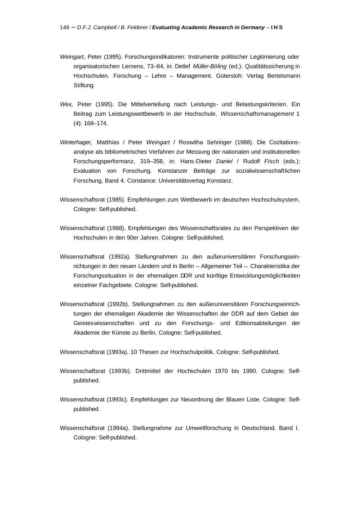- *Weingart,* Peter (1995). Forschungsindikatoren: Instrumente politischer Legitimierung oder organisatorischen Lernens, 73–84, in: Detlef *Müller-Böling* (ed.): Qualitätssicherung in Hochschulen. Forschung – Lehre – Management. Gütersloh: Verlag Bertelsmann Stiftung.
- *Wex,* Peter (1995). Die Mittelverteilung nach Leistungs- und Belastungskriterien. Ein Beitrag zum Leistungswettbewerb in der Hochschule. *Wissenschaftsmanagement* 1 (4): 168–174.
- *Winterhager,* Matthias / Peter *Weingart* / Roswitha *Sehringer* (1988). Die Cozitationsanalyse als bibliometrisches Verfahren zur Messung der nationalen und institutionellen Forschungsperformanz, 319–358, in: Hans-Dieter *Daniel* / Rudolf *Fisch* (eds.): Evaluation von Forschung. Konstanzer Beiträge zur sozialwissenschaftlichen Forschung, Band 4. Constance: Universitätsverlag Konstanz.
- Wissenschaftsrat (1985). Empfehlungen zum Wettbewerb im deutschen Hochschulsystem. Cologne: Self-published.
- Wissenschaftsrat (1988). Empfehlungen des Wissenschaftsrates zu den Perspektiven der Hochschulen in den 90er Jahren. Cologne: Self-published.
- Wissenschaftsrat (1992a). Stellungnahmen zu den außeruniversitären Forschungseinrichtungen in den neuen Ländern und in Berlin – Allgemeiner Teil –. Charakteristika der Forschungssituation in der ehemaligen DDR und künftige Entwicklungsmöglichkeiten einzelner Fachgebiete. Cologne: Self-published.
- Wissenschaftsrat (1992b). Stellungnahmen zu den außeruniversitären Forschungseinrichtungen der ehemaligen Akademie der Wissenschaften der DDR auf dem Gebiet der Geisteswissenschaften und zu den Forschungs- und Editionsabteilungen der Akademie der Künste zu Berlin. Cologne: Self-published.

Wissenschaftsrat (1993a). 10 Thesen zur Hochschulpolitik. Cologne: Self-published.

- Wissenschaftsrat (1993b). Drittmittel der Hochschulen 1970 bis 1990. Cologne: Selfpublished.
- Wissenschaftsrat (1993c). Empfehlungen zur Neuordnung der Blauen Liste. Cologne: Selfpublished.
- Wissenschaftsrat (1994a). Stellungnahme zur Umweltforschung in Deutschland. Band I. Cologne: Self-published.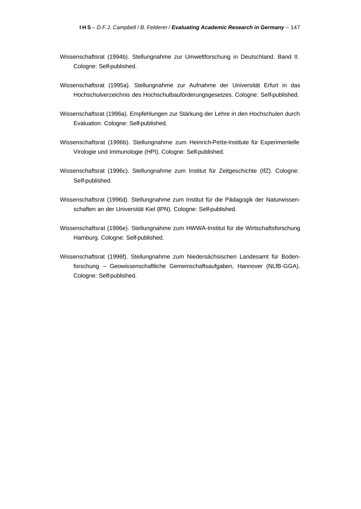- Wissenschaftsrat (1994b). Stellungnahme zur Umweltforschung in Deutschland. Band II. Cologne: Self-published.
- Wissenschaftsrat (1995a). Stellungnahme zur Aufnahme der Universität Erfurt in das Hochschulverzeichnis des Hochschulbauförderungsgesetzes. Cologne: Self-published.
- Wissenschaftsrat (1996a). Empfehlungen zur Stärkung der Lehre in den Hochschulen durch Evaluation. Cologne: Self-published.
- Wissenschaftsrat (1996b). Stellungnahme zum Heinrich-Pette-Institute für Experimentelle Virologie und Immunologie (HPI). Cologne: Self-published.
- Wissenschaftsrat (1996c). Stellungnahme zum Institut für Zeitgeschichte (IfZ). Cologne: Self-published.
- Wissenschaftsrat (1996d). Stellungnahme zum Institut für die Pädagogik der Naturwissenschaften an der Universität Kiel (IPN). Cologne: Self-published.
- Wissenschaftsrat (1996e). Stellungnahme zum HWWA-Institut für die Wirtschaftsforschung Hamburg. Cologne: Self-published.
- Wissenschaftsrat (1996f). Stellungnahme zum Niedersächsischen Landesamt für Bodenforschung – Geowissenschaftliche Gemeinschaftsaufgaben, Hannover (NLfB-GGA). Cologne: Self-published.